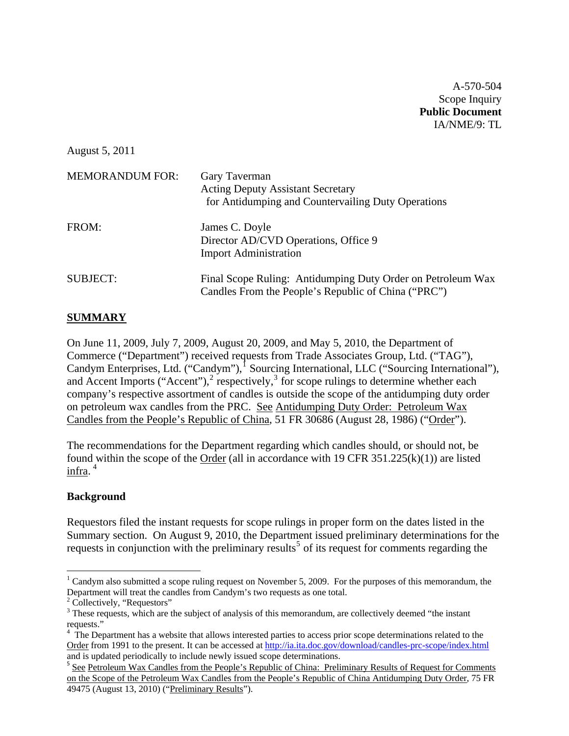A-570-504 Scope Inquiry **Public Document**  IA/NME/9: TL

August 5, 2011

| <b>MEMORANDUM FOR:</b> | Gary Taverman<br><b>Acting Deputy Assistant Secretary</b><br>for Antidumping and Countervailing Duty Operations    |
|------------------------|--------------------------------------------------------------------------------------------------------------------|
| FROM:                  | James C. Doyle<br>Director AD/CVD Operations, Office 9<br><b>Import Administration</b>                             |
| <b>SUBJECT:</b>        | Final Scope Ruling: Antidumping Duty Order on Petroleum Wax<br>Candles From the People's Republic of China ("PRC") |

### **SUMMARY**

On June 11, 2009, July 7, 2009, August 20, 2009, and May 5, 2010, the Department of Commerce ("Department") received requests from Trade Associates Group, Ltd. ("TAG"), Candym Enterprises, Ltd. ("Candym"),<sup>[1](#page-0-0)</sup> Sourcing International, LLC ("Sourcing International"), and Accent Imports ("Accent"), $^2$  $^2$  respectively, $^3$  $^3$  for scope rulings to determine whether each company's respective assortment of candles is outside the scope of the antidumping duty order on petroleum wax candles from the PRC. See Antidumping Duty Order: Petroleum Wax Candles from the People's Republic of China, 51 FR 30686 (August 28, 1986) ("Order").

The recommendations for the Department regarding which candles should, or should not, be found within the scope of the Order (all in accordance with 19 CFR  $351.225(k)(1)$ ) are listed infra. [4](#page-0-3)

#### **Background**

Requestors filed the instant requests for scope rulings in proper form on the dates listed in the Summary section. On August 9, 2010, the Department issued preliminary determinations for the requests in conjunction with the preliminary results<sup>[5](#page-0-4)</sup> of its request for comments regarding the

<span id="page-0-0"></span> $1$  Candym also submitted a scope ruling request on November 5, 2009. For the purposes of this memorandum, the Department will treat the candles from Candym's two requests as one total.

<span id="page-0-1"></span><sup>&</sup>lt;sup>2</sup> Collectively, "Requestors"

<span id="page-0-2"></span><sup>&</sup>lt;sup>3</sup> These requests, which are the subject of analysis of this memorandum, are collectively deemed "the instant requests."<br><sup>4</sup> The Department has a website that allows interested parties to access prior scope determinations related to the

<span id="page-0-3"></span>Order from 1991 to the present. It can be accessed at<http://ia.ita.doc.gov/download/candles-prc-scope/index.html> and is updated periodically to include newly issued scope determinations.

<span id="page-0-4"></span><sup>&</sup>lt;sup>5</sup> See Petroleum Wax Candles from the People's Republic of China: Preliminary Results of Request for Comments on the Scope of the Petroleum Wax Candles from the People's Republic of China Antidumping Duty Order, 75 FR 49475 (August 13, 2010) ("Preliminary Results").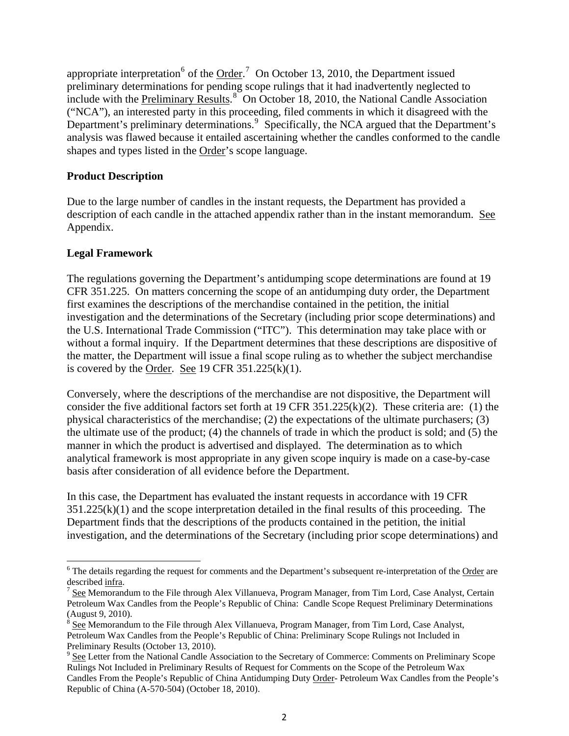appropriate interpretation  $6$  of the  $\overline{\text{Order}}^7$  $\overline{\text{Order}}^7$  On October 13, 2010, the Department issued preliminary determinations for pending scope rulings that it had inadvertently neglected to include with the Preliminary Results.<sup>[8](#page-1-2)</sup> On October 18, 2010, the National Candle Association ("NCA"), an interested party in this proceeding, filed comments in which it disagreed with the Department's preliminary determinations.<sup>[9](#page-1-3)</sup> Specifically, the NCA argued that the Department's analysis was flawed because it entailed ascertaining whether the candles conformed to the candle shapes and types listed in the Order's scope language.

### **Product Description**

Due to the large number of candles in the instant requests, the Department has provided a description of each candle in the attached appendix rather than in the instant memorandum. See Appendix.

## **Legal Framework**

The regulations governing the Department's antidumping scope determinations are found at 19 CFR 351.225. On matters concerning the scope of an antidumping duty order, the Department first examines the descriptions of the merchandise contained in the petition, the initial investigation and the determinations of the Secretary (including prior scope determinations) and the U.S. International Trade Commission ("ITC"). This determination may take place with or without a formal inquiry. If the Department determines that these descriptions are dispositive of the matter, the Department will issue a final scope ruling as to whether the subject merchandise is covered by the Order. See 19 CFR  $351.225(k)(1)$ .

Conversely, where the descriptions of the merchandise are not dispositive, the Department will consider the five additional factors set forth at 19 CFR 351.225(k)(2). These criteria are: (1) the physical characteristics of the merchandise; (2) the expectations of the ultimate purchasers; (3) the ultimate use of the product; (4) the channels of trade in which the product is sold; and (5) the manner in which the product is advertised and displayed. The determination as to which analytical framework is most appropriate in any given scope inquiry is made on a case-by-case basis after consideration of all evidence before the Department.

In this case, the Department has evaluated the instant requests in accordance with 19 CFR  $351.225(k)(1)$  and the scope interpretation detailed in the final results of this proceeding. The Department finds that the descriptions of the products contained in the petition, the initial investigation, and the determinations of the Secretary (including prior scope determinations) and

<span id="page-1-0"></span> <sup>6</sup> The details regarding the request for comments and the Department's subsequent re-interpretation of the Order are described <u>infra</u>.<br><sup>7</sup> <u>See</u> Memorandum to the File through Alex Villanueva, Program Manager, from Tim Lord, Case Analyst, Certain

<span id="page-1-1"></span>Petroleum Wax Candles from the People's Republic of China: Candle Scope Request Preliminary Determinations (August 9, 2010).

<span id="page-1-2"></span><sup>8</sup> See Memorandum to the File through Alex Villanueva, Program Manager, from Tim Lord, Case Analyst, Petroleum Wax Candles from the People's Republic of China: Preliminary Scope Rulings not Included in Preliminary Results (October 13, 2010).

<span id="page-1-3"></span><sup>&</sup>lt;sup>9</sup> See Letter from the National Candle Association to the Secretary of Commerce: Comments on Preliminary Scope Rulings Not Included in Preliminary Results of Request for Comments on the Scope of the Petroleum Wax Candles From the People's Republic of China Antidumping Duty Order- Petroleum Wax Candles from the People's Republic of China (A-570-504) (October 18, 2010).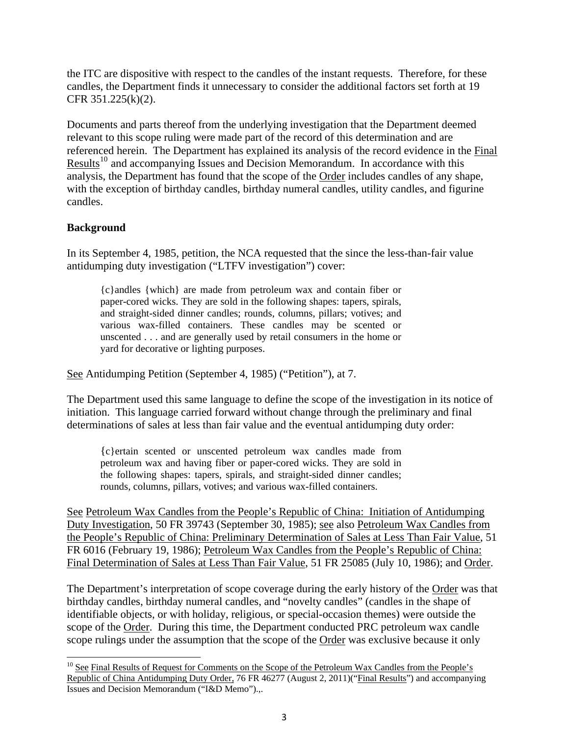the ITC are dispositive with respect to the candles of the instant requests. Therefore, for these candles, the Department finds it unnecessary to consider the additional factors set forth at 19 CFR 351.225(k)(2).

Documents and parts thereof from the underlying investigation that the Department deemed relevant to this scope ruling were made part of the record of this determination and are referenced herein. The Department has explained its analysis of the record evidence in the Final Results<sup>[10](#page-2-0)</sup> and accompanying Issues and Decision Memorandum. In accordance with this analysis, the Department has found that the scope of the Order includes candles of any shape, with the exception of birthday candles, birthday numeral candles, utility candles, and figurine candles.

### **Background**

In its September 4, 1985, petition, the NCA requested that the since the less-than-fair value antidumping duty investigation ("LTFV investigation") cover:

{c}andles {which} are made from petroleum wax and contain fiber or paper-cored wicks. They are sold in the following shapes: tapers, spirals, and straight-sided dinner candles; rounds, columns, pillars; votives; and various wax-filled containers. These candles may be scented or unscented . . . and are generally used by retail consumers in the home or yard for decorative or lighting purposes.

See Antidumping Petition (September 4, 1985) ("Petition"), at 7.

The Department used this same language to define the scope of the investigation in its notice of initiation. This language carried forward without change through the preliminary and final determinations of sales at less than fair value and the eventual antidumping duty order:

{c}ertain scented or unscented petroleum wax candles made from petroleum wax and having fiber or paper-cored wicks. They are sold in the following shapes: tapers, spirals, and straight-sided dinner candles; rounds, columns, pillars, votives; and various wax-filled containers.

See Petroleum Wax Candles from the People's Republic of China: Initiation of Antidumping Duty Investigation, 50 FR 39743 (September 30, 1985); see also Petroleum Wax Candles from the People's Republic of China: Preliminary Determination of Sales at Less Than Fair Value, 51 FR 6016 (February 19, 1986); Petroleum Wax Candles from the People's Republic of China: Final Determination of Sales at Less Than Fair Value, 51 FR 25085 (July 10, 1986); and Order.

The Department's interpretation of scope coverage during the early history of the Order was that birthday candles, birthday numeral candles, and "novelty candles" (candles in the shape of identifiable objects, or with holiday, religious, or special-occasion themes) were outside the scope of the Order. During this time, the Department conducted PRC petroleum wax candle scope rulings under the assumption that the scope of the Order was exclusive because it only

<span id="page-2-0"></span><sup>&</sup>lt;sup>10</sup> See Final Results of Request for Comments on the Scope of the Petroleum Wax Candles from the People's Republic of China Antidumping Duty Order, 76 FR 46277 (August 2, 2011)("Final Results") and accompanying Issues and Decision Memorandum ("I&D Memo").,.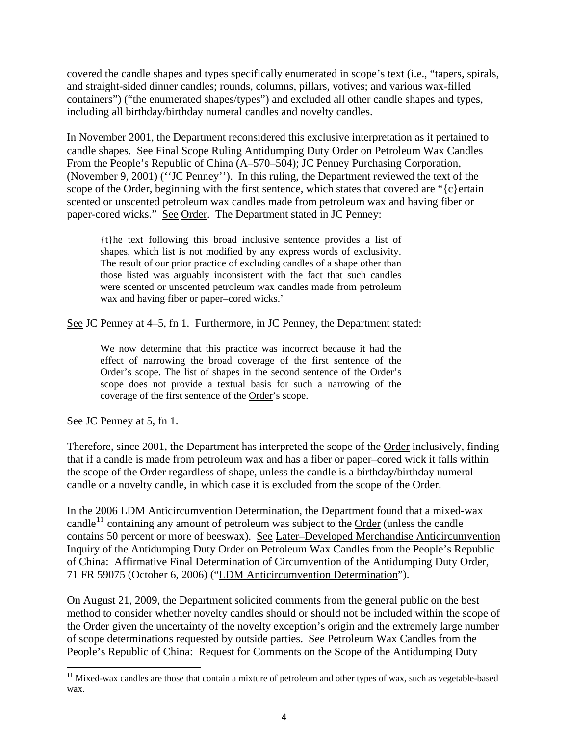covered the candle shapes and types specifically enumerated in scope's text (i.e., "tapers, spirals, and straight-sided dinner candles; rounds, columns, pillars, votives; and various wax-filled containers") ("the enumerated shapes/types") and excluded all other candle shapes and types, including all birthday/birthday numeral candles and novelty candles.

In November 2001, the Department reconsidered this exclusive interpretation as it pertained to candle shapes. See Final Scope Ruling Antidumping Duty Order on Petroleum Wax Candles From the People's Republic of China (A–570–504); JC Penney Purchasing Corporation, (November 9, 2001) (''JC Penney''). In this ruling, the Department reviewed the text of the scope of the Order, beginning with the first sentence, which states that covered are " $\{c\}$ ertain scented or unscented petroleum wax candles made from petroleum wax and having fiber or paper-cored wicks." See Order. The Department stated in JC Penney:

{t}he text following this broad inclusive sentence provides a list of shapes, which list is not modified by any express words of exclusivity. The result of our prior practice of excluding candles of a shape other than those listed was arguably inconsistent with the fact that such candles were scented or unscented petroleum wax candles made from petroleum wax and having fiber or paper–cored wicks.'

See JC Penney at 4–5, fn 1. Furthermore, in JC Penney, the Department stated:

We now determine that this practice was incorrect because it had the effect of narrowing the broad coverage of the first sentence of the Order's scope. The list of shapes in the second sentence of the Order's scope does not provide a textual basis for such a narrowing of the coverage of the first sentence of the Order's scope.

See JC Penney at 5, fn 1.

Therefore, since 2001, the Department has interpreted the scope of the Order inclusively, finding that if a candle is made from petroleum wax and has a fiber or paper–cored wick it falls within the scope of the Order regardless of shape, unless the candle is a birthday/birthday numeral candle or a novelty candle, in which case it is excluded from the scope of the Order.

In the 2006 LDM Anticircumvention Determination, the Department found that a mixed-wax candle<sup>[11](#page-3-0)</sup> containing any amount of petroleum was subject to the Order (unless the candle contains 50 percent or more of beeswax). See Later–Developed Merchandise Anticircumvention Inquiry of the Antidumping Duty Order on Petroleum Wax Candles from the People's Republic of China: Affirmative Final Determination of Circumvention of the Antidumping Duty Order, 71 FR 59075 (October 6, 2006) ("LDM Anticircumvention Determination").

On August 21, 2009, the Department solicited comments from the general public on the best method to consider whether novelty candles should or should not be included within the scope of the Order given the uncertainty of the novelty exception's origin and the extremely large number of scope determinations requested by outside parties. See Petroleum Wax Candles from the People's Republic of China: Request for Comments on the Scope of the Antidumping Duty

<span id="page-3-0"></span><sup>&</sup>lt;sup>11</sup> Mixed-wax candles are those that contain a mixture of petroleum and other types of wax, such as vegetable-based wax.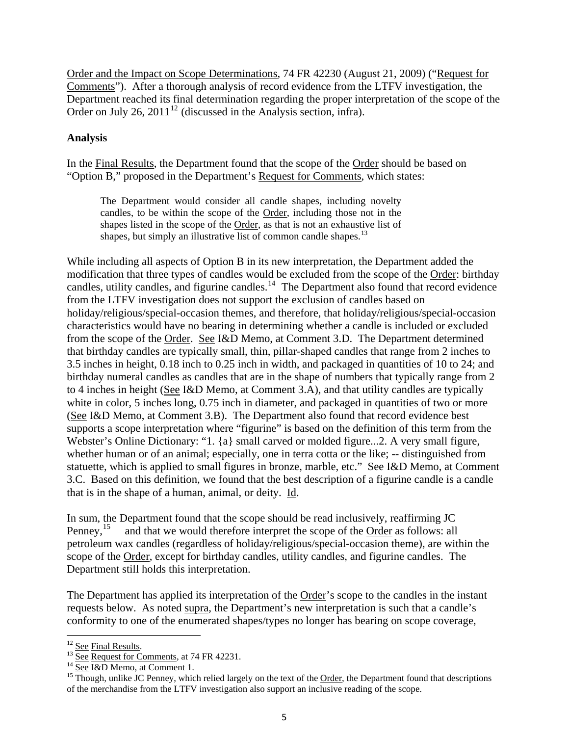Order and the Impact on Scope Determinations, 74 FR 42230 (August 21, 2009) ("Request for Comments"). After a thorough analysis of record evidence from the LTFV investigation, the Department reached its final determination regarding the proper interpretation of the scope of the Order on July 26, 2011<sup>[12](#page-4-0)</sup> (discussed in the Analysis section, infra).

### **Analysis**

In the Final Results, the Department found that the scope of the Order should be based on "Option B," proposed in the Department's Request for Comments, which states:

The Department would consider all candle shapes, including novelty candles, to be within the scope of the Order, including those not in the shapes listed in the scope of the Order, as that is not an exhaustive list of shapes, but simply an illustrative list of common candle shapes.<sup>[13](#page-4-1)</sup>

While including all aspects of Option B in its new interpretation, the Department added the modification that three types of candles would be excluded from the scope of the Order: birthday candles, utility candles, and figurine candles.<sup>[14](#page-4-2)</sup> The Department also found that record evidence from the LTFV investigation does not support the exclusion of candles based on holiday/religious/special-occasion themes, and therefore, that holiday/religious/special-occasion characteristics would have no bearing in determining whether a candle is included or excluded from the scope of the Order. See I&D Memo, at Comment 3.D. The Department determined that birthday candles are typically small, thin, pillar-shaped candles that range from 2 inches to 3.5 inches in height, 0.18 inch to 0.25 inch in width, and packaged in quantities of 10 to 24; and birthday numeral candles as candles that are in the shape of numbers that typically range from 2 to 4 inches in height (See I&D Memo, at Comment 3.A), and that utility candles are typically white in color, 5 inches long, 0.75 inch in diameter, and packaged in quantities of two or more (See I&D Memo, at Comment 3.B). The Department also found that record evidence best supports a scope interpretation where "figurine" is based on the definition of this term from the Webster's Online Dictionary: "1. {a} small carved or molded figure...2. A very small figure, whether human or of an animal; especially, one in terra cotta or the like; -- distinguished from statuette, which is applied to small figures in bronze, marble, etc." See I&D Memo, at Comment 3.C. Based on this definition, we found that the best description of a figurine candle is a candle that is in the shape of a human, animal, or deity. Id.

In sum, the Department found that the scope should be read inclusively, reaffirming JC Penney,  $^{15}$  $^{15}$  $^{15}$  and that we would therefore interpret the scope of the Order as follows: all petroleum wax candles (regardless of holiday/religious/special-occasion theme), are within the scope of the Order, except for birthday candles, utility candles, and figurine candles. The Department still holds this interpretation.

The Department has applied its interpretation of the Order's scope to the candles in the instant requests below. As noted supra, the Department's new interpretation is such that a candle's conformity to one of the enumerated shapes/types no longer has bearing on scope coverage,

<span id="page-4-3"></span><span id="page-4-2"></span>

<span id="page-4-1"></span><span id="page-4-0"></span><sup>&</sup>lt;sup>12</sup> See Final Results.<br><sup>13</sup> See Request for Comments, at 74 FR 42231.<br><sup>14</sup> See I&D Memo, at Comment 1.<br><sup>15</sup> Though, unlike JC Penney, which relied largely on the text of the Order, the Department found that descriptions of the merchandise from the LTFV investigation also support an inclusive reading of the scope.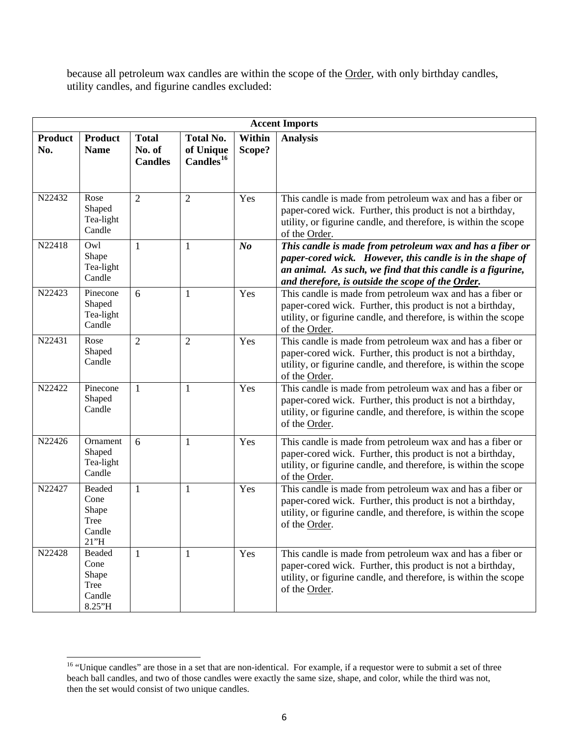because all petroleum wax candles are within the scope of the Order, with only birthday candles, utility candles, and figurine candles excluded:

|                       | <b>Accent Imports</b>                               |                                          |                                                        |                  |                                                                                                                                                                                                                                            |  |  |  |
|-----------------------|-----------------------------------------------------|------------------------------------------|--------------------------------------------------------|------------------|--------------------------------------------------------------------------------------------------------------------------------------------------------------------------------------------------------------------------------------------|--|--|--|
| <b>Product</b><br>No. | <b>Product</b><br><b>Name</b>                       | <b>Total</b><br>No. of<br><b>Candles</b> | <b>Total No.</b><br>of Unique<br>Candles <sup>16</sup> | Within<br>Scope? | <b>Analysis</b>                                                                                                                                                                                                                            |  |  |  |
| N22432                | Rose<br>Shaped<br>Tea-light<br>Candle               | $\overline{2}$                           | $\overline{2}$                                         | Yes              | This candle is made from petroleum wax and has a fiber or<br>paper-cored wick. Further, this product is not a birthday,<br>utility, or figurine candle, and therefore, is within the scope<br>of the Order.                                |  |  |  |
| N22418                | Owl<br>Shape<br>Tea-light<br>Candle                 | $\mathbf{1}$                             | $\mathbf{1}$                                           | N <sub>o</sub>   | This candle is made from petroleum wax and has a fiber or<br>paper-cored wick. However, this candle is in the shape of<br>an animal. As such, we find that this candle is a figurine,<br>and therefore, is outside the scope of the Order. |  |  |  |
| N22423                | Pinecone<br>Shaped<br>Tea-light<br>Candle           | 6                                        | $\mathbf{1}$                                           | Yes              | This candle is made from petroleum wax and has a fiber or<br>paper-cored wick. Further, this product is not a birthday,<br>utility, or figurine candle, and therefore, is within the scope<br>of the Order.                                |  |  |  |
| N22431                | Rose<br>Shaped<br>Candle                            | $\overline{2}$                           | $\overline{2}$                                         | Yes              | This candle is made from petroleum wax and has a fiber or<br>paper-cored wick. Further, this product is not a birthday,<br>utility, or figurine candle, and therefore, is within the scope<br>of the Order.                                |  |  |  |
| N22422                | Pinecone<br>Shaped<br>Candle                        | $\mathbf{1}$                             | $\mathbf{1}$                                           | Yes              | This candle is made from petroleum wax and has a fiber or<br>paper-cored wick. Further, this product is not a birthday,<br>utility, or figurine candle, and therefore, is within the scope<br>of the Order.                                |  |  |  |
| N22426                | Ornament<br>Shaped<br>Tea-light<br>Candle           | 6                                        | $\mathbf{1}$                                           | Yes              | This candle is made from petroleum wax and has a fiber or<br>paper-cored wick. Further, this product is not a birthday,<br>utility, or figurine candle, and therefore, is within the scope<br>of the Order.                                |  |  |  |
| N22427                | Beaded<br>Cone<br>Shape<br>Tree<br>Candle<br>21"H   | $\mathbf{1}$                             | $\mathbf{1}$                                           | Yes              | This candle is made from petroleum wax and has a fiber or<br>paper-cored wick. Further, this product is not a birthday,<br>utility, or figurine candle, and therefore, is within the scope<br>of the Order.                                |  |  |  |
| N22428                | Beaded<br>Cone<br>Shape<br>Tree<br>Candle<br>8.25"H | 1                                        | $\mathbf{1}$                                           | Yes              | This candle is made from petroleum wax and has a fiber or<br>paper-cored wick. Further, this product is not a birthday,<br>utility, or figurine candle, and therefore, is within the scope<br>of the Order.                                |  |  |  |

<span id="page-5-0"></span> <sup>16</sup> "Unique candles" are those in a set that are non-identical. For example, if a requestor were to submit a set of three beach ball candles, and two of those candles were exactly the same size, shape, and color, while the third was not, then the set would consist of two unique candles.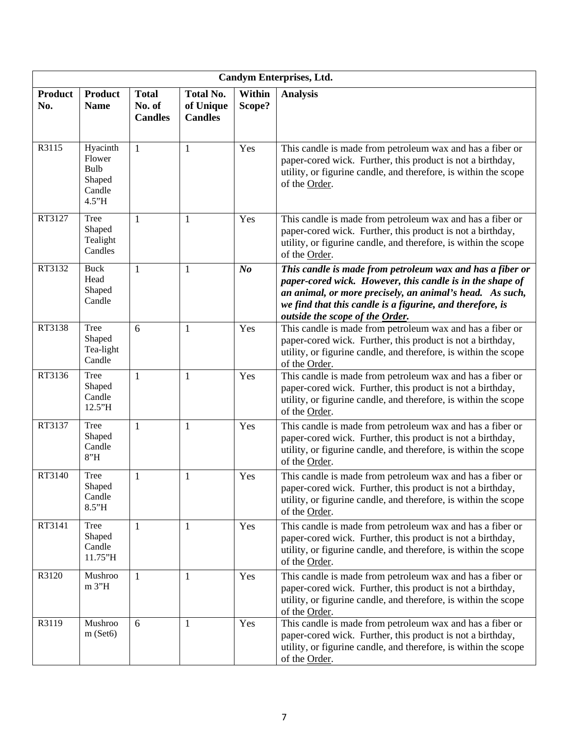| Candym Enterprises, Ltd. |                                                         |                                          |                                                 |                  |                                                                                                                                                                                                                                                                                    |  |  |
|--------------------------|---------------------------------------------------------|------------------------------------------|-------------------------------------------------|------------------|------------------------------------------------------------------------------------------------------------------------------------------------------------------------------------------------------------------------------------------------------------------------------------|--|--|
| <b>Product</b><br>No.    | <b>Product</b><br><b>Name</b>                           | <b>Total</b><br>No. of<br><b>Candles</b> | <b>Total No.</b><br>of Unique<br><b>Candles</b> | Within<br>Scope? | <b>Analysis</b>                                                                                                                                                                                                                                                                    |  |  |
| R3115                    | Hyacinth<br>Flower<br>Bulb<br>Shaped<br>Candle<br>4.5"H | $\mathbf{1}$                             | 1                                               | Yes              | This candle is made from petroleum wax and has a fiber or<br>paper-cored wick. Further, this product is not a birthday,<br>utility, or figurine candle, and therefore, is within the scope<br>of the Order.                                                                        |  |  |
| RT3127                   | Tree<br>Shaped<br>Tealight<br>Candles                   | $\mathbf{1}$                             | 1                                               | Yes              | This candle is made from petroleum wax and has a fiber or<br>paper-cored wick. Further, this product is not a birthday,<br>utility, or figurine candle, and therefore, is within the scope<br>of the Order.                                                                        |  |  |
| RT3132                   | <b>Buck</b><br>Head<br>Shaped<br>Candle                 | $\mathbf{1}$                             | 1                                               | N <sub>o</sub>   | This candle is made from petroleum wax and has a fiber or<br>paper-cored wick. However, this candle is in the shape of<br>an animal, or more precisely, an animal's head. As such,<br>we find that this candle is a figurine, and therefore, is<br>outside the scope of the Order. |  |  |
| RT3138                   | Tree<br>Shaped<br>Tea-light<br>Candle                   | 6                                        | 1                                               | Yes              | This candle is made from petroleum wax and has a fiber or<br>paper-cored wick. Further, this product is not a birthday,<br>utility, or figurine candle, and therefore, is within the scope<br>of the Order.                                                                        |  |  |
| RT3136                   | Tree<br>Shaped<br>Candle<br>12.5"H                      | $\mathbf{1}$                             | 1                                               | Yes              | This candle is made from petroleum wax and has a fiber or<br>paper-cored wick. Further, this product is not a birthday,<br>utility, or figurine candle, and therefore, is within the scope<br>of the Order.                                                                        |  |  |
| RT3137                   | Tree<br>Shaped<br>Candle<br>8''H                        | $\mathbf{1}$                             | 1                                               | Yes              | This candle is made from petroleum wax and has a fiber or<br>paper-cored wick. Further, this product is not a birthday,<br>utility, or figurine candle, and therefore, is within the scope<br>of the Order.                                                                        |  |  |
| RT3140                   | <b>Tree</b><br>Shaped<br>Candle<br>8.5"H                | $\mathbf{1}$                             | 1                                               | Yes              | This candle is made from petroleum wax and has a fiber or<br>paper-cored wick. Further, this product is not a birthday,<br>utility, or figurine candle, and therefore, is within the scope<br>of the Order.                                                                        |  |  |
| RT3141                   | <b>Tree</b><br>Shaped<br>Candle<br>11.75"H              | $\mathbf{1}$                             | 1                                               | Yes              | This candle is made from petroleum wax and has a fiber or<br>paper-cored wick. Further, this product is not a birthday,<br>utility, or figurine candle, and therefore, is within the scope<br>of the Order.                                                                        |  |  |
| R3120                    | Mushroo<br>m 3"H                                        | 1                                        | 1                                               | Yes              | This candle is made from petroleum wax and has a fiber or<br>paper-cored wick. Further, this product is not a birthday,<br>utility, or figurine candle, and therefore, is within the scope<br>of the Order.                                                                        |  |  |
| R3119                    | Mushroo<br>m(Set6)                                      | 6                                        | $\mathbf{1}$                                    | Yes              | This candle is made from petroleum wax and has a fiber or<br>paper-cored wick. Further, this product is not a birthday,<br>utility, or figurine candle, and therefore, is within the scope<br>of the Order.                                                                        |  |  |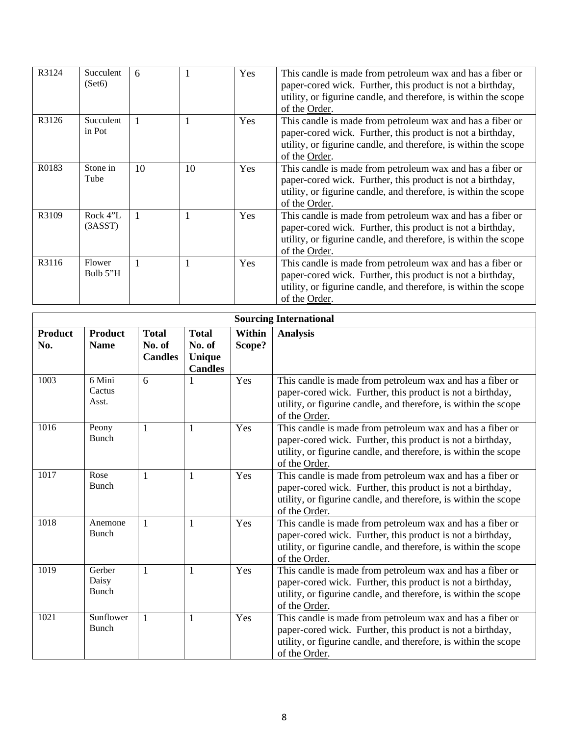| R3124             | Succulent<br>(Set6) | 6            |    | <b>Yes</b> | This candle is made from petroleum wax and has a fiber or<br>paper-cored wick. Further, this product is not a birthday,<br>utility, or figurine candle, and therefore, is within the scope<br>of the Order. |
|-------------------|---------------------|--------------|----|------------|-------------------------------------------------------------------------------------------------------------------------------------------------------------------------------------------------------------|
| R3126             | Succulent<br>in Pot |              |    | <b>Yes</b> | This candle is made from petroleum wax and has a fiber or<br>paper-cored wick. Further, this product is not a birthday,<br>utility, or figurine candle, and therefore, is within the scope<br>of the Order. |
| R <sub>0183</sub> | Stone in<br>Tube    | 10           | 10 | <b>Yes</b> | This candle is made from petroleum wax and has a fiber or<br>paper-cored wick. Further, this product is not a birthday,<br>utility, or figurine candle, and therefore, is within the scope<br>of the Order. |
| R3109             | Rock 4"L<br>(3ASST) |              |    | Yes        | This candle is made from petroleum wax and has a fiber or<br>paper-cored wick. Further, this product is not a birthday,<br>utility, or figurine candle, and therefore, is within the scope<br>of the Order. |
| R3116             | Flower<br>Bulb 5"H  | $\mathbf{1}$ |    | Yes        | This candle is made from petroleum wax and has a fiber or<br>paper-cored wick. Further, this product is not a birthday,<br>utility, or figurine candle, and therefore, is within the scope<br>of the Order. |

|                       |                               | <b>Sourcing International</b>            |                                                    |                  |                                                                                                                                                                                                             |
|-----------------------|-------------------------------|------------------------------------------|----------------------------------------------------|------------------|-------------------------------------------------------------------------------------------------------------------------------------------------------------------------------------------------------------|
| <b>Product</b><br>No. | <b>Product</b><br><b>Name</b> | <b>Total</b><br>No. of<br><b>Candles</b> | <b>Total</b><br>No. of<br>Unique<br><b>Candles</b> | Within<br>Scope? | <b>Analysis</b>                                                                                                                                                                                             |
| 1003                  | 6 Mini<br>Cactus<br>Asst.     | 6                                        |                                                    | Yes              | This candle is made from petroleum wax and has a fiber or<br>paper-cored wick. Further, this product is not a birthday,<br>utility, or figurine candle, and therefore, is within the scope<br>of the Order. |
| 1016                  | Peony<br><b>Bunch</b>         | $\mathbf{1}$                             | $\mathbf{1}$                                       | Yes              | This candle is made from petroleum wax and has a fiber or<br>paper-cored wick. Further, this product is not a birthday,<br>utility, or figurine candle, and therefore, is within the scope<br>of the Order. |
| 1017                  | Rose<br><b>Bunch</b>          | 1                                        | 1                                                  | Yes              | This candle is made from petroleum wax and has a fiber or<br>paper-cored wick. Further, this product is not a birthday,<br>utility, or figurine candle, and therefore, is within the scope<br>of the Order. |
| 1018                  | Anemone<br><b>Bunch</b>       | 1                                        | 1                                                  | Yes              | This candle is made from petroleum wax and has a fiber or<br>paper-cored wick. Further, this product is not a birthday,<br>utility, or figurine candle, and therefore, is within the scope<br>of the Order. |
| 1019                  | Gerber<br>Daisy<br>Bunch      | $\mathbf{1}$                             | $\mathbf{1}$                                       | Yes              | This candle is made from petroleum wax and has a fiber or<br>paper-cored wick. Further, this product is not a birthday,<br>utility, or figurine candle, and therefore, is within the scope<br>of the Order. |
| 1021                  | Sunflower<br>Bunch            | $\mathbf{1}$                             | $\mathbf{1}$                                       | Yes              | This candle is made from petroleum wax and has a fiber or<br>paper-cored wick. Further, this product is not a birthday,<br>utility, or figurine candle, and therefore, is within the scope<br>of the Order. |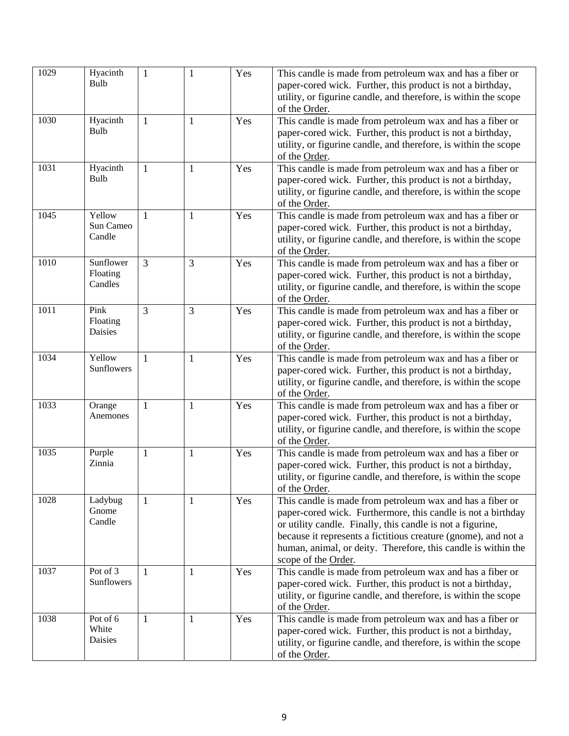| 1029 | Hyacinth            | $\mathbf{1}$ | $\mathbf{1}$ | Yes | This candle is made from petroleum wax and has a fiber or                        |
|------|---------------------|--------------|--------------|-----|----------------------------------------------------------------------------------|
|      | Bulb                |              |              |     | paper-cored wick. Further, this product is not a birthday,                       |
|      |                     |              |              |     | utility, or figurine candle, and therefore, is within the scope                  |
|      |                     |              |              |     | of the Order.                                                                    |
| 1030 | Hyacinth            | $\mathbf{1}$ | $\mathbf{1}$ | Yes | This candle is made from petroleum wax and has a fiber or                        |
|      | Bulb                |              |              |     | paper-cored wick. Further, this product is not a birthday,                       |
|      |                     |              |              |     | utility, or figurine candle, and therefore, is within the scope                  |
|      |                     |              |              |     | of the Order.                                                                    |
| 1031 | Hyacinth            | $\mathbf{1}$ | $\mathbf{1}$ | Yes | This candle is made from petroleum wax and has a fiber or                        |
|      | Bulb                |              |              |     | paper-cored wick. Further, this product is not a birthday,                       |
|      |                     |              |              |     | utility, or figurine candle, and therefore, is within the scope                  |
|      |                     |              |              |     | of the Order.                                                                    |
| 1045 | Yellow<br>Sun Cameo | $\mathbf{1}$ | $\mathbf{1}$ | Yes | This candle is made from petroleum wax and has a fiber or                        |
|      | Candle              |              |              |     | paper-cored wick. Further, this product is not a birthday,                       |
|      |                     |              |              |     | utility, or figurine candle, and therefore, is within the scope<br>of the Order. |
| 1010 | Sunflower           | 3            | 3            | Yes | This candle is made from petroleum wax and has a fiber or                        |
|      | Floating            |              |              |     | paper-cored wick. Further, this product is not a birthday,                       |
|      | Candles             |              |              |     | utility, or figurine candle, and therefore, is within the scope                  |
|      |                     |              |              |     | of the Order.                                                                    |
| 1011 | Pink                | 3            | 3            | Yes | This candle is made from petroleum wax and has a fiber or                        |
|      | Floating            |              |              |     | paper-cored wick. Further, this product is not a birthday,                       |
|      | Daisies             |              |              |     | utility, or figurine candle, and therefore, is within the scope                  |
|      |                     |              |              |     | of the Order.                                                                    |
| 1034 | Yellow              | 1            | $\mathbf{1}$ | Yes | This candle is made from petroleum wax and has a fiber or                        |
|      | Sunflowers          |              |              |     | paper-cored wick. Further, this product is not a birthday,                       |
|      |                     |              |              |     | utility, or figurine candle, and therefore, is within the scope                  |
|      |                     |              |              |     | of the Order.                                                                    |
| 1033 | Orange              | 1            | $\mathbf{1}$ | Yes | This candle is made from petroleum wax and has a fiber or                        |
|      | Anemones            |              |              |     | paper-cored wick. Further, this product is not a birthday,                       |
|      |                     |              |              |     | utility, or figurine candle, and therefore, is within the scope                  |
|      |                     |              |              |     | of the Order.                                                                    |
| 1035 | Purple              | $\mathbf{1}$ | $\mathbf{1}$ | Yes | This candle is made from petroleum wax and has a fiber or                        |
|      | Zinnia              |              |              |     | paper-cored wick. Further, this product is not a birthday,                       |
|      |                     |              |              |     | utility, or figurine candle, and therefore, is within the scope                  |
|      |                     |              |              |     | of the Order.                                                                    |
| 1028 | Ladybug<br>Gnome    | $\mathbf{1}$ | $\mathbf{1}$ | Yes | This candle is made from petroleum wax and has a fiber or                        |
|      | Candle              |              |              |     | paper-cored wick. Furthermore, this candle is not a birthday                     |
|      |                     |              |              |     | or utility candle. Finally, this candle is not a figurine,                       |
|      |                     |              |              |     | because it represents a fictitious creature (gnome), and not a                   |
|      |                     |              |              |     | human, animal, or deity. Therefore, this candle is within the                    |
| 1037 | Pot of 3            | $\mathbf{1}$ | 1            | Yes | scope of the Order.<br>This candle is made from petroleum wax and has a fiber or |
|      | Sunflowers          |              |              |     | paper-cored wick. Further, this product is not a birthday,                       |
|      |                     |              |              |     | utility, or figurine candle, and therefore, is within the scope                  |
|      |                     |              |              |     | of the Order.                                                                    |
| 1038 | Pot of 6            | $\mathbf{1}$ | $\mathbf{1}$ | Yes | This candle is made from petroleum wax and has a fiber or                        |
|      | White               |              |              |     | paper-cored wick. Further, this product is not a birthday,                       |
|      | Daisies             |              |              |     | utility, or figurine candle, and therefore, is within the scope                  |
|      |                     |              |              |     | of the Order.                                                                    |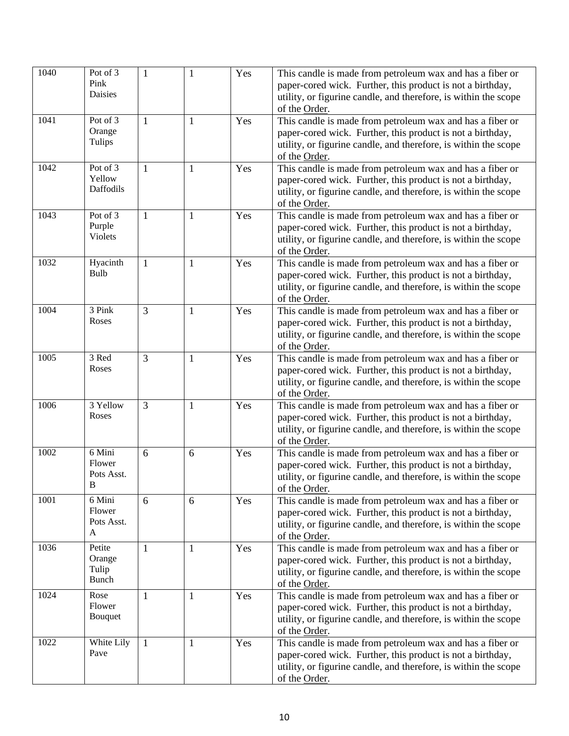| 1040 | Pot of 3<br>Pink<br>Daisies                    | 1            | $\mathbf{1}$ | Yes | This candle is made from petroleum wax and has a fiber or<br>paper-cored wick. Further, this product is not a birthday,<br>utility, or figurine candle, and therefore, is within the scope<br>of the Order. |
|------|------------------------------------------------|--------------|--------------|-----|-------------------------------------------------------------------------------------------------------------------------------------------------------------------------------------------------------------|
| 1041 | Pot of 3<br>Orange<br>Tulips                   | $\mathbf{1}$ | 1            | Yes | This candle is made from petroleum wax and has a fiber or<br>paper-cored wick. Further, this product is not a birthday,<br>utility, or figurine candle, and therefore, is within the scope<br>of the Order. |
| 1042 | Pot of 3<br>Yellow<br>Daffodils                | $\mathbf{1}$ | $\mathbf{1}$ | Yes | This candle is made from petroleum wax and has a fiber or<br>paper-cored wick. Further, this product is not a birthday,<br>utility, or figurine candle, and therefore, is within the scope<br>of the Order. |
| 1043 | Pot of 3<br>Purple<br><b>Violets</b>           | $\mathbf{1}$ | $\mathbf{1}$ | Yes | This candle is made from petroleum wax and has a fiber or<br>paper-cored wick. Further, this product is not a birthday,<br>utility, or figurine candle, and therefore, is within the scope<br>of the Order. |
| 1032 | Hyacinth<br>Bulb                               | $\mathbf{1}$ | $\mathbf{1}$ | Yes | This candle is made from petroleum wax and has a fiber or<br>paper-cored wick. Further, this product is not a birthday,<br>utility, or figurine candle, and therefore, is within the scope<br>of the Order. |
| 1004 | 3 Pink<br>Roses                                | 3            | $\mathbf{1}$ | Yes | This candle is made from petroleum wax and has a fiber or<br>paper-cored wick. Further, this product is not a birthday,<br>utility, or figurine candle, and therefore, is within the scope<br>of the Order. |
| 1005 | 3 Red<br>Roses                                 | 3            | $\mathbf{1}$ | Yes | This candle is made from petroleum wax and has a fiber or<br>paper-cored wick. Further, this product is not a birthday,<br>utility, or figurine candle, and therefore, is within the scope<br>of the Order. |
| 1006 | 3 Yellow<br>Roses                              | 3            | $\mathbf{1}$ | Yes | This candle is made from petroleum wax and has a fiber or<br>paper-cored wick. Further, this product is not a birthday,<br>utility, or figurine candle, and therefore, is within the scope<br>of the Order. |
| 1002 | 6 Mini<br>Flower<br>Pots Asst.<br>$\, {\bf B}$ | 6            | 6            | Yes | This candle is made from petroleum wax and has a fiber or<br>paper-cored wick. Further, this product is not a birthday,<br>utility, or figurine candle, and therefore, is within the scope<br>of the Order. |
| 1001 | 6 Mini<br>Flower<br>Pots Asst.<br>A            | 6            | 6            | Yes | This candle is made from petroleum wax and has a fiber or<br>paper-cored wick. Further, this product is not a birthday,<br>utility, or figurine candle, and therefore, is within the scope<br>of the Order. |
| 1036 | Petite<br>Orange<br>Tulip<br><b>Bunch</b>      | 1            | $\mathbf{1}$ | Yes | This candle is made from petroleum wax and has a fiber or<br>paper-cored wick. Further, this product is not a birthday,<br>utility, or figurine candle, and therefore, is within the scope<br>of the Order. |
| 1024 | Rose<br>Flower<br>Bouquet                      | $\mathbf{1}$ | $\mathbf{1}$ | Yes | This candle is made from petroleum wax and has a fiber or<br>paper-cored wick. Further, this product is not a birthday,<br>utility, or figurine candle, and therefore, is within the scope<br>of the Order. |
| 1022 | White Lily<br>Pave                             | 1            | $\mathbf{1}$ | Yes | This candle is made from petroleum wax and has a fiber or<br>paper-cored wick. Further, this product is not a birthday,<br>utility, or figurine candle, and therefore, is within the scope<br>of the Order. |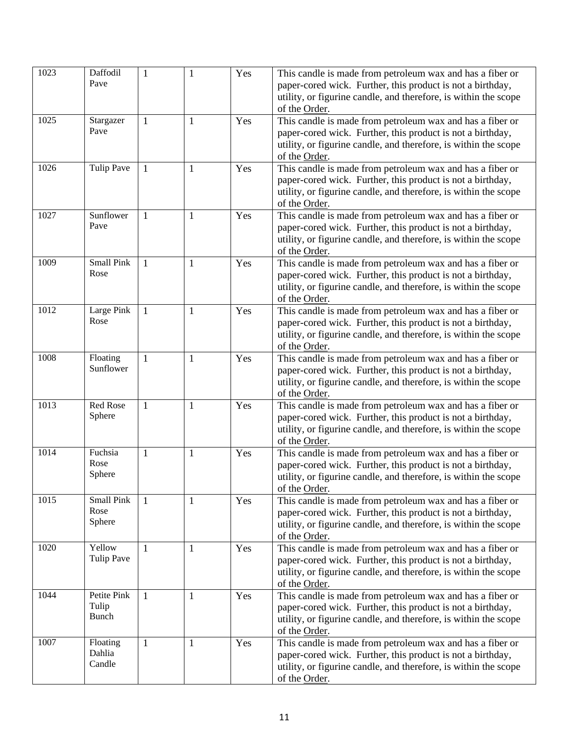| 1023 | Daffodil<br>Pave                     | $\mathbf{1}$ | 1            | Yes | This candle is made from petroleum wax and has a fiber or<br>paper-cored wick. Further, this product is not a birthday,<br>utility, or figurine candle, and therefore, is within the scope<br>of the Order. |
|------|--------------------------------------|--------------|--------------|-----|-------------------------------------------------------------------------------------------------------------------------------------------------------------------------------------------------------------|
| 1025 | Stargazer<br>Pave                    | $\mathbf{1}$ | 1            | Yes | This candle is made from petroleum wax and has a fiber or<br>paper-cored wick. Further, this product is not a birthday,<br>utility, or figurine candle, and therefore, is within the scope<br>of the Order. |
| 1026 | <b>Tulip Pave</b>                    | 1            | 1            | Yes | This candle is made from petroleum wax and has a fiber or<br>paper-cored wick. Further, this product is not a birthday,<br>utility, or figurine candle, and therefore, is within the scope<br>of the Order. |
| 1027 | Sunflower<br>Pave                    | $\mathbf{1}$ | $\mathbf{1}$ | Yes | This candle is made from petroleum wax and has a fiber or<br>paper-cored wick. Further, this product is not a birthday,<br>utility, or figurine candle, and therefore, is within the scope<br>of the Order. |
| 1009 | <b>Small Pink</b><br>Rose            | 1            | $\mathbf{1}$ | Yes | This candle is made from petroleum wax and has a fiber or<br>paper-cored wick. Further, this product is not a birthday,<br>utility, or figurine candle, and therefore, is within the scope<br>of the Order. |
| 1012 | Large Pink<br>Rose                   | $\mathbf{1}$ | $\mathbf{1}$ | Yes | This candle is made from petroleum wax and has a fiber or<br>paper-cored wick. Further, this product is not a birthday,<br>utility, or figurine candle, and therefore, is within the scope<br>of the Order. |
| 1008 | Floating<br>Sunflower                | $\mathbf{1}$ | $\mathbf{1}$ | Yes | This candle is made from petroleum wax and has a fiber or<br>paper-cored wick. Further, this product is not a birthday,<br>utility, or figurine candle, and therefore, is within the scope<br>of the Order. |
| 1013 | Red Rose<br>Sphere                   | $\mathbf{1}$ | $\mathbf{1}$ | Yes | This candle is made from petroleum wax and has a fiber or<br>paper-cored wick. Further, this product is not a birthday,<br>utility, or figurine candle, and therefore, is within the scope<br>of the Order. |
| 1014 | Fuchsia<br>Rose<br>Sphere            | $\mathbf{1}$ | $\mathbf{1}$ | Yes | This candle is made from petroleum wax and has a fiber or<br>paper-cored wick. Further, this product is not a birthday,<br>utility, or figurine candle, and therefore, is within the scope<br>of the Order. |
| 1015 | Small Pink<br>Rose<br>Sphere         | 1            | $\mathbf{1}$ | Yes | This candle is made from petroleum wax and has a fiber or<br>paper-cored wick. Further, this product is not a birthday,<br>utility, or figurine candle, and therefore, is within the scope<br>of the Order. |
| 1020 | Yellow<br><b>Tulip Pave</b>          | 1            | $\mathbf{1}$ | Yes | This candle is made from petroleum wax and has a fiber or<br>paper-cored wick. Further, this product is not a birthday,<br>utility, or figurine candle, and therefore, is within the scope<br>of the Order. |
| 1044 | Petite Pink<br>Tulip<br><b>Bunch</b> | 1            | 1            | Yes | This candle is made from petroleum wax and has a fiber or<br>paper-cored wick. Further, this product is not a birthday,<br>utility, or figurine candle, and therefore, is within the scope<br>of the Order. |
| 1007 | Floating<br>Dahlia<br>Candle         | 1            | 1            | Yes | This candle is made from petroleum wax and has a fiber or<br>paper-cored wick. Further, this product is not a birthday,<br>utility, or figurine candle, and therefore, is within the scope<br>of the Order. |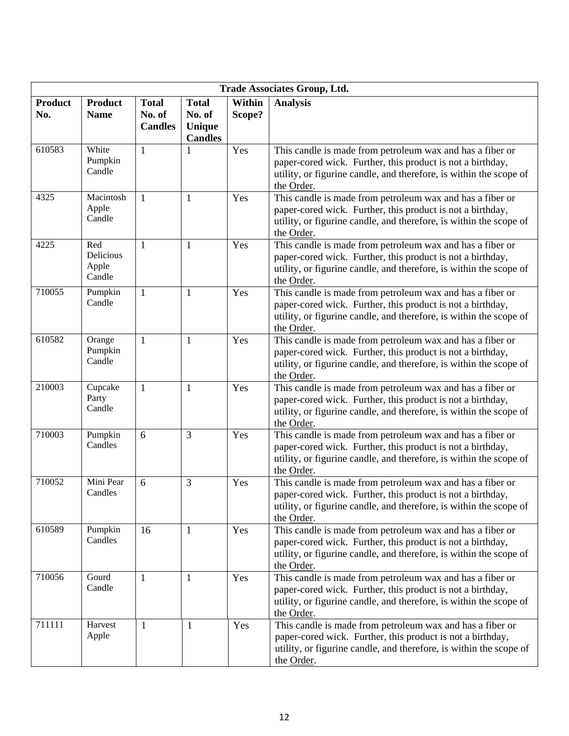| <b>Trade Associates Group, Ltd.</b> |                                     |                                          |                                                           |                  |                                                                                                                                                                                                             |  |  |
|-------------------------------------|-------------------------------------|------------------------------------------|-----------------------------------------------------------|------------------|-------------------------------------------------------------------------------------------------------------------------------------------------------------------------------------------------------------|--|--|
| <b>Product</b><br>No.               | <b>Product</b><br><b>Name</b>       | <b>Total</b><br>No. of<br><b>Candles</b> | <b>Total</b><br>No. of<br><b>Unique</b><br><b>Candles</b> | Within<br>Scope? | <b>Analysis</b>                                                                                                                                                                                             |  |  |
| 610583                              | White<br>Pumpkin<br>Candle          | $\mathbf{1}$                             | 1                                                         | Yes              | This candle is made from petroleum wax and has a fiber or<br>paper-cored wick. Further, this product is not a birthday,<br>utility, or figurine candle, and therefore, is within the scope of<br>the Order. |  |  |
| 4325                                | Macintosh<br>Apple<br>Candle        | $\mathbf{1}$                             | $\mathbf{1}$                                              | Yes              | This candle is made from petroleum wax and has a fiber or<br>paper-cored wick. Further, this product is not a birthday,<br>utility, or figurine candle, and therefore, is within the scope of<br>the Order. |  |  |
| 4225                                | Red<br>Delicious<br>Apple<br>Candle | 1                                        | 1                                                         | Yes              | This candle is made from petroleum wax and has a fiber or<br>paper-cored wick. Further, this product is not a birthday,<br>utility, or figurine candle, and therefore, is within the scope of<br>the Order. |  |  |
| 710055                              | Pumpkin<br>Candle                   | $\mathbf{1}$                             | $\mathbf{1}$                                              | Yes              | This candle is made from petroleum wax and has a fiber or<br>paper-cored wick. Further, this product is not a birthday,<br>utility, or figurine candle, and therefore, is within the scope of<br>the Order. |  |  |
| 610582                              | Orange<br>Pumpkin<br>Candle         | $\mathbf{1}$                             | $\mathbf{1}$                                              | Yes              | This candle is made from petroleum wax and has a fiber or<br>paper-cored wick. Further, this product is not a birthday,<br>utility, or figurine candle, and therefore, is within the scope of<br>the Order. |  |  |
| 210003                              | Cupcake<br>Party<br>Candle          | $\mathbf{1}$                             | $\mathbf{1}$                                              | Yes              | This candle is made from petroleum wax and has a fiber or<br>paper-cored wick. Further, this product is not a birthday,<br>utility, or figurine candle, and therefore, is within the scope of<br>the Order. |  |  |
| 710003                              | Pumpkin<br>Candles                  | 6                                        | 3                                                         | Yes              | This candle is made from petroleum wax and has a fiber or<br>paper-cored wick. Further, this product is not a birthday,<br>utility, or figurine candle, and therefore, is within the scope of<br>the Order. |  |  |
| 710052                              | Mini Pear<br>Candles                | 6                                        | 3                                                         | Yes              | This candle is made from petroleum wax and has a fiber or<br>paper-cored wick. Further, this product is not a birthday,<br>utility, or figurine candle, and therefore, is within the scope of<br>the Order. |  |  |
| 610589                              | Pumpkin<br>Candles                  | 16                                       | 1                                                         | Yes              | This candle is made from petroleum wax and has a fiber or<br>paper-cored wick. Further, this product is not a birthday,<br>utility, or figurine candle, and therefore, is within the scope of<br>the Order. |  |  |
| 710056                              | Gourd<br>Candle                     | $\mathbf{1}$                             | 1                                                         | Yes              | This candle is made from petroleum wax and has a fiber or<br>paper-cored wick. Further, this product is not a birthday,<br>utility, or figurine candle, and therefore, is within the scope of<br>the Order. |  |  |
| 711111                              | Harvest<br>Apple                    | 1                                        | $\mathbf{1}$                                              | Yes              | This candle is made from petroleum wax and has a fiber or<br>paper-cored wick. Further, this product is not a birthday,<br>utility, or figurine candle, and therefore, is within the scope of<br>the Order. |  |  |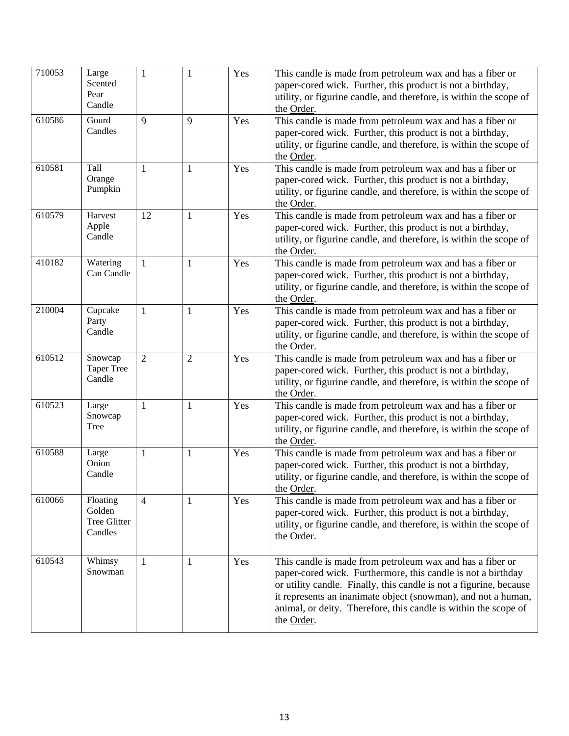| 710053 | Large<br>Scented<br>Pear<br>Candle            | 1              | 1              | Yes | This candle is made from petroleum wax and has a fiber or<br>paper-cored wick. Further, this product is not a birthday,<br>utility, or figurine candle, and therefore, is within the scope of<br>the Order.                                                                                                                                       |
|--------|-----------------------------------------------|----------------|----------------|-----|---------------------------------------------------------------------------------------------------------------------------------------------------------------------------------------------------------------------------------------------------------------------------------------------------------------------------------------------------|
| 610586 | Gourd<br>Candles                              | 9              | 9              | Yes | This candle is made from petroleum wax and has a fiber or<br>paper-cored wick. Further, this product is not a birthday,<br>utility, or figurine candle, and therefore, is within the scope of<br>the Order.                                                                                                                                       |
| 610581 | Tall<br>Orange<br>Pumpkin                     | 1              | 1              | Yes | This candle is made from petroleum wax and has a fiber or<br>paper-cored wick. Further, this product is not a birthday,<br>utility, or figurine candle, and therefore, is within the scope of<br>the Order.                                                                                                                                       |
| 610579 | Harvest<br>Apple<br>Candle                    | 12             | $\mathbf{1}$   | Yes | This candle is made from petroleum wax and has a fiber or<br>paper-cored wick. Further, this product is not a birthday,<br>utility, or figurine candle, and therefore, is within the scope of<br>the Order.                                                                                                                                       |
| 410182 | Watering<br>Can Candle                        | $\mathbf{1}$   | 1              | Yes | This candle is made from petroleum wax and has a fiber or<br>paper-cored wick. Further, this product is not a birthday,<br>utility, or figurine candle, and therefore, is within the scope of<br>the Order.                                                                                                                                       |
| 210004 | Cupcake<br>Party<br>Candle                    | $\mathbf{1}$   | $\mathbf{1}$   | Yes | This candle is made from petroleum wax and has a fiber or<br>paper-cored wick. Further, this product is not a birthday,<br>utility, or figurine candle, and therefore, is within the scope of<br>the Order.                                                                                                                                       |
| 610512 | Snowcap<br><b>Taper Tree</b><br>Candle        | $\overline{2}$ | $\overline{2}$ | Yes | This candle is made from petroleum wax and has a fiber or<br>paper-cored wick. Further, this product is not a birthday,<br>utility, or figurine candle, and therefore, is within the scope of<br>the Order.                                                                                                                                       |
| 610523 | Large<br>Snowcap<br>Tree                      | $\mathbf{1}$   | $\mathbf{1}$   | Yes | This candle is made from petroleum wax and has a fiber or<br>paper-cored wick. Further, this product is not a birthday,<br>utility, or figurine candle, and therefore, is within the scope of<br>the Order.                                                                                                                                       |
| 610588 | Large<br>Onion<br>Candle                      | 1              | 1              | Yes | This candle is made from petroleum wax and has a fiber or<br>paper-cored wick. Further, this product is not a birthday,<br>utility, or figurine candle, and therefore, is within the scope of<br>the Order.                                                                                                                                       |
| 610066 | Floating<br>Golden<br>Tree Glitter<br>Candles | $\overline{4}$ | 1              | Yes | This candle is made from petroleum wax and has a fiber or<br>paper-cored wick. Further, this product is not a birthday,<br>utility, or figurine candle, and therefore, is within the scope of<br>the Order.                                                                                                                                       |
| 610543 | Whimsy<br>Snowman                             | $\mathbf{1}$   | 1              | Yes | This candle is made from petroleum wax and has a fiber or<br>paper-cored wick. Furthermore, this candle is not a birthday<br>or utility candle. Finally, this candle is not a figurine, because<br>it represents an inanimate object (snowman), and not a human,<br>animal, or deity. Therefore, this candle is within the scope of<br>the Order. |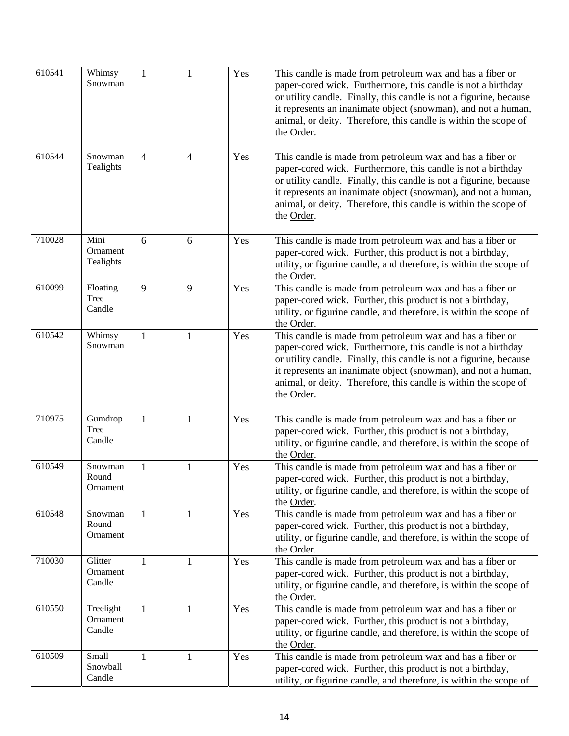| 610541 | Whimsy<br>Snowman               | $\mathbf{1}$   | 1              | Yes | This candle is made from petroleum wax and has a fiber or<br>paper-cored wick. Furthermore, this candle is not a birthday<br>or utility candle. Finally, this candle is not a figurine, because<br>it represents an inanimate object (snowman), and not a human,<br>animal, or deity. Therefore, this candle is within the scope of<br>the Order. |
|--------|---------------------------------|----------------|----------------|-----|---------------------------------------------------------------------------------------------------------------------------------------------------------------------------------------------------------------------------------------------------------------------------------------------------------------------------------------------------|
| 610544 | Snowman<br>Tealights            | $\overline{4}$ | $\overline{4}$ | Yes | This candle is made from petroleum wax and has a fiber or<br>paper-cored wick. Furthermore, this candle is not a birthday<br>or utility candle. Finally, this candle is not a figurine, because<br>it represents an inanimate object (snowman), and not a human,<br>animal, or deity. Therefore, this candle is within the scope of<br>the Order. |
| 710028 | Mini<br>Ornament<br>Tealights   | 6              | 6              | Yes | This candle is made from petroleum wax and has a fiber or<br>paper-cored wick. Further, this product is not a birthday,<br>utility, or figurine candle, and therefore, is within the scope of<br>the Order.                                                                                                                                       |
| 610099 | Floating<br>Tree<br>Candle      | 9              | 9              | Yes | This candle is made from petroleum wax and has a fiber or<br>paper-cored wick. Further, this product is not a birthday,<br>utility, or figurine candle, and therefore, is within the scope of<br>the Order.                                                                                                                                       |
| 610542 | Whimsy<br>Snowman               | 1              | 1              | Yes | This candle is made from petroleum wax and has a fiber or<br>paper-cored wick. Furthermore, this candle is not a birthday<br>or utility candle. Finally, this candle is not a figurine, because<br>it represents an inanimate object (snowman), and not a human,<br>animal, or deity. Therefore, this candle is within the scope of<br>the Order. |
| 710975 | Gumdrop<br>Tree<br>Candle       | $\mathbf{1}$   | 1              | Yes | This candle is made from petroleum wax and has a fiber or<br>paper-cored wick. Further, this product is not a birthday,<br>utility, or figurine candle, and therefore, is within the scope of<br>the Order.                                                                                                                                       |
| 610549 | Snowman<br>Round<br>Ornament    | $\mathbf{1}$   | 1              | Yes | This candle is made from petroleum wax and has a fiber or<br>paper-cored wick. Further, this product is not a birthday,<br>utility, or figurine candle, and therefore, is within the scope of<br>the Order.                                                                                                                                       |
| 610548 | Snowman<br>Round<br>Ornament    | $\mathbf{1}$   | 1              | Yes | This candle is made from petroleum wax and has a fiber or<br>paper-cored wick. Further, this product is not a birthday,<br>utility, or figurine candle, and therefore, is within the scope of<br>the Order.                                                                                                                                       |
| 710030 | Glitter<br>Ornament<br>Candle   | 1              | $\mathbf{1}$   | Yes | This candle is made from petroleum wax and has a fiber or<br>paper-cored wick. Further, this product is not a birthday,<br>utility, or figurine candle, and therefore, is within the scope of<br>the Order.                                                                                                                                       |
| 610550 | Treelight<br>Ornament<br>Candle | $\mathbf{1}$   | $\mathbf{1}$   | Yes | This candle is made from petroleum wax and has a fiber or<br>paper-cored wick. Further, this product is not a birthday,<br>utility, or figurine candle, and therefore, is within the scope of<br>the Order.                                                                                                                                       |
| 610509 | Small<br>Snowball<br>Candle     | $\mathbf{1}$   | $\mathbf{1}$   | Yes | This candle is made from petroleum wax and has a fiber or<br>paper-cored wick. Further, this product is not a birthday,<br>utility, or figurine candle, and therefore, is within the scope of                                                                                                                                                     |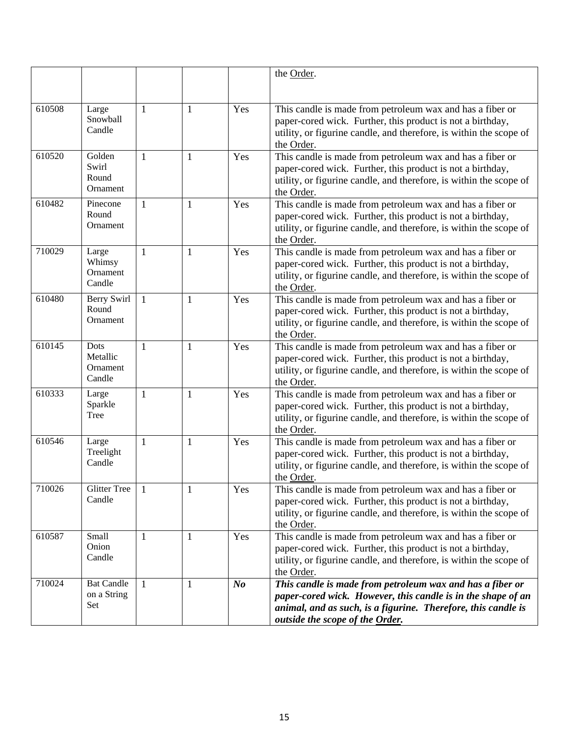|        |                                         |              |              |         | the Order.                                                                                                                                                                                                                    |
|--------|-----------------------------------------|--------------|--------------|---------|-------------------------------------------------------------------------------------------------------------------------------------------------------------------------------------------------------------------------------|
| 610508 | Large<br>Snowball<br>Candle             | $\mathbf{1}$ | $\mathbf{1}$ | Yes     | This candle is made from petroleum wax and has a fiber or<br>paper-cored wick. Further, this product is not a birthday,<br>utility, or figurine candle, and therefore, is within the scope of<br>the Order.                   |
| 610520 | Golden<br>Swirl<br>Round<br>Ornament    | $\mathbf{1}$ | $\mathbf{1}$ | Yes     | This candle is made from petroleum wax and has a fiber or<br>paper-cored wick. Further, this product is not a birthday,<br>utility, or figurine candle, and therefore, is within the scope of<br>the Order.                   |
| 610482 | Pinecone<br>Round<br>Ornament           | $\mathbf{1}$ | $\mathbf{1}$ | Yes     | This candle is made from petroleum wax and has a fiber or<br>paper-cored wick. Further, this product is not a birthday,<br>utility, or figurine candle, and therefore, is within the scope of<br>the Order.                   |
| 710029 | Large<br>Whimsy<br>Ornament<br>Candle   | 1            | $\mathbf{1}$ | Yes     | This candle is made from petroleum wax and has a fiber or<br>paper-cored wick. Further, this product is not a birthday,<br>utility, or figurine candle, and therefore, is within the scope of<br>the Order.                   |
| 610480 | Berry Swirl<br>Round<br>Ornament        | $\mathbf{1}$ | $\mathbf{1}$ | Yes     | This candle is made from petroleum wax and has a fiber or<br>paper-cored wick. Further, this product is not a birthday,<br>utility, or figurine candle, and therefore, is within the scope of<br>the Order.                   |
| 610145 | Dots<br>Metallic<br>Ornament<br>Candle  | 1            | $\mathbf{1}$ | Yes     | This candle is made from petroleum wax and has a fiber or<br>paper-cored wick. Further, this product is not a birthday,<br>utility, or figurine candle, and therefore, is within the scope of<br>the Order.                   |
| 610333 | Large<br>Sparkle<br>Tree                | $\mathbf{1}$ | $\mathbf{1}$ | Yes     | This candle is made from petroleum wax and has a fiber or<br>paper-cored wick. Further, this product is not a birthday,<br>utility, or figurine candle, and therefore, is within the scope of<br>the Order.                   |
| 610546 | Large<br>Treelight<br>Candle            | 1            | $\mathbf{1}$ | Yes     | This candle is made from petroleum wax and has a fiber or<br>paper-cored wick. Further, this product is not a birthday,<br>utility, or figurine candle, and therefore, is within the scope of<br>the Order.                   |
| 710026 | <b>Glitter Tree</b><br>Candle           | 1            | 1            | Yes     | This candle is made from petroleum wax and has a fiber or<br>paper-cored wick. Further, this product is not a birthday,<br>utility, or figurine candle, and therefore, is within the scope of<br>the Order.                   |
| 610587 | Small<br>Onion<br>Candle                | 1            | $\mathbf{1}$ | Yes     | This candle is made from petroleum wax and has a fiber or<br>paper-cored wick. Further, this product is not a birthday,<br>utility, or figurine candle, and therefore, is within the scope of<br>the Order.                   |
| 710024 | <b>Bat Candle</b><br>on a String<br>Set | 1            | 1            | $N_{0}$ | This candle is made from petroleum wax and has a fiber or<br>paper-cored wick. However, this candle is in the shape of an<br>animal, and as such, is a figurine. Therefore, this candle is<br>outside the scope of the Order. |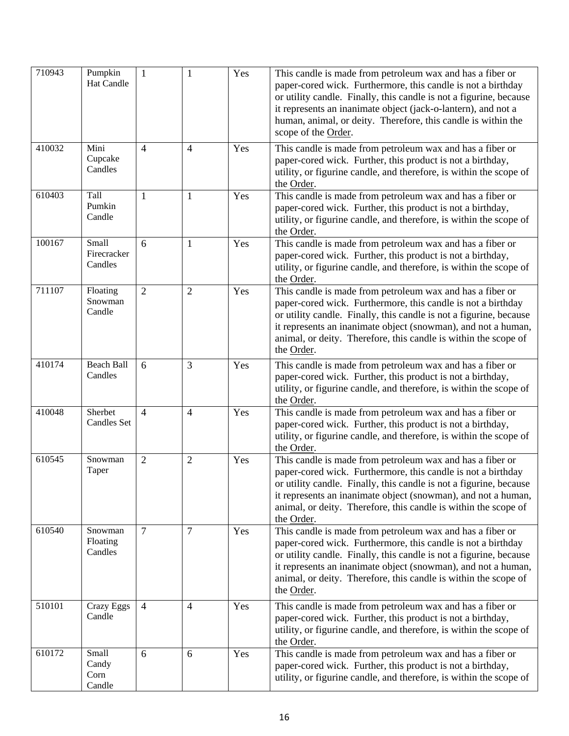| 710943 | Pumpkin<br><b>Hat Candle</b>     | $\mathbf{1}$   | 1              | Yes | This candle is made from petroleum wax and has a fiber or<br>paper-cored wick. Furthermore, this candle is not a birthday<br>or utility candle. Finally, this candle is not a figurine, because<br>it represents an inanimate object (jack-o-lantern), and not a<br>human, animal, or deity. Therefore, this candle is within the<br>scope of the Order. |
|--------|----------------------------------|----------------|----------------|-----|----------------------------------------------------------------------------------------------------------------------------------------------------------------------------------------------------------------------------------------------------------------------------------------------------------------------------------------------------------|
| 410032 | Mini<br>Cupcake<br>Candles       | $\overline{4}$ | $\overline{4}$ | Yes | This candle is made from petroleum wax and has a fiber or<br>paper-cored wick. Further, this product is not a birthday,<br>utility, or figurine candle, and therefore, is within the scope of<br>the Order.                                                                                                                                              |
| 610403 | Tall<br>Pumkin<br>Candle         | 1              | 1              | Yes | This candle is made from petroleum wax and has a fiber or<br>paper-cored wick. Further, this product is not a birthday,<br>utility, or figurine candle, and therefore, is within the scope of<br>the Order.                                                                                                                                              |
| 100167 | Small<br>Firecracker<br>Candles  | 6              | $\mathbf{1}$   | Yes | This candle is made from petroleum wax and has a fiber or<br>paper-cored wick. Further, this product is not a birthday,<br>utility, or figurine candle, and therefore, is within the scope of<br>the Order.                                                                                                                                              |
| 711107 | Floating<br>Snowman<br>Candle    | $\overline{2}$ | $\overline{2}$ | Yes | This candle is made from petroleum wax and has a fiber or<br>paper-cored wick. Furthermore, this candle is not a birthday<br>or utility candle. Finally, this candle is not a figurine, because<br>it represents an inanimate object (snowman), and not a human,<br>animal, or deity. Therefore, this candle is within the scope of<br>the Order.        |
| 410174 | <b>Beach Ball</b><br>Candles     | 6              | 3              | Yes | This candle is made from petroleum wax and has a fiber or<br>paper-cored wick. Further, this product is not a birthday,<br>utility, or figurine candle, and therefore, is within the scope of<br>the Order.                                                                                                                                              |
| 410048 | Sherbet<br><b>Candles Set</b>    | $\overline{4}$ | 4              | Yes | This candle is made from petroleum wax and has a fiber or<br>paper-cored wick. Further, this product is not a birthday,<br>utility, or figurine candle, and therefore, is within the scope of<br>the Order.                                                                                                                                              |
| 610545 | Snowman<br>Taper                 | $\overline{2}$ | $\overline{2}$ | Yes | This candle is made from petroleum wax and has a fiber or<br>paper-cored wick. Furthermore, this candle is not a birthday<br>or utility candle. Finally, this candle is not a figurine, because<br>it represents an inanimate object (snowman), and not a human,<br>animal, or deity. Therefore, this candle is within the scope of<br>the Order.        |
| 610540 | Snowman<br>Floating<br>Candles   | $\overline{7}$ | 7              | Yes | This candle is made from petroleum wax and has a fiber or<br>paper-cored wick. Furthermore, this candle is not a birthday<br>or utility candle. Finally, this candle is not a figurine, because<br>it represents an inanimate object (snowman), and not a human,<br>animal, or deity. Therefore, this candle is within the scope of<br>the Order.        |
| 510101 | Crazy Eggs<br>Candle             | $\overline{4}$ | $\overline{4}$ | Yes | This candle is made from petroleum wax and has a fiber or<br>paper-cored wick. Further, this product is not a birthday,<br>utility, or figurine candle, and therefore, is within the scope of<br>the Order.                                                                                                                                              |
| 610172 | Small<br>Candy<br>Corn<br>Candle | 6              | 6              | Yes | This candle is made from petroleum wax and has a fiber or<br>paper-cored wick. Further, this product is not a birthday,<br>utility, or figurine candle, and therefore, is within the scope of                                                                                                                                                            |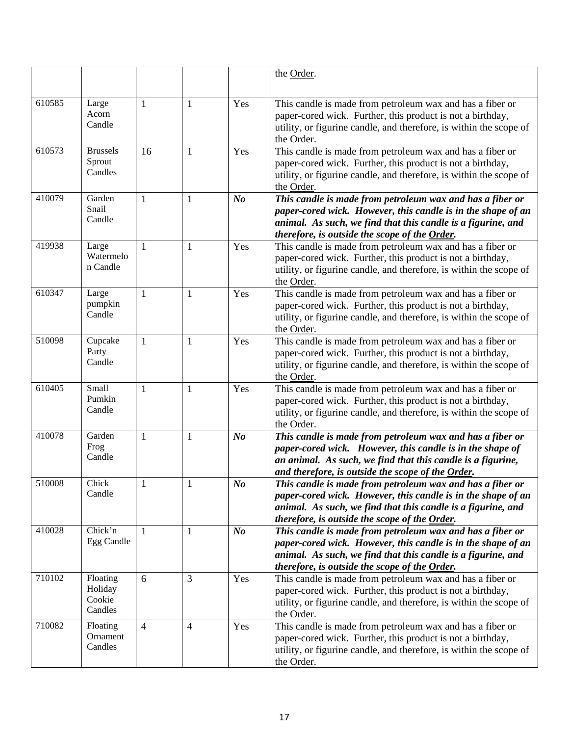|        |                   |                |                |                | the Order.                                                                                                                       |
|--------|-------------------|----------------|----------------|----------------|----------------------------------------------------------------------------------------------------------------------------------|
|        |                   |                |                |                |                                                                                                                                  |
| 610585 | Large             | $\mathbf{1}$   | $\mathbf{1}$   | Yes            | This candle is made from petroleum wax and has a fiber or                                                                        |
|        | Acorn             |                |                |                | paper-cored wick. Further, this product is not a birthday,                                                                       |
|        | Candle            |                |                |                | utility, or figurine candle, and therefore, is within the scope of                                                               |
|        |                   |                |                |                | the Order.                                                                                                                       |
| 610573 | <b>Brussels</b>   | 16             | 1              | Yes            | This candle is made from petroleum wax and has a fiber or                                                                        |
|        | Sprout<br>Candles |                |                |                | paper-cored wick. Further, this product is not a birthday,                                                                       |
|        |                   |                |                |                | utility, or figurine candle, and therefore, is within the scope of                                                               |
| 410079 | Garden            | 1              | 1              | N <sub>o</sub> | the Order.<br>This candle is made from petroleum wax and has a fiber or                                                          |
|        | Snail             |                |                |                | paper-cored wick. However, this candle is in the shape of an                                                                     |
|        | Candle            |                |                |                | animal. As such, we find that this candle is a figurine, and                                                                     |
|        |                   |                |                |                | therefore, is outside the scope of the Order.                                                                                    |
| 419938 | Large             | 1              | 1              | Yes            | This candle is made from petroleum wax and has a fiber or                                                                        |
|        | Watermelo         |                |                |                | paper-cored wick. Further, this product is not a birthday,                                                                       |
|        | n Candle          |                |                |                | utility, or figurine candle, and therefore, is within the scope of                                                               |
| 610347 |                   |                |                |                | the Order.                                                                                                                       |
|        | Large<br>pumpkin  | $\mathbf{1}$   | $\mathbf{1}$   | Yes            | This candle is made from petroleum wax and has a fiber or<br>paper-cored wick. Further, this product is not a birthday,          |
|        | Candle            |                |                |                | utility, or figurine candle, and therefore, is within the scope of                                                               |
|        |                   |                |                |                | the Order.                                                                                                                       |
| 510098 | Cupcake           | 1              | 1              | Yes            | This candle is made from petroleum wax and has a fiber or                                                                        |
|        | Party             |                |                |                | paper-cored wick. Further, this product is not a birthday,                                                                       |
|        | Candle            |                |                |                | utility, or figurine candle, and therefore, is within the scope of                                                               |
|        |                   |                |                |                | the Order.                                                                                                                       |
| 610405 | Small<br>Pumkin   | $\mathbf{1}$   | $\mathbf{1}$   | Yes            | This candle is made from petroleum wax and has a fiber or                                                                        |
|        | Candle            |                |                |                | paper-cored wick. Further, this product is not a birthday,<br>utility, or figurine candle, and therefore, is within the scope of |
|        |                   |                |                |                | the Order.                                                                                                                       |
| 410078 | Garden            | $\mathbf{1}$   | $\mathbf{1}$   | N <sub>o</sub> | This candle is made from petroleum wax and has a fiber or                                                                        |
|        | Frog              |                |                |                | paper-cored wick. However, this candle is in the shape of                                                                        |
|        | Candle            |                |                |                | an animal. As such, we find that this candle is a figurine,                                                                      |
|        |                   |                |                |                | and therefore, is outside the scope of the Order.                                                                                |
| 510008 | Chick<br>Candle   | $\mathbf{1}$   | $\mathbf{1}$   | N o            | This candle is made from petroleum wax and has a fiber or                                                                        |
|        |                   |                |                |                | paper-cored wick. However, this candle is in the shape of an                                                                     |
|        |                   |                |                |                | animal. As such, we find that this candle is a figurine, and<br>therefore, is outside the scope of the Order.                    |
| 410028 | Chick'n           | -1             | 1              | $\bm{N o}$     | This candle is made from petroleum wax and has a fiber or                                                                        |
|        | Egg Candle        |                |                |                | paper-cored wick. However, this candle is in the shape of an                                                                     |
|        |                   |                |                |                | animal. As such, we find that this candle is a figurine, and                                                                     |
|        |                   |                |                |                | therefore, is outside the scope of the Order.                                                                                    |
| 710102 | Floating          | 6              | 3              | Yes            | This candle is made from petroleum wax and has a fiber or                                                                        |
|        | Holiday<br>Cookie |                |                |                | paper-cored wick. Further, this product is not a birthday,                                                                       |
|        | Candles           |                |                |                | utility, or figurine candle, and therefore, is within the scope of<br>the Order.                                                 |
| 710082 | Floating          | $\overline{4}$ | $\overline{4}$ | Yes            | This candle is made from petroleum wax and has a fiber or                                                                        |
|        | Ornament          |                |                |                | paper-cored wick. Further, this product is not a birthday,                                                                       |
|        | Candles           |                |                |                | utility, or figurine candle, and therefore, is within the scope of                                                               |
|        |                   |                |                |                | the Order.                                                                                                                       |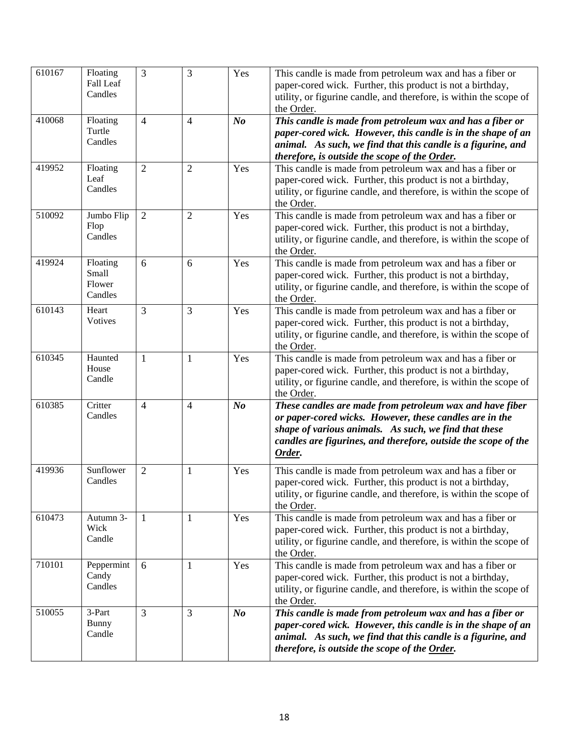| $\overline{610}167$ | Floating<br>Fall Leaf<br>Candles       | 3              | $\overline{3}$ | Yes            | This candle is made from petroleum wax and has a fiber or<br>paper-cored wick. Further, this product is not a birthday,<br>utility, or figurine candle, and therefore, is within the scope of<br>the Order.                                              |
|---------------------|----------------------------------------|----------------|----------------|----------------|----------------------------------------------------------------------------------------------------------------------------------------------------------------------------------------------------------------------------------------------------------|
| 410068              | Floating<br>Turtle<br>Candles          | $\overline{4}$ | $\overline{4}$ | N <sub>o</sub> | This candle is made from petroleum wax and has a fiber or<br>paper-cored wick. However, this candle is in the shape of an<br>animal. As such, we find that this candle is a figurine, and<br>therefore, is outside the scope of the Order.               |
| 419952              | Floating<br>Leaf<br>Candles            | $\overline{2}$ | $\overline{2}$ | Yes            | This candle is made from petroleum wax and has a fiber or<br>paper-cored wick. Further, this product is not a birthday,<br>utility, or figurine candle, and therefore, is within the scope of<br>the Order.                                              |
| 510092              | Jumbo Flip<br>Flop<br>Candles          | $\overline{2}$ | $\overline{2}$ | Yes            | This candle is made from petroleum wax and has a fiber or<br>paper-cored wick. Further, this product is not a birthday,<br>utility, or figurine candle, and therefore, is within the scope of<br>the Order.                                              |
| 419924              | Floating<br>Small<br>Flower<br>Candles | 6              | 6              | Yes            | This candle is made from petroleum wax and has a fiber or<br>paper-cored wick. Further, this product is not a birthday,<br>utility, or figurine candle, and therefore, is within the scope of<br>the Order.                                              |
| 610143              | Heart<br>Votives                       | $\overline{3}$ | 3              | Yes            | This candle is made from petroleum wax and has a fiber or<br>paper-cored wick. Further, this product is not a birthday,<br>utility, or figurine candle, and therefore, is within the scope of<br>the Order.                                              |
| 610345              | Haunted<br>House<br>Candle             | $\mathbf{1}$   | $\mathbf{1}$   | Yes            | This candle is made from petroleum wax and has a fiber or<br>paper-cored wick. Further, this product is not a birthday,<br>utility, or figurine candle, and therefore, is within the scope of<br>the Order.                                              |
| 610385              | Critter<br>Candles                     | $\overline{4}$ | $\overline{4}$ | N <sub>o</sub> | These candles are made from petroleum wax and have fiber<br>or paper-cored wicks. However, these candles are in the<br>shape of various animals. As such, we find that these<br>candles are figurines, and therefore, outside the scope of the<br>Order. |
| 419936              | Sunflower<br>Candles                   | $\overline{2}$ | 1              | Yes            | This candle is made from petroleum wax and has a fiber or<br>paper-cored wick. Further, this product is not a birthday,<br>utility, or figurine candle, and therefore, is within the scope of<br>the Order.                                              |
| 610473              | Autumn 3-<br>Wick<br>Candle            | 1              | 1              | Yes            | This candle is made from petroleum wax and has a fiber or<br>paper-cored wick. Further, this product is not a birthday,<br>utility, or figurine candle, and therefore, is within the scope of<br>the Order.                                              |
| 710101              | Peppermint<br>Candy<br>Candles         | 6              | $\mathbf{1}$   | Yes            | This candle is made from petroleum wax and has a fiber or<br>paper-cored wick. Further, this product is not a birthday,<br>utility, or figurine candle, and therefore, is within the scope of<br>the Order.                                              |
| 510055              | 3-Part<br>Bunny<br>Candle              | $\overline{3}$ | 3              | N <sub>o</sub> | This candle is made from petroleum wax and has a fiber or<br>paper-cored wick. However, this candle is in the shape of an<br>animal. As such, we find that this candle is a figurine, and<br>therefore, is outside the scope of the Order.               |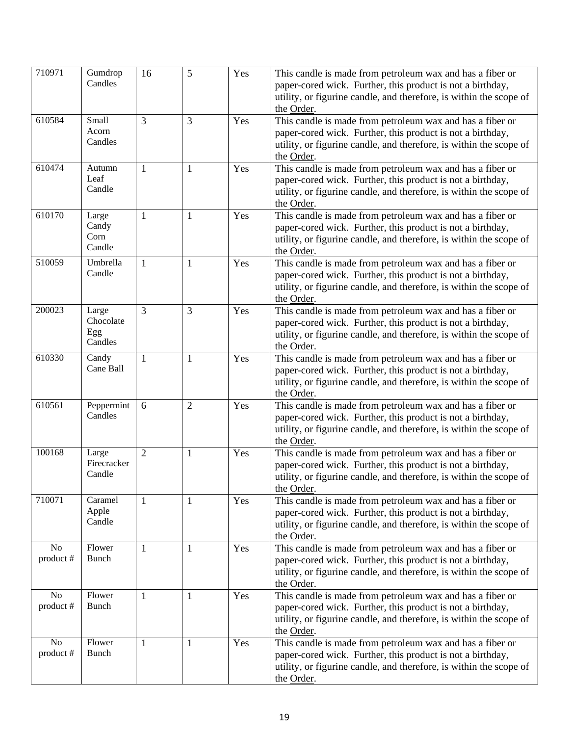| 710971          | Gumdrop<br>Candles                   | 16             | 5              | Yes | This candle is made from petroleum wax and has a fiber or<br>paper-cored wick. Further, this product is not a birthday,<br>utility, or figurine candle, and therefore, is within the scope of<br>the Order. |
|-----------------|--------------------------------------|----------------|----------------|-----|-------------------------------------------------------------------------------------------------------------------------------------------------------------------------------------------------------------|
| 610584          | Small<br>Acorn<br>Candles            | 3              | $\overline{3}$ | Yes | This candle is made from petroleum wax and has a fiber or<br>paper-cored wick. Further, this product is not a birthday,<br>utility, or figurine candle, and therefore, is within the scope of<br>the Order. |
| 610474          | Autumn<br>Leaf<br>Candle             | 1              | $\mathbf{1}$   | Yes | This candle is made from petroleum wax and has a fiber or<br>paper-cored wick. Further, this product is not a birthday,<br>utility, or figurine candle, and therefore, is within the scope of<br>the Order. |
| 610170          | Large<br>Candy<br>Corn<br>Candle     | $\mathbf{1}$   | $\mathbf{1}$   | Yes | This candle is made from petroleum wax and has a fiber or<br>paper-cored wick. Further, this product is not a birthday,<br>utility, or figurine candle, and therefore, is within the scope of<br>the Order. |
| 510059          | Umbrella<br>Candle                   | 1              | 1              | Yes | This candle is made from petroleum wax and has a fiber or<br>paper-cored wick. Further, this product is not a birthday,<br>utility, or figurine candle, and therefore, is within the scope of<br>the Order. |
| 200023          | Large<br>Chocolate<br>Egg<br>Candles | 3              | 3              | Yes | This candle is made from petroleum wax and has a fiber or<br>paper-cored wick. Further, this product is not a birthday,<br>utility, or figurine candle, and therefore, is within the scope of<br>the Order. |
| 610330          | Candy<br>Cane Ball                   | 1              | $\mathbf{1}$   | Yes | This candle is made from petroleum wax and has a fiber or<br>paper-cored wick. Further, this product is not a birthday,<br>utility, or figurine candle, and therefore, is within the scope of<br>the Order. |
| 610561          | Peppermint<br>Candles                | 6              | $\overline{2}$ | Yes | This candle is made from petroleum wax and has a fiber or<br>paper-cored wick. Further, this product is not a birthday,<br>utility, or figurine candle, and therefore, is within the scope of<br>the Order. |
| 100168          | Large<br>Firecracker<br>Candle       | $\overline{2}$ | 1              | Yes | This candle is made from petroleum wax and has a fiber or<br>paper-cored wick. Further, this product is not a birthday,<br>utility, or figurine candle, and therefore, is within the scope of<br>the Order. |
| 710071          | Caramel<br>Apple<br>Candle           | 1              | $\mathbf{1}$   | Yes | This candle is made from petroleum wax and has a fiber or<br>paper-cored wick. Further, this product is not a birthday,<br>utility, or figurine candle, and therefore, is within the scope of<br>the Order. |
| No<br>product # | Flower<br><b>Bunch</b>               | $\mathbf{1}$   | $\mathbf{1}$   | Yes | This candle is made from petroleum wax and has a fiber or<br>paper-cored wick. Further, this product is not a birthday,<br>utility, or figurine candle, and therefore, is within the scope of<br>the Order. |
| No<br>product#  | Flower<br>Bunch                      | $\mathbf{1}$   | 1              | Yes | This candle is made from petroleum wax and has a fiber or<br>paper-cored wick. Further, this product is not a birthday,<br>utility, or figurine candle, and therefore, is within the scope of<br>the Order. |
| No<br>product#  | Flower<br><b>Bunch</b>               | 1              | 1              | Yes | This candle is made from petroleum wax and has a fiber or<br>paper-cored wick. Further, this product is not a birthday,<br>utility, or figurine candle, and therefore, is within the scope of<br>the Order. |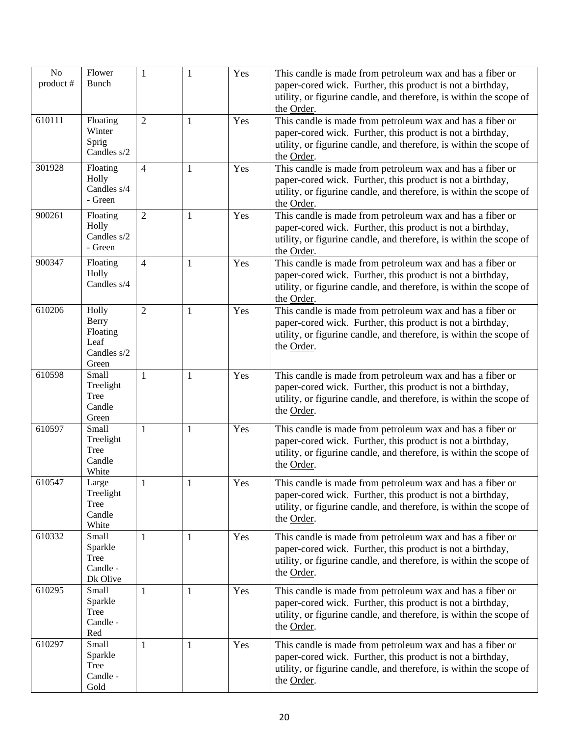| No        | Flower                                                            | $\mathbf{1}$   | 1            | Yes | This candle is made from petroleum wax and has a fiber or                                                                                                                                                   |
|-----------|-------------------------------------------------------------------|----------------|--------------|-----|-------------------------------------------------------------------------------------------------------------------------------------------------------------------------------------------------------------|
| product # | <b>Bunch</b>                                                      |                |              |     | paper-cored wick. Further, this product is not a birthday,<br>utility, or figurine candle, and therefore, is within the scope of<br>the Order.                                                              |
| 610111    | Floating<br>Winter<br>Sprig<br>Candles s/2                        | $\overline{2}$ | $\mathbf{1}$ | Yes | This candle is made from petroleum wax and has a fiber or<br>paper-cored wick. Further, this product is not a birthday,<br>utility, or figurine candle, and therefore, is within the scope of<br>the Order. |
| 301928    | Floating<br>Holly<br>Candles s/4<br>- Green                       | $\overline{4}$ | $\mathbf{1}$ | Yes | This candle is made from petroleum wax and has a fiber or<br>paper-cored wick. Further, this product is not a birthday,<br>utility, or figurine candle, and therefore, is within the scope of<br>the Order. |
| 900261    | Floating<br>Holly<br>Candles s/2<br>- Green                       | $\overline{2}$ | $\mathbf{1}$ | Yes | This candle is made from petroleum wax and has a fiber or<br>paper-cored wick. Further, this product is not a birthday,<br>utility, or figurine candle, and therefore, is within the scope of<br>the Order. |
| 900347    | Floating<br>Holly<br>Candles s/4                                  | $\overline{4}$ | 1            | Yes | This candle is made from petroleum wax and has a fiber or<br>paper-cored wick. Further, this product is not a birthday,<br>utility, or figurine candle, and therefore, is within the scope of<br>the Order. |
| 610206    | Holly<br><b>Berry</b><br>Floating<br>Leaf<br>Candles s/2<br>Green | $\overline{2}$ | 1            | Yes | This candle is made from petroleum wax and has a fiber or<br>paper-cored wick. Further, this product is not a birthday,<br>utility, or figurine candle, and therefore, is within the scope of<br>the Order. |
| 610598    | Small<br>Treelight<br>Tree<br>Candle<br>Green                     | 1              | $\mathbf{1}$ | Yes | This candle is made from petroleum wax and has a fiber or<br>paper-cored wick. Further, this product is not a birthday,<br>utility, or figurine candle, and therefore, is within the scope of<br>the Order. |
| 610597    | Small<br>Treelight<br>Tree<br>Candle<br>White                     | 1              | $\mathbf{1}$ | Yes | This candle is made from petroleum wax and has a fiber or<br>paper-cored wick. Further, this product is not a birthday,<br>utility, or figurine candle, and therefore, is within the scope of<br>the Order. |
| 610547    | Large<br>Treelight<br>Tree<br>Candle<br>White                     | $\mathbf{1}$   | $\,1$        | Yes | This candle is made from petroleum wax and has a fiber or<br>paper-cored wick. Further, this product is not a birthday,<br>utility, or figurine candle, and therefore, is within the scope of<br>the Order. |
| 610332    | Small<br>Sparkle<br>Tree<br>Candle -<br>Dk Olive                  | 1              | 1            | Yes | This candle is made from petroleum wax and has a fiber or<br>paper-cored wick. Further, this product is not a birthday,<br>utility, or figurine candle, and therefore, is within the scope of<br>the Order. |
| 610295    | Small<br>Sparkle<br>Tree<br>Candle -<br>Red                       | 1              | 1            | Yes | This candle is made from petroleum wax and has a fiber or<br>paper-cored wick. Further, this product is not a birthday,<br>utility, or figurine candle, and therefore, is within the scope of<br>the Order. |
| 610297    | Small<br>Sparkle<br><b>Tree</b><br>Candle -<br>Gold               | $\mathbf{1}$   | $\mathbf{1}$ | Yes | This candle is made from petroleum wax and has a fiber or<br>paper-cored wick. Further, this product is not a birthday,<br>utility, or figurine candle, and therefore, is within the scope of<br>the Order. |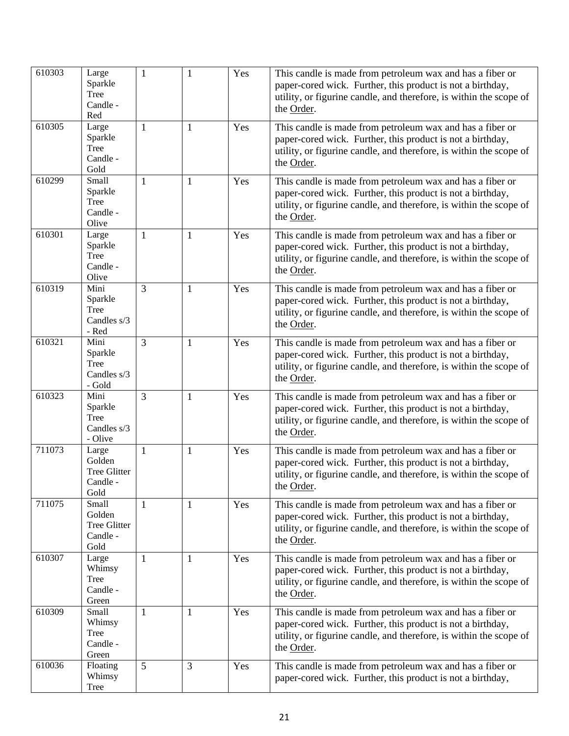| 610303 | Large<br>Sparkle<br>Tree<br>Candle -<br>Red            | $\mathbf{1}$   | 1            | Yes | This candle is made from petroleum wax and has a fiber or<br>paper-cored wick. Further, this product is not a birthday,<br>utility, or figurine candle, and therefore, is within the scope of<br>the Order. |
|--------|--------------------------------------------------------|----------------|--------------|-----|-------------------------------------------------------------------------------------------------------------------------------------------------------------------------------------------------------------|
| 610305 | Large<br>Sparkle<br>Tree<br>Candle -<br>Gold           | $\mathbf{1}$   | $\mathbf{1}$ | Yes | This candle is made from petroleum wax and has a fiber or<br>paper-cored wick. Further, this product is not a birthday,<br>utility, or figurine candle, and therefore, is within the scope of<br>the Order. |
| 610299 | Small<br>Sparkle<br>Tree<br>Candle -<br>Olive          | $\mathbf{1}$   | $\mathbf{1}$ | Yes | This candle is made from petroleum wax and has a fiber or<br>paper-cored wick. Further, this product is not a birthday,<br>utility, or figurine candle, and therefore, is within the scope of<br>the Order. |
| 610301 | Large<br>Sparkle<br>Tree<br>Candle -<br>Olive          | -1             | 1            | Yes | This candle is made from petroleum wax and has a fiber or<br>paper-cored wick. Further, this product is not a birthday,<br>utility, or figurine candle, and therefore, is within the scope of<br>the Order. |
| 610319 | Mini<br>Sparkle<br><b>Tree</b><br>Candles s/3<br>- Red | 3              | $\mathbf{1}$ | Yes | This candle is made from petroleum wax and has a fiber or<br>paper-cored wick. Further, this product is not a birthday,<br>utility, or figurine candle, and therefore, is within the scope of<br>the Order. |
| 610321 | Mini<br>Sparkle<br>Tree<br>Candles s/3<br>- Gold       | $\overline{3}$ | $\mathbf{1}$ | Yes | This candle is made from petroleum wax and has a fiber or<br>paper-cored wick. Further, this product is not a birthday,<br>utility, or figurine candle, and therefore, is within the scope of<br>the Order. |
| 610323 | Mini<br>Sparkle<br>Tree<br>Candles s/3<br>- Olive      | 3              | 1            | Yes | This candle is made from petroleum wax and has a fiber or<br>paper-cored wick. Further, this product is not a birthday,<br>utility, or figurine candle, and therefore, is within the scope of<br>the Order. |
| 711073 | Large<br>Golden<br>Tree Glitter<br>Candle -<br>Gold    | $\mathbf{1}$   | 1            | Yes | This candle is made from petroleum wax and has a fiber or<br>paper-cored wick. Further, this product is not a birthday,<br>utility, or figurine candle, and therefore, is within the scope of<br>the Order. |
| 711075 | Small<br>Golden<br>Tree Glitter<br>Candle -<br>Gold    | 1              | 1            | Yes | This candle is made from petroleum wax and has a fiber or<br>paper-cored wick. Further, this product is not a birthday,<br>utility, or figurine candle, and therefore, is within the scope of<br>the Order. |
| 610307 | Large<br>Whimsy<br>Tree<br>Candle -<br>Green           | 1              | 1            | Yes | This candle is made from petroleum wax and has a fiber or<br>paper-cored wick. Further, this product is not a birthday,<br>utility, or figurine candle, and therefore, is within the scope of<br>the Order. |
| 610309 | Small<br>Whimsy<br>Tree<br>Candle -<br>Green           | $\mathbf{1}$   | $\mathbf{1}$ | Yes | This candle is made from petroleum wax and has a fiber or<br>paper-cored wick. Further, this product is not a birthday,<br>utility, or figurine candle, and therefore, is within the scope of<br>the Order. |
| 610036 | Floating<br>Whimsy<br>Tree                             | 5              | 3            | Yes | This candle is made from petroleum wax and has a fiber or<br>paper-cored wick. Further, this product is not a birthday,                                                                                     |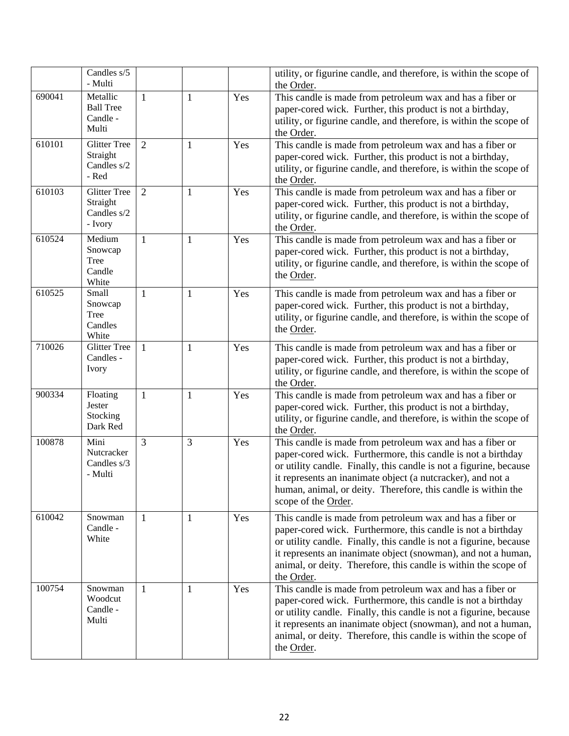|        | Candles s/5<br>- Multi                                    |                |   |     | utility, or figurine candle, and therefore, is within the scope of<br>the Order.                                                                                                                                                                                                                                                                       |
|--------|-----------------------------------------------------------|----------------|---|-----|--------------------------------------------------------------------------------------------------------------------------------------------------------------------------------------------------------------------------------------------------------------------------------------------------------------------------------------------------------|
| 690041 | Metallic<br><b>Ball Tree</b><br>Candle -<br>Multi         | $\mathbf{1}$   | 1 | Yes | This candle is made from petroleum wax and has a fiber or<br>paper-cored wick. Further, this product is not a birthday,<br>utility, or figurine candle, and therefore, is within the scope of<br>the Order.                                                                                                                                            |
| 610101 | <b>Glitter Tree</b><br>Straight<br>Candles s/2<br>- Red   | $\overline{2}$ | 1 | Yes | This candle is made from petroleum wax and has a fiber or<br>paper-cored wick. Further, this product is not a birthday,<br>utility, or figurine candle, and therefore, is within the scope of<br>the Order.                                                                                                                                            |
| 610103 | <b>Glitter Tree</b><br>Straight<br>Candles s/2<br>- Ivory | $\overline{2}$ | 1 | Yes | This candle is made from petroleum wax and has a fiber or<br>paper-cored wick. Further, this product is not a birthday,<br>utility, or figurine candle, and therefore, is within the scope of<br>the Order.                                                                                                                                            |
| 610524 | Medium<br>Snowcap<br>Tree<br>Candle<br>White              | $\mathbf{1}$   | 1 | Yes | This candle is made from petroleum wax and has a fiber or<br>paper-cored wick. Further, this product is not a birthday,<br>utility, or figurine candle, and therefore, is within the scope of<br>the Order.                                                                                                                                            |
| 610525 | Small<br>Snowcap<br>Tree<br>Candles<br>White              | $\mathbf{1}$   | 1 | Yes | This candle is made from petroleum wax and has a fiber or<br>paper-cored wick. Further, this product is not a birthday,<br>utility, or figurine candle, and therefore, is within the scope of<br>the Order.                                                                                                                                            |
| 710026 | <b>Glitter Tree</b><br>Candles -<br>Ivory                 | 1              | 1 | Yes | This candle is made from petroleum wax and has a fiber or<br>paper-cored wick. Further, this product is not a birthday,<br>utility, or figurine candle, and therefore, is within the scope of<br>the Order.                                                                                                                                            |
| 900334 | Floating<br>Jester<br>Stocking<br>Dark Red                | $\mathbf{1}$   | 1 | Yes | This candle is made from petroleum wax and has a fiber or<br>paper-cored wick. Further, this product is not a birthday,<br>utility, or figurine candle, and therefore, is within the scope of<br>the Order.                                                                                                                                            |
| 100878 | Mini<br>Nutcracker<br>Candles s/3<br>- Multi              | 3              | 3 | Yes | This candle is made from petroleum wax and has a fiber or<br>paper-cored wick. Furthermore, this candle is not a birthday<br>or utility candle. Finally, this candle is not a figurine, because<br>it represents an inanimate object (a nutcracker), and not a<br>human, animal, or deity. Therefore, this candle is within the<br>scope of the Order. |
| 610042 | Snowman<br>Candle -<br>White                              | $\mathbf{1}$   | 1 | Yes | This candle is made from petroleum wax and has a fiber or<br>paper-cored wick. Furthermore, this candle is not a birthday<br>or utility candle. Finally, this candle is not a figurine, because<br>it represents an inanimate object (snowman), and not a human,<br>animal, or deity. Therefore, this candle is within the scope of<br>the Order.      |
| 100754 | Snowman<br>Woodcut<br>Candle -<br>Multi                   | $\mathbf{1}$   | 1 | Yes | This candle is made from petroleum wax and has a fiber or<br>paper-cored wick. Furthermore, this candle is not a birthday<br>or utility candle. Finally, this candle is not a figurine, because<br>it represents an inanimate object (snowman), and not a human,<br>animal, or deity. Therefore, this candle is within the scope of<br>the Order.      |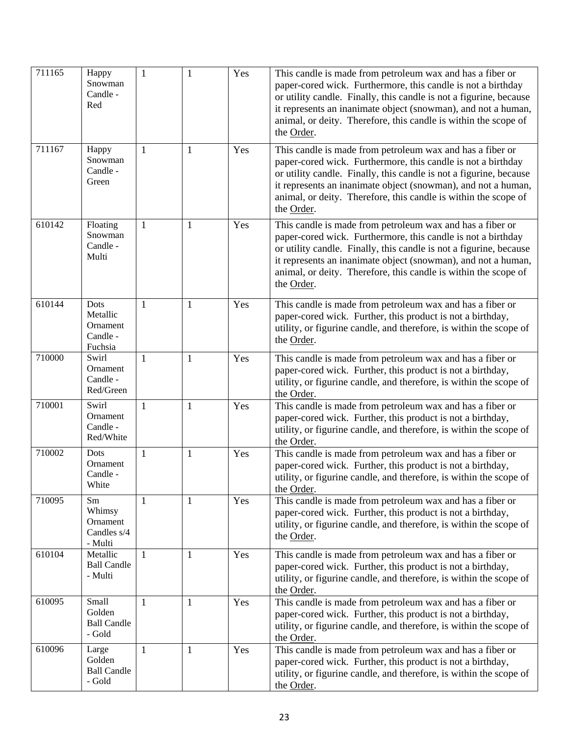| 711165 | Happy<br>Snowman<br>Candle -<br>Red                 | $\mathbf{1}$ | 1            | Yes | This candle is made from petroleum wax and has a fiber or<br>paper-cored wick. Furthermore, this candle is not a birthday<br>or utility candle. Finally, this candle is not a figurine, because<br>it represents an inanimate object (snowman), and not a human,<br>animal, or deity. Therefore, this candle is within the scope of<br>the Order. |
|--------|-----------------------------------------------------|--------------|--------------|-----|---------------------------------------------------------------------------------------------------------------------------------------------------------------------------------------------------------------------------------------------------------------------------------------------------------------------------------------------------|
| 711167 | Happy<br>Snowman<br>Candle -<br>Green               | 1            | $\mathbf{1}$ | Yes | This candle is made from petroleum wax and has a fiber or<br>paper-cored wick. Furthermore, this candle is not a birthday<br>or utility candle. Finally, this candle is not a figurine, because<br>it represents an inanimate object (snowman), and not a human,<br>animal, or deity. Therefore, this candle is within the scope of<br>the Order. |
| 610142 | Floating<br>Snowman<br>Candle -<br>Multi            | $\mathbf{1}$ | 1            | Yes | This candle is made from petroleum wax and has a fiber or<br>paper-cored wick. Furthermore, this candle is not a birthday<br>or utility candle. Finally, this candle is not a figurine, because<br>it represents an inanimate object (snowman), and not a human,<br>animal, or deity. Therefore, this candle is within the scope of<br>the Order. |
| 610144 | Dots<br>Metallic<br>Ornament<br>Candle -<br>Fuchsia | $\mathbf{1}$ | $\mathbf{1}$ | Yes | This candle is made from petroleum wax and has a fiber or<br>paper-cored wick. Further, this product is not a birthday,<br>utility, or figurine candle, and therefore, is within the scope of<br>the Order.                                                                                                                                       |
| 710000 | Swirl<br>Ornament<br>Candle -<br>Red/Green          | $\mathbf{1}$ | $\mathbf{1}$ | Yes | This candle is made from petroleum wax and has a fiber or<br>paper-cored wick. Further, this product is not a birthday,<br>utility, or figurine candle, and therefore, is within the scope of<br>the Order.                                                                                                                                       |
| 710001 | Swirl<br>Ornament<br>Candle -<br>Red/White          | $\mathbf{1}$ | 1            | Yes | This candle is made from petroleum wax and has a fiber or<br>paper-cored wick. Further, this product is not a birthday,<br>utility, or figurine candle, and therefore, is within the scope of<br>the Order.                                                                                                                                       |
| 710002 | Dots<br>Ornament<br>Candle -<br>White               | $\mathbf{1}$ | 1            | Yes | This candle is made from petroleum wax and has a fiber or<br>paper-cored wick. Further, this product is not a birthday,<br>utility, or figurine candle, and therefore, is within the scope of<br>the Order.                                                                                                                                       |
| 710095 | Sm<br>Whimsy<br>Ornament<br>Candles s/4<br>- Multi  | $\mathbf{1}$ | 1            | Yes | This candle is made from petroleum wax and has a fiber or<br>paper-cored wick. Further, this product is not a birthday,<br>utility, or figurine candle, and therefore, is within the scope of<br>the Order.                                                                                                                                       |
| 610104 | Metallic<br><b>Ball Candle</b><br>- Multi           | $\mathbf{1}$ | 1            | Yes | This candle is made from petroleum wax and has a fiber or<br>paper-cored wick. Further, this product is not a birthday,<br>utility, or figurine candle, and therefore, is within the scope of<br>the Order.                                                                                                                                       |
| 610095 | Small<br>Golden<br><b>Ball Candle</b><br>- Gold     | 1            | 1            | Yes | This candle is made from petroleum wax and has a fiber or<br>paper-cored wick. Further, this product is not a birthday,<br>utility, or figurine candle, and therefore, is within the scope of<br>the Order.                                                                                                                                       |
| 610096 | Large<br>Golden<br><b>Ball Candle</b><br>- Gold     | 1            | 1            | Yes | This candle is made from petroleum wax and has a fiber or<br>paper-cored wick. Further, this product is not a birthday,<br>utility, or figurine candle, and therefore, is within the scope of<br>the Order.                                                                                                                                       |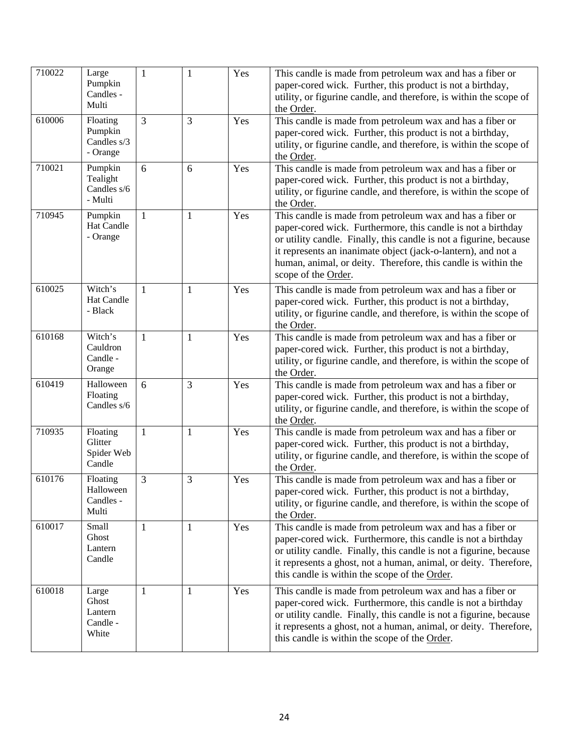| 710022 | Large<br>Pumpkin<br>Candles -<br>Multi         | $\mathbf{1}$   | 1            | Yes | This candle is made from petroleum wax and has a fiber or<br>paper-cored wick. Further, this product is not a birthday,<br>utility, or figurine candle, and therefore, is within the scope of<br>the Order.                                                                                                                                              |
|--------|------------------------------------------------|----------------|--------------|-----|----------------------------------------------------------------------------------------------------------------------------------------------------------------------------------------------------------------------------------------------------------------------------------------------------------------------------------------------------------|
| 610006 | Floating<br>Pumpkin<br>Candles s/3<br>- Orange | $\overline{3}$ | 3            | Yes | This candle is made from petroleum wax and has a fiber or<br>paper-cored wick. Further, this product is not a birthday,<br>utility, or figurine candle, and therefore, is within the scope of<br>the Order.                                                                                                                                              |
| 710021 | Pumpkin<br>Tealight<br>Candles s/6<br>- Multi  | 6              | 6            | Yes | This candle is made from petroleum wax and has a fiber or<br>paper-cored wick. Further, this product is not a birthday,<br>utility, or figurine candle, and therefore, is within the scope of<br>the Order.                                                                                                                                              |
| 710945 | Pumpkin<br>Hat Candle<br>- Orange              | $\mathbf{1}$   | 1            | Yes | This candle is made from petroleum wax and has a fiber or<br>paper-cored wick. Furthermore, this candle is not a birthday<br>or utility candle. Finally, this candle is not a figurine, because<br>it represents an inanimate object (jack-o-lantern), and not a<br>human, animal, or deity. Therefore, this candle is within the<br>scope of the Order. |
| 610025 | Witch's<br>Hat Candle<br>- Black               | $\mathbf{1}$   | 1            | Yes | This candle is made from petroleum wax and has a fiber or<br>paper-cored wick. Further, this product is not a birthday,<br>utility, or figurine candle, and therefore, is within the scope of<br>the Order.                                                                                                                                              |
| 610168 | Witch's<br>Cauldron<br>Candle -<br>Orange      | $\mathbf{1}$   | 1            | Yes | This candle is made from petroleum wax and has a fiber or<br>paper-cored wick. Further, this product is not a birthday,<br>utility, or figurine candle, and therefore, is within the scope of<br>the Order.                                                                                                                                              |
| 610419 | Halloween<br>Floating<br>Candles s/6           | 6              | 3            | Yes | This candle is made from petroleum wax and has a fiber or<br>paper-cored wick. Further, this product is not a birthday,<br>utility, or figurine candle, and therefore, is within the scope of<br>the Order.                                                                                                                                              |
| 710935 | Floating<br>Glitter<br>Spider Web<br>Candle    | $\mathbf{1}$   | $\mathbf{1}$ | Yes | This candle is made from petroleum wax and has a fiber or<br>paper-cored wick. Further, this product is not a birthday,<br>utility, or figurine candle, and therefore, is within the scope of<br>the Order.                                                                                                                                              |
| 610176 | Floating<br>Halloween<br>Candles -<br>Multi    | 3              | 3            | Yes | This candle is made from petroleum wax and has a fiber or<br>paper-cored wick. Further, this product is not a birthday,<br>utility, or figurine candle, and therefore, is within the scope of<br>the Order.                                                                                                                                              |
| 610017 | Small<br>Ghost<br>Lantern<br>Candle            | 1              | 1            | Yes | This candle is made from petroleum wax and has a fiber or<br>paper-cored wick. Furthermore, this candle is not a birthday<br>or utility candle. Finally, this candle is not a figurine, because<br>it represents a ghost, not a human, animal, or deity. Therefore,<br>this candle is within the scope of the Order.                                     |
| 610018 | Large<br>Ghost<br>Lantern<br>Candle -<br>White | 1              | 1            | Yes | This candle is made from petroleum wax and has a fiber or<br>paper-cored wick. Furthermore, this candle is not a birthday<br>or utility candle. Finally, this candle is not a figurine, because<br>it represents a ghost, not a human, animal, or deity. Therefore,<br>this candle is within the scope of the Order.                                     |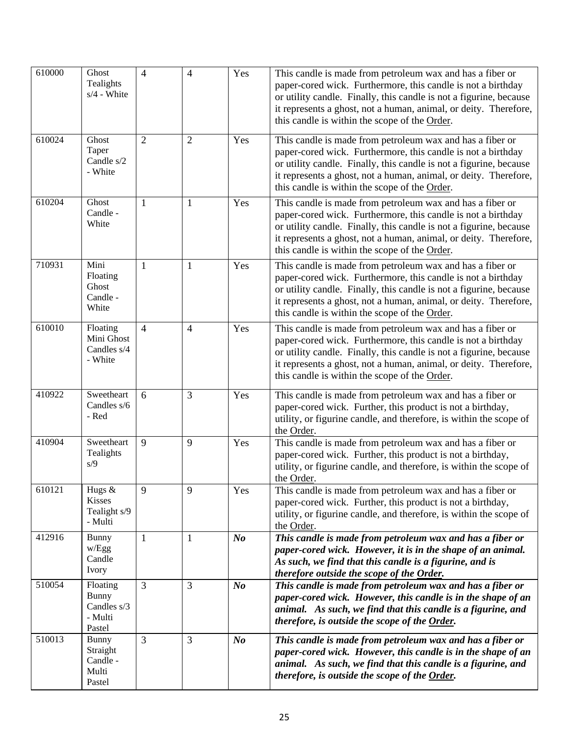| 610000 | Ghost<br>Tealights<br>$s/4$ - White                          | $\overline{4}$ | $\overline{4}$ | Yes            | This candle is made from petroleum wax and has a fiber or<br>paper-cored wick. Furthermore, this candle is not a birthday<br>or utility candle. Finally, this candle is not a figurine, because<br>it represents a ghost, not a human, animal, or deity. Therefore,<br>this candle is within the scope of the Order. |
|--------|--------------------------------------------------------------|----------------|----------------|----------------|----------------------------------------------------------------------------------------------------------------------------------------------------------------------------------------------------------------------------------------------------------------------------------------------------------------------|
| 610024 | Ghost<br>Taper<br>Candle s/2<br>- White                      | $\overline{2}$ | $\overline{2}$ | Yes            | This candle is made from petroleum wax and has a fiber or<br>paper-cored wick. Furthermore, this candle is not a birthday<br>or utility candle. Finally, this candle is not a figurine, because<br>it represents a ghost, not a human, animal, or deity. Therefore,<br>this candle is within the scope of the Order. |
| 610204 | Ghost<br>Candle -<br>White                                   | $\mathbf{1}$   | $\mathbf{1}$   | Yes            | This candle is made from petroleum wax and has a fiber or<br>paper-cored wick. Furthermore, this candle is not a birthday<br>or utility candle. Finally, this candle is not a figurine, because<br>it represents a ghost, not a human, animal, or deity. Therefore,<br>this candle is within the scope of the Order. |
| 710931 | Mini<br>Floating<br>Ghost<br>Candle -<br>White               | $\mathbf{1}$   | $\mathbf{1}$   | Yes            | This candle is made from petroleum wax and has a fiber or<br>paper-cored wick. Furthermore, this candle is not a birthday<br>or utility candle. Finally, this candle is not a figurine, because<br>it represents a ghost, not a human, animal, or deity. Therefore,<br>this candle is within the scope of the Order. |
| 610010 | Floating<br>Mini Ghost<br>Candles s/4<br>- White             | $\overline{4}$ | $\overline{4}$ | Yes            | This candle is made from petroleum wax and has a fiber or<br>paper-cored wick. Furthermore, this candle is not a birthday<br>or utility candle. Finally, this candle is not a figurine, because<br>it represents a ghost, not a human, animal, or deity. Therefore,<br>this candle is within the scope of the Order. |
| 410922 | Sweetheart<br>Candles s/6<br>- Red                           | 6              | 3              | Yes            | This candle is made from petroleum wax and has a fiber or<br>paper-cored wick. Further, this product is not a birthday,<br>utility, or figurine candle, and therefore, is within the scope of<br>the Order.                                                                                                          |
| 410904 | Sweetheart<br>Tealights<br>s/9                               | 9              | 9              | Yes            | This candle is made from petroleum wax and has a fiber or<br>paper-cored wick. Further, this product is not a birthday,<br>utility, or figurine candle, and therefore, is within the scope of<br>the Order.                                                                                                          |
| 610121 | Hugs &<br><b>Kisses</b><br>Tealight s/9<br>- Multi           | 9              | 9              | Yes            | This candle is made from petroleum wax and has a fiber or<br>paper-cored wick. Further, this product is not a birthday,<br>utility, or figurine candle, and therefore, is within the scope of<br>the Order.                                                                                                          |
| 412916 | <b>Bunny</b><br>w/Egg<br>Candle<br>Ivory                     | $\mathbf{1}$   | 1              | N <sub>o</sub> | This candle is made from petroleum wax and has a fiber or<br>paper-cored wick. However, it is in the shape of an animal.<br>As such, we find that this candle is a figurine, and is<br>therefore outside the scope of the Order.                                                                                     |
| 510054 | Floating<br><b>Bunny</b><br>Candles s/3<br>- Multi<br>Pastel | 3              | 3              | N <sub>o</sub> | This candle is made from petroleum wax and has a fiber or<br>paper-cored wick. However, this candle is in the shape of an<br>animal. As such, we find that this candle is a figurine, and<br>therefore, is outside the scope of the Order.                                                                           |
| 510013 | <b>Bunny</b><br>Straight<br>Candle -<br>Multi<br>Pastel      | 3              | 3              | N <sub>o</sub> | This candle is made from petroleum wax and has a fiber or<br>paper-cored wick. However, this candle is in the shape of an<br>animal. As such, we find that this candle is a figurine, and<br>therefore, is outside the scope of the Order.                                                                           |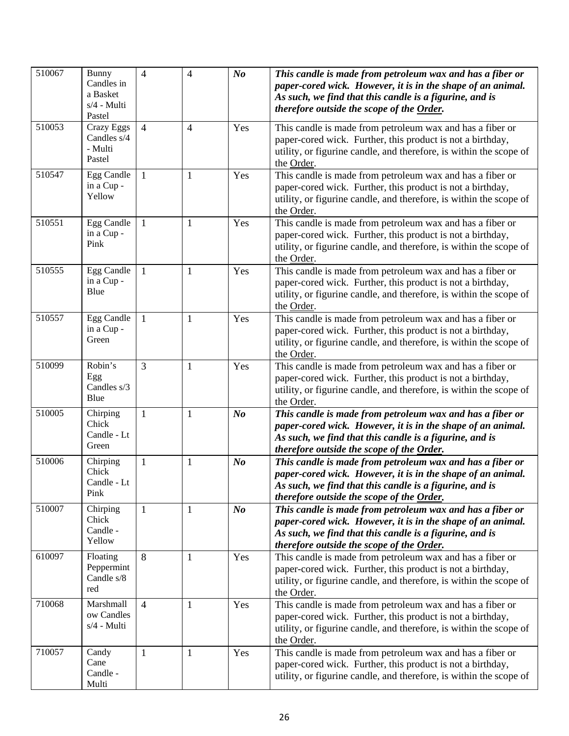| 510067 | Bunny<br>Candles in<br>a Basket<br>$s/4$ - Multi<br>Pastel | $\overline{4}$ | $\overline{4}$ | N <sub>o</sub> | This candle is made from petroleum wax and has a fiber or<br>paper-cored wick. However, it is in the shape of an animal.<br>As such, we find that this candle is a figurine, and is<br>therefore outside the scope of the Order. |
|--------|------------------------------------------------------------|----------------|----------------|----------------|----------------------------------------------------------------------------------------------------------------------------------------------------------------------------------------------------------------------------------|
| 510053 | <b>Crazy Eggs</b><br>Candles s/4<br>- Multi<br>Pastel      | $\overline{4}$ | $\overline{4}$ | Yes            | This candle is made from petroleum wax and has a fiber or<br>paper-cored wick. Further, this product is not a birthday,<br>utility, or figurine candle, and therefore, is within the scope of<br>the Order.                      |
| 510547 | Egg Candle<br>in a Cup -<br>Yellow                         | $\mathbf{1}$   | $\mathbf{1}$   | Yes            | This candle is made from petroleum wax and has a fiber or<br>paper-cored wick. Further, this product is not a birthday,<br>utility, or figurine candle, and therefore, is within the scope of<br>the Order.                      |
| 510551 | Egg Candle<br>in a Cup -<br>Pink                           | $\mathbf{1}$   | $\mathbf{1}$   | Yes            | This candle is made from petroleum wax and has a fiber or<br>paper-cored wick. Further, this product is not a birthday,<br>utility, or figurine candle, and therefore, is within the scope of<br>the Order.                      |
| 510555 | Egg Candle<br>in a Cup -<br>Blue                           | 1              | $\mathbf{1}$   | Yes            | This candle is made from petroleum wax and has a fiber or<br>paper-cored wick. Further, this product is not a birthday,<br>utility, or figurine candle, and therefore, is within the scope of<br>the Order.                      |
| 510557 | Egg Candle<br>in a Cup -<br>Green                          | $\mathbf{1}$   | $\mathbf{1}$   | Yes            | This candle is made from petroleum wax and has a fiber or<br>paper-cored wick. Further, this product is not a birthday,<br>utility, or figurine candle, and therefore, is within the scope of<br>the Order.                      |
| 510099 | Robin's<br>Egg<br>Candles s/3<br>Blue                      | $\overline{3}$ | $\mathbf{1}$   | Yes            | This candle is made from petroleum wax and has a fiber or<br>paper-cored wick. Further, this product is not a birthday,<br>utility, or figurine candle, and therefore, is within the scope of<br>the Order.                      |
| 510005 | Chirping<br>Chick<br>Candle - Lt<br>Green                  | $\mathbf{1}$   | $\mathbf{1}$   | N <sub>o</sub> | This candle is made from petroleum wax and has a fiber or<br>paper-cored wick. However, it is in the shape of an animal.<br>As such, we find that this candle is a figurine, and is<br>therefore outside the scope of the Order. |
| 510006 | Chirping<br>Chick<br>Candle - Lt<br>Pink                   | 1              | $\mathbf{1}$   | N <sub>o</sub> | This candle is made from petroleum wax and has a fiber or<br>paper-cored wick. However, it is in the shape of an animal.<br>As such, we find that this candle is a figurine, and is<br>therefore outside the scope of the Order. |
| 510007 | Chirping<br>Chick<br>Candle -<br>Yellow                    | 1              | $\mathbf{1}$   | N <sub>o</sub> | This candle is made from petroleum wax and has a fiber or<br>paper-cored wick. However, it is in the shape of an animal.<br>As such, we find that this candle is a figurine, and is<br>therefore outside the scope of the Order. |
| 610097 | Floating<br>Peppermint<br>Candle s/8<br>red                | 8              | $\mathbf{1}$   | Yes            | This candle is made from petroleum wax and has a fiber or<br>paper-cored wick. Further, this product is not a birthday,<br>utility, or figurine candle, and therefore, is within the scope of<br>the Order.                      |
| 710068 | Marshmall<br>ow Candles<br>s/4 - Multi                     | $\overline{4}$ | $\mathbf{1}$   | Yes            | This candle is made from petroleum wax and has a fiber or<br>paper-cored wick. Further, this product is not a birthday,<br>utility, or figurine candle, and therefore, is within the scope of<br>the Order.                      |
| 710057 | Candy<br>Cane<br>Candle -<br>Multi                         | $\mathbf{1}$   | $\mathbf{1}$   | Yes            | This candle is made from petroleum wax and has a fiber or<br>paper-cored wick. Further, this product is not a birthday,<br>utility, or figurine candle, and therefore, is within the scope of                                    |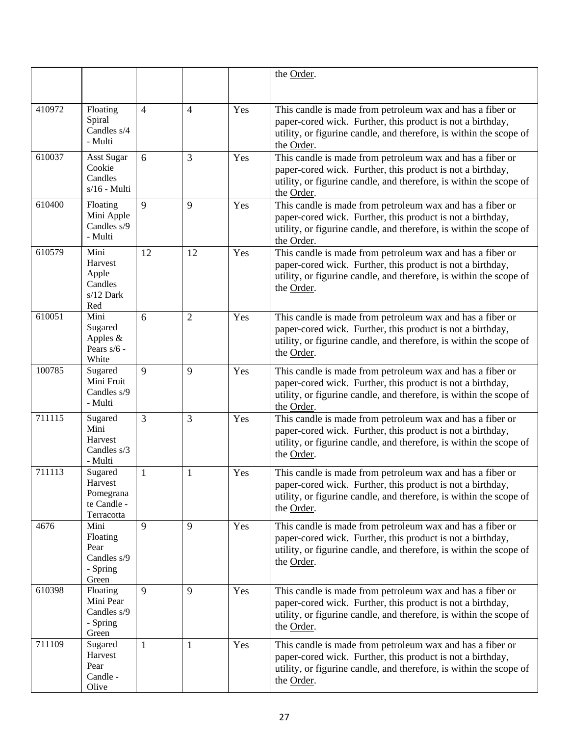|        |                                                              |                |                |     | the Order.                                                                                                                                                                                                  |
|--------|--------------------------------------------------------------|----------------|----------------|-----|-------------------------------------------------------------------------------------------------------------------------------------------------------------------------------------------------------------|
|        |                                                              |                |                |     |                                                                                                                                                                                                             |
| 410972 | Floating<br>Spiral<br>Candles s/4<br>- Multi                 | $\overline{4}$ | $\overline{4}$ | Yes | This candle is made from petroleum wax and has a fiber or<br>paper-cored wick. Further, this product is not a birthday,<br>utility, or figurine candle, and therefore, is within the scope of<br>the Order. |
| 610037 | <b>Asst Sugar</b><br>Cookie<br>Candles<br>$s/16$ - Multi     | 6              | 3              | Yes | This candle is made from petroleum wax and has a fiber or<br>paper-cored wick. Further, this product is not a birthday,<br>utility, or figurine candle, and therefore, is within the scope of<br>the Order. |
| 610400 | Floating<br>Mini Apple<br>Candles s/9<br>- Multi             | $\mathbf{Q}$   | 9              | Yes | This candle is made from petroleum wax and has a fiber or<br>paper-cored wick. Further, this product is not a birthday,<br>utility, or figurine candle, and therefore, is within the scope of<br>the Order. |
| 610579 | Mini<br>Harvest<br>Apple<br>Candles<br>$s/12$ Dark<br>Red    | 12             | 12             | Yes | This candle is made from petroleum wax and has a fiber or<br>paper-cored wick. Further, this product is not a birthday,<br>utility, or figurine candle, and therefore, is within the scope of<br>the Order. |
| 610051 | Mini<br>Sugared<br>Apples &<br>Pears s/6 -<br>White          | 6              | $\overline{2}$ | Yes | This candle is made from petroleum wax and has a fiber or<br>paper-cored wick. Further, this product is not a birthday,<br>utility, or figurine candle, and therefore, is within the scope of<br>the Order. |
| 100785 | Sugared<br>Mini Fruit<br>Candles s/9<br>- Multi              | $\mathbf{Q}$   | 9              | Yes | This candle is made from petroleum wax and has a fiber or<br>paper-cored wick. Further, this product is not a birthday,<br>utility, or figurine candle, and therefore, is within the scope of<br>the Order. |
| 711115 | Sugared<br>Mini<br>Harvest<br>Candles s/3<br>- Multi         | 3              | 3              | Yes | This candle is made from petroleum wax and has a fiber or<br>paper-cored wick. Further, this product is not a birthday,<br>utility, or figurine candle, and therefore, is within the scope of<br>the Order. |
| 711113 | Sugared<br>Harvest<br>Pomegrana<br>te Candle -<br>Terracotta | 1              | 1              | Yes | This candle is made from petroleum wax and has a fiber or<br>paper-cored wick. Further, this product is not a birthday,<br>utility, or figurine candle, and therefore, is within the scope of<br>the Order. |
| 4676   | Mini<br>Floating<br>Pear<br>Candles s/9<br>- Spring<br>Green | 9              | 9              | Yes | This candle is made from petroleum wax and has a fiber or<br>paper-cored wick. Further, this product is not a birthday,<br>utility, or figurine candle, and therefore, is within the scope of<br>the Order. |
| 610398 | Floating<br>Mini Pear<br>Candles s/9<br>- Spring<br>Green    | 9              | 9              | Yes | This candle is made from petroleum wax and has a fiber or<br>paper-cored wick. Further, this product is not a birthday,<br>utility, or figurine candle, and therefore, is within the scope of<br>the Order. |
| 711109 | Sugared<br>Harvest<br>Pear<br>Candle -<br>Olive              | 1              | $\mathbf{1}$   | Yes | This candle is made from petroleum wax and has a fiber or<br>paper-cored wick. Further, this product is not a birthday,<br>utility, or figurine candle, and therefore, is within the scope of<br>the Order. |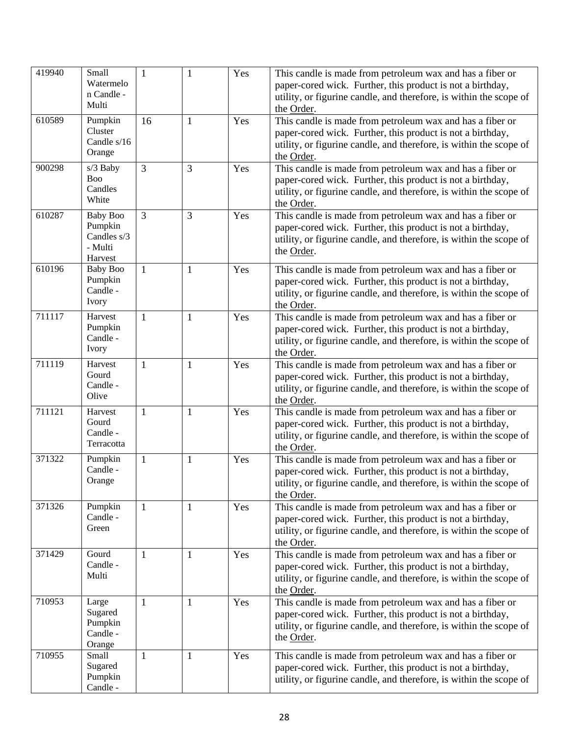| 419940 | Small<br>Watermelo<br>n Candle -<br>Multi                       | $\mathbf{1}$   | 1              | Yes | This candle is made from petroleum wax and has a fiber or<br>paper-cored wick. Further, this product is not a birthday,<br>utility, or figurine candle, and therefore, is within the scope of<br>the Order. |
|--------|-----------------------------------------------------------------|----------------|----------------|-----|-------------------------------------------------------------------------------------------------------------------------------------------------------------------------------------------------------------|
| 610589 | Pumpkin<br>Cluster<br>Candle s/16<br>Orange                     | 16             | $\mathbf{1}$   | Yes | This candle is made from petroleum wax and has a fiber or<br>paper-cored wick. Further, this product is not a birthday,<br>utility, or figurine candle, and therefore, is within the scope of<br>the Order. |
| 900298 | s/3 Baby<br><b>Boo</b><br>Candles<br>White                      | 3              | 3              | Yes | This candle is made from petroleum wax and has a fiber or<br>paper-cored wick. Further, this product is not a birthday,<br>utility, or figurine candle, and therefore, is within the scope of<br>the Order. |
| 610287 | <b>Baby Boo</b><br>Pumpkin<br>Candles s/3<br>- Multi<br>Harvest | $\overline{3}$ | $\overline{3}$ | Yes | This candle is made from petroleum wax and has a fiber or<br>paper-cored wick. Further, this product is not a birthday,<br>utility, or figurine candle, and therefore, is within the scope of<br>the Order. |
| 610196 | <b>Baby Boo</b><br>Pumpkin<br>Candle -<br>Ivory                 | $\mathbf{1}$   | $\mathbf{1}$   | Yes | This candle is made from petroleum wax and has a fiber or<br>paper-cored wick. Further, this product is not a birthday,<br>utility, or figurine candle, and therefore, is within the scope of<br>the Order. |
| 711117 | Harvest<br>Pumpkin<br>Candle -<br>Ivory                         | 1              | 1              | Yes | This candle is made from petroleum wax and has a fiber or<br>paper-cored wick. Further, this product is not a birthday,<br>utility, or figurine candle, and therefore, is within the scope of<br>the Order. |
| 711119 | Harvest<br>Gourd<br>Candle -<br>Olive                           | $\mathbf{1}$   | 1              | Yes | This candle is made from petroleum wax and has a fiber or<br>paper-cored wick. Further, this product is not a birthday,<br>utility, or figurine candle, and therefore, is within the scope of<br>the Order. |
| 711121 | Harvest<br>Gourd<br>Candle -<br>Terracotta                      | $\mathbf{1}$   | 1              | Yes | This candle is made from petroleum wax and has a fiber or<br>paper-cored wick. Further, this product is not a birthday,<br>utility, or figurine candle, and therefore, is within the scope of<br>the Order. |
| 371322 | Pumpkin<br>Candle -<br>Orange                                   | $\mathbf{1}$   | $\mathbf{1}$   | Yes | This candle is made from petroleum wax and has a fiber or<br>paper-cored wick. Further, this product is not a birthday,<br>utility, or figurine candle, and therefore, is within the scope of<br>the Order. |
| 371326 | Pumpkin<br>Candle -<br>Green                                    | $\mathbf{1}$   | 1              | Yes | This candle is made from petroleum wax and has a fiber or<br>paper-cored wick. Further, this product is not a birthday,<br>utility, or figurine candle, and therefore, is within the scope of<br>the Order. |
| 371429 | Gourd<br>Candle -<br>Multi                                      | $\mathbf{1}$   | $\mathbf{1}$   | Yes | This candle is made from petroleum wax and has a fiber or<br>paper-cored wick. Further, this product is not a birthday,<br>utility, or figurine candle, and therefore, is within the scope of<br>the Order. |
| 710953 | Large<br>Sugared<br>Pumpkin<br>Candle -<br>Orange               | $\mathbf{1}$   | 1              | Yes | This candle is made from petroleum wax and has a fiber or<br>paper-cored wick. Further, this product is not a birthday,<br>utility, or figurine candle, and therefore, is within the scope of<br>the Order. |
| 710955 | Small<br>Sugared<br>Pumpkin<br>Candle -                         | $\mathbf{1}$   | $\mathbf{1}$   | Yes | This candle is made from petroleum wax and has a fiber or<br>paper-cored wick. Further, this product is not a birthday,<br>utility, or figurine candle, and therefore, is within the scope of               |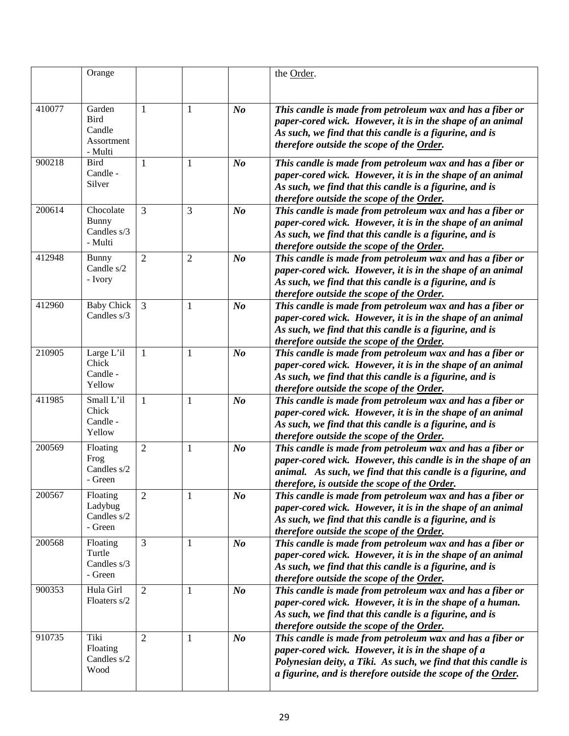|        | Orange                                                   |                |                |                | the Order.                                                                                                                                                                                                                                        |
|--------|----------------------------------------------------------|----------------|----------------|----------------|---------------------------------------------------------------------------------------------------------------------------------------------------------------------------------------------------------------------------------------------------|
|        |                                                          |                |                |                |                                                                                                                                                                                                                                                   |
| 410077 | Garden<br><b>Bird</b><br>Candle<br>Assortment<br>- Multi | 1              | $\mathbf{1}$   | $N_{0}$        | This candle is made from petroleum wax and has a fiber or<br>paper-cored wick. However, it is in the shape of an animal<br>As such, we find that this candle is a figurine, and is<br>therefore outside the scope of the Order.                   |
| 900218 | <b>Bird</b><br>Candle -<br>Silver                        | $\mathbf{1}$   | $\mathbf{1}$   | N <sub>o</sub> | This candle is made from petroleum wax and has a fiber or<br>paper-cored wick. However, it is in the shape of an animal<br>As such, we find that this candle is a figurine, and is<br>therefore outside the scope of the Order.                   |
| 200614 | Chocolate<br><b>Bunny</b><br>Candles s/3<br>- Multi      | $\overline{3}$ | 3              | N o            | This candle is made from petroleum wax and has a fiber or<br>paper-cored wick. However, it is in the shape of an animal<br>As such, we find that this candle is a figurine, and is<br>therefore outside the scope of the Order.                   |
| 412948 | Bunny<br>Candle s/2<br>- Ivory                           | $\overline{2}$ | $\overline{2}$ | N o            | This candle is made from petroleum wax and has a fiber or<br>paper-cored wick. However, it is in the shape of an animal<br>As such, we find that this candle is a figurine, and is<br>therefore outside the scope of the Order.                   |
| 412960 | <b>Baby Chick</b><br>Candles s/3                         | 3              | $\mathbf{1}$   | N <sub>o</sub> | This candle is made from petroleum wax and has a fiber or<br>paper-cored wick. However, it is in the shape of an animal<br>As such, we find that this candle is a figurine, and is<br>therefore outside the scope of the Order.                   |
| 210905 | Large L'il<br>Chick<br>Candle -<br>Yellow                | $\mathbf{1}$   | $\mathbf{1}$   | N <sub>o</sub> | This candle is made from petroleum wax and has a fiber or<br>paper-cored wick. However, it is in the shape of an animal<br>As such, we find that this candle is a figurine, and is<br>therefore outside the scope of the Order.                   |
| 411985 | Small L'il<br>Chick<br>Candle -<br>Yellow                | $\mathbf{1}$   | $\mathbf{1}$   | N <sub>o</sub> | This candle is made from petroleum wax and has a fiber or<br>paper-cored wick. However, it is in the shape of an animal<br>As such, we find that this candle is a figurine, and is<br>therefore outside the scope of the Order.                   |
| 200569 | Floating<br>Frog<br>Candles s/2<br>- Green               | $\overline{2}$ | $\mathbf{1}$   | N <sub>o</sub> | This candle is made from petroleum wax and has a fiber or<br>paper-cored wick. However, this candle is in the shape of an<br>animal. As such, we find that this candle is a figurine, and<br>therefore, is outside the scope of the Order.        |
| 200567 | Floating<br>Ladybug<br>Candles s/2<br>- Green            | $\overline{2}$ | 1              | N <sub>o</sub> | This candle is made from petroleum wax and has a fiber or<br>paper-cored wick. However, it is in the shape of an animal<br>As such, we find that this candle is a figurine, and is<br>therefore outside the scope of the Order.                   |
| 200568 | Floating<br>Turtle<br>Candles s/3<br>- Green             | $\overline{3}$ | $\mathbf{1}$   | $N_{0}$        | This candle is made from petroleum wax and has a fiber or<br>paper-cored wick. However, it is in the shape of an animal<br>As such, we find that this candle is a figurine, and is<br>therefore outside the scope of the Order.                   |
| 900353 | Hula Girl<br>Floaters s/2                                | $\overline{2}$ | $\mathbf{1}$   | $\bm{N}$       | This candle is made from petroleum wax and has a fiber or<br>paper-cored wick. However, it is in the shape of a human.<br>As such, we find that this candle is a figurine, and is<br>therefore outside the scope of the Order.                    |
| 910735 | Tiki<br>Floating<br>Candles s/2<br>Wood                  | $\overline{2}$ | 1              | $\bm{N}$       | This candle is made from petroleum wax and has a fiber or<br>paper-cored wick. However, it is in the shape of a<br>Polynesian deity, a Tiki. As such, we find that this candle is<br>a figurine, and is therefore outside the scope of the Order. |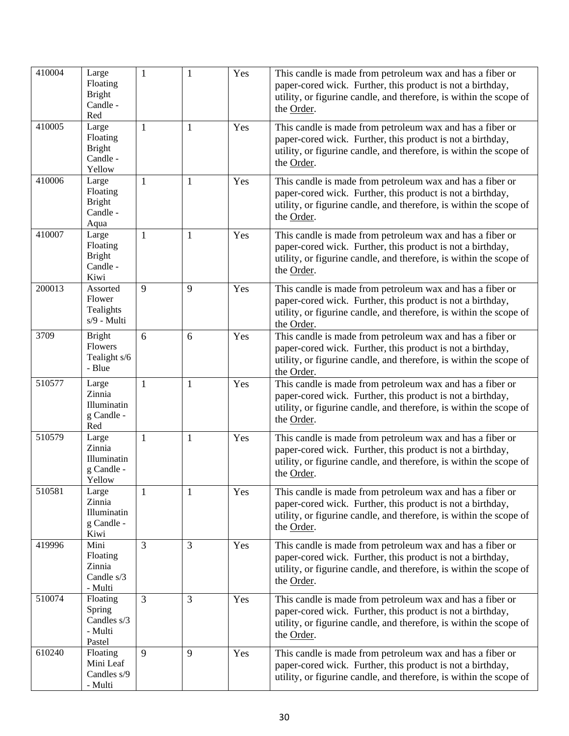| 410004 | Large<br>Floating<br><b>Bright</b><br>Candle -<br>Red    | $\mathbf{1}$   | $\mathbf{1}$ | Yes | This candle is made from petroleum wax and has a fiber or<br>paper-cored wick. Further, this product is not a birthday,<br>utility, or figurine candle, and therefore, is within the scope of<br>the Order. |
|--------|----------------------------------------------------------|----------------|--------------|-----|-------------------------------------------------------------------------------------------------------------------------------------------------------------------------------------------------------------|
| 410005 | Large<br>Floating<br><b>Bright</b><br>Candle -<br>Yellow | $\mathbf{1}$   | $\mathbf{1}$ | Yes | This candle is made from petroleum wax and has a fiber or<br>paper-cored wick. Further, this product is not a birthday,<br>utility, or figurine candle, and therefore, is within the scope of<br>the Order. |
| 410006 | Large<br>Floating<br><b>Bright</b><br>Candle -<br>Aqua   | $\mathbf{1}$   | $\mathbf{1}$ | Yes | This candle is made from petroleum wax and has a fiber or<br>paper-cored wick. Further, this product is not a birthday,<br>utility, or figurine candle, and therefore, is within the scope of<br>the Order. |
| 410007 | Large<br>Floating<br><b>Bright</b><br>Candle -<br>Kiwi   | 1              | $\mathbf{1}$ | Yes | This candle is made from petroleum wax and has a fiber or<br>paper-cored wick. Further, this product is not a birthday,<br>utility, or figurine candle, and therefore, is within the scope of<br>the Order. |
| 200013 | Assorted<br>Flower<br>Tealights<br>s/9 - Multi           | 9              | 9            | Yes | This candle is made from petroleum wax and has a fiber or<br>paper-cored wick. Further, this product is not a birthday,<br>utility, or figurine candle, and therefore, is within the scope of<br>the Order. |
| 3709   | <b>Bright</b><br>Flowers<br>Tealight s/6<br>- Blue       | 6              | 6            | Yes | This candle is made from petroleum wax and has a fiber or<br>paper-cored wick. Further, this product is not a birthday,<br>utility, or figurine candle, and therefore, is within the scope of<br>the Order. |
| 510577 | Large<br>Zinnia<br>Illuminatin<br>g Candle -<br>Red      | $\mathbf{1}$   | $\mathbf{1}$ | Yes | This candle is made from petroleum wax and has a fiber or<br>paper-cored wick. Further, this product is not a birthday,<br>utility, or figurine candle, and therefore, is within the scope of<br>the Order. |
| 510579 | Large<br>Zinnia<br>Illuminatin<br>g Candle -<br>Yellow   | 1              | $\mathbf{1}$ | Yes | This candle is made from petroleum wax and has a fiber or<br>paper-cored wick. Further, this product is not a birthday,<br>utility, or figurine candle, and therefore, is within the scope of<br>the Order. |
| 510581 | Large<br>Zinnia<br>Illuminatin<br>g Candle -<br>Kiwi     | $\mathbf{1}$   | $\mathbf{1}$ | Yes | This candle is made from petroleum wax and has a fiber or<br>paper-cored wick. Further, this product is not a birthday,<br>utility, or figurine candle, and therefore, is within the scope of<br>the Order. |
| 419996 | Mini<br>Floating<br>Zinnia<br>Candle s/3<br>- Multi      | $\overline{3}$ | 3            | Yes | This candle is made from petroleum wax and has a fiber or<br>paper-cored wick. Further, this product is not a birthday,<br>utility, or figurine candle, and therefore, is within the scope of<br>the Order. |
| 510074 | Floating<br>Spring<br>Candles s/3<br>- Multi<br>Pastel   | 3              | 3            | Yes | This candle is made from petroleum wax and has a fiber or<br>paper-cored wick. Further, this product is not a birthday,<br>utility, or figurine candle, and therefore, is within the scope of<br>the Order. |
| 610240 | Floating<br>Mini Leaf<br>Candles s/9<br>- Multi          | 9              | 9            | Yes | This candle is made from petroleum wax and has a fiber or<br>paper-cored wick. Further, this product is not a birthday,<br>utility, or figurine candle, and therefore, is within the scope of               |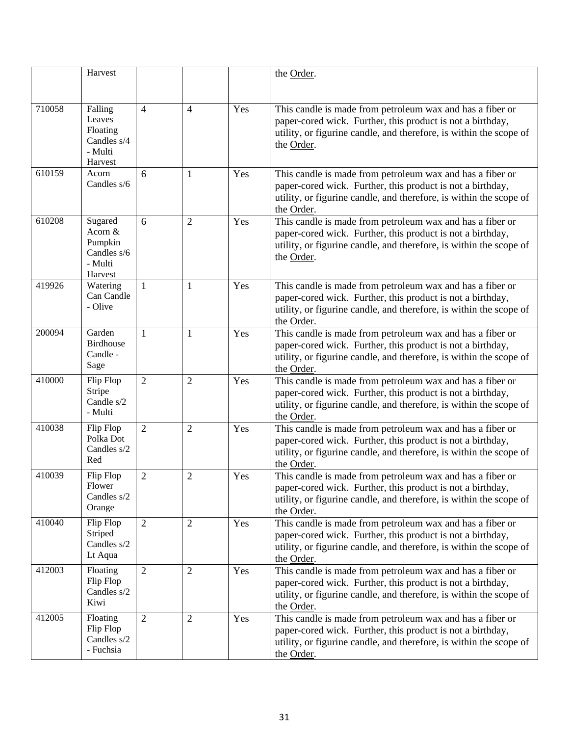|        | Harvest                                                              |                |                |     | the Order.                                                                                                                                                                                                  |
|--------|----------------------------------------------------------------------|----------------|----------------|-----|-------------------------------------------------------------------------------------------------------------------------------------------------------------------------------------------------------------|
| 710058 | Falling<br>Leaves<br>Floating<br>Candles s/4<br>- Multi<br>Harvest   | $\overline{4}$ | $\overline{4}$ | Yes | This candle is made from petroleum wax and has a fiber or<br>paper-cored wick. Further, this product is not a birthday,<br>utility, or figurine candle, and therefore, is within the scope of<br>the Order. |
| 610159 | Acorn<br>Candles s/6                                                 | 6              | $\mathbf{1}$   | Yes | This candle is made from petroleum wax and has a fiber or<br>paper-cored wick. Further, this product is not a birthday,<br>utility, or figurine candle, and therefore, is within the scope of<br>the Order. |
| 610208 | Sugared<br>Acorn $&$<br>Pumpkin<br>Candles s/6<br>- Multi<br>Harvest | 6              | $\overline{2}$ | Yes | This candle is made from petroleum wax and has a fiber or<br>paper-cored wick. Further, this product is not a birthday,<br>utility, or figurine candle, and therefore, is within the scope of<br>the Order. |
| 419926 | Watering<br>Can Candle<br>- Olive                                    | $\mathbf{1}$   | $\mathbf{1}$   | Yes | This candle is made from petroleum wax and has a fiber or<br>paper-cored wick. Further, this product is not a birthday,<br>utility, or figurine candle, and therefore, is within the scope of<br>the Order. |
| 200094 | Garden<br><b>Birdhouse</b><br>Candle -<br>Sage                       | $\mathbf{1}$   | $\mathbf{1}$   | Yes | This candle is made from petroleum wax and has a fiber or<br>paper-cored wick. Further, this product is not a birthday,<br>utility, or figurine candle, and therefore, is within the scope of<br>the Order. |
| 410000 | Flip Flop<br>Stripe<br>Candle s/2<br>- Multi                         | $\overline{2}$ | $\overline{2}$ | Yes | This candle is made from petroleum wax and has a fiber or<br>paper-cored wick. Further, this product is not a birthday,<br>utility, or figurine candle, and therefore, is within the scope of<br>the Order. |
| 410038 | Flip Flop<br>Polka Dot<br>Candles s/2<br>Red                         | $\overline{2}$ | $\overline{2}$ | Yes | This candle is made from petroleum wax and has a fiber or<br>paper-cored wick. Further, this product is not a birthday,<br>utility, or figurine candle, and therefore, is within the scope of<br>the Order. |
| 410039 | Flip Flop<br>Flower<br>Candles s/2<br>Orange                         | $\overline{2}$ | $\overline{2}$ | Yes | This candle is made from petroleum wax and has a fiber or<br>paper-cored wick. Further, this product is not a birthday,<br>utility, or figurine candle, and therefore, is within the scope of<br>the Order. |
| 410040 | Flip Flop<br>Striped<br>Candles s/2<br>Lt Aqua                       | $\overline{2}$ | $\overline{2}$ | Yes | This candle is made from petroleum wax and has a fiber or<br>paper-cored wick. Further, this product is not a birthday,<br>utility, or figurine candle, and therefore, is within the scope of<br>the Order. |
| 412003 | Floating<br>Flip Flop<br>Candles s/2<br>Kiwi                         | $\overline{2}$ | $\overline{2}$ | Yes | This candle is made from petroleum wax and has a fiber or<br>paper-cored wick. Further, this product is not a birthday,<br>utility, or figurine candle, and therefore, is within the scope of<br>the Order. |
| 412005 | Floating<br>Flip Flop<br>Candles s/2<br>- Fuchsia                    | $\overline{2}$ | $\overline{2}$ | Yes | This candle is made from petroleum wax and has a fiber or<br>paper-cored wick. Further, this product is not a birthday,<br>utility, or figurine candle, and therefore, is within the scope of<br>the Order. |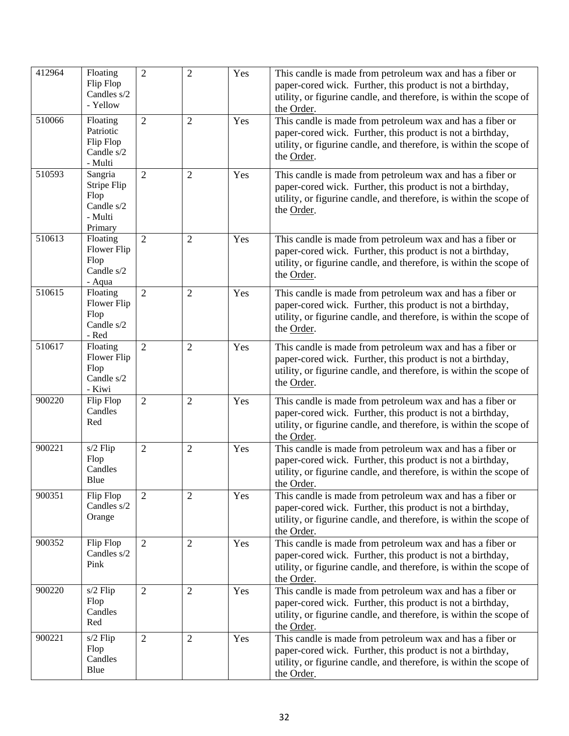| 412964 | Floating<br>Flip Flop<br>Candles s/2<br>- Yellow                   | $\overline{2}$ | $\overline{2}$ | Yes | This candle is made from petroleum wax and has a fiber or<br>paper-cored wick. Further, this product is not a birthday,<br>utility, or figurine candle, and therefore, is within the scope of<br>the Order. |
|--------|--------------------------------------------------------------------|----------------|----------------|-----|-------------------------------------------------------------------------------------------------------------------------------------------------------------------------------------------------------------|
| 510066 | Floating<br>Patriotic<br>Flip Flop<br>Candle s/2<br>- Multi        | $\overline{2}$ | $\overline{2}$ | Yes | This candle is made from petroleum wax and has a fiber or<br>paper-cored wick. Further, this product is not a birthday,<br>utility, or figurine candle, and therefore, is within the scope of<br>the Order. |
| 510593 | Sangria<br>Stripe Flip<br>Flop<br>Candle s/2<br>- Multi<br>Primary | $\overline{2}$ | $\overline{2}$ | Yes | This candle is made from petroleum wax and has a fiber or<br>paper-cored wick. Further, this product is not a birthday,<br>utility, or figurine candle, and therefore, is within the scope of<br>the Order. |
| 510613 | Floating<br>Flower Flip<br>Flop<br>Candle s/2<br>- Aqua            | $\overline{2}$ | $\overline{2}$ | Yes | This candle is made from petroleum wax and has a fiber or<br>paper-cored wick. Further, this product is not a birthday,<br>utility, or figurine candle, and therefore, is within the scope of<br>the Order. |
| 510615 | Floating<br>Flower Flip<br>Flop<br>Candle s/2<br>- Red             | $\overline{2}$ | $\overline{2}$ | Yes | This candle is made from petroleum wax and has a fiber or<br>paper-cored wick. Further, this product is not a birthday,<br>utility, or figurine candle, and therefore, is within the scope of<br>the Order. |
| 510617 | Floating<br>Flower Flip<br>Flop<br>Candle s/2<br>- Kiwi            | $\overline{2}$ | $\overline{2}$ | Yes | This candle is made from petroleum wax and has a fiber or<br>paper-cored wick. Further, this product is not a birthday,<br>utility, or figurine candle, and therefore, is within the scope of<br>the Order. |
| 900220 | Flip Flop<br>Candles<br>Red                                        | $\overline{2}$ | $\overline{2}$ | Yes | This candle is made from petroleum wax and has a fiber or<br>paper-cored wick. Further, this product is not a birthday,<br>utility, or figurine candle, and therefore, is within the scope of<br>the Order. |
| 900221 | s/2 Flip<br>Flop<br>Candles<br>Blue                                | $\overline{2}$ | $\overline{2}$ | Yes | This candle is made from petroleum wax and has a fiber or<br>paper-cored wick. Further, this product is not a birthday,<br>utility, or figurine candle, and therefore, is within the scope of<br>the Order. |
| 900351 | Flip Flop<br>Candles s/2<br>Orange                                 | $\overline{2}$ | $\overline{2}$ | Yes | This candle is made from petroleum wax and has a fiber or<br>paper-cored wick. Further, this product is not a birthday,<br>utility, or figurine candle, and therefore, is within the scope of<br>the Order. |
| 900352 | Flip Flop<br>Candles s/2<br>Pink                                   | $\overline{2}$ | $\overline{2}$ | Yes | This candle is made from petroleum wax and has a fiber or<br>paper-cored wick. Further, this product is not a birthday,<br>utility, or figurine candle, and therefore, is within the scope of<br>the Order. |
| 900220 | $s/2$ Flip<br>Flop<br>Candles<br>Red                               | $\overline{2}$ | 2              | Yes | This candle is made from petroleum wax and has a fiber or<br>paper-cored wick. Further, this product is not a birthday,<br>utility, or figurine candle, and therefore, is within the scope of<br>the Order. |
| 900221 | s/2 Flip<br>Flop<br>Candles<br>Blue                                | $\overline{2}$ | $\overline{2}$ | Yes | This candle is made from petroleum wax and has a fiber or<br>paper-cored wick. Further, this product is not a birthday,<br>utility, or figurine candle, and therefore, is within the scope of<br>the Order. |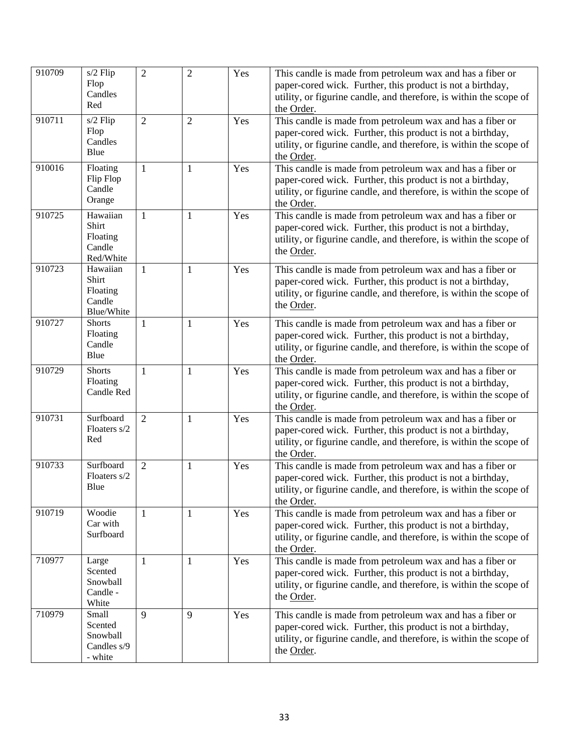| 910709 | $s/2$ Flip<br>Flop<br>Candles                          | $\overline{2}$ | $\overline{2}$ | Yes | This candle is made from petroleum wax and has a fiber or<br>paper-cored wick. Further, this product is not a birthday,<br>utility, or figurine candle, and therefore, is within the scope of               |
|--------|--------------------------------------------------------|----------------|----------------|-----|-------------------------------------------------------------------------------------------------------------------------------------------------------------------------------------------------------------|
|        | Red                                                    |                |                |     | the Order.                                                                                                                                                                                                  |
| 910711 | s/2 Flip<br>Flop<br>Candles<br>Blue                    | $\overline{2}$ | $\overline{2}$ | Yes | This candle is made from petroleum wax and has a fiber or<br>paper-cored wick. Further, this product is not a birthday,<br>utility, or figurine candle, and therefore, is within the scope of<br>the Order. |
| 910016 | Floating<br>Flip Flop<br>Candle<br>Orange              | $\mathbf{1}$   | $\mathbf{1}$   | Yes | This candle is made from petroleum wax and has a fiber or<br>paper-cored wick. Further, this product is not a birthday,<br>utility, or figurine candle, and therefore, is within the scope of<br>the Order. |
| 910725 | Hawaiian<br>Shirt<br>Floating<br>Candle<br>Red/White   | $\mathbf{1}$   | $\mathbf{1}$   | Yes | This candle is made from petroleum wax and has a fiber or<br>paper-cored wick. Further, this product is not a birthday,<br>utility, or figurine candle, and therefore, is within the scope of<br>the Order. |
| 910723 | Hawaiian<br>Shirt<br>Floating<br>Candle<br>Blue/White  | $\mathbf{1}$   | $\mathbf{1}$   | Yes | This candle is made from petroleum wax and has a fiber or<br>paper-cored wick. Further, this product is not a birthday,<br>utility, or figurine candle, and therefore, is within the scope of<br>the Order. |
| 910727 | <b>Shorts</b><br>Floating<br>Candle<br>Blue            | $\mathbf{1}$   | $\mathbf{1}$   | Yes | This candle is made from petroleum wax and has a fiber or<br>paper-cored wick. Further, this product is not a birthday,<br>utility, or figurine candle, and therefore, is within the scope of<br>the Order. |
| 910729 | <b>Shorts</b><br>Floating<br>Candle Red                | $\mathbf{1}$   | $\mathbf{1}$   | Yes | This candle is made from petroleum wax and has a fiber or<br>paper-cored wick. Further, this product is not a birthday,<br>utility, or figurine candle, and therefore, is within the scope of<br>the Order. |
| 910731 | Surfboard<br>Floaters s/2<br>Red                       | $\overline{2}$ | $\mathbf{1}$   | Yes | This candle is made from petroleum wax and has a fiber or<br>paper-cored wick. Further, this product is not a birthday,<br>utility, or figurine candle, and therefore, is within the scope of<br>the Order. |
| 910733 | Surfboard<br>Floaters s/2<br>Blue                      | $\overline{2}$ | $\mathbf{1}$   | Yes | This candle is made from petroleum wax and has a fiber or<br>paper-cored wick. Further, this product is not a birthday,<br>utility, or figurine candle, and therefore, is within the scope of<br>the Order. |
| 910719 | Woodie<br>Car with<br>Surfboard                        | $\mathbf{1}$   | $\mathbf{1}$   | Yes | This candle is made from petroleum wax and has a fiber or<br>paper-cored wick. Further, this product is not a birthday,<br>utility, or figurine candle, and therefore, is within the scope of<br>the Order. |
| 710977 | Large<br>Scented<br>Snowball<br>Candle -<br>White      | $\mathbf{1}$   | $\mathbf{1}$   | Yes | This candle is made from petroleum wax and has a fiber or<br>paper-cored wick. Further, this product is not a birthday,<br>utility, or figurine candle, and therefore, is within the scope of<br>the Order. |
| 710979 | Small<br>Scented<br>Snowball<br>Candles s/9<br>- white | 9              | 9              | Yes | This candle is made from petroleum wax and has a fiber or<br>paper-cored wick. Further, this product is not a birthday,<br>utility, or figurine candle, and therefore, is within the scope of<br>the Order. |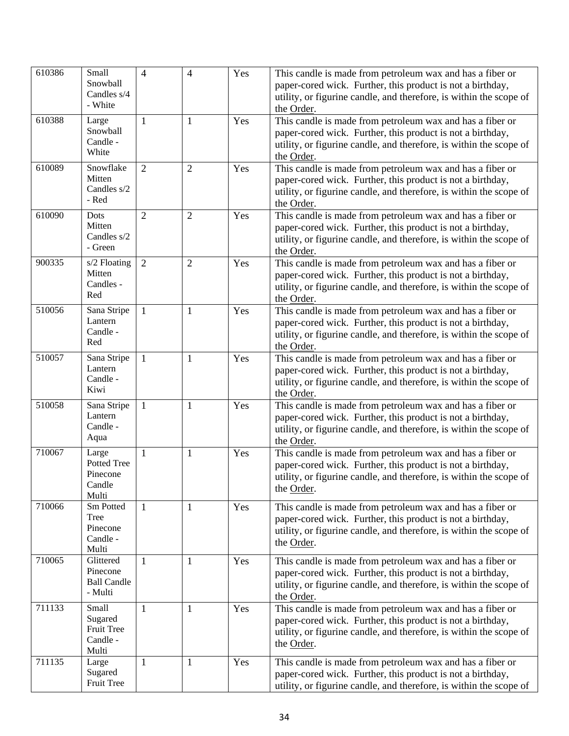| 610386 | Small<br>Snowball<br>Candles s/4<br>- White            | $\overline{4}$ | $\overline{4}$ | Yes | This candle is made from petroleum wax and has a fiber or<br>paper-cored wick. Further, this product is not a birthday,<br>utility, or figurine candle, and therefore, is within the scope of<br>the Order. |
|--------|--------------------------------------------------------|----------------|----------------|-----|-------------------------------------------------------------------------------------------------------------------------------------------------------------------------------------------------------------|
| 610388 | Large<br>Snowball<br>Candle -<br>White                 | $\mathbf{1}$   | $\mathbf{1}$   | Yes | This candle is made from petroleum wax and has a fiber or<br>paper-cored wick. Further, this product is not a birthday,<br>utility, or figurine candle, and therefore, is within the scope of<br>the Order. |
| 610089 | Snowflake<br>Mitten<br>Candles s/2<br>- Red            | $\overline{2}$ | $\overline{2}$ | Yes | This candle is made from petroleum wax and has a fiber or<br>paper-cored wick. Further, this product is not a birthday,<br>utility, or figurine candle, and therefore, is within the scope of<br>the Order. |
| 610090 | Dots<br>Mitten<br>Candles s/2<br>- Green               | $\overline{2}$ | $\overline{2}$ | Yes | This candle is made from petroleum wax and has a fiber or<br>paper-cored wick. Further, this product is not a birthday,<br>utility, or figurine candle, and therefore, is within the scope of<br>the Order. |
| 900335 | s/2 Floating<br>Mitten<br>Candles -<br>Red             | $\overline{2}$ | $\overline{2}$ | Yes | This candle is made from petroleum wax and has a fiber or<br>paper-cored wick. Further, this product is not a birthday,<br>utility, or figurine candle, and therefore, is within the scope of<br>the Order. |
| 510056 | Sana Stripe<br>Lantern<br>Candle -<br>Red              | 1              | $\mathbf{1}$   | Yes | This candle is made from petroleum wax and has a fiber or<br>paper-cored wick. Further, this product is not a birthday,<br>utility, or figurine candle, and therefore, is within the scope of<br>the Order. |
| 510057 | Sana Stripe<br>Lantern<br>Candle -<br>Kiwi             | 1              | 1              | Yes | This candle is made from petroleum wax and has a fiber or<br>paper-cored wick. Further, this product is not a birthday,<br>utility, or figurine candle, and therefore, is within the scope of<br>the Order. |
| 510058 | Sana Stripe<br>Lantern<br>Candle -<br>Aqua             | 1              | $\mathbf{1}$   | Yes | This candle is made from petroleum wax and has a fiber or<br>paper-cored wick. Further, this product is not a birthday,<br>utility, or figurine candle, and therefore, is within the scope of<br>the Order. |
| 710067 | Large<br>Potted Tree<br>Pinecone<br>Candle<br>Multi    | 1              | 1              | Yes | This candle is made from petroleum wax and has a fiber or<br>paper-cored wick. Further, this product is not a birthday,<br>utility, or figurine candle, and therefore, is within the scope of<br>the Order. |
| 710066 | Sm Potted<br>Tree<br>Pinecone<br>Candle -<br>Multi     | 1              | $\mathbf{1}$   | Yes | This candle is made from petroleum wax and has a fiber or<br>paper-cored wick. Further, this product is not a birthday,<br>utility, or figurine candle, and therefore, is within the scope of<br>the Order. |
| 710065 | Glittered<br>Pinecone<br><b>Ball Candle</b><br>- Multi | 1              | $\mathbf{1}$   | Yes | This candle is made from petroleum wax and has a fiber or<br>paper-cored wick. Further, this product is not a birthday,<br>utility, or figurine candle, and therefore, is within the scope of<br>the Order. |
| 711133 | Small<br>Sugared<br>Fruit Tree<br>Candle -<br>Multi    | 1              | 1              | Yes | This candle is made from petroleum wax and has a fiber or<br>paper-cored wick. Further, this product is not a birthday,<br>utility, or figurine candle, and therefore, is within the scope of<br>the Order. |
| 711135 | Large<br>Sugared<br>Fruit Tree                         | 1              | $\mathbf{1}$   | Yes | This candle is made from petroleum wax and has a fiber or<br>paper-cored wick. Further, this product is not a birthday,<br>utility, or figurine candle, and therefore, is within the scope of               |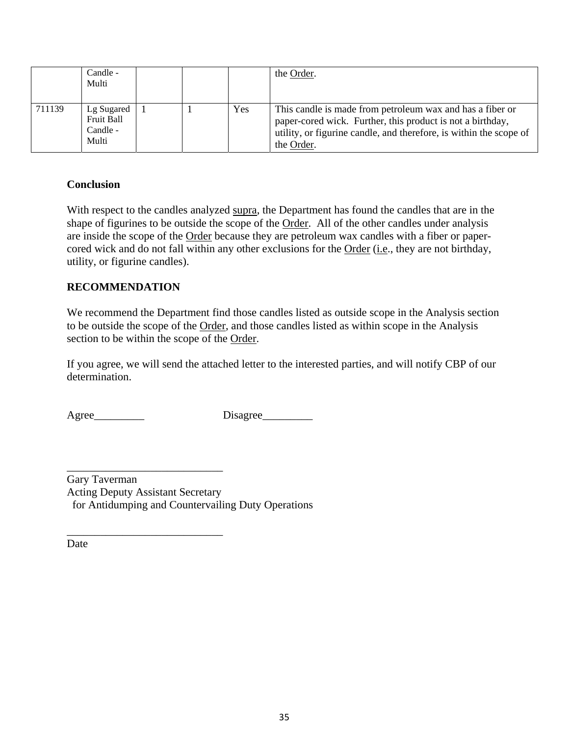|        | Candle -<br>Multi                             |  |     | the Order.                                                                                                                                                                                                  |
|--------|-----------------------------------------------|--|-----|-------------------------------------------------------------------------------------------------------------------------------------------------------------------------------------------------------------|
| 711139 | Lg Sugared<br>Fruit Ball<br>Candle -<br>Multi |  | Yes | This candle is made from petroleum wax and has a fiber or<br>paper-cored wick. Further, this product is not a birthday,<br>utility, or figurine candle, and therefore, is within the scope of<br>the Order. |

### **Conclusion**

With respect to the candles analyzed supra, the Department has found the candles that are in the shape of figurines to be outside the scope of the Order. All of the other candles under analysis are inside the scope of the Order because they are petroleum wax candles with a fiber or papercored wick and do not fall within any other exclusions for the Order (i.e., they are not birthday, utility, or figurine candles).

### **RECOMMENDATION**

We recommend the Department find those candles listed as outside scope in the Analysis section to be outside the scope of the Order, and those candles listed as within scope in the Analysis section to be within the scope of the Order.

If you agree, we will send the attached letter to the interested parties, and will notify CBP of our determination.

\_\_\_\_\_\_\_\_\_\_\_\_\_\_\_\_\_\_\_\_\_\_\_\_\_\_\_\_

\_\_\_\_\_\_\_\_\_\_\_\_\_\_\_\_\_\_\_\_\_\_\_\_\_\_\_\_

Agree\_\_\_\_\_\_\_\_\_ Disagree\_\_\_\_\_\_\_\_\_

Gary Taverman Acting Deputy Assistant Secretary for Antidumping and Countervailing Duty Operations

Date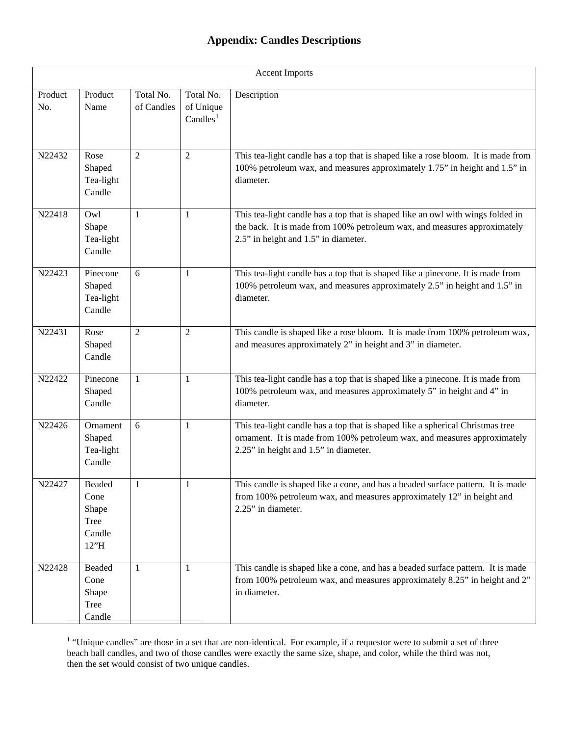# **Appendix: Candles Descriptions**

| <b>Accent Imports</b> |                                                   |                         |                                                |                                                                                                                                                                                                     |  |  |
|-----------------------|---------------------------------------------------|-------------------------|------------------------------------------------|-----------------------------------------------------------------------------------------------------------------------------------------------------------------------------------------------------|--|--|
| Product<br>No.        | Product<br>Name                                   | Total No.<br>of Candles | Total No.<br>of Unique<br>Candles <sup>1</sup> | Description                                                                                                                                                                                         |  |  |
| N22432                | Rose<br>Shaped<br>Tea-light<br>Candle             | 2                       | $\overline{2}$                                 | This tea-light candle has a top that is shaped like a rose bloom. It is made from<br>100% petroleum wax, and measures approximately 1.75" in height and 1.5" in<br>diameter.                        |  |  |
| N22418                | Owl<br>Shape<br>Tea-light<br>Candle               | $\mathbf{1}$            | $\mathbf{1}$                                   | This tea-light candle has a top that is shaped like an owl with wings folded in<br>the back. It is made from 100% petroleum wax, and measures approximately<br>2.5" in height and 1.5" in diameter. |  |  |
| N22423                | Pinecone<br>Shaped<br>Tea-light<br>Candle         | 6                       | 1                                              | This tea-light candle has a top that is shaped like a pinecone. It is made from<br>100% petroleum wax, and measures approximately 2.5" in height and 1.5" in<br>diameter.                           |  |  |
| N22431                | Rose<br>Shaped<br>Candle                          | $\overline{2}$          | $\overline{2}$                                 | This candle is shaped like a rose bloom. It is made from 100% petroleum wax,<br>and measures approximately 2" in height and 3" in diameter.                                                         |  |  |
| N22422                | Pinecone<br>Shaped<br>Candle                      | $\mathbf{1}$            | 1                                              | This tea-light candle has a top that is shaped like a pinecone. It is made from<br>100% petroleum wax, and measures approximately 5" in height and 4" in<br>diameter.                               |  |  |
| N22426                | Ornament<br>Shaped<br>Tea-light<br>Candle         | 6                       | 1                                              | This tea-light candle has a top that is shaped like a spherical Christmas tree<br>ornament. It is made from 100% petroleum wax, and measures approximately<br>2.25" in height and 1.5" in diameter. |  |  |
| N22427                | Beaded<br>Cone<br>Shape<br>Tree<br>Candle<br>12"H | 1                       | 1                                              | This candle is shaped like a cone, and has a beaded surface pattern. It is made<br>from 100% petroleum wax, and measures approximately 12" in height and<br>2.25" in diameter.                      |  |  |
| N22428                | Beaded<br>Cone<br>Shape<br>Tree<br>Candle         | $\mathbf{1}$            | 1                                              | This candle is shaped like a cone, and has a beaded surface pattern. It is made<br>from 100% petroleum wax, and measures approximately 8.25" in height and 2"<br>in diameter.                       |  |  |

<span id="page-35-0"></span> $<sup>1</sup>$  "Unique candles" are those in a set that are non-identical. For example, if a requestor were to submit a set of three</sup> beach ball candles, and two of those candles were exactly the same size, shape, and color, while the third was not, then the set would consist of two unique candles.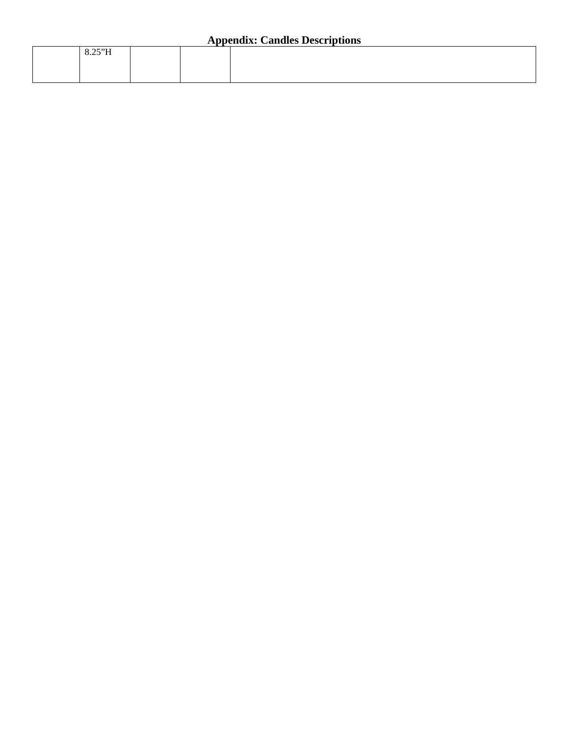| $- - - - -$<br>$0.23 \text{ H}$ |  |
|---------------------------------|--|
|                                 |  |
|                                 |  |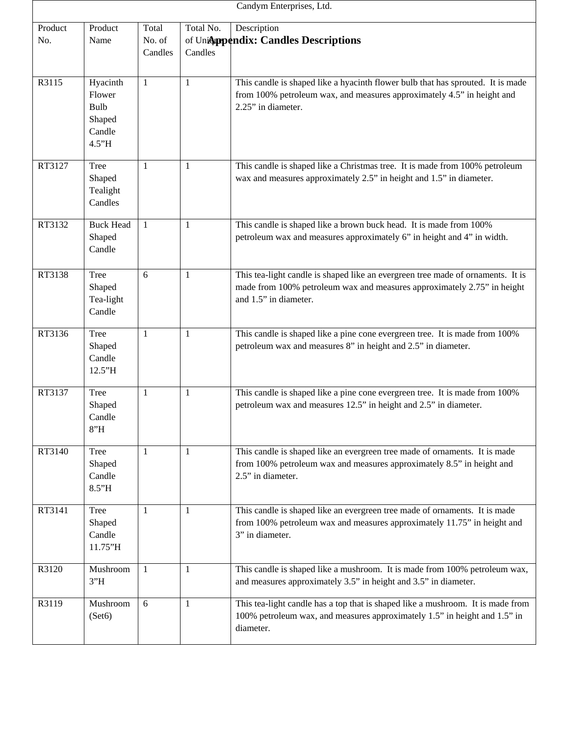|                | Candym Enterprises, Ltd.                                |                            |                      |                                                                                                                                                                                     |  |  |  |
|----------------|---------------------------------------------------------|----------------------------|----------------------|-------------------------------------------------------------------------------------------------------------------------------------------------------------------------------------|--|--|--|
| Product<br>No. | Product<br>Name                                         | Total<br>No. of<br>Candles | Total No.<br>Candles | Description<br>of Unicoppendix: Candles Descriptions                                                                                                                                |  |  |  |
| R3115          | Hyacinth<br>Flower<br>Bulb<br>Shaped<br>Candle<br>4.5"H | 1                          | 1                    | This candle is shaped like a hyacinth flower bulb that has sprouted. It is made<br>from 100% petroleum wax, and measures approximately 4.5" in height and<br>2.25" in diameter.     |  |  |  |
| RT3127         | Tree<br>Shaped<br>Tealight<br>Candles                   | 1                          | 1                    | This candle is shaped like a Christmas tree. It is made from 100% petroleum<br>wax and measures approximately 2.5" in height and 1.5" in diameter.                                  |  |  |  |
| RT3132         | <b>Buck Head</b><br>Shaped<br>Candle                    | $\mathbf{1}$               | 1                    | This candle is shaped like a brown buck head. It is made from 100%<br>petroleum wax and measures approximately 6" in height and 4" in width.                                        |  |  |  |
| RT3138         | <b>Tree</b><br>Shaped<br>Tea-light<br>Candle            | 6                          | 1                    | This tea-light candle is shaped like an evergreen tree made of ornaments. It is<br>made from 100% petroleum wax and measures approximately 2.75" in height<br>and 1.5" in diameter. |  |  |  |
| RT3136         | Tree<br>Shaped<br>Candle<br>12.5"H                      | $\mathbf{1}$               | 1                    | This candle is shaped like a pine cone evergreen tree. It is made from 100%<br>petroleum wax and measures 8" in height and 2.5" in diameter.                                        |  |  |  |
| RT3137         | Tree<br>Shaped<br>Candle<br>8"H                         | 1                          | 1                    | This candle is shaped like a pine cone evergreen tree. It is made from 100%<br>petroleum wax and measures 12.5" in height and 2.5" in diameter.                                     |  |  |  |
| RT3140         | <b>Tree</b><br>Shaped<br>Candle<br>8.5"H                | $\mathbf{1}$               | 1                    | This candle is shaped like an evergreen tree made of ornaments. It is made<br>from 100% petroleum wax and measures approximately 8.5" in height and<br>2.5" in diameter.            |  |  |  |
| RT3141         | <b>Tree</b><br>Shaped<br>Candle<br>11.75"H              | 1                          | 1                    | This candle is shaped like an evergreen tree made of ornaments. It is made<br>from 100% petroleum wax and measures approximately 11.75" in height and<br>3" in diameter.            |  |  |  |
| R3120          | Mushroom<br>3"H                                         | $\mathbf{1}$               | 1                    | This candle is shaped like a mushroom. It is made from 100% petroleum wax,<br>and measures approximately 3.5" in height and 3.5" in diameter.                                       |  |  |  |
| R3119          | Mushroom<br>(Set6)                                      | 6                          | 1                    | This tea-light candle has a top that is shaped like a mushroom. It is made from<br>100% petroleum wax, and measures approximately 1.5" in height and 1.5" in<br>diameter.           |  |  |  |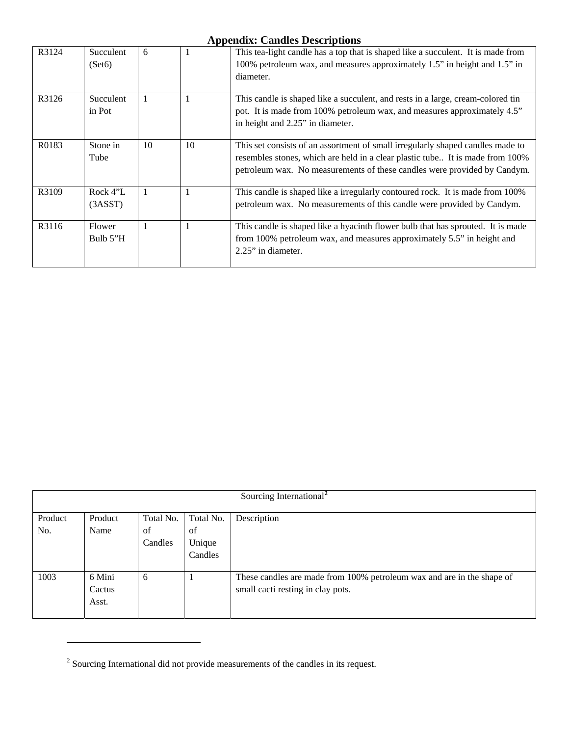| R3124 | Succulent<br>(Set6) | 6  | -1 | This tea-light candle has a top that is shaped like a succulent. It is made from<br>100% petroleum wax, and measures approximately 1.5" in height and 1.5" in<br>diameter.                                                                  |
|-------|---------------------|----|----|---------------------------------------------------------------------------------------------------------------------------------------------------------------------------------------------------------------------------------------------|
| R3126 | Succulent<br>in Pot | -1 |    | This candle is shaped like a succulent, and rests in a large, cream-colored tin<br>pot. It is made from 100% petroleum wax, and measures approximately 4.5"<br>in height and 2.25" in diameter.                                             |
| R0183 | Stone in<br>Tube    | 10 | 10 | This set consists of an assortment of small irregularly shaped candles made to<br>resembles stones, which are held in a clear plastic tube It is made from 100%<br>petroleum wax. No measurements of these candles were provided by Candym. |
| R3109 | Rock 4"L<br>(3ASST) | -1 |    | This candle is shaped like a irregularly contoured rock. It is made from 100%<br>petroleum wax. No measurements of this candle were provided by Candym.                                                                                     |
| R3116 | Flower<br>Bulb 5"H  | 1  |    | This candle is shaped like a hyacinth flower bulb that has sprouted. It is made<br>from 100% petroleum wax, and measures approximately 5.5" in height and<br>$2.25$ " in diameter.                                                          |

|         | Sourcing International <sup>2</sup> |               |              |                                                                                                             |  |
|---------|-------------------------------------|---------------|--------------|-------------------------------------------------------------------------------------------------------------|--|
| Product | Product                             | Total No.     | Total No.    | Description                                                                                                 |  |
| No.     | Name                                | of<br>Candles | of<br>Unique |                                                                                                             |  |
|         |                                     |               | Candles      |                                                                                                             |  |
| 1003    | 6 Mini<br>Cactus<br>Asst.           | 6             |              | These candles are made from 100% petroleum wax and are in the shape of<br>small cacti resting in clay pots. |  |

<span id="page-38-0"></span> $2^2$  Sourcing International did not provide measurements of the candles in its request.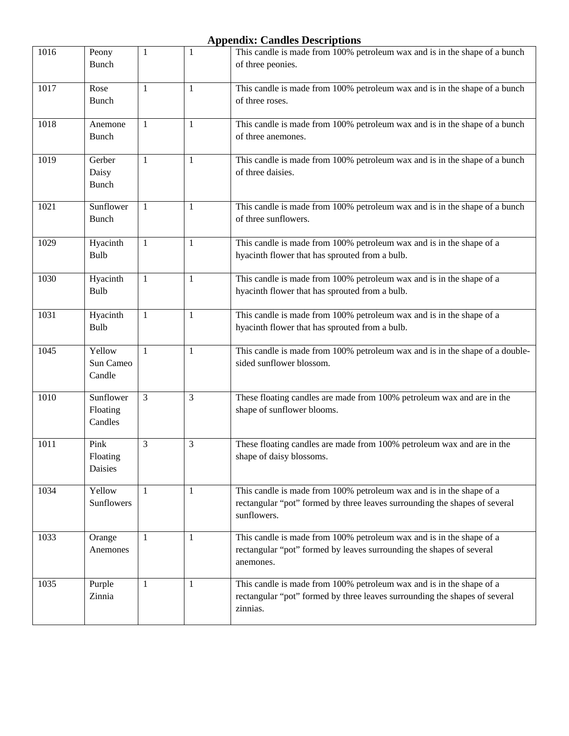| 1016 | Peony<br><b>Bunch</b>            | 1              | 1            | This candle is made from 100% petroleum wax and is in the shape of a bunch<br>of three peonies.                                                                   |
|------|----------------------------------|----------------|--------------|-------------------------------------------------------------------------------------------------------------------------------------------------------------------|
| 1017 | Rose<br><b>Bunch</b>             | 1              | 1            | This candle is made from 100% petroleum wax and is in the shape of a bunch<br>of three roses.                                                                     |
| 1018 | Anemone<br><b>Bunch</b>          | 1              | 1            | This candle is made from 100% petroleum wax and is in the shape of a bunch<br>of three anemones.                                                                  |
| 1019 | Gerber<br>Daisy<br><b>Bunch</b>  | 1              | 1            | This candle is made from 100% petroleum wax and is in the shape of a bunch<br>of three daisies.                                                                   |
| 1021 | Sunflower<br><b>Bunch</b>        | 1              | 1            | This candle is made from 100% petroleum wax and is in the shape of a bunch<br>of three sunflowers.                                                                |
| 1029 | Hyacinth<br>Bulb                 | 1              | 1            | This candle is made from 100% petroleum wax and is in the shape of a<br>hyacinth flower that has sprouted from a bulb.                                            |
| 1030 | Hyacinth<br>Bulb                 | $\mathbf{1}$   | $\mathbf{1}$ | This candle is made from 100% petroleum wax and is in the shape of a<br>hyacinth flower that has sprouted from a bulb.                                            |
| 1031 | Hyacinth<br>Bulb                 | 1              | 1            | This candle is made from 100% petroleum wax and is in the shape of a<br>hyacinth flower that has sprouted from a bulb.                                            |
| 1045 | Yellow<br>Sun Cameo<br>Candle    | $\mathbf{1}$   | 1            | This candle is made from 100% petroleum wax and is in the shape of a double-<br>sided sunflower blossom.                                                          |
| 1010 | Sunflower<br>Floating<br>Candles | $\overline{3}$ | 3            | These floating candles are made from 100% petroleum wax and are in the<br>shape of sunflower blooms.                                                              |
| 1011 | Pink<br>Floating<br>Daisies      | 3              | 3            | These floating candles are made from 100% petroleum wax and are in the<br>shape of daisy blossoms.                                                                |
| 1034 | Yellow<br>Sunflowers             | $\mathbf{1}$   | 1            | This candle is made from 100% petroleum wax and is in the shape of a<br>rectangular "pot" formed by three leaves surrounding the shapes of several<br>sunflowers. |
| 1033 | Orange<br>Anemones               | 1              | $\mathbf{1}$ | This candle is made from 100% petroleum wax and is in the shape of a<br>rectangular "pot" formed by leaves surrounding the shapes of several<br>anemones.         |
| 1035 | Purple<br>Zinnia                 | 1              | 1            | This candle is made from 100% petroleum wax and is in the shape of a<br>rectangular "pot" formed by three leaves surrounding the shapes of several<br>zinnias.    |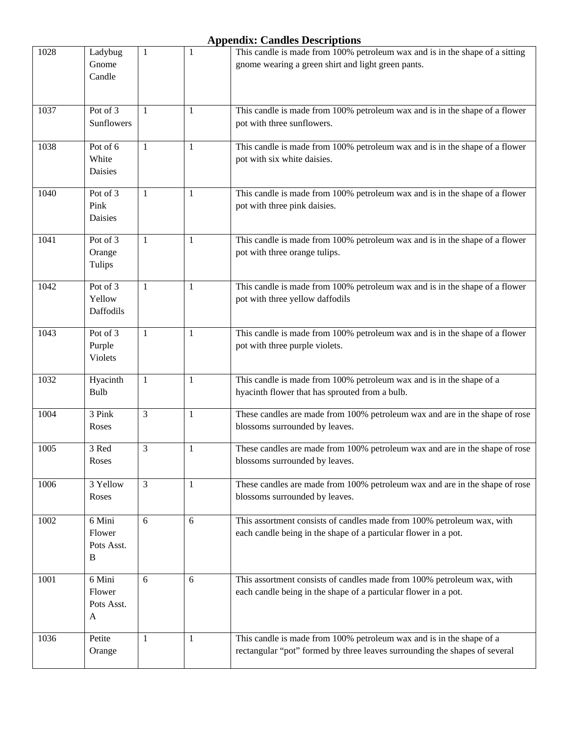| 1028 | Ladybug              | 1              | 1            | This candle is made from 100% petroleum wax and is in the shape of a sitting |
|------|----------------------|----------------|--------------|------------------------------------------------------------------------------|
|      | Gnome                |                |              | gnome wearing a green shirt and light green pants.                           |
|      | Candle               |                |              |                                                                              |
|      |                      |                |              |                                                                              |
| 1037 | Pot of 3             | $\mathbf{1}$   | 1            | This candle is made from 100% petroleum wax and is in the shape of a flower  |
|      | Sunflowers           |                |              | pot with three sunflowers.                                                   |
| 1038 | Pot of 6             | $\mathbf{1}$   | $\mathbf{1}$ | This candle is made from 100% petroleum wax and is in the shape of a flower  |
|      | White                |                |              | pot with six white daisies.                                                  |
|      | Daisies              |                |              |                                                                              |
| 1040 | Pot of 3             | $\mathbf{1}$   | $\mathbf{1}$ | This candle is made from 100% petroleum wax and is in the shape of a flower  |
|      | Pink                 |                |              | pot with three pink daisies.                                                 |
|      | Daisies              |                |              |                                                                              |
|      |                      |                |              |                                                                              |
| 1041 | Pot of 3             | 1              | 1            | This candle is made from 100% petroleum wax and is in the shape of a flower  |
|      | Orange<br>Tulips     |                |              | pot with three orange tulips.                                                |
|      |                      |                |              |                                                                              |
| 1042 | Pot of 3             | 1              | 1            | This candle is made from 100% petroleum wax and is in the shape of a flower  |
|      | Yellow               |                |              | pot with three yellow daffodils                                              |
|      | Daffodils            |                |              |                                                                              |
| 1043 | Pot of 3             | 1              | 1            | This candle is made from 100% petroleum wax and is in the shape of a flower  |
|      | Purple               |                |              | pot with three purple violets.                                               |
|      | <b>Violets</b>       |                |              |                                                                              |
| 1032 | Hyacinth             | 1              | 1            | This candle is made from 100% petroleum wax and is in the shape of a         |
|      | Bulb                 |                |              | hyacinth flower that has sprouted from a bulb.                               |
| 1004 | 3 Pink               | $\overline{3}$ | 1            | These candles are made from 100% petroleum wax and are in the shape of rose  |
|      | Roses                |                |              | blossoms surrounded by leaves.                                               |
|      |                      |                |              |                                                                              |
| 1005 | 3 Red                | 3              | 1            | These candles are made from 100% petroleum wax and are in the shape of rose  |
|      | Roses                |                |              | blossoms surrounded by leaves.                                               |
| 1006 | 3 Yellow             | 3              | 1            | These candles are made from 100% petroleum wax and are in the shape of rose  |
|      | Roses                |                |              | blossoms surrounded by leaves.                                               |
|      |                      |                |              |                                                                              |
| 1002 | 6 Mini<br>Flower     | 6              | 6            | This assortment consists of candles made from 100% petroleum wax, with       |
|      | Pots Asst.           |                |              | each candle being in the shape of a particular flower in a pot.              |
|      | B                    |                |              |                                                                              |
|      |                      |                |              |                                                                              |
| 1001 | 6 Mini               | 6              | 6            | This assortment consists of candles made from 100% petroleum wax, with       |
|      | Flower<br>Pots Asst. |                |              | each candle being in the shape of a particular flower in a pot.              |
|      | A                    |                |              |                                                                              |
|      |                      |                |              |                                                                              |
| 1036 | Petite               | 1              | 1            | This candle is made from 100% petroleum wax and is in the shape of a         |
|      | Orange               |                |              | rectangular "pot" formed by three leaves surrounding the shapes of several   |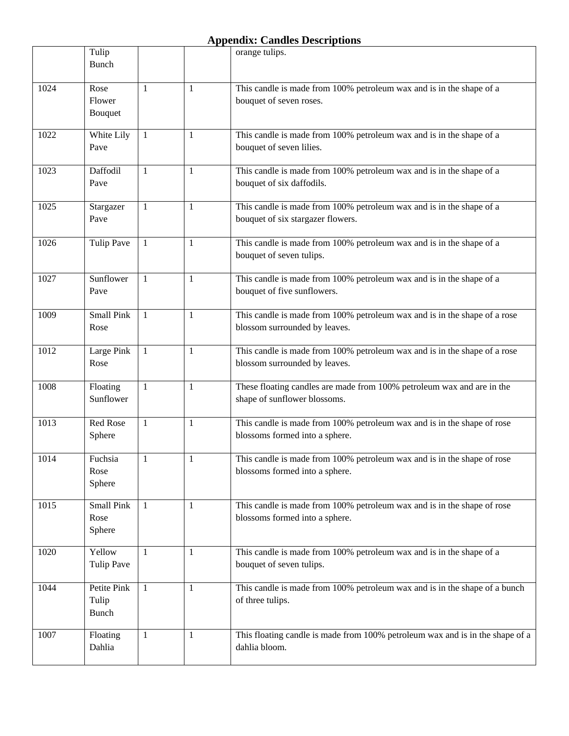|      | Tulip<br><b>Bunch</b>                |                |              | orange tulips.                                                                                             |
|------|--------------------------------------|----------------|--------------|------------------------------------------------------------------------------------------------------------|
| 1024 | Rose<br>Flower<br>Bouquet            | 1              | 1            | This candle is made from 100% petroleum wax and is in the shape of a<br>bouquet of seven roses.            |
| 1022 | White Lily<br>Pave                   | 1              | 1            | This candle is made from 100% petroleum wax and is in the shape of a<br>bouquet of seven lilies.           |
| 1023 | Daffodil<br>Pave                     | 1              | 1            | This candle is made from 100% petroleum wax and is in the shape of a<br>bouquet of six daffodils.          |
| 1025 | Stargazer<br>Pave                    | 1              | 1            | This candle is made from 100% petroleum wax and is in the shape of a<br>bouquet of six stargazer flowers.  |
| 1026 | <b>Tulip Pave</b>                    | -1             | 1            | This candle is made from 100% petroleum wax and is in the shape of a<br>bouquet of seven tulips.           |
| 1027 | Sunflower<br>Pave                    | 1              | $\mathbf{1}$ | This candle is made from 100% petroleum wax and is in the shape of a<br>bouquet of five sunflowers.        |
| 1009 | <b>Small Pink</b><br>Rose            | $\overline{1}$ | 1            | This candle is made from 100% petroleum wax and is in the shape of a rose<br>blossom surrounded by leaves. |
| 1012 | Large Pink<br>Rose                   | 1              | 1            | This candle is made from 100% petroleum wax and is in the shape of a rose<br>blossom surrounded by leaves. |
| 1008 | Floating<br>Sunflower                | $\mathbf{1}$   | 1            | These floating candles are made from 100% petroleum wax and are in the<br>shape of sunflower blossoms.     |
| 1013 | Red Rose<br>Sphere                   | 1              | 1            | This candle is made from 100% petroleum wax and is in the shape of rose<br>blossoms formed into a sphere.  |
| 1014 | Fuchsia<br>Rose<br>Sphere            | 1              | 1            | This candle is made from 100% petroleum wax and is in the shape of rose<br>blossoms formed into a sphere.  |
| 1015 | Small Pink<br>Rose<br>Sphere         | $\overline{1}$ | 1            | This candle is made from 100% petroleum wax and is in the shape of rose<br>blossoms formed into a sphere.  |
| 1020 | Yellow<br><b>Tulip Pave</b>          | 1              | 1            | This candle is made from 100% petroleum wax and is in the shape of a<br>bouquet of seven tulips.           |
| 1044 | Petite Pink<br>Tulip<br><b>Bunch</b> | $\mathbf{1}$   | $\mathbf{1}$ | This candle is made from 100% petroleum wax and is in the shape of a bunch<br>of three tulips.             |
| 1007 | Floating<br>Dahlia                   | 1              | 1            | This floating candle is made from 100% petroleum wax and is in the shape of a<br>dahlia bloom.             |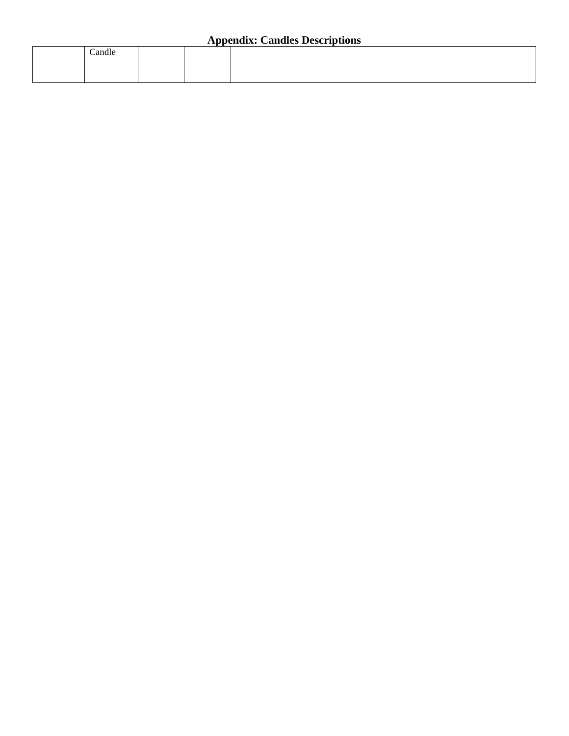|  | Candle |  |  |  |  |
|--|--------|--|--|--|--|
|  |        |  |  |  |  |
|  |        |  |  |  |  |
|  |        |  |  |  |  |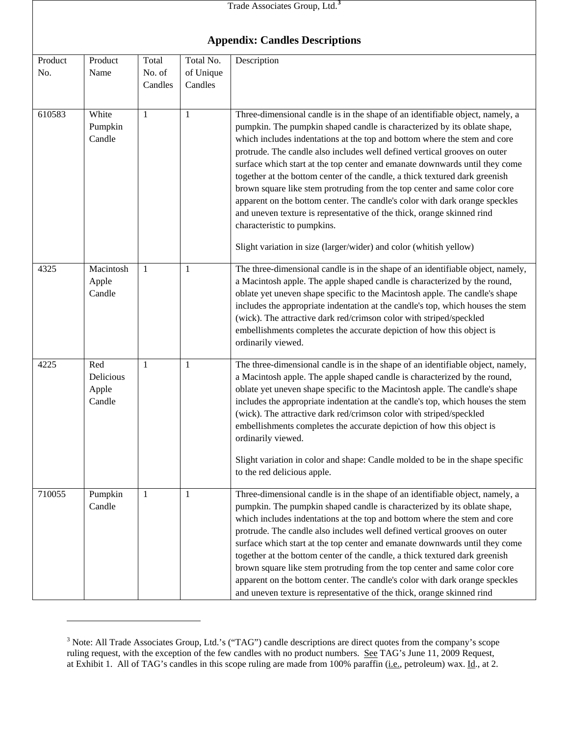|                | Trade Associates Group, Ltd. <sup>3</sup><br><b>Appendix: Candles Descriptions</b> |                            |                                   |                                                                                                                                                                                                                                                                                                                                                                                                                                                                                                                                                                                                                                                                                                                                                                                                                              |  |  |  |
|----------------|------------------------------------------------------------------------------------|----------------------------|-----------------------------------|------------------------------------------------------------------------------------------------------------------------------------------------------------------------------------------------------------------------------------------------------------------------------------------------------------------------------------------------------------------------------------------------------------------------------------------------------------------------------------------------------------------------------------------------------------------------------------------------------------------------------------------------------------------------------------------------------------------------------------------------------------------------------------------------------------------------------|--|--|--|
|                |                                                                                    |                            |                                   |                                                                                                                                                                                                                                                                                                                                                                                                                                                                                                                                                                                                                                                                                                                                                                                                                              |  |  |  |
| Product<br>No. | Product<br>Name                                                                    | Total<br>No. of<br>Candles | Total No.<br>of Unique<br>Candles | Description                                                                                                                                                                                                                                                                                                                                                                                                                                                                                                                                                                                                                                                                                                                                                                                                                  |  |  |  |
| 610583         | White<br>Pumpkin<br>Candle                                                         | 1                          | 1                                 | Three-dimensional candle is in the shape of an identifiable object, namely, a<br>pumpkin. The pumpkin shaped candle is characterized by its oblate shape,<br>which includes indentations at the top and bottom where the stem and core<br>protrude. The candle also includes well defined vertical grooves on outer<br>surface which start at the top center and emanate downwards until they come<br>together at the bottom center of the candle, a thick textured dark greenish<br>brown square like stem protruding from the top center and same color core<br>apparent on the bottom center. The candle's color with dark orange speckles<br>and uneven texture is representative of the thick, orange skinned rind<br>characteristic to pumpkins.<br>Slight variation in size (larger/wider) and color (whitish yellow) |  |  |  |
| 4325           | Macintosh<br>Apple<br>Candle                                                       | 1                          | 1                                 | The three-dimensional candle is in the shape of an identifiable object, namely,<br>a Macintosh apple. The apple shaped candle is characterized by the round,<br>oblate yet uneven shape specific to the Macintosh apple. The candle's shape<br>includes the appropriate indentation at the candle's top, which houses the stem<br>(wick). The attractive dark red/crimson color with striped/speckled<br>embellishments completes the accurate depiction of how this object is<br>ordinarily viewed.                                                                                                                                                                                                                                                                                                                         |  |  |  |
| 4225           | Red<br>Delicious<br>Apple<br>Candle                                                | 1                          | 1                                 | The three-dimensional candle is in the shape of an identifiable object, namely,<br>a Macintosh apple. The apple shaped candle is characterized by the round,<br>oblate yet uneven shape specific to the Macintosh apple. The candle's shape<br>includes the appropriate indentation at the candle's top, which houses the stem<br>(wick). The attractive dark red/crimson color with striped/speckled<br>embellishments completes the accurate depiction of how this object is<br>ordinarily viewed.<br>Slight variation in color and shape: Candle molded to be in the shape specific<br>to the red delicious apple.                                                                                                                                                                                                        |  |  |  |
| 710055         | Pumpkin<br>Candle                                                                  | 1                          | 1                                 | Three-dimensional candle is in the shape of an identifiable object, namely, a<br>pumpkin. The pumpkin shaped candle is characterized by its oblate shape,<br>which includes indentations at the top and bottom where the stem and core<br>protrude. The candle also includes well defined vertical grooves on outer<br>surface which start at the top center and emanate downwards until they come<br>together at the bottom center of the candle, a thick textured dark greenish<br>brown square like stem protruding from the top center and same color core<br>apparent on the bottom center. The candle's color with dark orange speckles<br>and uneven texture is representative of the thick, orange skinned rind                                                                                                      |  |  |  |

<span id="page-43-0"></span> $3$  Note: All Trade Associates Group, Ltd.'s ("TAG") candle descriptions are direct quotes from the company's scope ruling request, with the exception of the few candles with no product numbers. See TAG's June 11, 2009 Request, at Exhibit 1. All of TAG's candles in this scope ruling are made from 100% paraffin (*i.e.*, petroleum) wax. Id., at 2.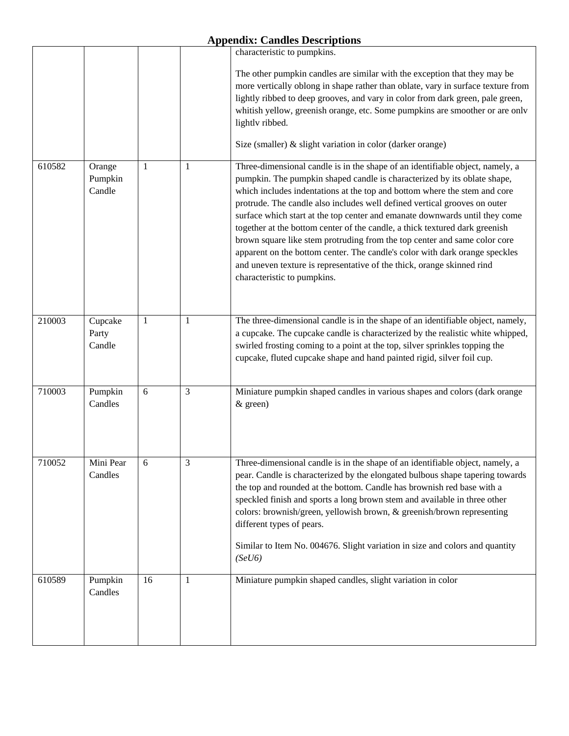$\mathbf{r}$ 

|        |                             |              |              | characteristic to pumpkins.                                                                                                                                                                                                                                                                                                                                                                                                                                                                                                                                                                                                                                                                                                                            |
|--------|-----------------------------|--------------|--------------|--------------------------------------------------------------------------------------------------------------------------------------------------------------------------------------------------------------------------------------------------------------------------------------------------------------------------------------------------------------------------------------------------------------------------------------------------------------------------------------------------------------------------------------------------------------------------------------------------------------------------------------------------------------------------------------------------------------------------------------------------------|
|        |                             |              |              | The other pumpkin candles are similar with the exception that they may be<br>more vertically oblong in shape rather than oblate, vary in surface texture from<br>lightly ribbed to deep grooves, and vary in color from dark green, pale green,<br>whitish yellow, greenish orange, etc. Some pumpkins are smoother or are only<br>lightly ribbed.                                                                                                                                                                                                                                                                                                                                                                                                     |
|        |                             |              |              | Size (smaller) & slight variation in color (darker orange)                                                                                                                                                                                                                                                                                                                                                                                                                                                                                                                                                                                                                                                                                             |
| 610582 | Orange<br>Pumpkin<br>Candle | 1            | $\mathbf{1}$ | Three-dimensional candle is in the shape of an identifiable object, namely, a<br>pumpkin. The pumpkin shaped candle is characterized by its oblate shape,<br>which includes indentations at the top and bottom where the stem and core<br>protrude. The candle also includes well defined vertical grooves on outer<br>surface which start at the top center and emanate downwards until they come<br>together at the bottom center of the candle, a thick textured dark greenish<br>brown square like stem protruding from the top center and same color core<br>apparent on the bottom center. The candle's color with dark orange speckles<br>and uneven texture is representative of the thick, orange skinned rind<br>characteristic to pumpkins. |
| 210003 | Cupcake<br>Party<br>Candle  | $\mathbf{1}$ | $\mathbf{1}$ | The three-dimensional candle is in the shape of an identifiable object, namely,<br>a cupcake. The cupcake candle is characterized by the realistic white whipped,<br>swirled frosting coming to a point at the top, silver sprinkles topping the<br>cupcake, fluted cupcake shape and hand painted rigid, silver foil cup.                                                                                                                                                                                                                                                                                                                                                                                                                             |
| 710003 | Pumpkin<br>Candles          | 6            | 3            | Miniature pumpkin shaped candles in various shapes and colors (dark orange<br>& green)                                                                                                                                                                                                                                                                                                                                                                                                                                                                                                                                                                                                                                                                 |
| 710052 | Mini Pear<br>Candles        | 6            | 3            | Three-dimensional candle is in the shape of an identifiable object, namely, a<br>pear. Candle is characterized by the elongated bulbous shape tapering towards<br>the top and rounded at the bottom. Candle has brownish red base with a<br>speckled finish and sports a long brown stem and available in three other<br>colors: brownish/green, yellowish brown, & greenish/brown representing<br>different types of pears.<br>Similar to Item No. 004676. Slight variation in size and colors and quantity<br>(SeU6)                                                                                                                                                                                                                                 |
| 610589 | Pumpkin<br>Candles          | 16           | 1            | Miniature pumpkin shaped candles, slight variation in color                                                                                                                                                                                                                                                                                                                                                                                                                                                                                                                                                                                                                                                                                            |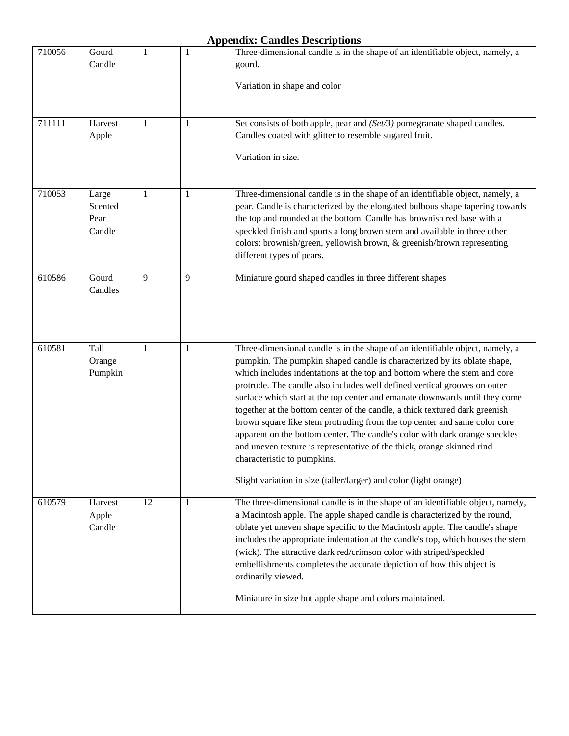| 710056 | Gourd<br>Candle                    | 1            | 1            | Three-dimensional candle is in the shape of an identifiable object, namely, a<br>gourd.                                                                                                                                                                                                                                                                                                                                                                                                                                                                                                                                                                                                                                                                                                                                     |
|--------|------------------------------------|--------------|--------------|-----------------------------------------------------------------------------------------------------------------------------------------------------------------------------------------------------------------------------------------------------------------------------------------------------------------------------------------------------------------------------------------------------------------------------------------------------------------------------------------------------------------------------------------------------------------------------------------------------------------------------------------------------------------------------------------------------------------------------------------------------------------------------------------------------------------------------|
|        |                                    |              |              | Variation in shape and color                                                                                                                                                                                                                                                                                                                                                                                                                                                                                                                                                                                                                                                                                                                                                                                                |
| 711111 | Harvest<br>Apple                   | 1            | 1            | Set consists of both apple, pear and (Set/3) pomegranate shaped candles.<br>Candles coated with glitter to resemble sugared fruit.<br>Variation in size.                                                                                                                                                                                                                                                                                                                                                                                                                                                                                                                                                                                                                                                                    |
| 710053 | Large<br>Scented<br>Pear<br>Candle | 1            | 1            | Three-dimensional candle is in the shape of an identifiable object, namely, a<br>pear. Candle is characterized by the elongated bulbous shape tapering towards<br>the top and rounded at the bottom. Candle has brownish red base with a<br>speckled finish and sports a long brown stem and available in three other<br>colors: brownish/green, yellowish brown, & greenish/brown representing<br>different types of pears.                                                                                                                                                                                                                                                                                                                                                                                                |
| 610586 | Gourd<br>Candles                   | 9            | 9            | Miniature gourd shaped candles in three different shapes                                                                                                                                                                                                                                                                                                                                                                                                                                                                                                                                                                                                                                                                                                                                                                    |
| 610581 | Tall<br>Orange<br>Pumpkin          | $\mathbf{1}$ | 1            | Three-dimensional candle is in the shape of an identifiable object, namely, a<br>pumpkin. The pumpkin shaped candle is characterized by its oblate shape,<br>which includes indentations at the top and bottom where the stem and core<br>protrude. The candle also includes well defined vertical grooves on outer<br>surface which start at the top center and emanate downwards until they come<br>together at the bottom center of the candle, a thick textured dark greenish<br>brown square like stem protruding from the top center and same color core<br>apparent on the bottom center. The candle's color with dark orange speckles<br>and uneven texture is representative of the thick, orange skinned rind<br>characteristic to pumpkins.<br>Slight variation in size (taller/larger) and color (light orange) |
| 610579 | Harvest<br>Apple<br>Candle         | 12           | $\mathbf{1}$ | The three-dimensional candle is in the shape of an identifiable object, namely,<br>a Macintosh apple. The apple shaped candle is characterized by the round,<br>oblate yet uneven shape specific to the Macintosh apple. The candle's shape<br>includes the appropriate indentation at the candle's top, which houses the stem<br>(wick). The attractive dark red/crimson color with striped/speckled<br>embellishments completes the accurate depiction of how this object is<br>ordinarily viewed.<br>Miniature in size but apple shape and colors maintained.                                                                                                                                                                                                                                                            |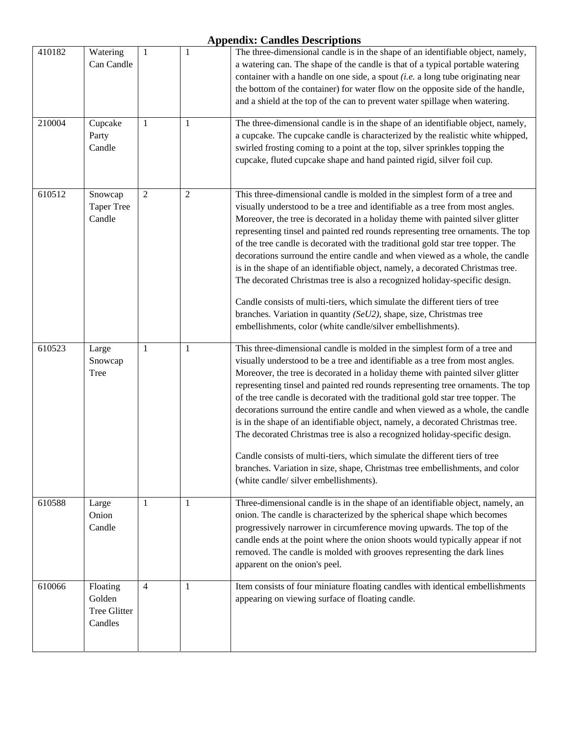| 410182 | Watering<br>Can Candle                        | $\mathbf{1}$   | $\mathbf{1}$   | The three-dimensional candle is in the shape of an identifiable object, namely,<br>a watering can. The shape of the candle is that of a typical portable watering<br>container with a handle on one side, a spout $(i.e.$ a long tube originating near<br>the bottom of the container) for water flow on the opposite side of the handle,<br>and a shield at the top of the can to prevent water spillage when watering.                                                                                                                                                                                                                                                                                                                                                                                                                                                                     |
|--------|-----------------------------------------------|----------------|----------------|----------------------------------------------------------------------------------------------------------------------------------------------------------------------------------------------------------------------------------------------------------------------------------------------------------------------------------------------------------------------------------------------------------------------------------------------------------------------------------------------------------------------------------------------------------------------------------------------------------------------------------------------------------------------------------------------------------------------------------------------------------------------------------------------------------------------------------------------------------------------------------------------|
| 210004 | Cupcake<br>Party<br>Candle                    | 1              | 1              | The three-dimensional candle is in the shape of an identifiable object, namely,<br>a cupcake. The cupcake candle is characterized by the realistic white whipped,<br>swirled frosting coming to a point at the top, silver sprinkles topping the<br>cupcake, fluted cupcake shape and hand painted rigid, silver foil cup.                                                                                                                                                                                                                                                                                                                                                                                                                                                                                                                                                                   |
| 610512 | Snowcap<br><b>Taper Tree</b><br>Candle        | $\overline{2}$ | $\mathfrak{2}$ | This three-dimensional candle is molded in the simplest form of a tree and<br>visually understood to be a tree and identifiable as a tree from most angles.<br>Moreover, the tree is decorated in a holiday theme with painted silver glitter<br>representing tinsel and painted red rounds representing tree ornaments. The top<br>of the tree candle is decorated with the traditional gold star tree topper. The<br>decorations surround the entire candle and when viewed as a whole, the candle<br>is in the shape of an identifiable object, namely, a decorated Christmas tree.<br>The decorated Christmas tree is also a recognized holiday-specific design.<br>Candle consists of multi-tiers, which simulate the different tiers of tree<br>branches. Variation in quantity ( $SeU2$ ), shape, size, Christmas tree<br>embellishments, color (white candle/silver embellishments). |
| 610523 | Large<br>Snowcap<br>Tree                      | 1              | $\mathbf{1}$   | This three-dimensional candle is molded in the simplest form of a tree and<br>visually understood to be a tree and identifiable as a tree from most angles.<br>Moreover, the tree is decorated in a holiday theme with painted silver glitter<br>representing tinsel and painted red rounds representing tree ornaments. The top<br>of the tree candle is decorated with the traditional gold star tree topper. The<br>decorations surround the entire candle and when viewed as a whole, the candle<br>is in the shape of an identifiable object, namely, a decorated Christmas tree.<br>The decorated Christmas tree is also a recognized holiday-specific design.<br>Candle consists of multi-tiers, which simulate the different tiers of tree<br>branches. Variation in size, shape, Christmas tree embellishments, and color<br>(white candle/ silver embellishments).                 |
| 610588 | Large<br>Onion<br>Candle                      | 1              | 1              | Three-dimensional candle is in the shape of an identifiable object, namely, an<br>onion. The candle is characterized by the spherical shape which becomes<br>progressively narrower in circumference moving upwards. The top of the<br>candle ends at the point where the onion shoots would typically appear if not<br>removed. The candle is molded with grooves representing the dark lines<br>apparent on the onion's peel.                                                                                                                                                                                                                                                                                                                                                                                                                                                              |
| 610066 | Floating<br>Golden<br>Tree Glitter<br>Candles | $\overline{4}$ | 1              | Item consists of four miniature floating candles with identical embellishments<br>appearing on viewing surface of floating candle.                                                                                                                                                                                                                                                                                                                                                                                                                                                                                                                                                                                                                                                                                                                                                           |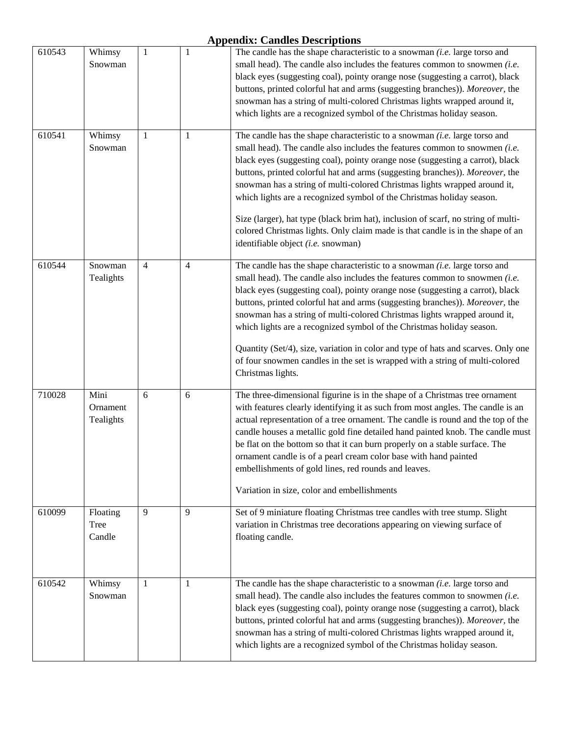| 610543 | Whimsy<br>Snowman             | $\mathbf{1}$   | $\mathbf{1}$   | The candle has the shape characteristic to a snowman $(i.e.$ large torso and<br>small head). The candle also includes the features common to snowmen (i.e.<br>black eyes (suggesting coal), pointy orange nose (suggesting a carrot), black<br>buttons, printed colorful hat and arms (suggesting branches)). Moreover, the<br>snowman has a string of multi-colored Christmas lights wrapped around it,<br>which lights are a recognized symbol of the Christmas holiday season.                                                                                                                                                                                                                |
|--------|-------------------------------|----------------|----------------|--------------------------------------------------------------------------------------------------------------------------------------------------------------------------------------------------------------------------------------------------------------------------------------------------------------------------------------------------------------------------------------------------------------------------------------------------------------------------------------------------------------------------------------------------------------------------------------------------------------------------------------------------------------------------------------------------|
| 610541 | Whimsy<br>Snowman             | $\mathbf{1}$   | 1              | The candle has the shape characteristic to a snowman $(i.e.$ large torso and<br>small head). The candle also includes the features common to snowmen $(i.e.$<br>black eyes (suggesting coal), pointy orange nose (suggesting a carrot), black<br>buttons, printed colorful hat and arms (suggesting branches)). Moreover, the<br>snowman has a string of multi-colored Christmas lights wrapped around it,<br>which lights are a recognized symbol of the Christmas holiday season.<br>Size (larger), hat type (black brim hat), inclusion of scarf, no string of multi-<br>colored Christmas lights. Only claim made is that candle is in the shape of an<br>identifiable object (i.e. snowman) |
| 610544 | Snowman<br>Tealights          | $\overline{4}$ | $\overline{4}$ | The candle has the shape characteristic to a snowman $(i.e.$ large torso and<br>small head). The candle also includes the features common to snowmen $(i.e.$<br>black eyes (suggesting coal), pointy orange nose (suggesting a carrot), black<br>buttons, printed colorful hat and arms (suggesting branches)). Moreover, the<br>snowman has a string of multi-colored Christmas lights wrapped around it,<br>which lights are a recognized symbol of the Christmas holiday season.<br>Quantity (Set/4), size, variation in color and type of hats and scarves. Only one<br>of four snowmen candles in the set is wrapped with a string of multi-colored<br>Christmas lights.                    |
| 710028 | Mini<br>Ornament<br>Tealights | 6              | 6              | The three-dimensional figurine is in the shape of a Christmas tree ornament<br>with features clearly identifying it as such from most angles. The candle is an<br>actual representation of a tree ornament. The candle is round and the top of the<br>candle houses a metallic gold fine detailed hand painted knob. The candle must<br>be flat on the bottom so that it can burn properly on a stable surface. The<br>ornament candle is of a pearl cream color base with hand painted<br>embellishments of gold lines, red rounds and leaves.<br>Variation in size, color and embellishments                                                                                                   |
| 610099 | Floating<br>Tree<br>Candle    | 9              | 9              | Set of 9 miniature floating Christmas tree candles with tree stump. Slight<br>variation in Christmas tree decorations appearing on viewing surface of<br>floating candle.                                                                                                                                                                                                                                                                                                                                                                                                                                                                                                                        |
| 610542 | Whimsy<br>Snowman             | 1              | 1              | The candle has the shape characteristic to a snowman $(i.e.$ large torso and<br>small head). The candle also includes the features common to snowmen $(i.e.$<br>black eyes (suggesting coal), pointy orange nose (suggesting a carrot), black<br>buttons, printed colorful hat and arms (suggesting branches)). Moreover, the<br>snowman has a string of multi-colored Christmas lights wrapped around it,<br>which lights are a recognized symbol of the Christmas holiday season.                                                                                                                                                                                                              |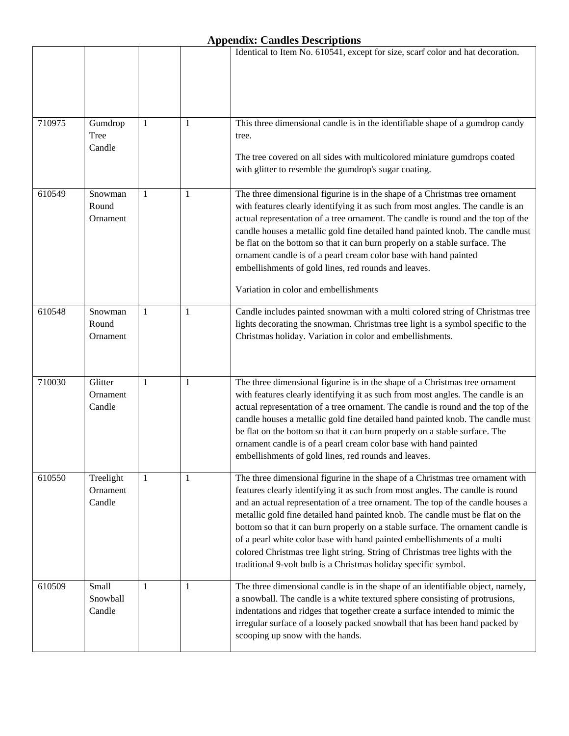|        |                                 |              |              | Identical to Item No. 610541, except for size, scarf color and hat decoration.                                                                                                                                                                                                                                                                                                                                                                                                                                                                                                                                                                       |
|--------|---------------------------------|--------------|--------------|------------------------------------------------------------------------------------------------------------------------------------------------------------------------------------------------------------------------------------------------------------------------------------------------------------------------------------------------------------------------------------------------------------------------------------------------------------------------------------------------------------------------------------------------------------------------------------------------------------------------------------------------------|
| 710975 | Gumdrop<br>Tree<br>Candle       | $\mathbf{1}$ | 1            | This three dimensional candle is in the identifiable shape of a gumdrop candy<br>tree.<br>The tree covered on all sides with multicolored miniature gumdrops coated<br>with glitter to resemble the gumdrop's sugar coating.                                                                                                                                                                                                                                                                                                                                                                                                                         |
| 610549 | Snowman<br>Round<br>Ornament    | $\mathbf{1}$ | $\mathbf{1}$ | The three dimensional figurine is in the shape of a Christmas tree ornament<br>with features clearly identifying it as such from most angles. The candle is an<br>actual representation of a tree ornament. The candle is round and the top of the<br>candle houses a metallic gold fine detailed hand painted knob. The candle must<br>be flat on the bottom so that it can burn properly on a stable surface. The<br>ornament candle is of a pearl cream color base with hand painted<br>embellishments of gold lines, red rounds and leaves.<br>Variation in color and embellishments                                                             |
| 610548 | Snowman<br>Round<br>Ornament    | 1            | 1            | Candle includes painted snowman with a multi colored string of Christmas tree<br>lights decorating the snowman. Christmas tree light is a symbol specific to the<br>Christmas holiday. Variation in color and embellishments.                                                                                                                                                                                                                                                                                                                                                                                                                        |
| 710030 | Glitter<br>Ornament<br>Candle   | 1            | $\mathbf{1}$ | The three dimensional figurine is in the shape of a Christmas tree ornament<br>with features clearly identifying it as such from most angles. The candle is an<br>actual representation of a tree ornament. The candle is round and the top of the<br>candle houses a metallic gold fine detailed hand painted knob. The candle must<br>be flat on the bottom so that it can burn properly on a stable surface. The<br>ornament candle is of a pearl cream color base with hand painted<br>embellishments of gold lines, red rounds and leaves.                                                                                                      |
| 610550 | Treelight<br>Ornament<br>Candle | 1            | 1            | The three dimensional figurine in the shape of a Christmas tree ornament with<br>features clearly identifying it as such from most angles. The candle is round<br>and an actual representation of a tree ornament. The top of the candle houses a<br>metallic gold fine detailed hand painted knob. The candle must be flat on the<br>bottom so that it can burn properly on a stable surface. The ornament candle is<br>of a pearl white color base with hand painted embellishments of a multi<br>colored Christmas tree light string. String of Christmas tree lights with the<br>traditional 9-volt bulb is a Christmas holiday specific symbol. |
| 610509 | Small<br>Snowball<br>Candle     | -1           | 1            | The three dimensional candle is in the shape of an identifiable object, namely,<br>a snowball. The candle is a white textured sphere consisting of protrusions,<br>indentations and ridges that together create a surface intended to mimic the<br>irregular surface of a loosely packed snowball that has been hand packed by<br>scooping up snow with the hands.                                                                                                                                                                                                                                                                                   |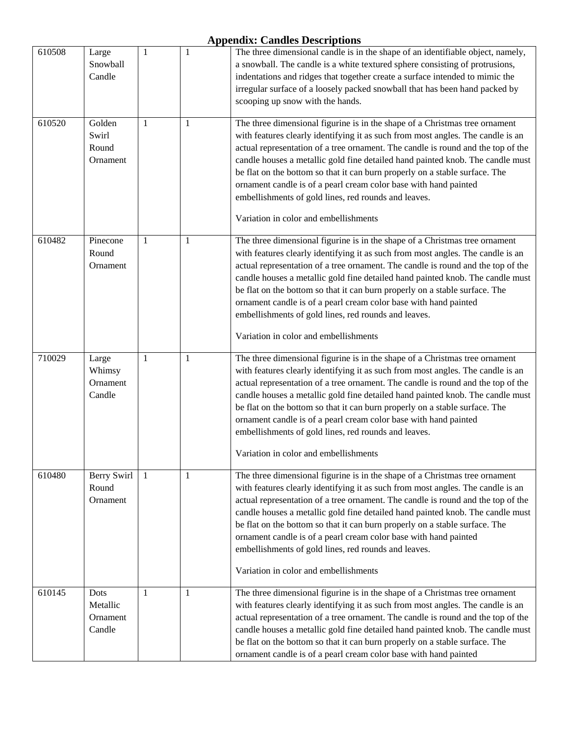| 610508 | Large<br>Snowball<br>Candle            | 1 | 1            | The three dimensional candle is in the shape of an identifiable object, namely,<br>a snowball. The candle is a white textured sphere consisting of protrusions,<br>indentations and ridges that together create a surface intended to mimic the<br>irregular surface of a loosely packed snowball that has been hand packed by<br>scooping up snow with the hands.                                                                                                                                                                                                                       |
|--------|----------------------------------------|---|--------------|------------------------------------------------------------------------------------------------------------------------------------------------------------------------------------------------------------------------------------------------------------------------------------------------------------------------------------------------------------------------------------------------------------------------------------------------------------------------------------------------------------------------------------------------------------------------------------------|
| 610520 | Golden<br>Swirl<br>Round<br>Ornament   | 1 | $\mathbf{1}$ | The three dimensional figurine is in the shape of a Christmas tree ornament<br>with features clearly identifying it as such from most angles. The candle is an<br>actual representation of a tree ornament. The candle is round and the top of the<br>candle houses a metallic gold fine detailed hand painted knob. The candle must<br>be flat on the bottom so that it can burn properly on a stable surface. The<br>ornament candle is of a pearl cream color base with hand painted<br>embellishments of gold lines, red rounds and leaves.<br>Variation in color and embellishments |
| 610482 | Pinecone<br>Round<br>Ornament          | 1 | 1            | The three dimensional figurine is in the shape of a Christmas tree ornament<br>with features clearly identifying it as such from most angles. The candle is an<br>actual representation of a tree ornament. The candle is round and the top of the<br>candle houses a metallic gold fine detailed hand painted knob. The candle must<br>be flat on the bottom so that it can burn properly on a stable surface. The<br>ornament candle is of a pearl cream color base with hand painted<br>embellishments of gold lines, red rounds and leaves.<br>Variation in color and embellishments |
| 710029 | Large<br>Whimsy<br>Ornament<br>Candle  | 1 | 1            | The three dimensional figurine is in the shape of a Christmas tree ornament<br>with features clearly identifying it as such from most angles. The candle is an<br>actual representation of a tree ornament. The candle is round and the top of the<br>candle houses a metallic gold fine detailed hand painted knob. The candle must<br>be flat on the bottom so that it can burn properly on a stable surface. The<br>ornament candle is of a pearl cream color base with hand painted<br>embellishments of gold lines, red rounds and leaves.<br>Variation in color and embellishments |
| 610480 | Berry Swirl<br>Round<br>Ornament       | 1 | 1            | The three dimensional figurine is in the shape of a Christmas tree ornament<br>with features clearly identifying it as such from most angles. The candle is an<br>actual representation of a tree ornament. The candle is round and the top of the<br>candle houses a metallic gold fine detailed hand painted knob. The candle must<br>be flat on the bottom so that it can burn properly on a stable surface. The<br>ornament candle is of a pearl cream color base with hand painted<br>embellishments of gold lines, red rounds and leaves.<br>Variation in color and embellishments |
| 610145 | Dots<br>Metallic<br>Ornament<br>Candle | 1 | 1            | The three dimensional figurine is in the shape of a Christmas tree ornament<br>with features clearly identifying it as such from most angles. The candle is an<br>actual representation of a tree ornament. The candle is round and the top of the<br>candle houses a metallic gold fine detailed hand painted knob. The candle must<br>be flat on the bottom so that it can burn properly on a stable surface. The<br>ornament candle is of a pearl cream color base with hand painted                                                                                                  |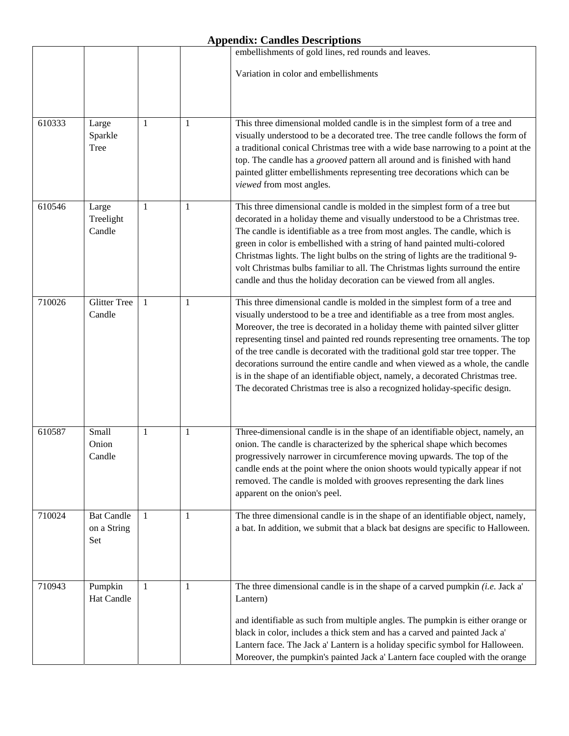|        |                                         |   |   | embellishments of gold lines, red rounds and leaves.                                                                                                                                                                                                                                                                                                                                                                                                                                                                                                                                                                                                                 |
|--------|-----------------------------------------|---|---|----------------------------------------------------------------------------------------------------------------------------------------------------------------------------------------------------------------------------------------------------------------------------------------------------------------------------------------------------------------------------------------------------------------------------------------------------------------------------------------------------------------------------------------------------------------------------------------------------------------------------------------------------------------------|
|        |                                         |   |   | Variation in color and embellishments                                                                                                                                                                                                                                                                                                                                                                                                                                                                                                                                                                                                                                |
|        |                                         |   |   |                                                                                                                                                                                                                                                                                                                                                                                                                                                                                                                                                                                                                                                                      |
| 610333 | Large<br>Sparkle<br>Tree                | 1 | 1 | This three dimensional molded candle is in the simplest form of a tree and<br>visually understood to be a decorated tree. The tree candle follows the form of<br>a traditional conical Christmas tree with a wide base narrowing to a point at the<br>top. The candle has a grooved pattern all around and is finished with hand<br>painted glitter embellishments representing tree decorations which can be<br>viewed from most angles.                                                                                                                                                                                                                            |
| 610546 | Large<br>Treelight<br>Candle            | 1 | 1 | This three dimensional candle is molded in the simplest form of a tree but<br>decorated in a holiday theme and visually understood to be a Christmas tree.<br>The candle is identifiable as a tree from most angles. The candle, which is<br>green in color is embellished with a string of hand painted multi-colored<br>Christmas lights. The light bulbs on the string of lights are the traditional 9-<br>volt Christmas bulbs familiar to all. The Christmas lights surround the entire<br>candle and thus the holiday decoration can be viewed from all angles.                                                                                                |
| 710026 | <b>Glitter Tree</b><br>Candle           | 1 | 1 | This three dimensional candle is molded in the simplest form of a tree and<br>visually understood to be a tree and identifiable as a tree from most angles.<br>Moreover, the tree is decorated in a holiday theme with painted silver glitter<br>representing tinsel and painted red rounds representing tree ornaments. The top<br>of the tree candle is decorated with the traditional gold star tree topper. The<br>decorations surround the entire candle and when viewed as a whole, the candle<br>is in the shape of an identifiable object, namely, a decorated Christmas tree.<br>The decorated Christmas tree is also a recognized holiday-specific design. |
| 610587 | Small<br>Onion<br>Candle                | 1 | 1 | Three-dimensional candle is in the shape of an identifiable object, namely, an<br>onion. The candle is characterized by the spherical shape which becomes<br>progressively narrower in circumference moving upwards. The top of the<br>candle ends at the point where the onion shoots would typically appear if not<br>removed. The candle is molded with grooves representing the dark lines<br>apparent on the onion's peel.                                                                                                                                                                                                                                      |
| 710024 | <b>Bat Candle</b><br>on a String<br>Set | 1 | 1 | The three dimensional candle is in the shape of an identifiable object, namely,<br>a bat. In addition, we submit that a black bat designs are specific to Halloween.                                                                                                                                                                                                                                                                                                                                                                                                                                                                                                 |
| 710943 | Pumpkin<br>Hat Candle                   | 1 | 1 | The three dimensional candle is in the shape of a carved pumpkin (i.e. Jack a'<br>Lantern)<br>and identifiable as such from multiple angles. The pumpkin is either orange or<br>black in color, includes a thick stem and has a carved and painted Jack a'<br>Lantern face. The Jack a' Lantern is a holiday specific symbol for Halloween.<br>Moreover, the pumpkin's painted Jack a' Lantern face coupled with the orange                                                                                                                                                                                                                                          |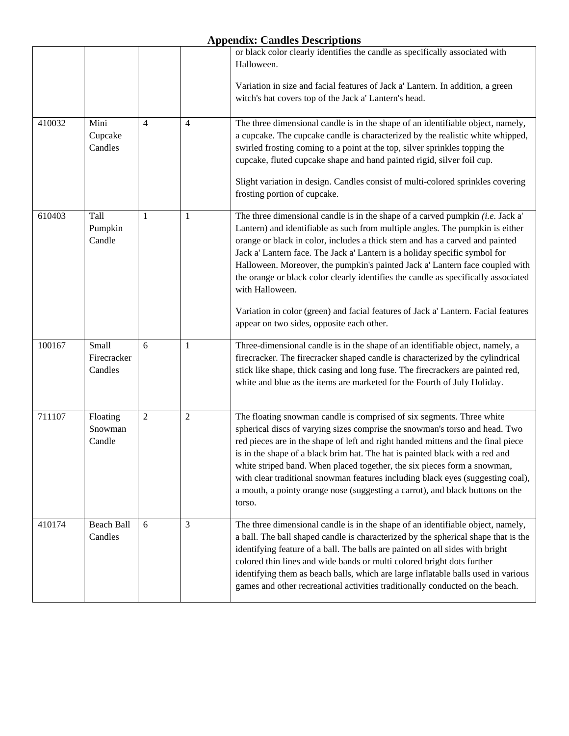|        |                                 |                |                | or black color clearly identifies the candle as specifically associated with<br>Halloween.<br>Variation in size and facial features of Jack a' Lantern. In addition, a green<br>witch's hat covers top of the Jack a' Lantern's head.                                                                                                                                                                                                                                                                                                                                                                                                                       |
|--------|---------------------------------|----------------|----------------|-------------------------------------------------------------------------------------------------------------------------------------------------------------------------------------------------------------------------------------------------------------------------------------------------------------------------------------------------------------------------------------------------------------------------------------------------------------------------------------------------------------------------------------------------------------------------------------------------------------------------------------------------------------|
| 410032 | Mini<br>Cupcake<br>Candles      | $\overline{4}$ | $\overline{4}$ | The three dimensional candle is in the shape of an identifiable object, namely,<br>a cupcake. The cupcake candle is characterized by the realistic white whipped,<br>swirled frosting coming to a point at the top, silver sprinkles topping the<br>cupcake, fluted cupcake shape and hand painted rigid, silver foil cup.<br>Slight variation in design. Candles consist of multi-colored sprinkles covering<br>frosting portion of cupcake.                                                                                                                                                                                                               |
| 610403 | Tall<br>Pumpkin<br>Candle       | 1              | 1              | The three dimensional candle is in the shape of a carved pumpkin $(i.e.$ Jack a'<br>Lantern) and identifiable as such from multiple angles. The pumpkin is either<br>orange or black in color, includes a thick stem and has a carved and painted<br>Jack a' Lantern face. The Jack a' Lantern is a holiday specific symbol for<br>Halloween. Moreover, the pumpkin's painted Jack a' Lantern face coupled with<br>the orange or black color clearly identifies the candle as specifically associated<br>with Halloween.<br>Variation in color (green) and facial features of Jack a' Lantern. Facial features<br>appear on two sides, opposite each other. |
| 100167 | Small<br>Firecracker<br>Candles | 6              | 1              | Three-dimensional candle is in the shape of an identifiable object, namely, a<br>firecracker. The firecracker shaped candle is characterized by the cylindrical<br>stick like shape, thick casing and long fuse. The firecrackers are painted red,<br>white and blue as the items are marketed for the Fourth of July Holiday.                                                                                                                                                                                                                                                                                                                              |
| 711107 | Floating<br>Snowman<br>Candle   | $\mathbf{2}$   | $\mathfrak{2}$ | The floating snowman candle is comprised of six segments. Three white<br>spherical discs of varying sizes comprise the snowman's torso and head. Two<br>red pieces are in the shape of left and right handed mittens and the final piece<br>is in the shape of a black brim hat. The hat is painted black with a red and<br>white striped band. When placed together, the six pieces form a snowman,<br>with clear traditional snowman features including black eyes (suggesting coal),<br>a mouth, a pointy orange nose (suggesting a carrot), and black buttons on the<br>torso.                                                                          |
| 410174 | <b>Beach Ball</b><br>Candles    | 6              | 3              | The three dimensional candle is in the shape of an identifiable object, namely,<br>a ball. The ball shaped candle is characterized by the spherical shape that is the<br>identifying feature of a ball. The balls are painted on all sides with bright<br>colored thin lines and wide bands or multi colored bright dots further<br>identifying them as beach balls, which are large inflatable balls used in various<br>games and other recreational activities traditionally conducted on the beach.                                                                                                                                                      |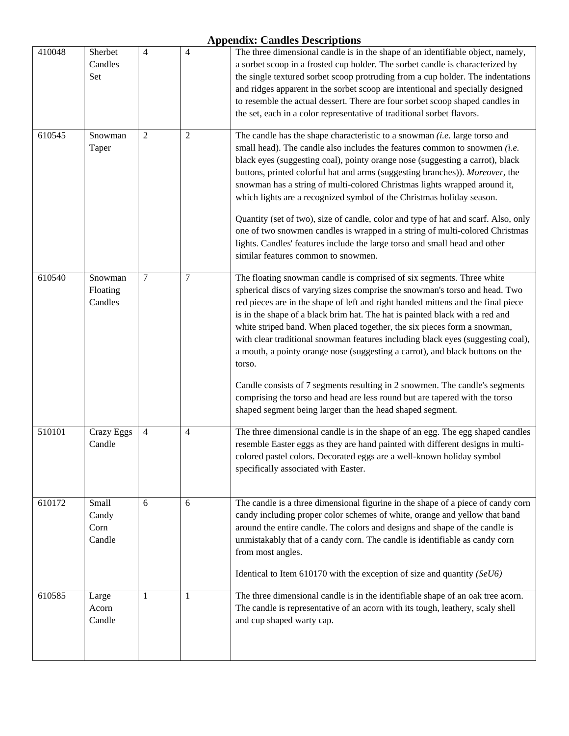| 410048 | Sherbet<br>Candles<br>Set        | $\overline{4}$ | $\overline{4}$ | The three dimensional candle is in the shape of an identifiable object, namely,<br>a sorbet scoop in a frosted cup holder. The sorbet candle is characterized by<br>the single textured sorbet scoop protruding from a cup holder. The indentations<br>and ridges apparent in the sorbet scoop are intentional and specially designed<br>to resemble the actual dessert. There are four sorbet scoop shaped candles in<br>the set, each in a color representative of traditional sorbet flavors.                                                                                                                                                                                                                                                                                                              |
|--------|----------------------------------|----------------|----------------|---------------------------------------------------------------------------------------------------------------------------------------------------------------------------------------------------------------------------------------------------------------------------------------------------------------------------------------------------------------------------------------------------------------------------------------------------------------------------------------------------------------------------------------------------------------------------------------------------------------------------------------------------------------------------------------------------------------------------------------------------------------------------------------------------------------|
| 610545 | Snowman<br>Taper                 | $\overline{c}$ | $\overline{c}$ | The candle has the shape characteristic to a snowman (i.e. large torso and<br>small head). The candle also includes the features common to snowmen (i.e.<br>black eyes (suggesting coal), pointy orange nose (suggesting a carrot), black<br>buttons, printed colorful hat and arms (suggesting branches)). Moreover, the<br>snowman has a string of multi-colored Christmas lights wrapped around it,<br>which lights are a recognized symbol of the Christmas holiday season.<br>Quantity (set of two), size of candle, color and type of hat and scarf. Also, only<br>one of two snowmen candles is wrapped in a string of multi-colored Christmas<br>lights. Candles' features include the large torso and small head and other<br>similar features common to snowmen.                                    |
| 610540 | Snowman<br>Floating<br>Candles   | $\overline{7}$ | 7              | The floating snowman candle is comprised of six segments. Three white<br>spherical discs of varying sizes comprise the snowman's torso and head. Two<br>red pieces are in the shape of left and right handed mittens and the final piece<br>is in the shape of a black brim hat. The hat is painted black with a red and<br>white striped band. When placed together, the six pieces form a snowman,<br>with clear traditional snowman features including black eyes (suggesting coal),<br>a mouth, a pointy orange nose (suggesting a carrot), and black buttons on the<br>torso.<br>Candle consists of 7 segments resulting in 2 snowmen. The candle's segments<br>comprising the torso and head are less round but are tapered with the torso<br>shaped segment being larger than the head shaped segment. |
| 510101 | <b>Crazy Eggs</b><br>Candle      | 4              | 4              | The three dimensional candle is in the shape of an egg. The egg shaped candles<br>resemble Easter eggs as they are hand painted with different designs in multi-<br>colored pastel colors. Decorated eggs are a well-known holiday symbol<br>specifically associated with Easter.                                                                                                                                                                                                                                                                                                                                                                                                                                                                                                                             |
| 610172 | Small<br>Candy<br>Corn<br>Candle | 6              | 6              | The candle is a three dimensional figurine in the shape of a piece of candy corn<br>candy including proper color schemes of white, orange and yellow that band<br>around the entire candle. The colors and designs and shape of the candle is<br>unmistakably that of a candy corn. The candle is identifiable as candy corn<br>from most angles.<br>Identical to Item 610170 with the exception of size and quantity $(SeU6)$                                                                                                                                                                                                                                                                                                                                                                                |
| 610585 | Large<br>Acorn<br>Candle         | $\mathbf{1}$   | 1              | The three dimensional candle is in the identifiable shape of an oak tree acorn.<br>The candle is representative of an acorn with its tough, leathery, scaly shell<br>and cup shaped warty cap.                                                                                                                                                                                                                                                                                                                                                                                                                                                                                                                                                                                                                |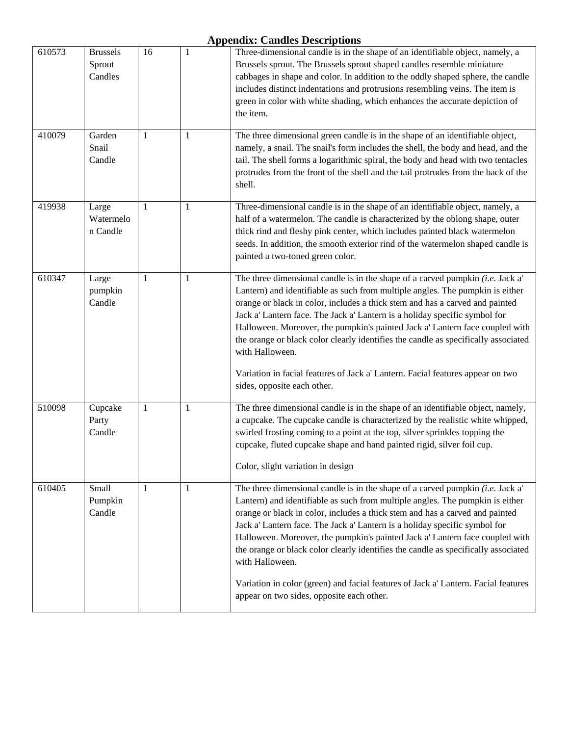| 610573 | <b>Brussels</b><br>Sprout<br>Candles | 16 | $\mathbf{1}$ | Three-dimensional candle is in the shape of an identifiable object, namely, a<br>Brussels sprout. The Brussels sprout shaped candles resemble miniature<br>cabbages in shape and color. In addition to the oddly shaped sphere, the candle<br>includes distinct indentations and protrusions resembling veins. The item is<br>green in color with white shading, which enhances the accurate depiction of<br>the item.                                                                                                                                                                                                                                    |
|--------|--------------------------------------|----|--------------|-----------------------------------------------------------------------------------------------------------------------------------------------------------------------------------------------------------------------------------------------------------------------------------------------------------------------------------------------------------------------------------------------------------------------------------------------------------------------------------------------------------------------------------------------------------------------------------------------------------------------------------------------------------|
| 410079 | Garden<br>Snail<br>Candle            | 1  | 1            | The three dimensional green candle is in the shape of an identifiable object,<br>namely, a snail. The snail's form includes the shell, the body and head, and the<br>tail. The shell forms a logarithmic spiral, the body and head with two tentacles<br>protrudes from the front of the shell and the tail protrudes from the back of the<br>shell.                                                                                                                                                                                                                                                                                                      |
| 419938 | Large<br>Watermelo<br>n Candle       | 1  | $\mathbf{1}$ | Three-dimensional candle is in the shape of an identifiable object, namely, a<br>half of a watermelon. The candle is characterized by the oblong shape, outer<br>thick rind and fleshy pink center, which includes painted black watermelon<br>seeds. In addition, the smooth exterior rind of the watermelon shaped candle is<br>painted a two-toned green color.                                                                                                                                                                                                                                                                                        |
| 610347 | Large<br>pumpkin<br>Candle           | 1  | 1            | The three dimensional candle is in the shape of a carved pumpkin $(i.e.$ Jack a'<br>Lantern) and identifiable as such from multiple angles. The pumpkin is either<br>orange or black in color, includes a thick stem and has a carved and painted<br>Jack a' Lantern face. The Jack a' Lantern is a holiday specific symbol for<br>Halloween. Moreover, the pumpkin's painted Jack a' Lantern face coupled with<br>the orange or black color clearly identifies the candle as specifically associated<br>with Halloween.<br>Variation in facial features of Jack a' Lantern. Facial features appear on two<br>sides, opposite each other.                 |
| 510098 | Cupcake<br>Party<br>Candle           | 1  | $\mathbf{1}$ | The three dimensional candle is in the shape of an identifiable object, namely,<br>a cupcake. The cupcake candle is characterized by the realistic white whipped,<br>swirled frosting coming to a point at the top, silver sprinkles topping the<br>cupcake, fluted cupcake shape and hand painted rigid, silver foil cup.<br>Color, slight variation in design                                                                                                                                                                                                                                                                                           |
| 610405 | Small<br>Pumpkin<br>Candle           | 1  | 1            | The three dimensional candle is in the shape of a carved pumpkin (i.e. Jack a'<br>Lantern) and identifiable as such from multiple angles. The pumpkin is either<br>orange or black in color, includes a thick stem and has a carved and painted<br>Jack a' Lantern face. The Jack a' Lantern is a holiday specific symbol for<br>Halloween. Moreover, the pumpkin's painted Jack a' Lantern face coupled with<br>the orange or black color clearly identifies the candle as specifically associated<br>with Halloween.<br>Variation in color (green) and facial features of Jack a' Lantern. Facial features<br>appear on two sides, opposite each other. |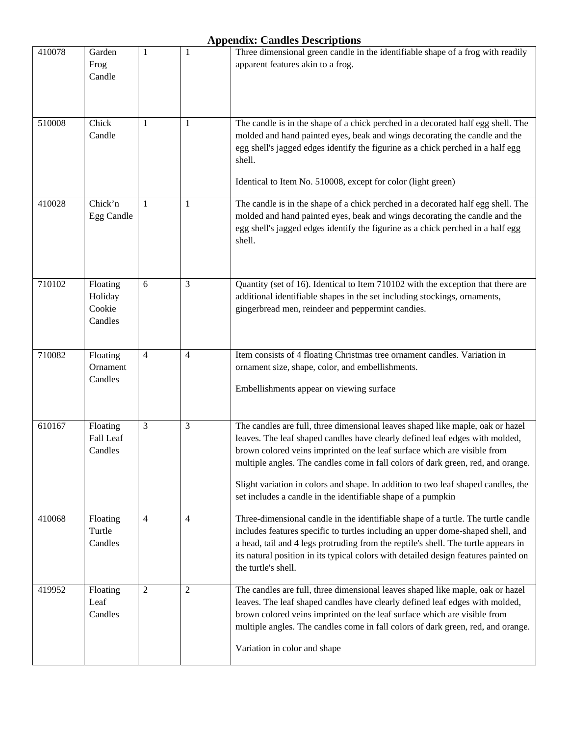| 410078 | Garden<br>Frog<br>Candle                 | 1              | $\mathbf{1}$   | Three dimensional green candle in the identifiable shape of a frog with readily<br>apparent features akin to a frog.                                                                                                                                                                                                                                                                                                                                                                |
|--------|------------------------------------------|----------------|----------------|-------------------------------------------------------------------------------------------------------------------------------------------------------------------------------------------------------------------------------------------------------------------------------------------------------------------------------------------------------------------------------------------------------------------------------------------------------------------------------------|
| 510008 | Chick<br>Candle                          | $\mathbf{1}$   | 1              | The candle is in the shape of a chick perched in a decorated half egg shell. The<br>molded and hand painted eyes, beak and wings decorating the candle and the<br>egg shell's jagged edges identify the figurine as a chick perched in a half egg<br>shell.<br>Identical to Item No. 510008, except for color (light green)                                                                                                                                                         |
| 410028 | Chick'n<br>Egg Candle                    | -1             | 1              | The candle is in the shape of a chick perched in a decorated half egg shell. The<br>molded and hand painted eyes, beak and wings decorating the candle and the<br>egg shell's jagged edges identify the figurine as a chick perched in a half egg<br>shell.                                                                                                                                                                                                                         |
| 710102 | Floating<br>Holiday<br>Cookie<br>Candles | 6              | 3              | Quantity (set of 16). Identical to Item 710102 with the exception that there are<br>additional identifiable shapes in the set including stockings, ornaments,<br>gingerbread men, reindeer and peppermint candies.                                                                                                                                                                                                                                                                  |
| 710082 | Floating<br>Ornament<br>Candles          | $\overline{4}$ | $\overline{4}$ | Item consists of 4 floating Christmas tree ornament candles. Variation in<br>ornament size, shape, color, and embellishments.<br>Embellishments appear on viewing surface                                                                                                                                                                                                                                                                                                           |
| 610167 | Floating<br>Fall Leaf<br>Candles         | 3              | 3              | The candles are full, three dimensional leaves shaped like maple, oak or hazel<br>leaves. The leaf shaped candles have clearly defined leaf edges with molded,<br>brown colored veins imprinted on the leaf surface which are visible from<br>multiple angles. The candles come in fall colors of dark green, red, and orange.<br>Slight variation in colors and shape. In addition to two leaf shaped candles, the<br>set includes a candle in the identifiable shape of a pumpkin |
| 410068 | Floating<br>Turtle<br>Candles            | $\overline{4}$ | 4              | Three-dimensional candle in the identifiable shape of a turtle. The turtle candle<br>includes features specific to turtles including an upper dome-shaped shell, and<br>a head, tail and 4 legs protruding from the reptile's shell. The turtle appears in<br>its natural position in its typical colors with detailed design features painted on<br>the turtle's shell.                                                                                                            |
| 419952 | Floating<br>Leaf<br>Candles              | $\overline{2}$ | $\overline{2}$ | The candles are full, three dimensional leaves shaped like maple, oak or hazel<br>leaves. The leaf shaped candles have clearly defined leaf edges with molded,<br>brown colored veins imprinted on the leaf surface which are visible from<br>multiple angles. The candles come in fall colors of dark green, red, and orange.<br>Variation in color and shape                                                                                                                      |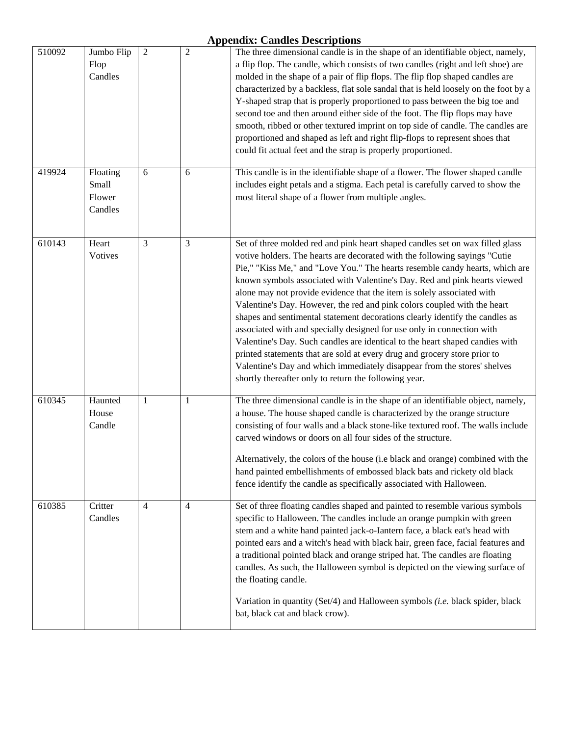| 510092 | Jumbo Flip<br>Flop<br>Candles          | $\boldsymbol{2}$ | $\boldsymbol{2}$ | The three dimensional candle is in the shape of an identifiable object, namely,<br>a flip flop. The candle, which consists of two candles (right and left shoe) are<br>molded in the shape of a pair of flip flops. The flip flop shaped candles are<br>characterized by a backless, flat sole sandal that is held loosely on the foot by a<br>Y-shaped strap that is properly proportioned to pass between the big toe and<br>second toe and then around either side of the foot. The flip flops may have<br>smooth, ribbed or other textured imprint on top side of candle. The candles are<br>proportioned and shaped as left and right flip-flops to represent shoes that<br>could fit actual feet and the strap is properly proportioned.                                                                                                                                                                                             |
|--------|----------------------------------------|------------------|------------------|--------------------------------------------------------------------------------------------------------------------------------------------------------------------------------------------------------------------------------------------------------------------------------------------------------------------------------------------------------------------------------------------------------------------------------------------------------------------------------------------------------------------------------------------------------------------------------------------------------------------------------------------------------------------------------------------------------------------------------------------------------------------------------------------------------------------------------------------------------------------------------------------------------------------------------------------|
| 419924 | Floating<br>Small<br>Flower<br>Candles | 6                | 6                | This candle is in the identifiable shape of a flower. The flower shaped candle<br>includes eight petals and a stigma. Each petal is carefully carved to show the<br>most literal shape of a flower from multiple angles.                                                                                                                                                                                                                                                                                                                                                                                                                                                                                                                                                                                                                                                                                                                   |
| 610143 | Heart<br>Votives                       | $\overline{3}$   | 3                | Set of three molded red and pink heart shaped candles set on wax filled glass<br>votive holders. The hearts are decorated with the following sayings "Cutie<br>Pie," "Kiss Me," and "Love You." The hearts resemble candy hearts, which are<br>known symbols associated with Valentine's Day. Red and pink hearts viewed<br>alone may not provide evidence that the item is solely associated with<br>Valentine's Day. However, the red and pink colors coupled with the heart<br>shapes and sentimental statement decorations clearly identify the candles as<br>associated with and specially designed for use only in connection with<br>Valentine's Day. Such candles are identical to the heart shaped candies with<br>printed statements that are sold at every drug and grocery store prior to<br>Valentine's Day and which immediately disappear from the stores' shelves<br>shortly thereafter only to return the following year. |
| 610345 | Haunted<br>House<br>Candle             | $\mathbf{1}$     | $\mathbf{1}$     | The three dimensional candle is in the shape of an identifiable object, namely,<br>a house. The house shaped candle is characterized by the orange structure<br>consisting of four walls and a black stone-like textured roof. The walls include<br>carved windows or doors on all four sides of the structure.<br>Alternatively, the colors of the house (i.e black and orange) combined with the<br>hand painted embellishments of embossed black bats and rickety old black<br>fence identify the candle as specifically associated with Halloween.                                                                                                                                                                                                                                                                                                                                                                                     |
| 610385 | Critter<br>Candles                     | $\overline{4}$   | $\overline{4}$   | Set of three floating candles shaped and painted to resemble various symbols<br>specific to Halloween. The candles include an orange pumpkin with green<br>stem and a white hand painted jack-o-Iantern face, a black eat's head with<br>pointed ears and a witch's head with black hair, green face, facial features and<br>a traditional pointed black and orange striped hat. The candles are floating<br>candles. As such, the Halloween symbol is depicted on the viewing surface of<br>the floating candle.<br>Variation in quantity (Set/4) and Halloween symbols (i.e. black spider, black<br>bat, black cat and black crow).                                                                                                                                                                                                                                                                                                      |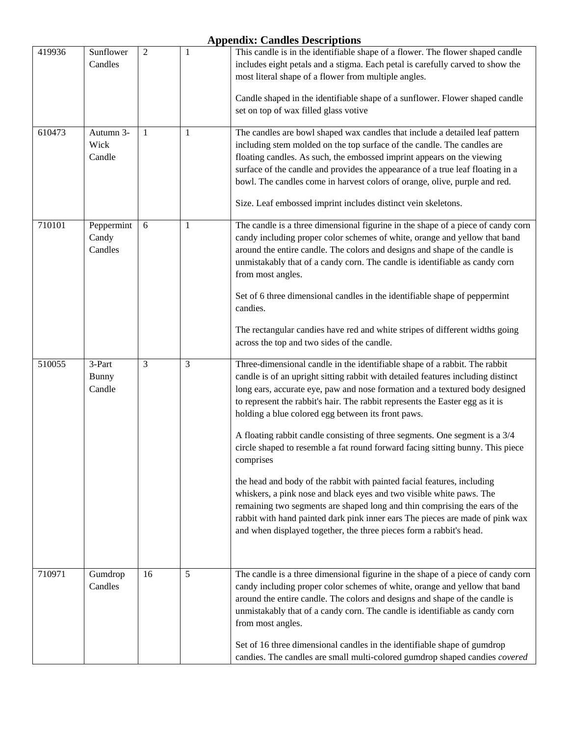| 419936 | Sunflower<br>Candles             | $\overline{2}$ | $\mathbf{1}$ | This candle is in the identifiable shape of a flower. The flower shaped candle<br>includes eight petals and a stigma. Each petal is carefully carved to show the<br>most literal shape of a flower from multiple angles.                                                                                                                                                                                                                                             |
|--------|----------------------------------|----------------|--------------|----------------------------------------------------------------------------------------------------------------------------------------------------------------------------------------------------------------------------------------------------------------------------------------------------------------------------------------------------------------------------------------------------------------------------------------------------------------------|
|        |                                  |                |              | Candle shaped in the identifiable shape of a sunflower. Flower shaped candle<br>set on top of wax filled glass votive                                                                                                                                                                                                                                                                                                                                                |
| 610473 | Autumn 3-<br>Wick<br>Candle      | 1              | 1            | The candles are bowl shaped wax candles that include a detailed leaf pattern<br>including stem molded on the top surface of the candle. The candles are<br>floating candles. As such, the embossed imprint appears on the viewing<br>surface of the candle and provides the appearance of a true leaf floating in a<br>bowl. The candles come in harvest colors of orange, olive, purple and red.<br>Size. Leaf embossed imprint includes distinct vein skeletons.   |
| 710101 | Peppermint<br>Candy<br>Candles   | 6              | $\mathbf{1}$ | The candle is a three dimensional figurine in the shape of a piece of candy corn<br>candy including proper color schemes of white, orange and yellow that band<br>around the entire candle. The colors and designs and shape of the candle is<br>unmistakably that of a candy corn. The candle is identifiable as candy corn<br>from most angles.                                                                                                                    |
|        |                                  |                |              | Set of 6 three dimensional candles in the identifiable shape of peppermint<br>candies.<br>The rectangular candies have red and white stripes of different widths going                                                                                                                                                                                                                                                                                               |
|        |                                  |                |              | across the top and two sides of the candle.                                                                                                                                                                                                                                                                                                                                                                                                                          |
| 510055 | 3-Part<br><b>Bunny</b><br>Candle | 3              | 3            | Three-dimensional candle in the identifiable shape of a rabbit. The rabbit<br>candle is of an upright sitting rabbit with detailed features including distinct<br>long ears, accurate eye, paw and nose formation and a textured body designed<br>to represent the rabbit's hair. The rabbit represents the Easter egg as it is<br>holding a blue colored egg between its front paws.<br>A floating rabbit candle consisting of three segments. One segment is a 3/4 |
|        |                                  |                |              | circle shaped to resemble a fat round forward facing sitting bunny. This piece<br>comprises                                                                                                                                                                                                                                                                                                                                                                          |
|        |                                  |                |              | the head and body of the rabbit with painted facial features, including<br>whiskers, a pink nose and black eyes and two visible white paws. The<br>remaining two segments are shaped long and thin comprising the ears of the<br>rabbit with hand painted dark pink inner ears The pieces are made of pink wax<br>and when displayed together, the three pieces form a rabbit's head.                                                                                |
| 710971 | Gumdrop<br>Candles               | 16             | 5            | The candle is a three dimensional figurine in the shape of a piece of candy corn<br>candy including proper color schemes of white, orange and yellow that band<br>around the entire candle. The colors and designs and shape of the candle is<br>unmistakably that of a candy corn. The candle is identifiable as candy corn<br>from most angles.                                                                                                                    |
|        |                                  |                |              | Set of 16 three dimensional candles in the identifiable shape of gumdrop<br>candies. The candles are small multi-colored gumdrop shaped candies covered                                                                                                                                                                                                                                                                                                              |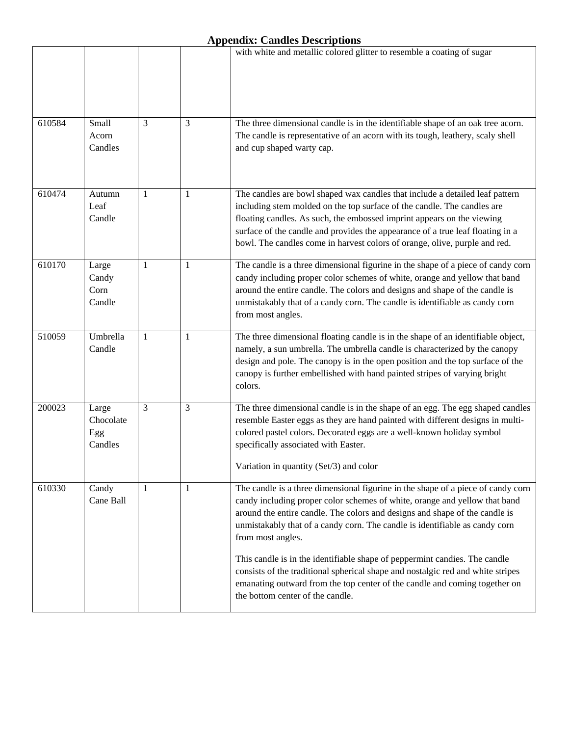|        |                                      |   |   | with white and metallic colored glitter to resemble a coating of sugar                                                                                                                                                                                                                                                                                                                                                                                                                                                                                                                                                               |
|--------|--------------------------------------|---|---|--------------------------------------------------------------------------------------------------------------------------------------------------------------------------------------------------------------------------------------------------------------------------------------------------------------------------------------------------------------------------------------------------------------------------------------------------------------------------------------------------------------------------------------------------------------------------------------------------------------------------------------|
|        |                                      |   |   |                                                                                                                                                                                                                                                                                                                                                                                                                                                                                                                                                                                                                                      |
| 610584 | Small<br>Acorn<br>Candles            | 3 | 3 | The three dimensional candle is in the identifiable shape of an oak tree acorn.<br>The candle is representative of an acorn with its tough, leathery, scaly shell<br>and cup shaped warty cap.                                                                                                                                                                                                                                                                                                                                                                                                                                       |
| 610474 | Autumn<br>Leaf<br>Candle             | 1 | 1 | The candles are bowl shaped wax candles that include a detailed leaf pattern<br>including stem molded on the top surface of the candle. The candles are<br>floating candles. As such, the embossed imprint appears on the viewing<br>surface of the candle and provides the appearance of a true leaf floating in a<br>bowl. The candles come in harvest colors of orange, olive, purple and red.                                                                                                                                                                                                                                    |
| 610170 | Large<br>Candy<br>Corn<br>Candle     | 1 | 1 | The candle is a three dimensional figurine in the shape of a piece of candy corn<br>candy including proper color schemes of white, orange and yellow that band<br>around the entire candle. The colors and designs and shape of the candle is<br>unmistakably that of a candy corn. The candle is identifiable as candy corn<br>from most angles.                                                                                                                                                                                                                                                                                    |
| 510059 | Umbrella<br>Candle                   | 1 | 1 | The three dimensional floating candle is in the shape of an identifiable object,<br>namely, a sun umbrella. The umbrella candle is characterized by the canopy<br>design and pole. The canopy is in the open position and the top surface of the<br>canopy is further embellished with hand painted stripes of varying bright<br>colors.                                                                                                                                                                                                                                                                                             |
| 200023 | Large<br>Chocolate<br>Egg<br>Candles | 3 | 3 | The three dimensional candle is in the shape of an egg. The egg shaped candles<br>resemble Easter eggs as they are hand painted with different designs in multi-<br>colored pastel colors. Decorated eggs are a well-known holiday symbol<br>specifically associated with Easter.<br>Variation in quantity (Set/3) and color                                                                                                                                                                                                                                                                                                         |
| 610330 | Candy<br>Cane Ball                   | 1 | 1 | The candle is a three dimensional figurine in the shape of a piece of candy corn<br>candy including proper color schemes of white, orange and yellow that band<br>around the entire candle. The colors and designs and shape of the candle is<br>unmistakably that of a candy corn. The candle is identifiable as candy corn<br>from most angles.<br>This candle is in the identifiable shape of peppermint candies. The candle<br>consists of the traditional spherical shape and nostalgic red and white stripes<br>emanating outward from the top center of the candle and coming together on<br>the bottom center of the candle. |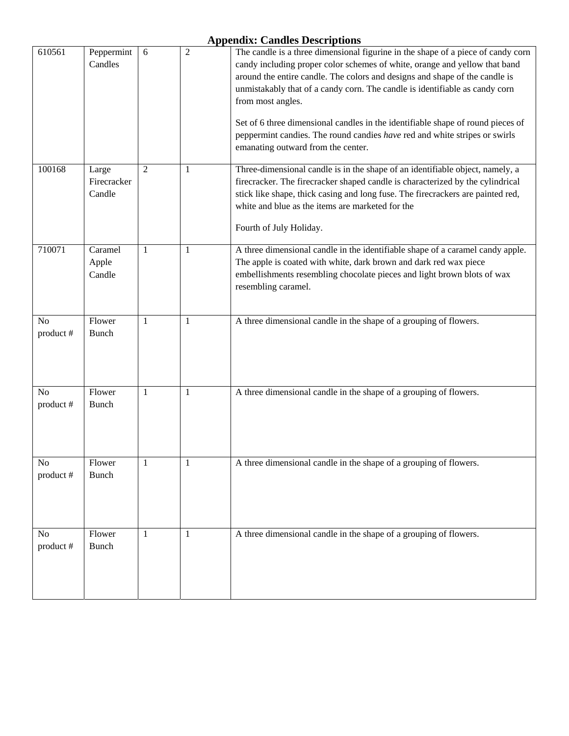| 610561         | Peppermint<br>Candles          | 6              | $\mathfrak{2}$ | The candle is a three dimensional figurine in the shape of a piece of candy corn<br>candy including proper color schemes of white, orange and yellow that band<br>around the entire candle. The colors and designs and shape of the candle is<br>unmistakably that of a candy corn. The candle is identifiable as candy corn<br>from most angles.<br>Set of 6 three dimensional candles in the identifiable shape of round pieces of<br>peppermint candies. The round candies have red and white stripes or swirls<br>emanating outward from the center. |
|----------------|--------------------------------|----------------|----------------|----------------------------------------------------------------------------------------------------------------------------------------------------------------------------------------------------------------------------------------------------------------------------------------------------------------------------------------------------------------------------------------------------------------------------------------------------------------------------------------------------------------------------------------------------------|
| 100168         | Large<br>Firecracker<br>Candle | $\overline{2}$ | $\mathbf{1}$   | Three-dimensional candle is in the shape of an identifiable object, namely, a<br>firecracker. The firecracker shaped candle is characterized by the cylindrical<br>stick like shape, thick casing and long fuse. The firecrackers are painted red,<br>white and blue as the items are marketed for the<br>Fourth of July Holiday.                                                                                                                                                                                                                        |
| 710071         | Caramel<br>Apple<br>Candle     | 1              | 1              | A three dimensional candle in the identifiable shape of a caramel candy apple.<br>The apple is coated with white, dark brown and dark red wax piece<br>embellishments resembling chocolate pieces and light brown blots of wax<br>resembling caramel.                                                                                                                                                                                                                                                                                                    |
| No<br>product# | Flower<br><b>Bunch</b>         | -1             | 1              | A three dimensional candle in the shape of a grouping of flowers.                                                                                                                                                                                                                                                                                                                                                                                                                                                                                        |
| No<br>product# | Flower<br><b>Bunch</b>         | 1              | $\mathbf{1}$   | A three dimensional candle in the shape of a grouping of flowers.                                                                                                                                                                                                                                                                                                                                                                                                                                                                                        |
| No<br>product# | Flower<br><b>Bunch</b>         | $1\,$          | $\mathbf{1}$   | A three dimensional candle in the shape of a grouping of flowers.                                                                                                                                                                                                                                                                                                                                                                                                                                                                                        |
| No<br>product# | Flower<br>Bunch                | $\mathbf{1}$   | $\mathbf{1}$   | A three dimensional candle in the shape of a grouping of flowers.                                                                                                                                                                                                                                                                                                                                                                                                                                                                                        |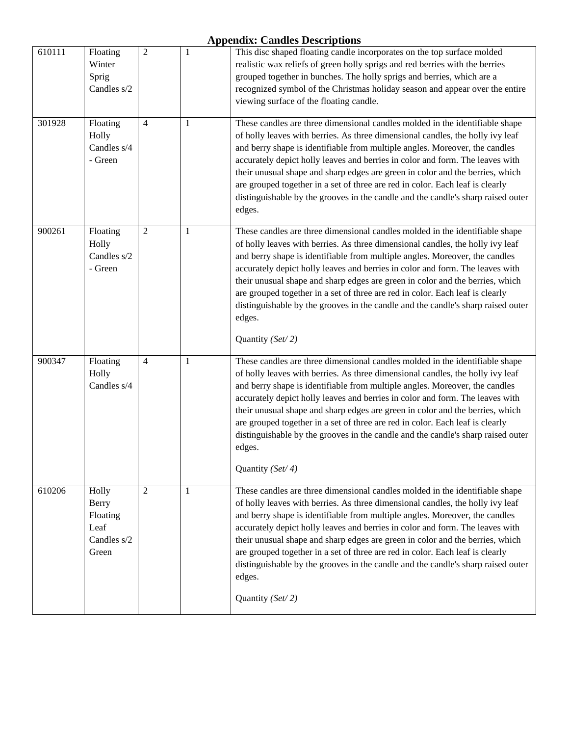| 610111 | Floating<br>Winter<br>Sprig<br>Candles s/2                        | $\overline{2}$ | $\mathbf{1}$ | This disc shaped floating candle incorporates on the top surface molded<br>realistic wax reliefs of green holly sprigs and red berries with the berries<br>grouped together in bunches. The holly sprigs and berries, which are a<br>recognized symbol of the Christmas holiday season and appear over the entire<br>viewing surface of the floating candle.                                                                                                                                                                                                                                                       |
|--------|-------------------------------------------------------------------|----------------|--------------|--------------------------------------------------------------------------------------------------------------------------------------------------------------------------------------------------------------------------------------------------------------------------------------------------------------------------------------------------------------------------------------------------------------------------------------------------------------------------------------------------------------------------------------------------------------------------------------------------------------------|
| 301928 | Floating<br>Holly<br>Candles s/4<br>- Green                       | $\overline{4}$ | 1            | These candles are three dimensional candles molded in the identifiable shape<br>of holly leaves with berries. As three dimensional candles, the holly ivy leaf<br>and berry shape is identifiable from multiple angles. Moreover, the candles<br>accurately depict holly leaves and berries in color and form. The leaves with<br>their unusual shape and sharp edges are green in color and the berries, which<br>are grouped together in a set of three are red in color. Each leaf is clearly<br>distinguishable by the grooves in the candle and the candle's sharp raised outer<br>edges.                     |
| 900261 | Floating<br>Holly<br>Candles s/2<br>- Green                       | $\overline{2}$ | 1            | These candles are three dimensional candles molded in the identifiable shape<br>of holly leaves with berries. As three dimensional candles, the holly ivy leaf<br>and berry shape is identifiable from multiple angles. Moreover, the candles<br>accurately depict holly leaves and berries in color and form. The leaves with<br>their unusual shape and sharp edges are green in color and the berries, which<br>are grouped together in a set of three are red in color. Each leaf is clearly<br>distinguishable by the grooves in the candle and the candle's sharp raised outer<br>edges.<br>Quantity (Set/2) |
| 900347 | Floating<br>Holly<br>Candles s/4                                  | $\overline{4}$ | $\mathbf{1}$ | These candles are three dimensional candles molded in the identifiable shape<br>of holly leaves with berries. As three dimensional candles, the holly ivy leaf<br>and berry shape is identifiable from multiple angles. Moreover, the candles<br>accurately depict holly leaves and berries in color and form. The leaves with<br>their unusual shape and sharp edges are green in color and the berries, which<br>are grouped together in a set of three are red in color. Each leaf is clearly<br>distinguishable by the grooves in the candle and the candle's sharp raised outer<br>edges.<br>Quantity (Set/4) |
| 610206 | Holly<br><b>Berry</b><br>Floating<br>Leaf<br>Candles s/2<br>Green | $\overline{2}$ | 1            | These candles are three dimensional candles molded in the identifiable shape<br>of holly leaves with berries. As three dimensional candles, the holly ivy leaf<br>and berry shape is identifiable from multiple angles. Moreover, the candles<br>accurately depict holly leaves and berries in color and form. The leaves with<br>their unusual shape and sharp edges are green in color and the berries, which<br>are grouped together in a set of three are red in color. Each leaf is clearly<br>distinguishable by the grooves in the candle and the candle's sharp raised outer<br>edges.<br>Quantity (Set/2) |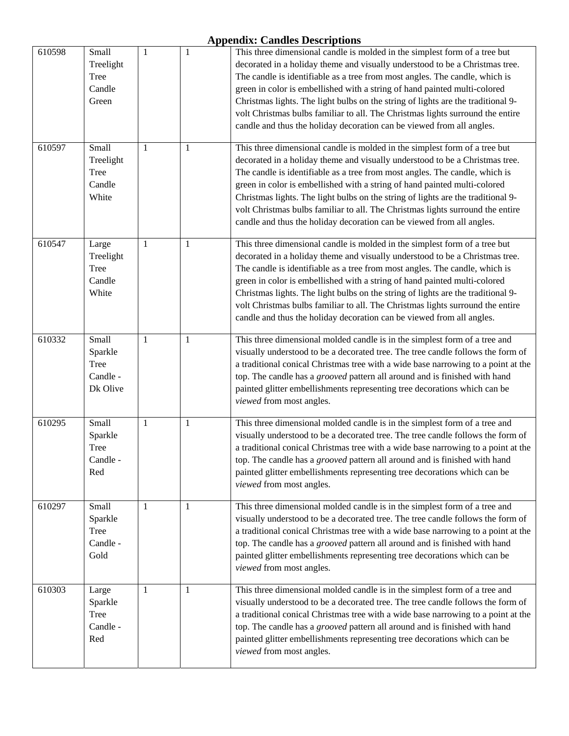| 610598 | Small<br>Treelight<br>Tree<br>Candle<br>Green           | 1            | $\mathbf{1}$ | This three dimensional candle is molded in the simplest form of a tree but<br>decorated in a holiday theme and visually understood to be a Christmas tree.<br>The candle is identifiable as a tree from most angles. The candle, which is<br>green in color is embellished with a string of hand painted multi-colored<br>Christmas lights. The light bulbs on the string of lights are the traditional 9-<br>volt Christmas bulbs familiar to all. The Christmas lights surround the entire<br>candle and thus the holiday decoration can be viewed from all angles. |
|--------|---------------------------------------------------------|--------------|--------------|-----------------------------------------------------------------------------------------------------------------------------------------------------------------------------------------------------------------------------------------------------------------------------------------------------------------------------------------------------------------------------------------------------------------------------------------------------------------------------------------------------------------------------------------------------------------------|
| 610597 | Small<br>Treelight<br>Tree<br>Candle<br>White           | 1            | $\mathbf{1}$ | This three dimensional candle is molded in the simplest form of a tree but<br>decorated in a holiday theme and visually understood to be a Christmas tree.<br>The candle is identifiable as a tree from most angles. The candle, which is<br>green in color is embellished with a string of hand painted multi-colored<br>Christmas lights. The light bulbs on the string of lights are the traditional 9-<br>volt Christmas bulbs familiar to all. The Christmas lights surround the entire<br>candle and thus the holiday decoration can be viewed from all angles. |
| 610547 | Large<br>Treelight<br><b>Tree</b><br>Candle<br>White    | 1            | 1            | This three dimensional candle is molded in the simplest form of a tree but<br>decorated in a holiday theme and visually understood to be a Christmas tree.<br>The candle is identifiable as a tree from most angles. The candle, which is<br>green in color is embellished with a string of hand painted multi-colored<br>Christmas lights. The light bulbs on the string of lights are the traditional 9-<br>volt Christmas bulbs familiar to all. The Christmas lights surround the entire<br>candle and thus the holiday decoration can be viewed from all angles. |
| 610332 | Small<br>Sparkle<br><b>Tree</b><br>Candle -<br>Dk Olive | $\mathbf{1}$ | $\mathbf{1}$ | This three dimensional molded candle is in the simplest form of a tree and<br>visually understood to be a decorated tree. The tree candle follows the form of<br>a traditional conical Christmas tree with a wide base narrowing to a point at the<br>top. The candle has a grooved pattern all around and is finished with hand<br>painted glitter embellishments representing tree decorations which can be<br>viewed from most angles.                                                                                                                             |
| 610295 | Small<br>Sparkle<br><b>Tree</b><br>Candle -<br>Red      | $\mathbf{1}$ | $\mathbf{1}$ | This three dimensional molded candle is in the simplest form of a tree and<br>visually understood to be a decorated tree. The tree candle follows the form of<br>a traditional conical Christmas tree with a wide base narrowing to a point at the<br>top. The candle has a grooved pattern all around and is finished with hand<br>painted glitter embellishments representing tree decorations which can be<br>viewed from most angles.                                                                                                                             |
| 610297 | Small<br>Sparkle<br>Tree<br>Candle -<br>Gold            | 1            | 1            | This three dimensional molded candle is in the simplest form of a tree and<br>visually understood to be a decorated tree. The tree candle follows the form of<br>a traditional conical Christmas tree with a wide base narrowing to a point at the<br>top. The candle has a grooved pattern all around and is finished with hand<br>painted glitter embellishments representing tree decorations which can be<br>viewed from most angles.                                                                                                                             |
| 610303 | Large<br>Sparkle<br>Tree<br>Candle -<br>Red             | 1            | 1            | This three dimensional molded candle is in the simplest form of a tree and<br>visually understood to be a decorated tree. The tree candle follows the form of<br>a traditional conical Christmas tree with a wide base narrowing to a point at the<br>top. The candle has a grooved pattern all around and is finished with hand<br>painted glitter embellishments representing tree decorations which can be<br>viewed from most angles.                                                                                                                             |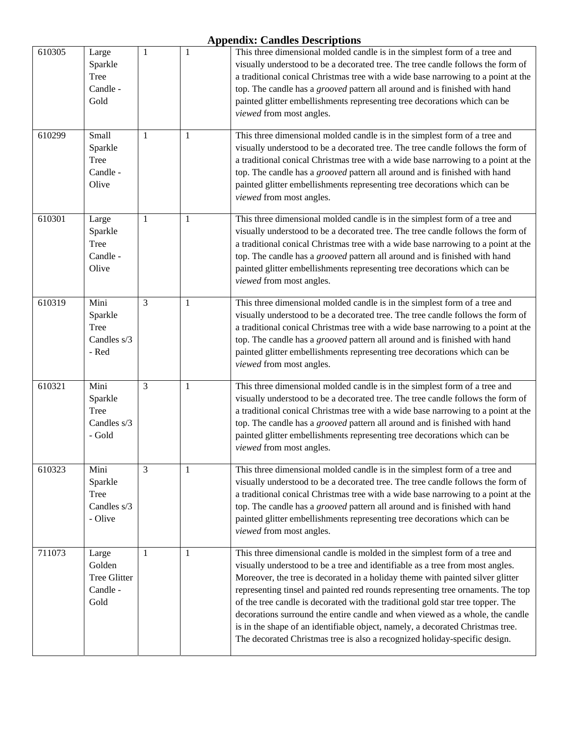| 610305 | Large<br>Sparkle<br>Tree<br>Candle -<br>Gold             | 1  | $\mathbf{1}$ | This three dimensional molded candle is in the simplest form of a tree and<br>visually understood to be a decorated tree. The tree candle follows the form of<br>a traditional conical Christmas tree with a wide base narrowing to a point at the<br>top. The candle has a grooved pattern all around and is finished with hand<br>painted glitter embellishments representing tree decorations which can be<br>viewed from most angles.                                                                                                                                                                                                                            |
|--------|----------------------------------------------------------|----|--------------|----------------------------------------------------------------------------------------------------------------------------------------------------------------------------------------------------------------------------------------------------------------------------------------------------------------------------------------------------------------------------------------------------------------------------------------------------------------------------------------------------------------------------------------------------------------------------------------------------------------------------------------------------------------------|
| 610299 | Small<br>Sparkle<br>Tree<br>Candle -<br>Olive            | 1  | 1            | This three dimensional molded candle is in the simplest form of a tree and<br>visually understood to be a decorated tree. The tree candle follows the form of<br>a traditional conical Christmas tree with a wide base narrowing to a point at the<br>top. The candle has a grooved pattern all around and is finished with hand<br>painted glitter embellishments representing tree decorations which can be<br>viewed from most angles.                                                                                                                                                                                                                            |
| 610301 | Large<br>Sparkle<br>Tree<br>Candle -<br>Olive            | 1  | 1            | This three dimensional molded candle is in the simplest form of a tree and<br>visually understood to be a decorated tree. The tree candle follows the form of<br>a traditional conical Christmas tree with a wide base narrowing to a point at the<br>top. The candle has a grooved pattern all around and is finished with hand<br>painted glitter embellishments representing tree decorations which can be<br>viewed from most angles.                                                                                                                                                                                                                            |
| 610319 | Mini<br>Sparkle<br>Tree<br>Candles s/3<br>- Red          | 3  | 1            | This three dimensional molded candle is in the simplest form of a tree and<br>visually understood to be a decorated tree. The tree candle follows the form of<br>a traditional conical Christmas tree with a wide base narrowing to a point at the<br>top. The candle has a grooved pattern all around and is finished with hand<br>painted glitter embellishments representing tree decorations which can be<br>viewed from most angles.                                                                                                                                                                                                                            |
| 610321 | Mini<br>Sparkle<br><b>Tree</b><br>Candles s/3<br>- Gold  | 3  | 1            | This three dimensional molded candle is in the simplest form of a tree and<br>visually understood to be a decorated tree. The tree candle follows the form of<br>a traditional conical Christmas tree with a wide base narrowing to a point at the<br>top. The candle has a grooved pattern all around and is finished with hand<br>painted glitter embellishments representing tree decorations which can be<br>viewed from most angles.                                                                                                                                                                                                                            |
| 610323 | Mini<br>Sparkle<br><b>Tree</b><br>Candles s/3<br>- Olive | 3  | 1            | This three dimensional molded candle is in the simplest form of a tree and<br>visually understood to be a decorated tree. The tree candle follows the form of<br>a traditional conical Christmas tree with a wide base narrowing to a point at the<br>top. The candle has a grooved pattern all around and is finished with hand<br>painted glitter embellishments representing tree decorations which can be<br>viewed from most angles.                                                                                                                                                                                                                            |
| 711073 | Large<br>Golden<br>Tree Glitter<br>Candle -<br>Gold      | -1 | 1            | This three dimensional candle is molded in the simplest form of a tree and<br>visually understood to be a tree and identifiable as a tree from most angles.<br>Moreover, the tree is decorated in a holiday theme with painted silver glitter<br>representing tinsel and painted red rounds representing tree ornaments. The top<br>of the tree candle is decorated with the traditional gold star tree topper. The<br>decorations surround the entire candle and when viewed as a whole, the candle<br>is in the shape of an identifiable object, namely, a decorated Christmas tree.<br>The decorated Christmas tree is also a recognized holiday-specific design. |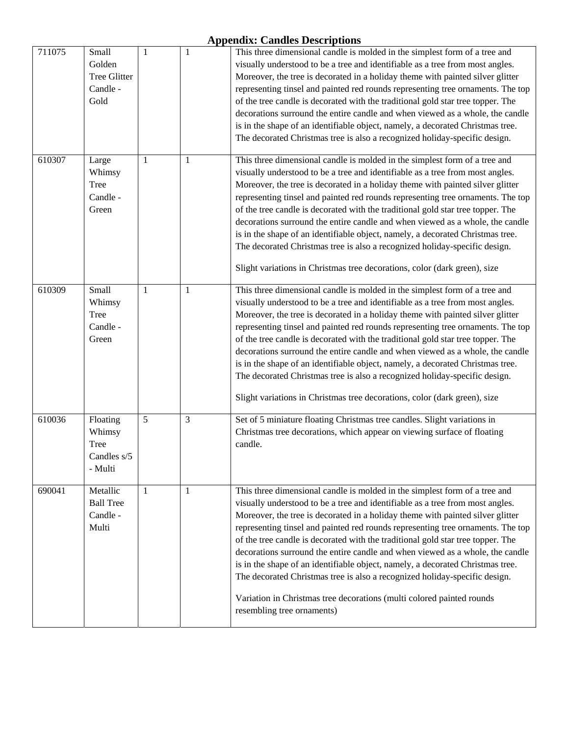| 711075 | Small<br>Golden<br>Tree Glitter<br>Candle -<br>Gold  | 1 | $\mathbf{1}$   | This three dimensional candle is molded in the simplest form of a tree and<br>visually understood to be a tree and identifiable as a tree from most angles.<br>Moreover, the tree is decorated in a holiday theme with painted silver glitter<br>representing tinsel and painted red rounds representing tree ornaments. The top<br>of the tree candle is decorated with the traditional gold star tree topper. The<br>decorations surround the entire candle and when viewed as a whole, the candle<br>is in the shape of an identifiable object, namely, a decorated Christmas tree.<br>The decorated Christmas tree is also a recognized holiday-specific design.                                                                                                        |
|--------|------------------------------------------------------|---|----------------|-----------------------------------------------------------------------------------------------------------------------------------------------------------------------------------------------------------------------------------------------------------------------------------------------------------------------------------------------------------------------------------------------------------------------------------------------------------------------------------------------------------------------------------------------------------------------------------------------------------------------------------------------------------------------------------------------------------------------------------------------------------------------------|
| 610307 | Large<br>Whimsy<br>Tree<br>Candle -<br>Green         | 1 | 1              | This three dimensional candle is molded in the simplest form of a tree and<br>visually understood to be a tree and identifiable as a tree from most angles.<br>Moreover, the tree is decorated in a holiday theme with painted silver glitter<br>representing tinsel and painted red rounds representing tree ornaments. The top<br>of the tree candle is decorated with the traditional gold star tree topper. The<br>decorations surround the entire candle and when viewed as a whole, the candle<br>is in the shape of an identifiable object, namely, a decorated Christmas tree.<br>The decorated Christmas tree is also a recognized holiday-specific design.<br>Slight variations in Christmas tree decorations, color (dark green), size                           |
| 610309 | Small<br>Whimsy<br>Tree<br>Candle -<br>Green         | 1 | $\mathbf{1}$   | This three dimensional candle is molded in the simplest form of a tree and<br>visually understood to be a tree and identifiable as a tree from most angles.<br>Moreover, the tree is decorated in a holiday theme with painted silver glitter<br>representing tinsel and painted red rounds representing tree ornaments. The top<br>of the tree candle is decorated with the traditional gold star tree topper. The<br>decorations surround the entire candle and when viewed as a whole, the candle<br>is in the shape of an identifiable object, namely, a decorated Christmas tree.<br>The decorated Christmas tree is also a recognized holiday-specific design.<br>Slight variations in Christmas tree decorations, color (dark green), size                           |
| 610036 | Floating<br>Whimsy<br>Tree<br>Candles s/5<br>- Multi | 5 | $\mathfrak{Z}$ | Set of 5 miniature floating Christmas tree candles. Slight variations in<br>Christmas tree decorations, which appear on viewing surface of floating<br>candle.                                                                                                                                                                                                                                                                                                                                                                                                                                                                                                                                                                                                              |
| 690041 | Metallic<br><b>Ball Tree</b><br>Candle -<br>Multi    | 1 | $\mathbf{1}$   | This three dimensional candle is molded in the simplest form of a tree and<br>visually understood to be a tree and identifiable as a tree from most angles.<br>Moreover, the tree is decorated in a holiday theme with painted silver glitter<br>representing tinsel and painted red rounds representing tree ornaments. The top<br>of the tree candle is decorated with the traditional gold star tree topper. The<br>decorations surround the entire candle and when viewed as a whole, the candle<br>is in the shape of an identifiable object, namely, a decorated Christmas tree.<br>The decorated Christmas tree is also a recognized holiday-specific design.<br>Variation in Christmas tree decorations (multi colored painted rounds<br>resembling tree ornaments) |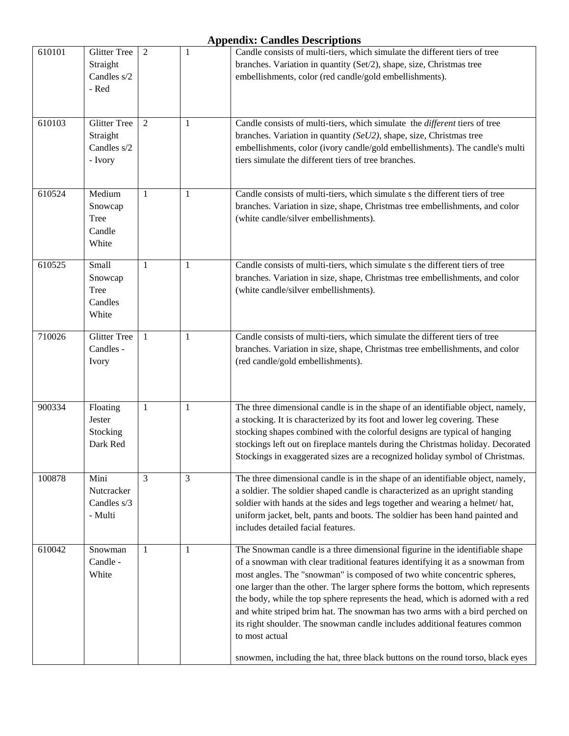| 610101 | <b>Glitter Tree</b><br>Straight<br>Candles s/2<br>- Red   | $\overline{2}$ | $\mathbf{1}$ | Candle consists of multi-tiers, which simulate the different tiers of tree<br>branches. Variation in quantity (Set/2), shape, size, Christmas tree<br>embellishments, color (red candle/gold embellishments).                                                                                                                                                                                                                                                                                                                                                                                                                                                                   |
|--------|-----------------------------------------------------------|----------------|--------------|---------------------------------------------------------------------------------------------------------------------------------------------------------------------------------------------------------------------------------------------------------------------------------------------------------------------------------------------------------------------------------------------------------------------------------------------------------------------------------------------------------------------------------------------------------------------------------------------------------------------------------------------------------------------------------|
| 610103 | <b>Glitter Tree</b><br>Straight<br>Candles s/2<br>- Ivory | $\overline{2}$ | 1            | Candle consists of multi-tiers, which simulate the different tiers of tree<br>branches. Variation in quantity (SeU2), shape, size, Christmas tree<br>embellishments, color (ivory candle/gold embellishments). The candle's multi<br>tiers simulate the different tiers of tree branches.                                                                                                                                                                                                                                                                                                                                                                                       |
| 610524 | Medium<br>Snowcap<br>Tree<br>Candle<br>White              | $\mathbf{1}$   | 1            | Candle consists of multi-tiers, which simulate s the different tiers of tree<br>branches. Variation in size, shape, Christmas tree embellishments, and color<br>(white candle/silver embellishments).                                                                                                                                                                                                                                                                                                                                                                                                                                                                           |
| 610525 | Small<br>Snowcap<br>Tree<br>Candles<br>White              | $\mathbf{1}$   | 1            | Candle consists of multi-tiers, which simulate s the different tiers of tree<br>branches. Variation in size, shape, Christmas tree embellishments, and color<br>(white candle/silver embellishments).                                                                                                                                                                                                                                                                                                                                                                                                                                                                           |
| 710026 | <b>Glitter Tree</b><br>Candles -<br>Ivory                 | 1              | 1            | Candle consists of multi-tiers, which simulate the different tiers of tree<br>branches. Variation in size, shape, Christmas tree embellishments, and color<br>(red candle/gold embellishments).                                                                                                                                                                                                                                                                                                                                                                                                                                                                                 |
| 900334 | Floating<br>Jester<br>Stocking<br>Dark Red                | 1              | 1            | The three dimensional candle is in the shape of an identifiable object, namely,<br>a stocking. It is characterized by its foot and lower leg covering. These<br>stocking shapes combined with the colorful designs are typical of hanging<br>stockings left out on fireplace mantels during the Christmas holiday. Decorated<br>Stockings in exaggerated sizes are a recognized holiday symbol of Christmas.                                                                                                                                                                                                                                                                    |
| 100878 | Mini<br>Nutcracker<br>Candles s/3<br>- Multi              | $\overline{3}$ | 3            | The three dimensional candle is in the shape of an identifiable object, namely,<br>a soldier. The soldier shaped candle is characterized as an upright standing<br>soldier with hands at the sides and legs together and wearing a helmet/hat,<br>uniform jacket, belt, pants and boots. The soldier has been hand painted and<br>includes detailed facial features.                                                                                                                                                                                                                                                                                                            |
| 610042 | Snowman<br>Candle -<br>White                              | 1              | 1            | The Snowman candle is a three dimensional figurine in the identifiable shape<br>of a snowman with clear traditional features identifying it as a snowman from<br>most angles. The "snowman" is composed of two white concentric spheres,<br>one larger than the other. The larger sphere forms the bottom, which represents<br>the body, while the top sphere represents the head, which is adorned with a red<br>and white striped brim hat. The snowman has two arms with a bird perched on<br>its right shoulder. The snowman candle includes additional features common<br>to most actual<br>snowmen, including the hat, three black buttons on the round torso, black eyes |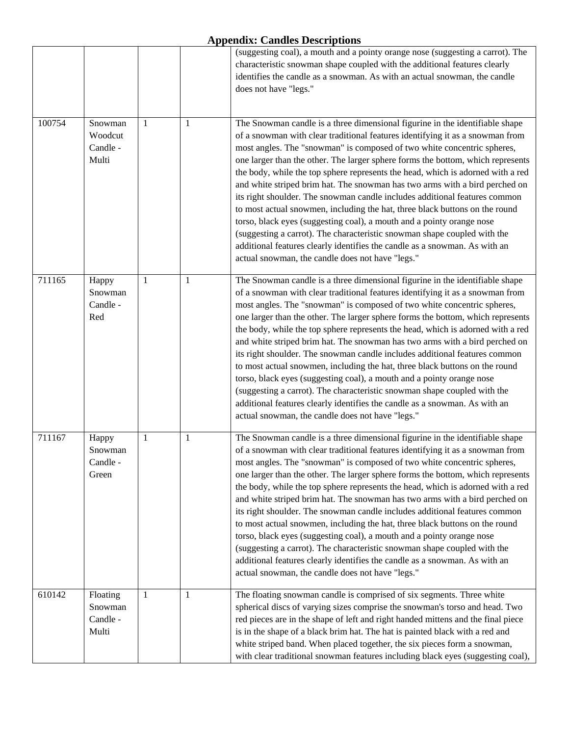|        |                                          |   |   | (suggesting coal), a mouth and a pointy orange nose (suggesting a carrot). The<br>characteristic snowman shape coupled with the additional features clearly<br>identifies the candle as a snowman. As with an actual snowman, the candle<br>does not have "legs."                                                                                                                                                                                                                                                                                                                                                                                                                                                                                                                                                                                                                                                                                 |
|--------|------------------------------------------|---|---|---------------------------------------------------------------------------------------------------------------------------------------------------------------------------------------------------------------------------------------------------------------------------------------------------------------------------------------------------------------------------------------------------------------------------------------------------------------------------------------------------------------------------------------------------------------------------------------------------------------------------------------------------------------------------------------------------------------------------------------------------------------------------------------------------------------------------------------------------------------------------------------------------------------------------------------------------|
| 100754 | Snowman<br>Woodcut<br>Candle -<br>Multi  | 1 | 1 | The Snowman candle is a three dimensional figurine in the identifiable shape<br>of a snowman with clear traditional features identifying it as a snowman from<br>most angles. The "snowman" is composed of two white concentric spheres,<br>one larger than the other. The larger sphere forms the bottom, which represents<br>the body, while the top sphere represents the head, which is adorned with a red<br>and white striped brim hat. The snowman has two arms with a bird perched on<br>its right shoulder. The snowman candle includes additional features common<br>to most actual snowmen, including the hat, three black buttons on the round<br>torso, black eyes (suggesting coal), a mouth and a pointy orange nose<br>(suggesting a carrot). The characteristic snowman shape coupled with the<br>additional features clearly identifies the candle as a snowman. As with an<br>actual snowman, the candle does not have "legs." |
| 711165 | Happy<br>Snowman<br>Candle -<br>Red      | 1 | 1 | The Snowman candle is a three dimensional figurine in the identifiable shape<br>of a snowman with clear traditional features identifying it as a snowman from<br>most angles. The "snowman" is composed of two white concentric spheres,<br>one larger than the other. The larger sphere forms the bottom, which represents<br>the body, while the top sphere represents the head, which is adorned with a red<br>and white striped brim hat. The snowman has two arms with a bird perched on<br>its right shoulder. The snowman candle includes additional features common<br>to most actual snowmen, including the hat, three black buttons on the round<br>torso, black eyes (suggesting coal), a mouth and a pointy orange nose<br>(suggesting a carrot). The characteristic snowman shape coupled with the<br>additional features clearly identifies the candle as a snowman. As with an<br>actual snowman, the candle does not have "legs." |
| 711167 | Happy<br>Snowman<br>Candle -<br>Green    | 1 | 1 | The Snowman candle is a three dimensional figurine in the identifiable shape<br>of a snowman with clear traditional features identifying it as a snowman from<br>most angles. The "snowman" is composed of two white concentric spheres,<br>one larger than the other. The larger sphere forms the bottom, which represents<br>the body, while the top sphere represents the head, which is adorned with a red<br>and white striped brim hat. The snowman has two arms with a bird perched on<br>its right shoulder. The snowman candle includes additional features common<br>to most actual snowmen, including the hat, three black buttons on the round<br>torso, black eyes (suggesting coal), a mouth and a pointy orange nose<br>(suggesting a carrot). The characteristic snowman shape coupled with the<br>additional features clearly identifies the candle as a snowman. As with an<br>actual snowman, the candle does not have "legs." |
| 610142 | Floating<br>Snowman<br>Candle -<br>Multi | 1 | 1 | The floating snowman candle is comprised of six segments. Three white<br>spherical discs of varying sizes comprise the snowman's torso and head. Two<br>red pieces are in the shape of left and right handed mittens and the final piece<br>is in the shape of a black brim hat. The hat is painted black with a red and<br>white striped band. When placed together, the six pieces form a snowman,<br>with clear traditional snowman features including black eyes (suggesting coal),                                                                                                                                                                                                                                                                                                                                                                                                                                                           |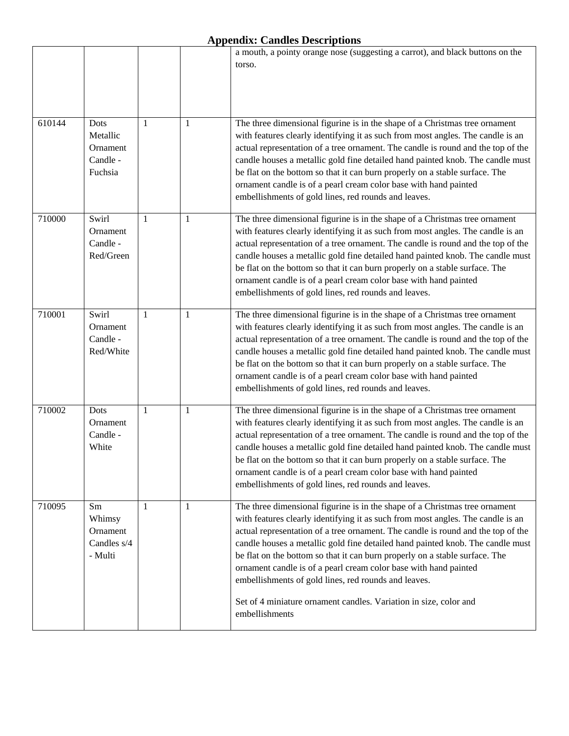|        |                                                     |              |   | a mouth, a pointy orange nose (suggesting a carrot), and black buttons on the<br>torso.                                                                                                                                                                                                                                                                                                                                                                                                                                                                                                                                                |
|--------|-----------------------------------------------------|--------------|---|----------------------------------------------------------------------------------------------------------------------------------------------------------------------------------------------------------------------------------------------------------------------------------------------------------------------------------------------------------------------------------------------------------------------------------------------------------------------------------------------------------------------------------------------------------------------------------------------------------------------------------------|
| 610144 | Dots<br>Metallic<br>Ornament<br>Candle -<br>Fuchsia | 1            | 1 | The three dimensional figurine is in the shape of a Christmas tree ornament<br>with features clearly identifying it as such from most angles. The candle is an<br>actual representation of a tree ornament. The candle is round and the top of the<br>candle houses a metallic gold fine detailed hand painted knob. The candle must<br>be flat on the bottom so that it can burn properly on a stable surface. The<br>ornament candle is of a pearl cream color base with hand painted<br>embellishments of gold lines, red rounds and leaves.                                                                                        |
| 710000 | Swirl<br>Ornament<br>Candle -<br>Red/Green          | $\mathbf{1}$ | 1 | The three dimensional figurine is in the shape of a Christmas tree ornament<br>with features clearly identifying it as such from most angles. The candle is an<br>actual representation of a tree ornament. The candle is round and the top of the<br>candle houses a metallic gold fine detailed hand painted knob. The candle must<br>be flat on the bottom so that it can burn properly on a stable surface. The<br>ornament candle is of a pearl cream color base with hand painted<br>embellishments of gold lines, red rounds and leaves.                                                                                        |
| 710001 | Swirl<br>Ornament<br>Candle -<br>Red/White          | 1            | 1 | The three dimensional figurine is in the shape of a Christmas tree ornament<br>with features clearly identifying it as such from most angles. The candle is an<br>actual representation of a tree ornament. The candle is round and the top of the<br>candle houses a metallic gold fine detailed hand painted knob. The candle must<br>be flat on the bottom so that it can burn properly on a stable surface. The<br>ornament candle is of a pearl cream color base with hand painted<br>embellishments of gold lines, red rounds and leaves.                                                                                        |
| 710002 | Dots<br>Ornament<br>Candle -<br>White               | 1            | 1 | The three dimensional figurine is in the shape of a Christmas tree ornament<br>with features clearly identifying it as such from most angles. The candle is an<br>actual representation of a tree ornament. The candle is round and the top of the<br>candle houses a metallic gold fine detailed hand painted knob. The candle must<br>be flat on the bottom so that it can burn properly on a stable surface. The<br>ornament candle is of a pearl cream color base with hand painted<br>embellishments of gold lines, red rounds and leaves.                                                                                        |
| 710095 | Sm<br>Whimsy<br>Ornament<br>Candles s/4<br>- Multi  | 1            | 1 | The three dimensional figurine is in the shape of a Christmas tree ornament<br>with features clearly identifying it as such from most angles. The candle is an<br>actual representation of a tree ornament. The candle is round and the top of the<br>candle houses a metallic gold fine detailed hand painted knob. The candle must<br>be flat on the bottom so that it can burn properly on a stable surface. The<br>ornament candle is of a pearl cream color base with hand painted<br>embellishments of gold lines, red rounds and leaves.<br>Set of 4 miniature ornament candles. Variation in size, color and<br>embellishments |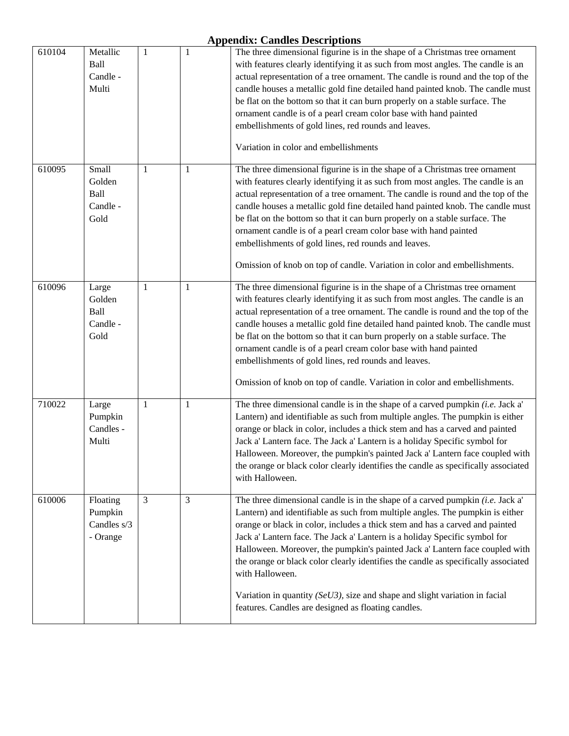| 610104 | Metallic<br>Ball<br>Candle -<br>Multi          | 1 | $\mathbf{1}$ | The three dimensional figurine is in the shape of a Christmas tree ornament<br>with features clearly identifying it as such from most angles. The candle is an<br>actual representation of a tree ornament. The candle is round and the top of the<br>candle houses a metallic gold fine detailed hand painted knob. The candle must<br>be flat on the bottom so that it can burn properly on a stable surface. The<br>ornament candle is of a pearl cream color base with hand painted<br>embellishments of gold lines, red rounds and leaves.<br>Variation in color and embellishments                                                                           |
|--------|------------------------------------------------|---|--------------|--------------------------------------------------------------------------------------------------------------------------------------------------------------------------------------------------------------------------------------------------------------------------------------------------------------------------------------------------------------------------------------------------------------------------------------------------------------------------------------------------------------------------------------------------------------------------------------------------------------------------------------------------------------------|
| 610095 | Small<br>Golden<br>Ball<br>Candle -<br>Gold    | 1 | $\mathbf{1}$ | The three dimensional figurine is in the shape of a Christmas tree ornament<br>with features clearly identifying it as such from most angles. The candle is an<br>actual representation of a tree ornament. The candle is round and the top of the<br>candle houses a metallic gold fine detailed hand painted knob. The candle must<br>be flat on the bottom so that it can burn properly on a stable surface. The<br>ornament candle is of a pearl cream color base with hand painted<br>embellishments of gold lines, red rounds and leaves.<br>Omission of knob on top of candle. Variation in color and embellishments.                                       |
| 610096 | Large<br>Golden<br>Ball<br>Candle -<br>Gold    | 1 | $\mathbf{1}$ | The three dimensional figurine is in the shape of a Christmas tree ornament<br>with features clearly identifying it as such from most angles. The candle is an<br>actual representation of a tree ornament. The candle is round and the top of the<br>candle houses a metallic gold fine detailed hand painted knob. The candle must<br>be flat on the bottom so that it can burn properly on a stable surface. The<br>ornament candle is of a pearl cream color base with hand painted<br>embellishments of gold lines, red rounds and leaves.<br>Omission of knob on top of candle. Variation in color and embellishments.                                       |
| 710022 | Large<br>Pumpkin<br>Candles -<br>Multi         | 1 | $\mathbf{1}$ | The three dimensional candle is in the shape of a carved pumpkin $(i.e.$ Jack a'<br>Lantern) and identifiable as such from multiple angles. The pumpkin is either<br>orange or black in color, includes a thick stem and has a carved and painted<br>Jack a' Lantern face. The Jack a' Lantern is a holiday Specific symbol for<br>Halloween. Moreover, the pumpkin's painted Jack a' Lantern face coupled with<br>the orange or black color clearly identifies the candle as specifically associated<br>with Halloween.                                                                                                                                           |
| 610006 | Floating<br>Pumpkin<br>Candles s/3<br>- Orange | 3 | 3            | The three dimensional candle is in the shape of a carved pumpkin $(i.e.$ Jack a'<br>Lantern) and identifiable as such from multiple angles. The pumpkin is either<br>orange or black in color, includes a thick stem and has a carved and painted<br>Jack a' Lantern face. The Jack a' Lantern is a holiday Specific symbol for<br>Halloween. Moreover, the pumpkin's painted Jack a' Lantern face coupled with<br>the orange or black color clearly identifies the candle as specifically associated<br>with Halloween.<br>Variation in quantity ( $SeU3$ ), size and shape and slight variation in facial<br>features. Candles are designed as floating candles. |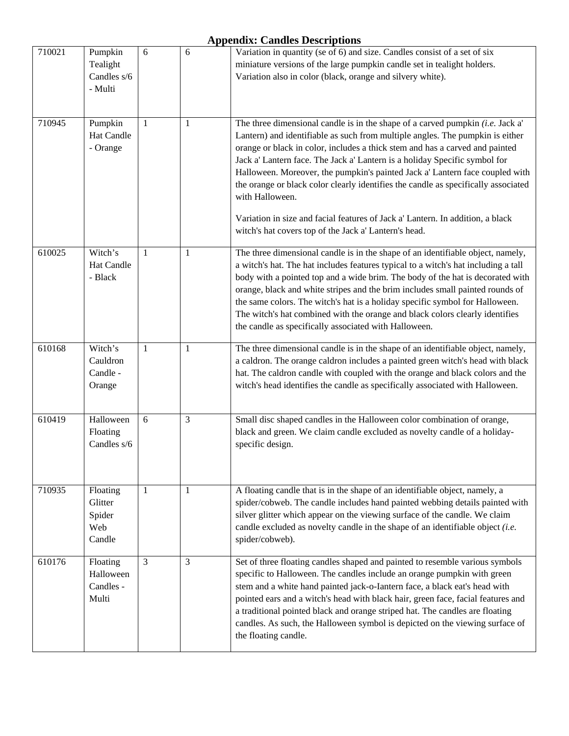| 710021 | Pumpkin<br>Tealight<br>Candles s/6<br>- Multi  | 6              | 6            | Variation in quantity (se of 6) and size. Candles consist of a set of six<br>miniature versions of the large pumpkin candle set in tealight holders.<br>Variation also in color (black, orange and silvery white).                                                                                                                                                                                                                                                                                                                                                                                                                                                  |
|--------|------------------------------------------------|----------------|--------------|---------------------------------------------------------------------------------------------------------------------------------------------------------------------------------------------------------------------------------------------------------------------------------------------------------------------------------------------------------------------------------------------------------------------------------------------------------------------------------------------------------------------------------------------------------------------------------------------------------------------------------------------------------------------|
| 710945 | Pumpkin<br>Hat Candle<br>- Orange              | $\mathbf{1}$   | 1            | The three dimensional candle is in the shape of a carved pumpkin $(i.e.$ Jack a'<br>Lantern) and identifiable as such from multiple angles. The pumpkin is either<br>orange or black in color, includes a thick stem and has a carved and painted<br>Jack a' Lantern face. The Jack a' Lantern is a holiday Specific symbol for<br>Halloween. Moreover, the pumpkin's painted Jack a' Lantern face coupled with<br>the orange or black color clearly identifies the candle as specifically associated<br>with Halloween.<br>Variation in size and facial features of Jack a' Lantern. In addition, a black<br>witch's hat covers top of the Jack a' Lantern's head. |
| 610025 | Witch's<br>Hat Candle<br>- Black               | $\mathbf{1}$   | 1            | The three dimensional candle is in the shape of an identifiable object, namely,<br>a witch's hat. The hat includes features typical to a witch's hat including a tall<br>body with a pointed top and a wide brim. The body of the hat is decorated with<br>orange, black and white stripes and the brim includes small painted rounds of<br>the same colors. The witch's hat is a holiday specific symbol for Halloween.<br>The witch's hat combined with the orange and black colors clearly identifies<br>the candle as specifically associated with Halloween.                                                                                                   |
| 610168 | Witch's<br>Cauldron<br>Candle -<br>Orange      | 1              | 1            | The three dimensional candle is in the shape of an identifiable object, namely,<br>a caldron. The orange caldron includes a painted green witch's head with black<br>hat. The caldron candle with coupled with the orange and black colors and the<br>witch's head identifies the candle as specifically associated with Halloween.                                                                                                                                                                                                                                                                                                                                 |
| 610419 | Halloween<br>Floating<br>Candles s/6           | 6              | 3            | Small disc shaped candles in the Halloween color combination of orange,<br>black and green. We claim candle excluded as novelty candle of a holiday-<br>specific design.                                                                                                                                                                                                                                                                                                                                                                                                                                                                                            |
| 710935 | Floating<br>Glitter<br>Spider<br>Web<br>Candle | $\mathbf{1}$   | $\mathbf{1}$ | A floating candle that is in the shape of an identifiable object, namely, a<br>spider/cobweb. The candle includes hand painted webbing details painted with<br>silver glitter which appear on the viewing surface of the candle. We claim<br>candle excluded as novelty candle in the shape of an identifiable object $(i.e.$<br>spider/cobweb).                                                                                                                                                                                                                                                                                                                    |
| 610176 | Floating<br>Halloween<br>Candles -<br>Multi    | $\overline{3}$ | 3            | Set of three floating candles shaped and painted to resemble various symbols<br>specific to Halloween. The candles include an orange pumpkin with green<br>stem and a white hand painted jack-o-Iantern face, a black eat's head with<br>pointed ears and a witch's head with black hair, green face, facial features and<br>a traditional pointed black and orange striped hat. The candles are floating<br>candles. As such, the Halloween symbol is depicted on the viewing surface of<br>the floating candle.                                                                                                                                                   |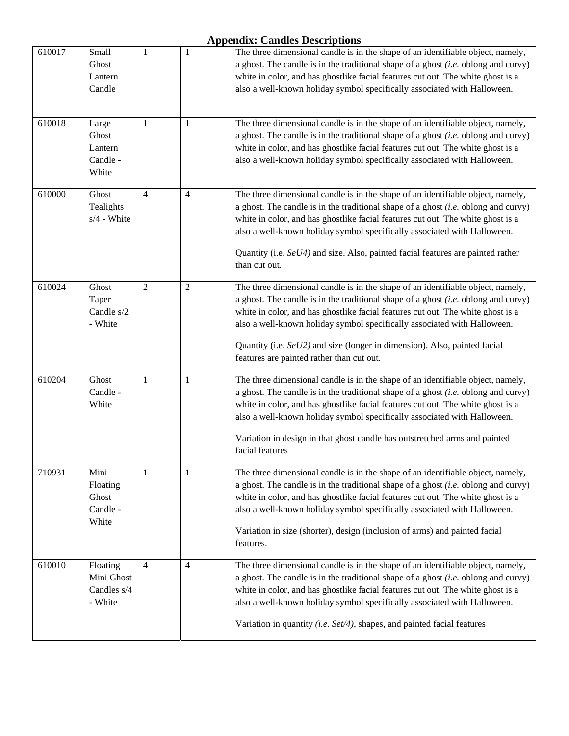| 610017 | Small<br>Ghost<br>Lantern<br>Candle              | 1              | $\mathbf{1}$   | The three dimensional candle is in the shape of an identifiable object, namely,<br>a ghost. The candle is in the traditional shape of a ghost $(i.e.$ oblong and curvy)<br>white in color, and has ghostlike facial features cut out. The white ghost is a<br>also a well-known holiday symbol specifically associated with Halloween.                                                                                                                           |
|--------|--------------------------------------------------|----------------|----------------|------------------------------------------------------------------------------------------------------------------------------------------------------------------------------------------------------------------------------------------------------------------------------------------------------------------------------------------------------------------------------------------------------------------------------------------------------------------|
| 610018 | Large<br>Ghost<br>Lantern<br>Candle -<br>White   | 1              | 1              | The three dimensional candle is in the shape of an identifiable object, namely,<br>a ghost. The candle is in the traditional shape of a ghost $(i.e.$ oblong and curvy)<br>white in color, and has ghostlike facial features cut out. The white ghost is a<br>also a well-known holiday symbol specifically associated with Halloween.                                                                                                                           |
| 610000 | Ghost<br>Tealights<br>s/4 - White                | $\overline{4}$ | $\overline{4}$ | The three dimensional candle is in the shape of an identifiable object, namely,<br>a ghost. The candle is in the traditional shape of a ghost $(i.e.$ oblong and curvy)<br>white in color, and has ghostlike facial features cut out. The white ghost is a<br>also a well-known holiday symbol specifically associated with Halloween.<br>Quantity (i.e. SeU4) and size. Also, painted facial features are painted rather<br>than cut out.                       |
| 610024 | Ghost<br>Taper<br>Candle s/2<br>- White          | $\overline{2}$ | 2              | The three dimensional candle is in the shape of an identifiable object, namely,<br>a ghost. The candle is in the traditional shape of a ghost $(i.e.$ oblong and curvy)<br>white in color, and has ghostlike facial features cut out. The white ghost is a<br>also a well-known holiday symbol specifically associated with Halloween.<br>Quantity (i.e. SeU2) and size (longer in dimension). Also, painted facial<br>features are painted rather than cut out. |
| 610204 | Ghost<br>Candle -<br>White                       | 1              | 1              | The three dimensional candle is in the shape of an identifiable object, namely,<br>a ghost. The candle is in the traditional shape of a ghost $(i.e.$ oblong and curvy)<br>white in color, and has ghostlike facial features cut out. The white ghost is a<br>also a well-known holiday symbol specifically associated with Halloween.<br>Variation in design in that ghost candle has outstretched arms and painted<br>facial features                          |
| 710931 | Mini<br>Floating<br>Ghost<br>Candle -<br>White   | $\mathbf{1}$   | 1              | The three dimensional candle is in the shape of an identifiable object, namely,<br>a ghost. The candle is in the traditional shape of a ghost $(i.e.$ oblong and curvy)<br>white in color, and has ghostlike facial features cut out. The white ghost is a<br>also a well-known holiday symbol specifically associated with Halloween.<br>Variation in size (shorter), design (inclusion of arms) and painted facial<br>features.                                |
| 610010 | Floating<br>Mini Ghost<br>Candles s/4<br>- White | 4              | 4              | The three dimensional candle is in the shape of an identifiable object, namely,<br>a ghost. The candle is in the traditional shape of a ghost $(i.e.$ oblong and curvy)<br>white in color, and has ghostlike facial features cut out. The white ghost is a<br>also a well-known holiday symbol specifically associated with Halloween.<br>Variation in quantity (i.e. Set/4), shapes, and painted facial features                                                |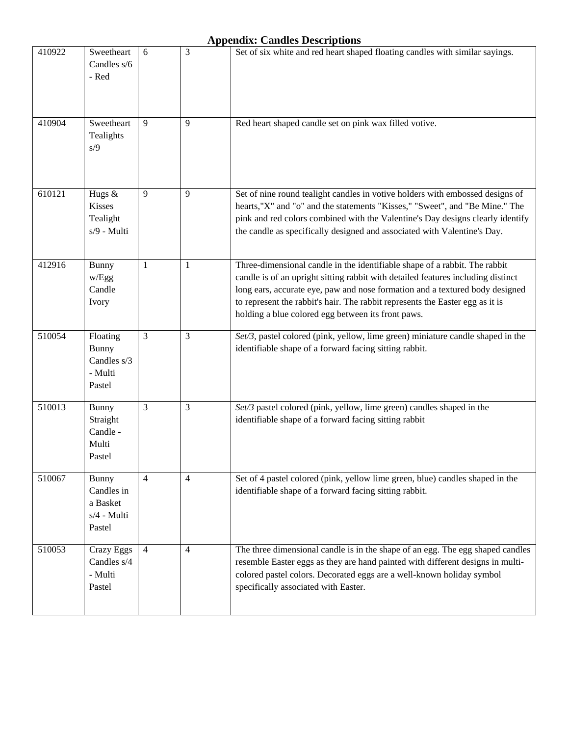| 410922 | Sweetheart<br>Candles s/6<br>- Red                           | 6              | 3 | Set of six white and red heart shaped floating candles with similar sayings.                                                                                                                                                                                                                                                                                                          |
|--------|--------------------------------------------------------------|----------------|---|---------------------------------------------------------------------------------------------------------------------------------------------------------------------------------------------------------------------------------------------------------------------------------------------------------------------------------------------------------------------------------------|
| 410904 | Sweetheart<br>Tealights<br>s/9                               | 9              | 9 | Red heart shaped candle set on pink wax filled votive.                                                                                                                                                                                                                                                                                                                                |
| 610121 | Hugs &<br><b>Kisses</b><br>Tealight<br>s/9 - Multi           | 9              | 9 | Set of nine round tealight candles in votive holders with embossed designs of<br>hearts, "X" and "o" and the statements "Kisses," "Sweet", and "Be Mine." The<br>pink and red colors combined with the Valentine's Day designs clearly identify<br>the candle as specifically designed and associated with Valentine's Day.                                                           |
| 412916 | <b>Bunny</b><br>w/Egg<br>Candle<br>Ivory                     | 1              | 1 | Three-dimensional candle in the identifiable shape of a rabbit. The rabbit<br>candle is of an upright sitting rabbit with detailed features including distinct<br>long ears, accurate eye, paw and nose formation and a textured body designed<br>to represent the rabbit's hair. The rabbit represents the Easter egg as it is<br>holding a blue colored egg between its front paws. |
| 510054 | Floating<br><b>Bunny</b><br>Candles s/3<br>- Multi<br>Pastel | 3              | 3 | Set/3, pastel colored (pink, yellow, lime green) miniature candle shaped in the<br>identifiable shape of a forward facing sitting rabbit.                                                                                                                                                                                                                                             |
| 510013 | Bunny<br>Straight<br>Candle -<br>Multi<br>Pastel             | 3              | 3 | Set/3 pastel colored (pink, yellow, lime green) candles shaped in the<br>identifiable shape of a forward facing sitting rabbit                                                                                                                                                                                                                                                        |
| 510067 | Bunny<br>Candles in<br>a Basket<br>$s/4$ - Multi<br>Pastel   | $\overline{4}$ | 4 | Set of 4 pastel colored (pink, yellow lime green, blue) candles shaped in the<br>identifiable shape of a forward facing sitting rabbit.                                                                                                                                                                                                                                               |
| 510053 | Crazy Eggs<br>Candles s/4<br>- Multi<br>Pastel               | $\overline{4}$ | 4 | The three dimensional candle is in the shape of an egg. The egg shaped candles<br>resemble Easter eggs as they are hand painted with different designs in multi-<br>colored pastel colors. Decorated eggs are a well-known holiday symbol<br>specifically associated with Easter.                                                                                                     |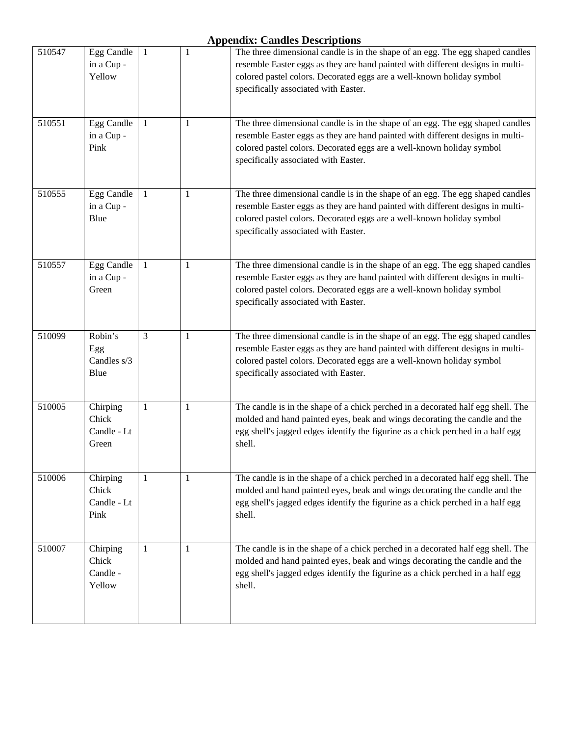| 510547 | <b>Egg Candle</b><br>in a Cup -<br>Yellow | 1 | 1 | The three dimensional candle is in the shape of an egg. The egg shaped candles<br>resemble Easter eggs as they are hand painted with different designs in multi-<br>colored pastel colors. Decorated eggs are a well-known holiday symbol<br>specifically associated with Easter. |
|--------|-------------------------------------------|---|---|-----------------------------------------------------------------------------------------------------------------------------------------------------------------------------------------------------------------------------------------------------------------------------------|
| 510551 | <b>Egg Candle</b><br>in a Cup -<br>Pink   | 1 | 1 | The three dimensional candle is in the shape of an egg. The egg shaped candles<br>resemble Easter eggs as they are hand painted with different designs in multi-<br>colored pastel colors. Decorated eggs are a well-known holiday symbol<br>specifically associated with Easter. |
| 510555 | Egg Candle<br>in a Cup -<br>Blue          | 1 | 1 | The three dimensional candle is in the shape of an egg. The egg shaped candles<br>resemble Easter eggs as they are hand painted with different designs in multi-<br>colored pastel colors. Decorated eggs are a well-known holiday symbol<br>specifically associated with Easter. |
| 510557 | <b>Egg Candle</b><br>in a Cup -<br>Green  | 1 | 1 | The three dimensional candle is in the shape of an egg. The egg shaped candles<br>resemble Easter eggs as they are hand painted with different designs in multi-<br>colored pastel colors. Decorated eggs are a well-known holiday symbol<br>specifically associated with Easter. |
| 510099 | Robin's<br>Egg<br>Candles s/3<br>Blue     | 3 | 1 | The three dimensional candle is in the shape of an egg. The egg shaped candles<br>resemble Easter eggs as they are hand painted with different designs in multi-<br>colored pastel colors. Decorated eggs are a well-known holiday symbol<br>specifically associated with Easter. |
| 510005 | Chirping<br>Chick<br>Candle - Lt<br>Green | 1 | 1 | The candle is in the shape of a chick perched in a decorated half egg shell. The<br>molded and hand painted eyes, beak and wings decorating the candle and the<br>egg shell's jagged edges identify the figurine as a chick perched in a half egg<br>shell.                       |
| 510006 | Chirping<br>Chick<br>Candle - Lt<br>Pink  | 1 | 1 | The candle is in the shape of a chick perched in a decorated half egg shell. The<br>molded and hand painted eyes, beak and wings decorating the candle and the<br>egg shell's jagged edges identify the figurine as a chick perched in a half egg<br>shell.                       |
| 510007 | Chirping<br>Chick<br>Candle -<br>Yellow   | 1 | 1 | The candle is in the shape of a chick perched in a decorated half egg shell. The<br>molded and hand painted eyes, beak and wings decorating the candle and the<br>egg shell's jagged edges identify the figurine as a chick perched in a half egg<br>shell.                       |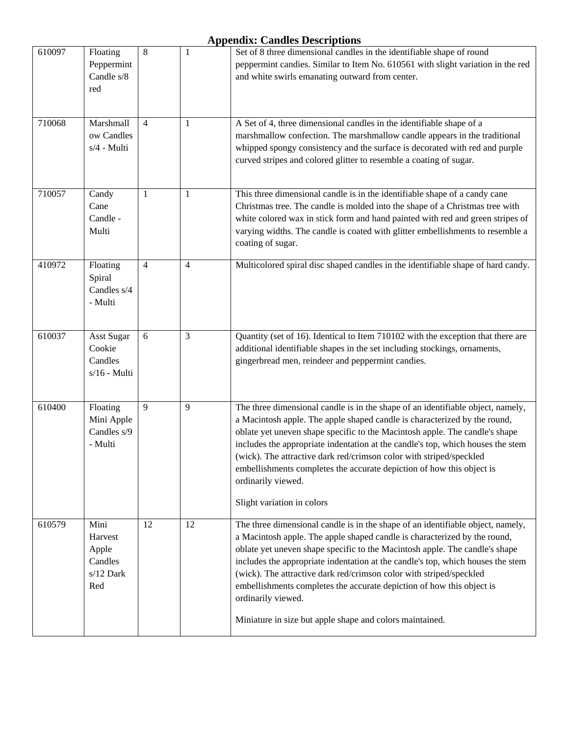| 610097 | Floating<br>Peppermint<br>Candle s/8<br>red               | 8              | 1  | Set of 8 three dimensional candles in the identifiable shape of round<br>peppermint candies. Similar to Item No. 610561 with slight variation in the red<br>and white swirls emanating outward from center.                                                                                                                                                                                                                                                                                                                                                      |
|--------|-----------------------------------------------------------|----------------|----|------------------------------------------------------------------------------------------------------------------------------------------------------------------------------------------------------------------------------------------------------------------------------------------------------------------------------------------------------------------------------------------------------------------------------------------------------------------------------------------------------------------------------------------------------------------|
| 710068 | Marshmall<br>ow Candles<br>s/4 - Multi                    | 4              | 1  | A Set of 4, three dimensional candles in the identifiable shape of a<br>marshmallow confection. The marshmallow candle appears in the traditional<br>whipped spongy consistency and the surface is decorated with red and purple<br>curved stripes and colored glitter to resemble a coating of sugar.                                                                                                                                                                                                                                                           |
| 710057 | Candy<br>Cane<br>Candle -<br>Multi                        | 1              | 1  | This three dimensional candle is in the identifiable shape of a candy cane<br>Christmas tree. The candle is molded into the shape of a Christmas tree with<br>white colored wax in stick form and hand painted with red and green stripes of<br>varying widths. The candle is coated with glitter embellishments to resemble a<br>coating of sugar.                                                                                                                                                                                                              |
| 410972 | Floating<br>Spiral<br>Candles s/4<br>- Multi              | $\overline{4}$ | 4  | Multicolored spiral disc shaped candles in the identifiable shape of hard candy.                                                                                                                                                                                                                                                                                                                                                                                                                                                                                 |
| 610037 | Asst Sugar<br>Cookie<br>Candles<br>$s/16$ - Multi         | 6              | 3  | Quantity (set of 16). Identical to Item 710102 with the exception that there are<br>additional identifiable shapes in the set including stockings, ornaments,<br>gingerbread men, reindeer and peppermint candies.                                                                                                                                                                                                                                                                                                                                               |
| 610400 | Floating<br>Mini Apple<br>Candles s/9<br>- Multi          | 9              | 9  | The three dimensional candle is in the shape of an identifiable object, namely,<br>a Macintosh apple. The apple shaped candle is characterized by the round,<br>oblate yet uneven shape specific to the Macintosh apple. The candle's shape<br>includes the appropriate indentation at the candle's top, which houses the stem<br>(wick). The attractive dark red/crimson color with striped/speckled<br>embellishments completes the accurate depiction of how this object is<br>ordinarily viewed.<br>Slight variation in colors                               |
| 610579 | Mini<br>Harvest<br>Apple<br>Candles<br>$s/12$ Dark<br>Red | 12             | 12 | The three dimensional candle is in the shape of an identifiable object, namely,<br>a Macintosh apple. The apple shaped candle is characterized by the round,<br>oblate yet uneven shape specific to the Macintosh apple. The candle's shape<br>includes the appropriate indentation at the candle's top, which houses the stem<br>(wick). The attractive dark red/crimson color with striped/speckled<br>embellishments completes the accurate depiction of how this object is<br>ordinarily viewed.<br>Miniature in size but apple shape and colors maintained. |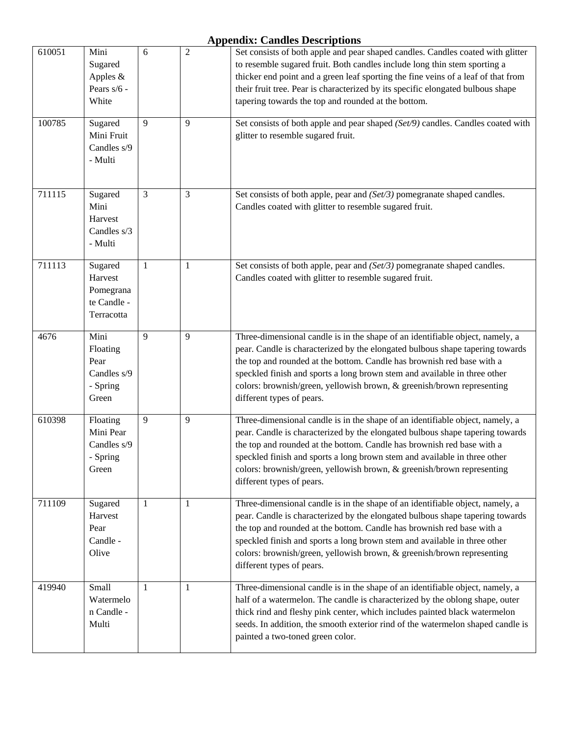| 610051 | Mini<br>Sugared<br>Apples $&$<br>Pears s/6 -<br>White        | 6              | $\overline{2}$ | Set consists of both apple and pear shaped candles. Candles coated with glitter<br>to resemble sugared fruit. Both candles include long thin stem sporting a<br>thicker end point and a green leaf sporting the fine veins of a leaf of that from<br>their fruit tree. Pear is characterized by its specific elongated bulbous shape<br>tapering towards the top and rounded at the bottom.                                  |
|--------|--------------------------------------------------------------|----------------|----------------|------------------------------------------------------------------------------------------------------------------------------------------------------------------------------------------------------------------------------------------------------------------------------------------------------------------------------------------------------------------------------------------------------------------------------|
| 100785 | Sugared<br>Mini Fruit<br>Candles s/9<br>- Multi              | 9              | 9              | Set consists of both apple and pear shaped (Set/9) candles. Candles coated with<br>glitter to resemble sugared fruit.                                                                                                                                                                                                                                                                                                        |
| 711115 | Sugared<br>Mini<br>Harvest<br>Candles s/3<br>- Multi         | $\overline{3}$ | 3              | Set consists of both apple, pear and (Set/3) pomegranate shaped candles.<br>Candles coated with glitter to resemble sugared fruit.                                                                                                                                                                                                                                                                                           |
| 711113 | Sugared<br>Harvest<br>Pomegrana<br>te Candle -<br>Terracotta | 1              | 1              | Set consists of both apple, pear and (Set/3) pomegranate shaped candles.<br>Candles coated with glitter to resemble sugared fruit.                                                                                                                                                                                                                                                                                           |
| 4676   | Mini<br>Floating<br>Pear<br>Candles s/9<br>- Spring<br>Green | 9              | 9              | Three-dimensional candle is in the shape of an identifiable object, namely, a<br>pear. Candle is characterized by the elongated bulbous shape tapering towards<br>the top and rounded at the bottom. Candle has brownish red base with a<br>speckled finish and sports a long brown stem and available in three other<br>colors: brownish/green, yellowish brown, & greenish/brown representing<br>different types of pears. |
| 610398 | Floating<br>Mini Pear<br>Candles s/9<br>- Spring<br>Green    | 9              | 9              | Three-dimensional candle is in the shape of an identifiable object, namely, a<br>pear. Candle is characterized by the elongated bulbous shape tapering towards<br>the top and rounded at the bottom. Candle has brownish red base with a<br>speckled finish and sports a long brown stem and available in three other<br>colors: brownish/green, yellowish brown, & greenish/brown representing<br>different types of pears. |
| 711109 | Sugared<br>Harvest<br>Pear<br>Candle -<br>Olive              | 1              | $\mathbf{1}$   | Three-dimensional candle is in the shape of an identifiable object, namely, a<br>pear. Candle is characterized by the elongated bulbous shape tapering towards<br>the top and rounded at the bottom. Candle has brownish red base with a<br>speckled finish and sports a long brown stem and available in three other<br>colors: brownish/green, yellowish brown, & greenish/brown representing<br>different types of pears. |
| 419940 | Small<br>Watermelo<br>n Candle -<br>Multi                    | 1              | 1              | Three-dimensional candle is in the shape of an identifiable object, namely, a<br>half of a watermelon. The candle is characterized by the oblong shape, outer<br>thick rind and fleshy pink center, which includes painted black watermelon<br>seeds. In addition, the smooth exterior rind of the watermelon shaped candle is<br>painted a two-toned green color.                                                           |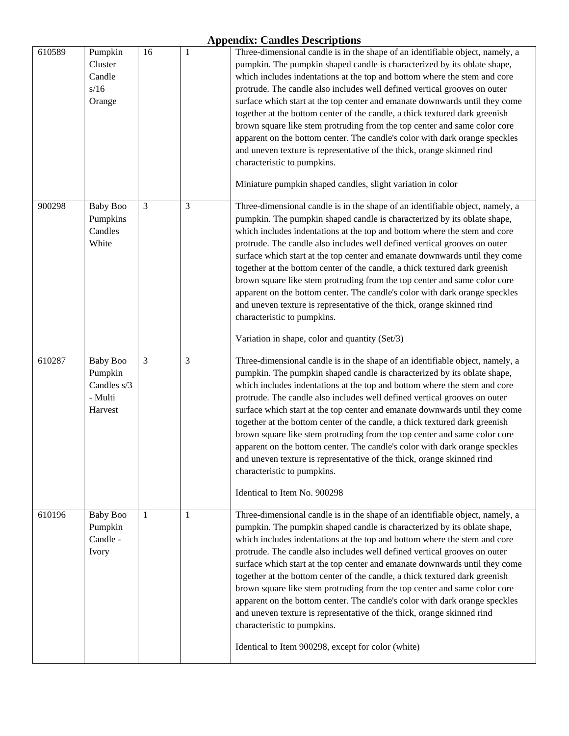| 610589 | Pumpkin<br>Cluster<br>Candle<br>s/16<br>Orange                  | 16             | $\mathbf{1}$   | Three-dimensional candle is in the shape of an identifiable object, namely, a<br>pumpkin. The pumpkin shaped candle is characterized by its oblate shape,<br>which includes indentations at the top and bottom where the stem and core<br>protrude. The candle also includes well defined vertical grooves on outer<br>surface which start at the top center and emanate downwards until they come<br>together at the bottom center of the candle, a thick textured dark greenish<br>brown square like stem protruding from the top center and same color core<br>apparent on the bottom center. The candle's color with dark orange speckles                                                                                                                                                                |
|--------|-----------------------------------------------------------------|----------------|----------------|--------------------------------------------------------------------------------------------------------------------------------------------------------------------------------------------------------------------------------------------------------------------------------------------------------------------------------------------------------------------------------------------------------------------------------------------------------------------------------------------------------------------------------------------------------------------------------------------------------------------------------------------------------------------------------------------------------------------------------------------------------------------------------------------------------------|
|        |                                                                 |                |                | and uneven texture is representative of the thick, orange skinned rind<br>characteristic to pumpkins.<br>Miniature pumpkin shaped candles, slight variation in color                                                                                                                                                                                                                                                                                                                                                                                                                                                                                                                                                                                                                                         |
| 900298 | <b>Baby Boo</b><br>Pumpkins<br>Candles<br>White                 | $\mathfrak{Z}$ | $\mathfrak{Z}$ | Three-dimensional candle is in the shape of an identifiable object, namely, a<br>pumpkin. The pumpkin shaped candle is characterized by its oblate shape,<br>which includes indentations at the top and bottom where the stem and core<br>protrude. The candle also includes well defined vertical grooves on outer<br>surface which start at the top center and emanate downwards until they come<br>together at the bottom center of the candle, a thick textured dark greenish<br>brown square like stem protruding from the top center and same color core<br>apparent on the bottom center. The candle's color with dark orange speckles<br>and uneven texture is representative of the thick, orange skinned rind<br>characteristic to pumpkins.<br>Variation in shape, color and quantity (Set/3)     |
| 610287 | <b>Baby Boo</b><br>Pumpkin<br>Candles s/3<br>- Multi<br>Harvest | 3              | 3              | Three-dimensional candle is in the shape of an identifiable object, namely, a<br>pumpkin. The pumpkin shaped candle is characterized by its oblate shape,<br>which includes indentations at the top and bottom where the stem and core<br>protrude. The candle also includes well defined vertical grooves on outer<br>surface which start at the top center and emanate downwards until they come<br>together at the bottom center of the candle, a thick textured dark greenish<br>brown square like stem protruding from the top center and same color core<br>apparent on the bottom center. The candle's color with dark orange speckles<br>and uneven texture is representative of the thick, orange skinned rind<br>characteristic to pumpkins.<br>Identical to Item No. 900298                       |
| 610196 | <b>Baby Boo</b><br>Pumpkin<br>Candle -<br>Ivory                 | 1              | 1              | Three-dimensional candle is in the shape of an identifiable object, namely, a<br>pumpkin. The pumpkin shaped candle is characterized by its oblate shape,<br>which includes indentations at the top and bottom where the stem and core<br>protrude. The candle also includes well defined vertical grooves on outer<br>surface which start at the top center and emanate downwards until they come<br>together at the bottom center of the candle, a thick textured dark greenish<br>brown square like stem protruding from the top center and same color core<br>apparent on the bottom center. The candle's color with dark orange speckles<br>and uneven texture is representative of the thick, orange skinned rind<br>characteristic to pumpkins.<br>Identical to Item 900298, except for color (white) |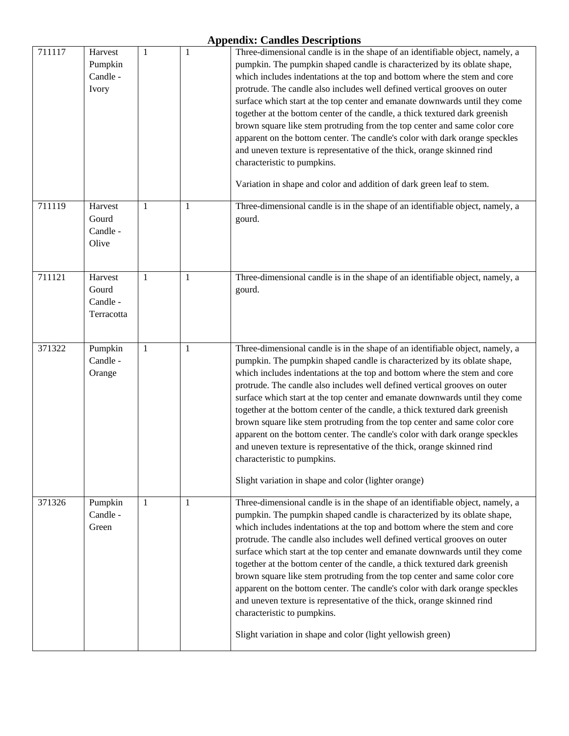| 711117 | Harvest<br>Pumpkin<br>Candle -<br>Ivory    | 1            | $\mathbf{1}$ | Three-dimensional candle is in the shape of an identifiable object, namely, a<br>pumpkin. The pumpkin shaped candle is characterized by its oblate shape,<br>which includes indentations at the top and bottom where the stem and core<br>protrude. The candle also includes well defined vertical grooves on outer<br>surface which start at the top center and emanate downwards until they come<br>together at the bottom center of the candle, a thick textured dark greenish<br>brown square like stem protruding from the top center and same color core<br>apparent on the bottom center. The candle's color with dark orange speckles<br>and uneven texture is representative of the thick, orange skinned rind<br>characteristic to pumpkins.<br>Variation in shape and color and addition of dark green leaf to stem. |
|--------|--------------------------------------------|--------------|--------------|---------------------------------------------------------------------------------------------------------------------------------------------------------------------------------------------------------------------------------------------------------------------------------------------------------------------------------------------------------------------------------------------------------------------------------------------------------------------------------------------------------------------------------------------------------------------------------------------------------------------------------------------------------------------------------------------------------------------------------------------------------------------------------------------------------------------------------|
| 711119 | Harvest<br>Gourd<br>Candle -<br>Olive      | 1            | 1            | Three-dimensional candle is in the shape of an identifiable object, namely, a<br>gourd.                                                                                                                                                                                                                                                                                                                                                                                                                                                                                                                                                                                                                                                                                                                                         |
| 711121 | Harvest<br>Gourd<br>Candle -<br>Terracotta | 1            | 1            | Three-dimensional candle is in the shape of an identifiable object, namely, a<br>gourd.                                                                                                                                                                                                                                                                                                                                                                                                                                                                                                                                                                                                                                                                                                                                         |
| 371322 | Pumpkin<br>Candle -<br>Orange              | $\mathbf{1}$ | $\mathbf{1}$ | Three-dimensional candle is in the shape of an identifiable object, namely, a<br>pumpkin. The pumpkin shaped candle is characterized by its oblate shape,<br>which includes indentations at the top and bottom where the stem and core<br>protrude. The candle also includes well defined vertical grooves on outer<br>surface which start at the top center and emanate downwards until they come<br>together at the bottom center of the candle, a thick textured dark greenish<br>brown square like stem protruding from the top center and same color core<br>apparent on the bottom center. The candle's color with dark orange speckles<br>and uneven texture is representative of the thick, orange skinned rind<br>characteristic to pumpkins.<br>Slight variation in shape and color (lighter orange)                  |
| 371326 | Pumpkin<br>Candle -<br>Green               | 1            | 1            | Three-dimensional candle is in the shape of an identifiable object, namely, a<br>pumpkin. The pumpkin shaped candle is characterized by its oblate shape,<br>which includes indentations at the top and bottom where the stem and core<br>protrude. The candle also includes well defined vertical grooves on outer<br>surface which start at the top center and emanate downwards until they come<br>together at the bottom center of the candle, a thick textured dark greenish<br>brown square like stem protruding from the top center and same color core<br>apparent on the bottom center. The candle's color with dark orange speckles<br>and uneven texture is representative of the thick, orange skinned rind<br>characteristic to pumpkins.<br>Slight variation in shape and color (light yellowish green)           |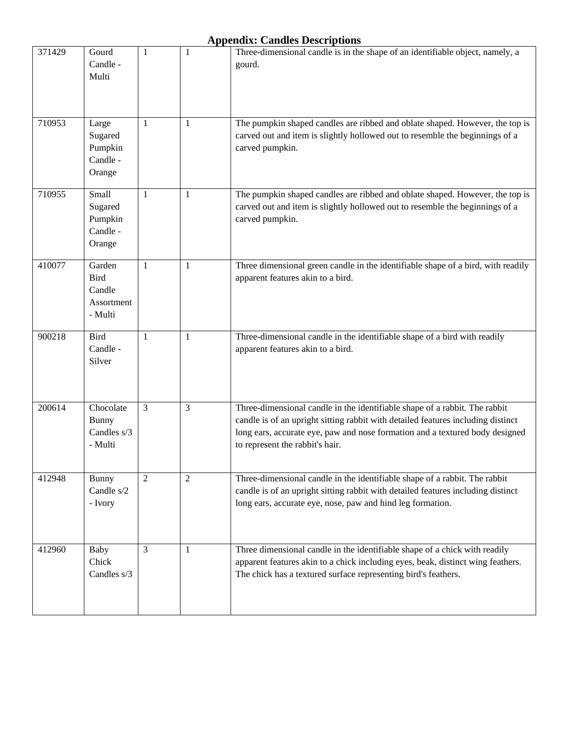| 371429 | Gourd<br>Candle -<br>Multi                               | 1              | 1 | Three-dimensional candle is in the shape of an identifiable object, namely, a<br>gourd.                                                                                                                                                                                           |
|--------|----------------------------------------------------------|----------------|---|-----------------------------------------------------------------------------------------------------------------------------------------------------------------------------------------------------------------------------------------------------------------------------------|
|        |                                                          |                |   |                                                                                                                                                                                                                                                                                   |
| 710953 | Large<br>Sugared<br>Pumpkin<br>Candle -<br>Orange        | $\mathbf{1}$   | 1 | The pumpkin shaped candles are ribbed and oblate shaped. However, the top is<br>carved out and item is slightly hollowed out to resemble the beginnings of a<br>carved pumpkin.                                                                                                   |
| 710955 | Small<br>Sugared<br>Pumpkin<br>Candle -<br>Orange        | $\mathbf{1}$   | 1 | The pumpkin shaped candles are ribbed and oblate shaped. However, the top is<br>carved out and item is slightly hollowed out to resemble the beginnings of a<br>carved pumpkin.                                                                                                   |
| 410077 | Garden<br><b>Bird</b><br>Candle<br>Assortment<br>- Multi | 1              | 1 | Three dimensional green candle in the identifiable shape of a bird, with readily<br>apparent features akin to a bird.                                                                                                                                                             |
| 900218 | <b>Bird</b><br>Candle -<br>Silver                        | 1              | 1 | Three-dimensional candle in the identifiable shape of a bird with readily<br>apparent features akin to a bird.                                                                                                                                                                    |
| 200614 | Chocolate<br><b>Bunny</b><br>Candles s/3<br>- Multi      | 3              | 3 | Three-dimensional candle in the identifiable shape of a rabbit. The rabbit<br>candle is of an upright sitting rabbit with detailed features including distinct<br>long ears, accurate eye, paw and nose formation and a textured body designed<br>to represent the rabbit's hair. |
| 412948 | <b>Bunny</b><br>Candle s/2<br>- Ivory                    | $\overline{2}$ | 2 | Three-dimensional candle in the identifiable shape of a rabbit. The rabbit<br>candle is of an upright sitting rabbit with detailed features including distinct<br>long ears, accurate eye, nose, paw and hind leg formation.                                                      |
| 412960 | Baby<br>Chick<br>Candles s/3                             | 3              | 1 | Three dimensional candle in the identifiable shape of a chick with readily<br>apparent features akin to a chick including eyes, beak, distinct wing feathers.<br>The chick has a textured surface representing bird's feathers.                                                   |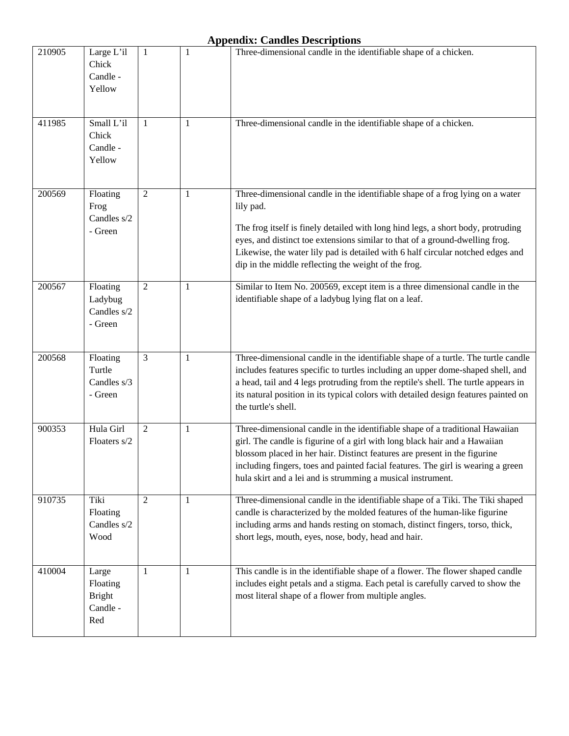| 210905 | Large L'il<br>Chick<br>Candle -<br>Yellow             | $\mathbf{1}$   | 1            | Three-dimensional candle in the identifiable shape of a chicken.                                                                                                                                                                                                                                                                                                                                          |
|--------|-------------------------------------------------------|----------------|--------------|-----------------------------------------------------------------------------------------------------------------------------------------------------------------------------------------------------------------------------------------------------------------------------------------------------------------------------------------------------------------------------------------------------------|
| 411985 | Small L'il<br>Chick<br>Candle -<br>Yellow             | 1              | 1            | Three-dimensional candle in the identifiable shape of a chicken.                                                                                                                                                                                                                                                                                                                                          |
| 200569 | Floating<br>Frog<br>Candles s/2<br>- Green            | $\overline{2}$ | $\mathbf{1}$ | Three-dimensional candle in the identifiable shape of a frog lying on a water<br>lily pad.<br>The frog itself is finely detailed with long hind legs, a short body, protruding<br>eyes, and distinct toe extensions similar to that of a ground-dwelling frog.<br>Likewise, the water lily pad is detailed with 6 half circular notched edges and<br>dip in the middle reflecting the weight of the frog. |
| 200567 | Floating<br>Ladybug<br>Candles s/2<br>- Green         | $\overline{2}$ | 1            | Similar to Item No. 200569, except item is a three dimensional candle in the<br>identifiable shape of a ladybug lying flat on a leaf.                                                                                                                                                                                                                                                                     |
| 200568 | Floating<br>Turtle<br>Candles $s/3$<br>- Green        | 3              | 1            | Three-dimensional candle in the identifiable shape of a turtle. The turtle candle<br>includes features specific to turtles including an upper dome-shaped shell, and<br>a head, tail and 4 legs protruding from the reptile's shell. The turtle appears in<br>its natural position in its typical colors with detailed design features painted on<br>the turtle's shell.                                  |
| 900353 | Hula Girl<br>Floaters s/2                             | 2              | 1            | Three-dimensional candle in the identifiable shape of a traditional Hawaiian<br>girl. The candle is figurine of a girl with long black hair and a Hawaiian<br>blossom placed in her hair. Distinct features are present in the figurine<br>including fingers, toes and painted facial features. The girl is wearing a green<br>hula skirt and a lei and is strumming a musical instrument.                |
| 910735 | Tiki<br>Floating<br>Candles s/2<br>Wood               | $\overline{2}$ | 1            | Three-dimensional candle in the identifiable shape of a Tiki. The Tiki shaped<br>candle is characterized by the molded features of the human-like figurine<br>including arms and hands resting on stomach, distinct fingers, torso, thick,<br>short legs, mouth, eyes, nose, body, head and hair.                                                                                                         |
| 410004 | Large<br>Floating<br><b>Bright</b><br>Candle -<br>Red | 1              | 1            | This candle is in the identifiable shape of a flower. The flower shaped candle<br>includes eight petals and a stigma. Each petal is carefully carved to show the<br>most literal shape of a flower from multiple angles.                                                                                                                                                                                  |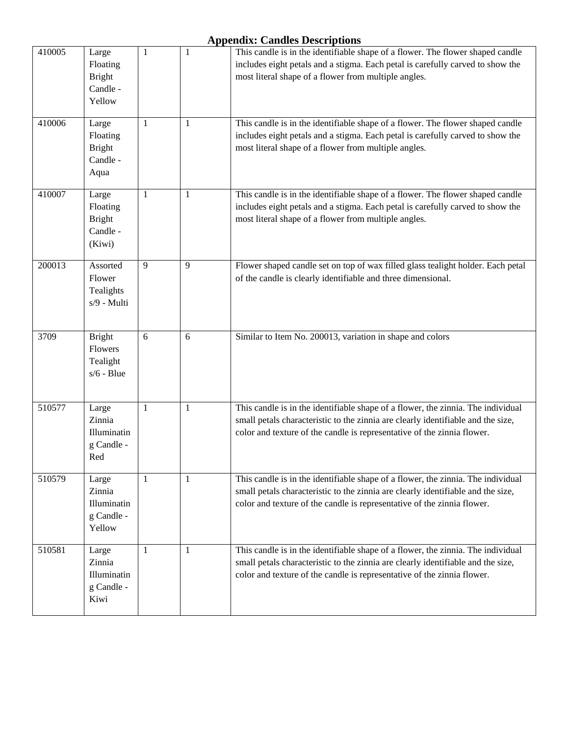| 410005 | Large<br>Floating<br><b>Bright</b><br>Candle -<br>Yellow | 1            | 1            | This candle is in the identifiable shape of a flower. The flower shaped candle<br>includes eight petals and a stigma. Each petal is carefully carved to show the<br>most literal shape of a flower from multiple angles.                        |
|--------|----------------------------------------------------------|--------------|--------------|-------------------------------------------------------------------------------------------------------------------------------------------------------------------------------------------------------------------------------------------------|
| 410006 | Large<br>Floating<br><b>Bright</b><br>Candle -<br>Aqua   | 1            | 1            | This candle is in the identifiable shape of a flower. The flower shaped candle<br>includes eight petals and a stigma. Each petal is carefully carved to show the<br>most literal shape of a flower from multiple angles.                        |
| 410007 | Large<br>Floating<br><b>Bright</b><br>Candle -<br>(Kiwi) | $\mathbf{1}$ | $\mathbf{1}$ | This candle is in the identifiable shape of a flower. The flower shaped candle<br>includes eight petals and a stigma. Each petal is carefully carved to show the<br>most literal shape of a flower from multiple angles.                        |
| 200013 | Assorted<br>Flower<br>Tealights<br>s/9 - Multi           | 9            | 9            | Flower shaped candle set on top of wax filled glass tealight holder. Each petal<br>of the candle is clearly identifiable and three dimensional.                                                                                                 |
| 3709   | <b>Bright</b><br>Flowers<br>Tealight<br>$s/6$ - Blue     | 6            | 6            | Similar to Item No. 200013, variation in shape and colors                                                                                                                                                                                       |
| 510577 | Large<br>Zinnia<br>Illuminatin<br>g Candle -<br>Red      | 1            | 1            | This candle is in the identifiable shape of a flower, the zinnia. The individual<br>small petals characteristic to the zinnia are clearly identifiable and the size,<br>color and texture of the candle is representative of the zinnia flower. |
| 510579 | Large<br>Zinnia<br>Illuminatin<br>g Candle -<br>Yellow   | 1            | 1            | This candle is in the identifiable shape of a flower, the zinnia. The individual<br>small petals characteristic to the zinnia are clearly identifiable and the size,<br>color and texture of the candle is representative of the zinnia flower. |
| 510581 | Large<br>Zinnia<br>Illuminatin<br>g Candle -<br>Kiwi     | 1            | 1            | This candle is in the identifiable shape of a flower, the zinnia. The individual<br>small petals characteristic to the zinnia are clearly identifiable and the size,<br>color and texture of the candle is representative of the zinnia flower. |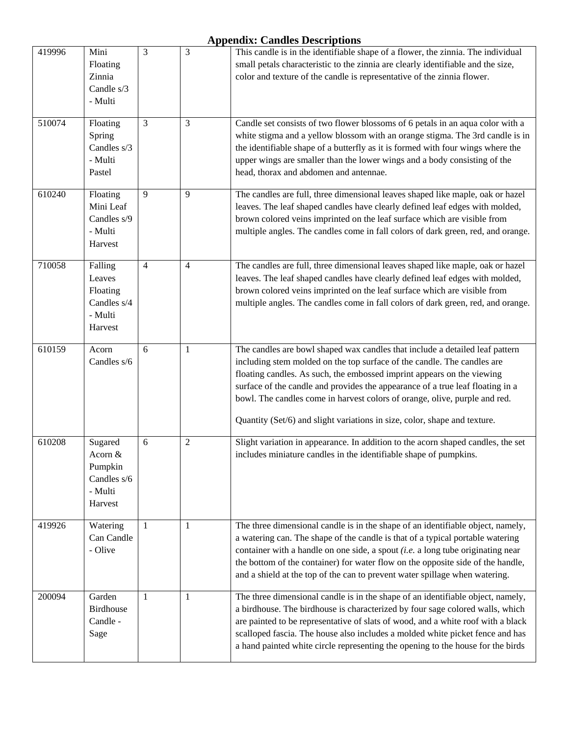| 419996 | Mini<br>Floating<br>Zinnia<br>Candle s/3<br>- Multi                | 3              | 3            | This candle is in the identifiable shape of a flower, the zinnia. The individual<br>small petals characteristic to the zinnia are clearly identifiable and the size,<br>color and texture of the candle is representative of the zinnia flower.                                                                                                                                                                                                                                |
|--------|--------------------------------------------------------------------|----------------|--------------|--------------------------------------------------------------------------------------------------------------------------------------------------------------------------------------------------------------------------------------------------------------------------------------------------------------------------------------------------------------------------------------------------------------------------------------------------------------------------------|
| 510074 | Floating<br>Spring<br>Candles s/3<br>- Multi<br>Pastel             | $\overline{3}$ | 3            | Candle set consists of two flower blossoms of 6 petals in an aqua color with a<br>white stigma and a yellow blossom with an orange stigma. The 3rd candle is in<br>the identifiable shape of a butterfly as it is formed with four wings where the<br>upper wings are smaller than the lower wings and a body consisting of the<br>head, thorax and abdomen and antennae.                                                                                                      |
| 610240 | Floating<br>Mini Leaf<br>Candles s/9<br>- Multi<br>Harvest         | 9              | 9            | The candles are full, three dimensional leaves shaped like maple, oak or hazel<br>leaves. The leaf shaped candles have clearly defined leaf edges with molded,<br>brown colored veins imprinted on the leaf surface which are visible from<br>multiple angles. The candles come in fall colors of dark green, red, and orange.                                                                                                                                                 |
| 710058 | Falling<br>Leaves<br>Floating<br>Candles s/4<br>- Multi<br>Harvest | $\overline{4}$ | 4            | The candles are full, three dimensional leaves shaped like maple, oak or hazel<br>leaves. The leaf shaped candles have clearly defined leaf edges with molded,<br>brown colored veins imprinted on the leaf surface which are visible from<br>multiple angles. The candles come in fall colors of dark green, red, and orange.                                                                                                                                                 |
| 610159 | Acorn<br>Candles s/6                                               | 6              | $\mathbf{1}$ | The candles are bowl shaped wax candles that include a detailed leaf pattern<br>including stem molded on the top surface of the candle. The candles are<br>floating candles. As such, the embossed imprint appears on the viewing<br>surface of the candle and provides the appearance of a true leaf floating in a<br>bowl. The candles come in harvest colors of orange, olive, purple and red.<br>Quantity (Set/6) and slight variations in size, color, shape and texture. |
| 610208 | Sugared<br>Acorn &<br>Pumpkin<br>Candles s/6<br>- Multi<br>Harvest | 6              | $\mathbf{2}$ | Slight variation in appearance. In addition to the acorn shaped candles, the set<br>includes miniature candles in the identifiable shape of pumpkins.                                                                                                                                                                                                                                                                                                                          |
| 419926 | Watering<br>Can Candle<br>- Olive                                  | 1              | $\mathbf{1}$ | The three dimensional candle is in the shape of an identifiable object, namely,<br>a watering can. The shape of the candle is that of a typical portable watering<br>container with a handle on one side, a spout $(i.e.$ a long tube originating near<br>the bottom of the container) for water flow on the opposite side of the handle,<br>and a shield at the top of the can to prevent water spillage when watering.                                                       |
| 200094 | Garden<br><b>Birdhouse</b><br>Candle -<br>Sage                     | $\mathbf{1}$   | 1            | The three dimensional candle is in the shape of an identifiable object, namely,<br>a birdhouse. The birdhouse is characterized by four sage colored walls, which<br>are painted to be representative of slats of wood, and a white roof with a black<br>scalloped fascia. The house also includes a molded white picket fence and has<br>a hand painted white circle representing the opening to the house for the birds                                                       |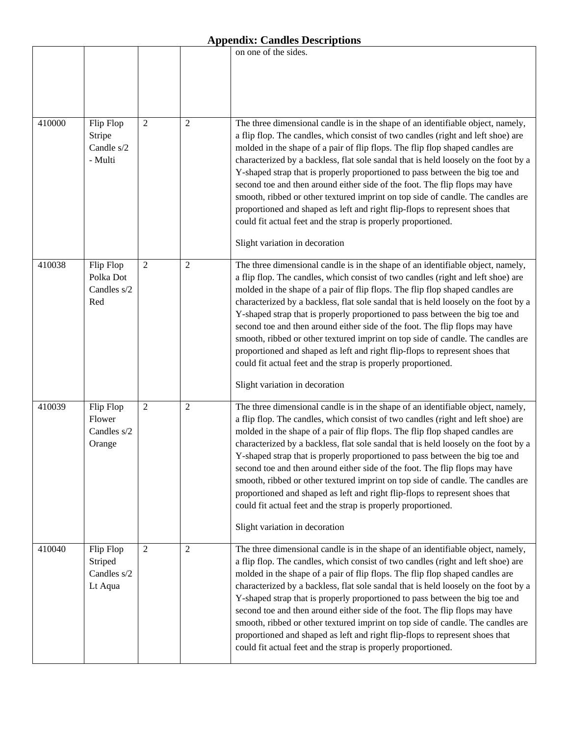|        |                                                |                |                | on one of the sides.                                                                                                                                                                                                                                                                                                                                                                                                                                                                                                                                                                                                                                                                                                                                                             |
|--------|------------------------------------------------|----------------|----------------|----------------------------------------------------------------------------------------------------------------------------------------------------------------------------------------------------------------------------------------------------------------------------------------------------------------------------------------------------------------------------------------------------------------------------------------------------------------------------------------------------------------------------------------------------------------------------------------------------------------------------------------------------------------------------------------------------------------------------------------------------------------------------------|
|        |                                                |                |                |                                                                                                                                                                                                                                                                                                                                                                                                                                                                                                                                                                                                                                                                                                                                                                                  |
| 410000 | Flip Flop<br>Stripe<br>Candle s/2<br>- Multi   | $\mathfrak{2}$ | $\mathfrak{2}$ | The three dimensional candle is in the shape of an identifiable object, namely,<br>a flip flop. The candles, which consist of two candles (right and left shoe) are<br>molded in the shape of a pair of flip flops. The flip flop shaped candles are<br>characterized by a backless, flat sole sandal that is held loosely on the foot by a<br>Y-shaped strap that is properly proportioned to pass between the big toe and<br>second toe and then around either side of the foot. The flip flops may have<br>smooth, ribbed or other textured imprint on top side of candle. The candles are<br>proportioned and shaped as left and right flip-flops to represent shoes that<br>could fit actual feet and the strap is properly proportioned.<br>Slight variation in decoration |
| 410038 | Flip Flop<br>Polka Dot<br>Candles s/2<br>Red   | $\overline{2}$ | $\overline{2}$ | The three dimensional candle is in the shape of an identifiable object, namely,<br>a flip flop. The candles, which consist of two candles (right and left shoe) are<br>molded in the shape of a pair of flip flops. The flip flop shaped candles are<br>characterized by a backless, flat sole sandal that is held loosely on the foot by a<br>Y-shaped strap that is properly proportioned to pass between the big toe and<br>second toe and then around either side of the foot. The flip flops may have<br>smooth, ribbed or other textured imprint on top side of candle. The candles are<br>proportioned and shaped as left and right flip-flops to represent shoes that<br>could fit actual feet and the strap is properly proportioned.<br>Slight variation in decoration |
| 410039 | Flip Flop<br>Flower<br>Candles s/2<br>Orange   | $\mathfrak{2}$ | $\overline{2}$ | The three dimensional candle is in the shape of an identifiable object, namely,<br>a flip flop. The candles, which consist of two candles (right and left shoe) are<br>molded in the shape of a pair of flip flops. The flip flop shaped candles are<br>characterized by a backless, flat sole sandal that is held loosely on the foot by a<br>Y-shaped strap that is properly proportioned to pass between the big toe and<br>second toe and then around either side of the foot. The flip flops may have<br>smooth, ribbed or other textured imprint on top side of candle. The candles are<br>proportioned and shaped as left and right flip-flops to represent shoes that<br>could fit actual feet and the strap is properly proportioned.<br>Slight variation in decoration |
| 410040 | Flip Flop<br>Striped<br>Candles s/2<br>Lt Aqua | 2              | 2              | The three dimensional candle is in the shape of an identifiable object, namely,<br>a flip flop. The candles, which consist of two candles (right and left shoe) are<br>molded in the shape of a pair of flip flops. The flip flop shaped candles are<br>characterized by a backless, flat sole sandal that is held loosely on the foot by a<br>Y-shaped strap that is properly proportioned to pass between the big toe and<br>second toe and then around either side of the foot. The flip flops may have<br>smooth, ribbed or other textured imprint on top side of candle. The candles are<br>proportioned and shaped as left and right flip-flops to represent shoes that<br>could fit actual feet and the strap is properly proportioned.                                   |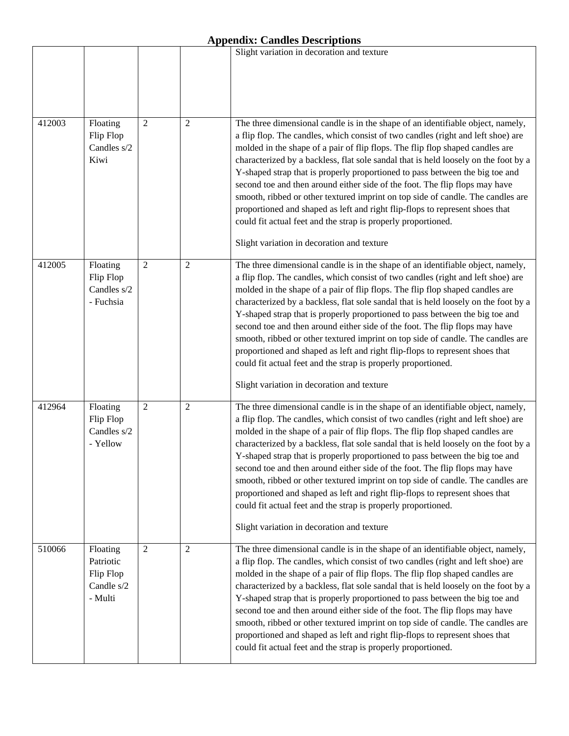|        |                                                             |                |                | Slight variation in decoration and texture                                                                                                                                                                                                                                                                                                                                                                                                                                                                                                                                                                                                                                                                                                                                                   |
|--------|-------------------------------------------------------------|----------------|----------------|----------------------------------------------------------------------------------------------------------------------------------------------------------------------------------------------------------------------------------------------------------------------------------------------------------------------------------------------------------------------------------------------------------------------------------------------------------------------------------------------------------------------------------------------------------------------------------------------------------------------------------------------------------------------------------------------------------------------------------------------------------------------------------------------|
|        |                                                             |                |                |                                                                                                                                                                                                                                                                                                                                                                                                                                                                                                                                                                                                                                                                                                                                                                                              |
| 412003 | Floating<br>Flip Flop<br>Candles s/2<br>Kiwi                | $\overline{2}$ | $\overline{2}$ | The three dimensional candle is in the shape of an identifiable object, namely,<br>a flip flop. The candles, which consist of two candles (right and left shoe) are<br>molded in the shape of a pair of flip flops. The flip flop shaped candles are<br>characterized by a backless, flat sole sandal that is held loosely on the foot by a<br>Y-shaped strap that is properly proportioned to pass between the big toe and<br>second toe and then around either side of the foot. The flip flops may have<br>smooth, ribbed or other textured imprint on top side of candle. The candles are<br>proportioned and shaped as left and right flip-flops to represent shoes that<br>could fit actual feet and the strap is properly proportioned.<br>Slight variation in decoration and texture |
| 412005 | Floating<br>Flip Flop<br>Candles s/2<br>- Fuchsia           | $\overline{2}$ | $\overline{c}$ | The three dimensional candle is in the shape of an identifiable object, namely,<br>a flip flop. The candles, which consist of two candles (right and left shoe) are<br>molded in the shape of a pair of flip flops. The flip flop shaped candles are<br>characterized by a backless, flat sole sandal that is held loosely on the foot by a<br>Y-shaped strap that is properly proportioned to pass between the big toe and<br>second toe and then around either side of the foot. The flip flops may have<br>smooth, ribbed or other textured imprint on top side of candle. The candles are<br>proportioned and shaped as left and right flip-flops to represent shoes that<br>could fit actual feet and the strap is properly proportioned.<br>Slight variation in decoration and texture |
| 412964 | Floating<br>Flip Flop<br>Candles s/2<br>- Yellow            | $\mathfrak{2}$ | $\overline{2}$ | The three dimensional candle is in the shape of an identifiable object, namely,<br>a flip flop. The candles, which consist of two candles (right and left shoe) are<br>molded in the shape of a pair of flip flops. The flip flop shaped candles are<br>characterized by a backless, flat sole sandal that is held loosely on the foot by a<br>Y-shaped strap that is properly proportioned to pass between the big toe and<br>second toe and then around either side of the foot. The flip flops may have<br>smooth, ribbed or other textured imprint on top side of candle. The candles are<br>proportioned and shaped as left and right flip-flops to represent shoes that<br>could fit actual feet and the strap is properly proportioned.<br>Slight variation in decoration and texture |
| 510066 | Floating<br>Patriotic<br>Flip Flop<br>Candle s/2<br>- Multi | $\overline{2}$ | $\mathbf{2}$   | The three dimensional candle is in the shape of an identifiable object, namely,<br>a flip flop. The candles, which consist of two candles (right and left shoe) are<br>molded in the shape of a pair of flip flops. The flip flop shaped candles are<br>characterized by a backless, flat sole sandal that is held loosely on the foot by a<br>Y-shaped strap that is properly proportioned to pass between the big toe and<br>second toe and then around either side of the foot. The flip flops may have<br>smooth, ribbed or other textured imprint on top side of candle. The candles are<br>proportioned and shaped as left and right flip-flops to represent shoes that<br>could fit actual feet and the strap is properly proportioned.                                               |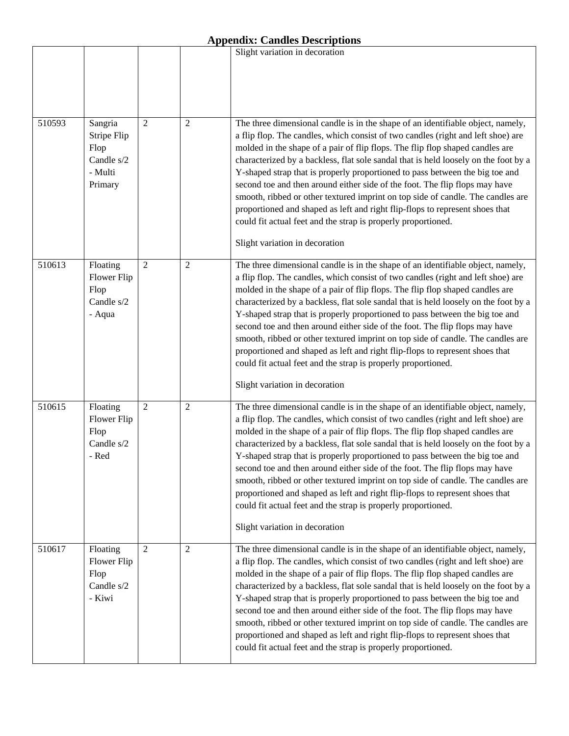|        |                                                                    |                |                | Slight variation in decoration                                                                                                                                                                                                                                                                                                                                                                                                                                                                                                                                                                                                                                                                                                                                                   |
|--------|--------------------------------------------------------------------|----------------|----------------|----------------------------------------------------------------------------------------------------------------------------------------------------------------------------------------------------------------------------------------------------------------------------------------------------------------------------------------------------------------------------------------------------------------------------------------------------------------------------------------------------------------------------------------------------------------------------------------------------------------------------------------------------------------------------------------------------------------------------------------------------------------------------------|
|        |                                                                    |                |                |                                                                                                                                                                                                                                                                                                                                                                                                                                                                                                                                                                                                                                                                                                                                                                                  |
| 510593 | Sangria<br>Stripe Flip<br>Flop<br>Candle s/2<br>- Multi<br>Primary | 2              | $\overline{2}$ | The three dimensional candle is in the shape of an identifiable object, namely,<br>a flip flop. The candles, which consist of two candles (right and left shoe) are<br>molded in the shape of a pair of flip flops. The flip flop shaped candles are<br>characterized by a backless, flat sole sandal that is held loosely on the foot by a<br>Y-shaped strap that is properly proportioned to pass between the big toe and<br>second toe and then around either side of the foot. The flip flops may have<br>smooth, ribbed or other textured imprint on top side of candle. The candles are<br>proportioned and shaped as left and right flip-flops to represent shoes that<br>could fit actual feet and the strap is properly proportioned.<br>Slight variation in decoration |
| 510613 | Floating<br>Flower Flip<br>Flop<br>Candle s/2<br>- Aqua            | $\overline{2}$ | $\overline{2}$ | The three dimensional candle is in the shape of an identifiable object, namely,<br>a flip flop. The candles, which consist of two candles (right and left shoe) are<br>molded in the shape of a pair of flip flops. The flip flop shaped candles are<br>characterized by a backless, flat sole sandal that is held loosely on the foot by a<br>Y-shaped strap that is properly proportioned to pass between the big toe and<br>second toe and then around either side of the foot. The flip flops may have<br>smooth, ribbed or other textured imprint on top side of candle. The candles are<br>proportioned and shaped as left and right flip-flops to represent shoes that<br>could fit actual feet and the strap is properly proportioned.<br>Slight variation in decoration |
| 510615 | Floating<br>Flower Flip<br>Flop<br>Candle s/2<br>- Red             | $\overline{2}$ | $\overline{2}$ | The three dimensional candle is in the shape of an identifiable object, namely,<br>a flip flop. The candles, which consist of two candles (right and left shoe) are<br>molded in the shape of a pair of flip flops. The flip flop shaped candles are<br>characterized by a backless, flat sole sandal that is held loosely on the foot by a<br>Y-shaped strap that is properly proportioned to pass between the big toe and<br>second toe and then around either side of the foot. The flip flops may have<br>smooth, ribbed or other textured imprint on top side of candle. The candles are<br>proportioned and shaped as left and right flip-flops to represent shoes that<br>could fit actual feet and the strap is properly proportioned.<br>Slight variation in decoration |
| 510617 | Floating<br>Flower Flip<br>Flop<br>Candle s/2<br>- Kiwi            | $\overline{2}$ | $\overline{2}$ | The three dimensional candle is in the shape of an identifiable object, namely,<br>a flip flop. The candles, which consist of two candles (right and left shoe) are<br>molded in the shape of a pair of flip flops. The flip flop shaped candles are<br>characterized by a backless, flat sole sandal that is held loosely on the foot by a<br>Y-shaped strap that is properly proportioned to pass between the big toe and<br>second toe and then around either side of the foot. The flip flops may have<br>smooth, ribbed or other textured imprint on top side of candle. The candles are<br>proportioned and shaped as left and right flip-flops to represent shoes that<br>could fit actual feet and the strap is properly proportioned.                                   |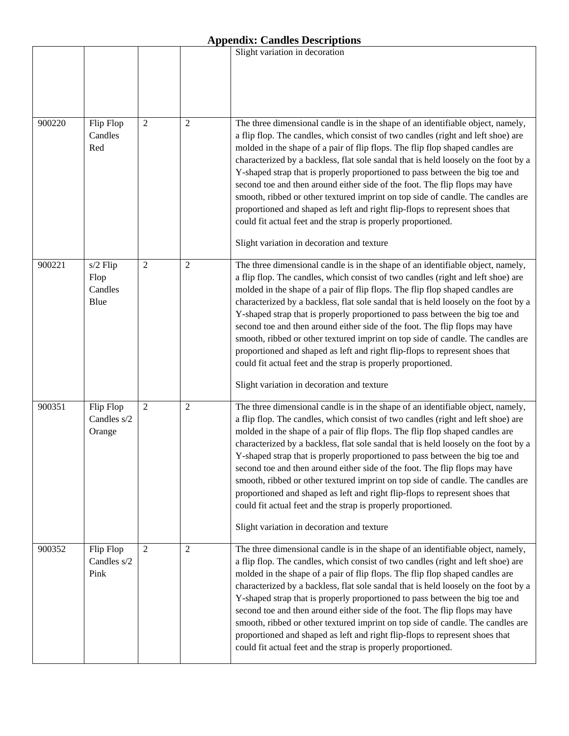|        |                                     |                |                | Slight variation in decoration                                                                                                                                                                                                                                                                                                                                                                                                                                                                                                                                                                                                                                                                                                                                                               |
|--------|-------------------------------------|----------------|----------------|----------------------------------------------------------------------------------------------------------------------------------------------------------------------------------------------------------------------------------------------------------------------------------------------------------------------------------------------------------------------------------------------------------------------------------------------------------------------------------------------------------------------------------------------------------------------------------------------------------------------------------------------------------------------------------------------------------------------------------------------------------------------------------------------|
|        |                                     |                |                |                                                                                                                                                                                                                                                                                                                                                                                                                                                                                                                                                                                                                                                                                                                                                                                              |
| 900220 | Flip Flop<br>Candles<br>Red         | $\mathfrak{2}$ | $\overline{2}$ | The three dimensional candle is in the shape of an identifiable object, namely,<br>a flip flop. The candles, which consist of two candles (right and left shoe) are<br>molded in the shape of a pair of flip flops. The flip flop shaped candles are<br>characterized by a backless, flat sole sandal that is held loosely on the foot by a<br>Y-shaped strap that is properly proportioned to pass between the big toe and<br>second toe and then around either side of the foot. The flip flops may have<br>smooth, ribbed or other textured imprint on top side of candle. The candles are<br>proportioned and shaped as left and right flip-flops to represent shoes that<br>could fit actual feet and the strap is properly proportioned.<br>Slight variation in decoration and texture |
| 900221 | s/2 Flip<br>Flop<br>Candles<br>Blue | $\overline{2}$ | $\mathbf{2}$   | The three dimensional candle is in the shape of an identifiable object, namely,<br>a flip flop. The candles, which consist of two candles (right and left shoe) are<br>molded in the shape of a pair of flip flops. The flip flop shaped candles are<br>characterized by a backless, flat sole sandal that is held loosely on the foot by a<br>Y-shaped strap that is properly proportioned to pass between the big toe and<br>second toe and then around either side of the foot. The flip flops may have<br>smooth, ribbed or other textured imprint on top side of candle. The candles are<br>proportioned and shaped as left and right flip-flops to represent shoes that<br>could fit actual feet and the strap is properly proportioned.<br>Slight variation in decoration and texture |
| 900351 | Flip Flop<br>Candles s/2<br>Orange  | $\overline{2}$ | $\overline{2}$ | The three dimensional candle is in the shape of an identifiable object, namely,<br>a flip flop. The candles, which consist of two candles (right and left shoe) are<br>molded in the shape of a pair of flip flops. The flip flop shaped candles are<br>characterized by a backless, flat sole sandal that is held loosely on the foot by a<br>Y-shaped strap that is properly proportioned to pass between the big toe and<br>second toe and then around either side of the foot. The flip flops may have<br>smooth, ribbed or other textured imprint on top side of candle. The candles are<br>proportioned and shaped as left and right flip-flops to represent shoes that<br>could fit actual feet and the strap is properly proportioned.<br>Slight variation in decoration and texture |
| 900352 | Flip Flop<br>Candles s/2<br>Pink    | $\overline{2}$ | $\overline{2}$ | The three dimensional candle is in the shape of an identifiable object, namely,<br>a flip flop. The candles, which consist of two candles (right and left shoe) are<br>molded in the shape of a pair of flip flops. The flip flop shaped candles are<br>characterized by a backless, flat sole sandal that is held loosely on the foot by a<br>Y-shaped strap that is properly proportioned to pass between the big toe and<br>second toe and then around either side of the foot. The flip flops may have<br>smooth, ribbed or other textured imprint on top side of candle. The candles are<br>proportioned and shaped as left and right flip-flops to represent shoes that<br>could fit actual feet and the strap is properly proportioned.                                               |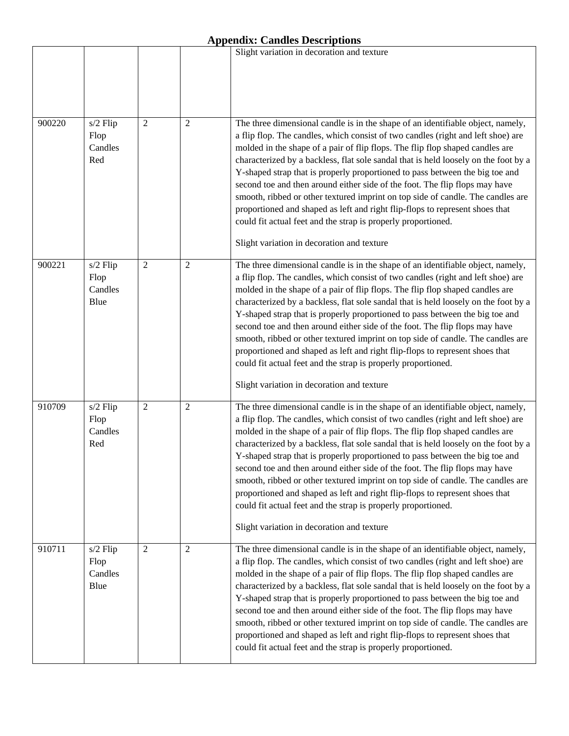|        |                                     |                |                | Slight variation in decoration and texture                                                                                                                                                                                                                                                                                                                                                                                                                                                                                                                                                                                                                                                                                                                                                   |
|--------|-------------------------------------|----------------|----------------|----------------------------------------------------------------------------------------------------------------------------------------------------------------------------------------------------------------------------------------------------------------------------------------------------------------------------------------------------------------------------------------------------------------------------------------------------------------------------------------------------------------------------------------------------------------------------------------------------------------------------------------------------------------------------------------------------------------------------------------------------------------------------------------------|
|        |                                     |                |                |                                                                                                                                                                                                                                                                                                                                                                                                                                                                                                                                                                                                                                                                                                                                                                                              |
| 900220 | s/2 Flip<br>Flop<br>Candles<br>Red  | $\overline{2}$ | $\overline{2}$ | The three dimensional candle is in the shape of an identifiable object, namely,<br>a flip flop. The candles, which consist of two candles (right and left shoe) are<br>molded in the shape of a pair of flip flops. The flip flop shaped candles are<br>characterized by a backless, flat sole sandal that is held loosely on the foot by a<br>Y-shaped strap that is properly proportioned to pass between the big toe and<br>second toe and then around either side of the foot. The flip flops may have<br>smooth, ribbed or other textured imprint on top side of candle. The candles are<br>proportioned and shaped as left and right flip-flops to represent shoes that<br>could fit actual feet and the strap is properly proportioned.<br>Slight variation in decoration and texture |
| 900221 | s/2 Flip<br>Flop<br>Candles<br>Blue | $\overline{2}$ | $\overline{c}$ | The three dimensional candle is in the shape of an identifiable object, namely,<br>a flip flop. The candles, which consist of two candles (right and left shoe) are<br>molded in the shape of a pair of flip flops. The flip flop shaped candles are<br>characterized by a backless, flat sole sandal that is held loosely on the foot by a<br>Y-shaped strap that is properly proportioned to pass between the big toe and<br>second toe and then around either side of the foot. The flip flops may have<br>smooth, ribbed or other textured imprint on top side of candle. The candles are<br>proportioned and shaped as left and right flip-flops to represent shoes that<br>could fit actual feet and the strap is properly proportioned.<br>Slight variation in decoration and texture |
| 910709 | s/2 Flip<br>Flop<br>Candles<br>Red  | $\overline{c}$ | $\overline{2}$ | The three dimensional candle is in the shape of an identifiable object, namely,<br>a flip flop. The candles, which consist of two candles (right and left shoe) are<br>molded in the shape of a pair of flip flops. The flip flop shaped candles are<br>characterized by a backless, flat sole sandal that is held loosely on the foot by a<br>Y-shaped strap that is properly proportioned to pass between the big toe and<br>second toe and then around either side of the foot. The flip flops may have<br>smooth, ribbed or other textured imprint on top side of candle. The candles are<br>proportioned and shaped as left and right flip-flops to represent shoes that<br>could fit actual feet and the strap is properly proportioned.<br>Slight variation in decoration and texture |
| 910711 | s/2 Flip<br>Flop<br>Candles<br>Blue | $\overline{c}$ | $\mathbf{2}$   | The three dimensional candle is in the shape of an identifiable object, namely,<br>a flip flop. The candles, which consist of two candles (right and left shoe) are<br>molded in the shape of a pair of flip flops. The flip flop shaped candles are<br>characterized by a backless, flat sole sandal that is held loosely on the foot by a<br>Y-shaped strap that is properly proportioned to pass between the big toe and<br>second toe and then around either side of the foot. The flip flops may have<br>smooth, ribbed or other textured imprint on top side of candle. The candles are<br>proportioned and shaped as left and right flip-flops to represent shoes that<br>could fit actual feet and the strap is properly proportioned.                                               |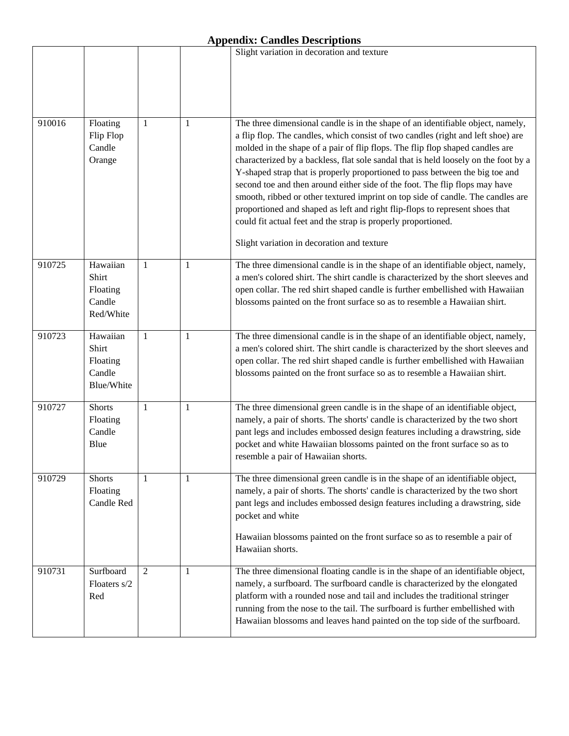|        |                                                       |   |              | Slight variation in decoration and texture                                                                                                                                                                                                                                                                                                                                                                                                                                                                                                                                                                                                                                                                                                                                                   |
|--------|-------------------------------------------------------|---|--------------|----------------------------------------------------------------------------------------------------------------------------------------------------------------------------------------------------------------------------------------------------------------------------------------------------------------------------------------------------------------------------------------------------------------------------------------------------------------------------------------------------------------------------------------------------------------------------------------------------------------------------------------------------------------------------------------------------------------------------------------------------------------------------------------------|
|        |                                                       |   |              |                                                                                                                                                                                                                                                                                                                                                                                                                                                                                                                                                                                                                                                                                                                                                                                              |
|        |                                                       |   |              |                                                                                                                                                                                                                                                                                                                                                                                                                                                                                                                                                                                                                                                                                                                                                                                              |
| 910016 | Floating<br>Flip Flop<br>Candle<br>Orange             | 1 | 1            | The three dimensional candle is in the shape of an identifiable object, namely,<br>a flip flop. The candles, which consist of two candles (right and left shoe) are<br>molded in the shape of a pair of flip flops. The flip flop shaped candles are<br>characterized by a backless, flat sole sandal that is held loosely on the foot by a<br>Y-shaped strap that is properly proportioned to pass between the big toe and<br>second toe and then around either side of the foot. The flip flops may have<br>smooth, ribbed or other textured imprint on top side of candle. The candles are<br>proportioned and shaped as left and right flip-flops to represent shoes that<br>could fit actual feet and the strap is properly proportioned.<br>Slight variation in decoration and texture |
| 910725 | Hawaiian<br>Shirt<br>Floating<br>Candle<br>Red/White  | 1 | 1            | The three dimensional candle is in the shape of an identifiable object, namely,<br>a men's colored shirt. The shirt candle is characterized by the short sleeves and<br>open collar. The red shirt shaped candle is further embellished with Hawaiian<br>blossoms painted on the front surface so as to resemble a Hawaiian shirt.                                                                                                                                                                                                                                                                                                                                                                                                                                                           |
| 910723 | Hawaiian<br>Shirt<br>Floating<br>Candle<br>Blue/White | 1 | $\mathbf{1}$ | The three dimensional candle is in the shape of an identifiable object, namely,<br>a men's colored shirt. The shirt candle is characterized by the short sleeves and<br>open collar. The red shirt shaped candle is further embellished with Hawaiian<br>blossoms painted on the front surface so as to resemble a Hawaiian shirt.                                                                                                                                                                                                                                                                                                                                                                                                                                                           |
| 910727 | <b>Shorts</b><br>Floating<br>Candle<br>Blue           | 1 | 1            | The three dimensional green candle is in the shape of an identifiable object,<br>namely, a pair of shorts. The shorts' candle is characterized by the two short<br>pant legs and includes embossed design features including a drawstring, side<br>pocket and white Hawaiian blossoms painted on the front surface so as to<br>resemble a pair of Hawaiian shorts.                                                                                                                                                                                                                                                                                                                                                                                                                           |
| 910729 | <b>Shorts</b><br>Floating<br>Candle Red               | 1 | 1            | The three dimensional green candle is in the shape of an identifiable object,<br>namely, a pair of shorts. The shorts' candle is characterized by the two short<br>pant legs and includes embossed design features including a drawstring, side<br>pocket and white<br>Hawaiian blossoms painted on the front surface so as to resemble a pair of<br>Hawaiian shorts.                                                                                                                                                                                                                                                                                                                                                                                                                        |
| 910731 | Surfboard<br>Floaters s/2<br>Red                      | 2 | 1            | The three dimensional floating candle is in the shape of an identifiable object,<br>namely, a surfboard. The surfboard candle is characterized by the elongated<br>platform with a rounded nose and tail and includes the traditional stringer<br>running from the nose to the tail. The surfboard is further embellished with<br>Hawaiian blossoms and leaves hand painted on the top side of the surfboard.                                                                                                                                                                                                                                                                                                                                                                                |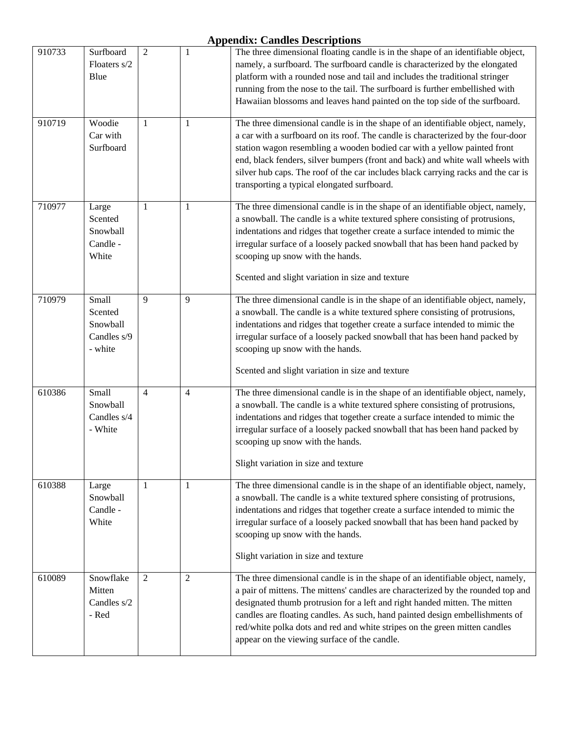| 910733 | Surfboard<br>Floaters s/2<br>Blue                      | $\overline{2}$ | 1              | The three dimensional floating candle is in the shape of an identifiable object,<br>namely, a surfboard. The surfboard candle is characterized by the elongated<br>platform with a rounded nose and tail and includes the traditional stringer<br>running from the nose to the tail. The surfboard is further embellished with<br>Hawaiian blossoms and leaves hand painted on the top side of the surfboard.                                                         |
|--------|--------------------------------------------------------|----------------|----------------|-----------------------------------------------------------------------------------------------------------------------------------------------------------------------------------------------------------------------------------------------------------------------------------------------------------------------------------------------------------------------------------------------------------------------------------------------------------------------|
| 910719 | Woodie<br>Car with<br>Surfboard                        | 1              | 1              | The three dimensional candle is in the shape of an identifiable object, namely,<br>a car with a surfboard on its roof. The candle is characterized by the four-door<br>station wagon resembling a wooden bodied car with a yellow painted front<br>end, black fenders, silver bumpers (front and back) and white wall wheels with<br>silver hub caps. The roof of the car includes black carrying racks and the car is<br>transporting a typical elongated surfboard. |
| 710977 | Large<br>Scented<br>Snowball<br>Candle -<br>White      | 1              | 1              | The three dimensional candle is in the shape of an identifiable object, namely,<br>a snowball. The candle is a white textured sphere consisting of protrusions,<br>indentations and ridges that together create a surface intended to mimic the<br>irregular surface of a loosely packed snowball that has been hand packed by<br>scooping up snow with the hands.<br>Scented and slight variation in size and texture                                                |
| 710979 | Small<br>Scented<br>Snowball<br>Candles s/9<br>- white | 9              | 9              | The three dimensional candle is in the shape of an identifiable object, namely,<br>a snowball. The candle is a white textured sphere consisting of protrusions,<br>indentations and ridges that together create a surface intended to mimic the<br>irregular surface of a loosely packed snowball that has been hand packed by<br>scooping up snow with the hands.<br>Scented and slight variation in size and texture                                                |
| 610386 | Small<br>Snowball<br>Candles s/4<br>- White            | 4              | 4              | The three dimensional candle is in the shape of an identifiable object, namely,<br>a snowball. The candle is a white textured sphere consisting of protrusions,<br>indentations and ridges that together create a surface intended to mimic the<br>irregular surface of a loosely packed snowball that has been hand packed by<br>scooping up snow with the hands.<br>Slight variation in size and texture                                                            |
| 610388 | Large<br>Snowball<br>Candle -<br>White                 | 1              | 1              | The three dimensional candle is in the shape of an identifiable object, namely,<br>a snowball. The candle is a white textured sphere consisting of protrusions,<br>indentations and ridges that together create a surface intended to mimic the<br>irregular surface of a loosely packed snowball that has been hand packed by<br>scooping up snow with the hands.<br>Slight variation in size and texture                                                            |
| 610089 | Snowflake<br>Mitten<br>Candles s/2<br>- Red            | 2              | $\overline{2}$ | The three dimensional candle is in the shape of an identifiable object, namely,<br>a pair of mittens. The mittens' candles are characterized by the rounded top and<br>designated thumb protrusion for a left and right handed mitten. The mitten<br>candles are floating candles. As such, hand painted design embellishments of<br>red/white polka dots and red and white stripes on the green mitten candles<br>appear on the viewing surface of the candle.       |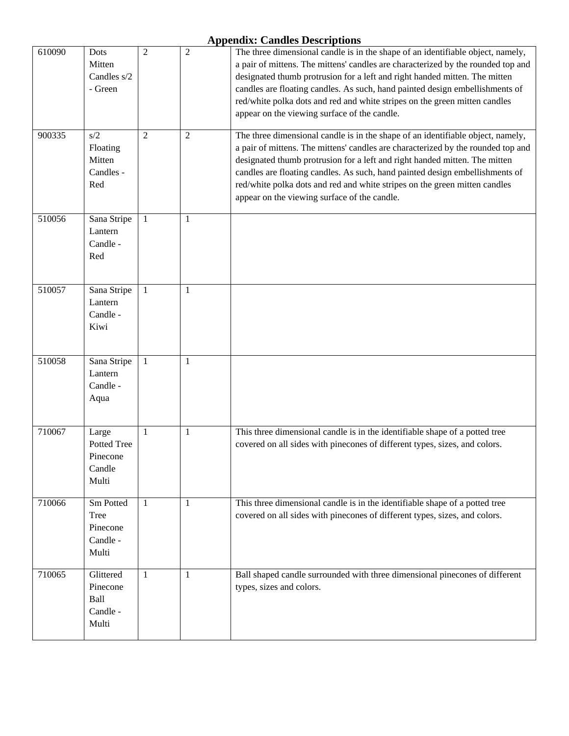| 610090 | Dots<br>Mitten<br>Candles s/2<br>- Green            | $\overline{2}$ | $\overline{2}$ | The three dimensional candle is in the shape of an identifiable object, namely,<br>a pair of mittens. The mittens' candles are characterized by the rounded top and<br>designated thumb protrusion for a left and right handed mitten. The mitten<br>candles are floating candles. As such, hand painted design embellishments of<br>red/white polka dots and red and white stripes on the green mitten candles<br>appear on the viewing surface of the candle. |
|--------|-----------------------------------------------------|----------------|----------------|-----------------------------------------------------------------------------------------------------------------------------------------------------------------------------------------------------------------------------------------------------------------------------------------------------------------------------------------------------------------------------------------------------------------------------------------------------------------|
| 900335 | s/2<br>Floating<br>Mitten<br>Candles -<br>Red       | $\overline{2}$ | $\overline{2}$ | The three dimensional candle is in the shape of an identifiable object, namely,<br>a pair of mittens. The mittens' candles are characterized by the rounded top and<br>designated thumb protrusion for a left and right handed mitten. The mitten<br>candles are floating candles. As such, hand painted design embellishments of<br>red/white polka dots and red and white stripes on the green mitten candles<br>appear on the viewing surface of the candle. |
| 510056 | Sana Stripe<br>Lantern<br>Candle -<br>Red           | 1              | 1              |                                                                                                                                                                                                                                                                                                                                                                                                                                                                 |
| 510057 | Sana Stripe<br>Lantern<br>Candle -<br>Kiwi          | 1              | 1              |                                                                                                                                                                                                                                                                                                                                                                                                                                                                 |
| 510058 | Sana Stripe<br>Lantern<br>Candle -<br>Aqua          | 1              | 1              |                                                                                                                                                                                                                                                                                                                                                                                                                                                                 |
| 710067 | Large<br>Potted Tree<br>Pinecone<br>Candle<br>Multi | 1              | 1              | This three dimensional candle is in the identifiable shape of a potted tree<br>covered on all sides with pinecones of different types, sizes, and colors.                                                                                                                                                                                                                                                                                                       |
| 710066 | Sm Potted<br>Tree<br>Pinecone<br>Candle -<br>Multi  | 1              | $\mathbf{1}$   | This three dimensional candle is in the identifiable shape of a potted tree<br>covered on all sides with pinecones of different types, sizes, and colors.                                                                                                                                                                                                                                                                                                       |
| 710065 | Glittered<br>Pinecone<br>Ball<br>Candle -<br>Multi  | 1              | 1              | Ball shaped candle surrounded with three dimensional pinecones of different<br>types, sizes and colors.                                                                                                                                                                                                                                                                                                                                                         |